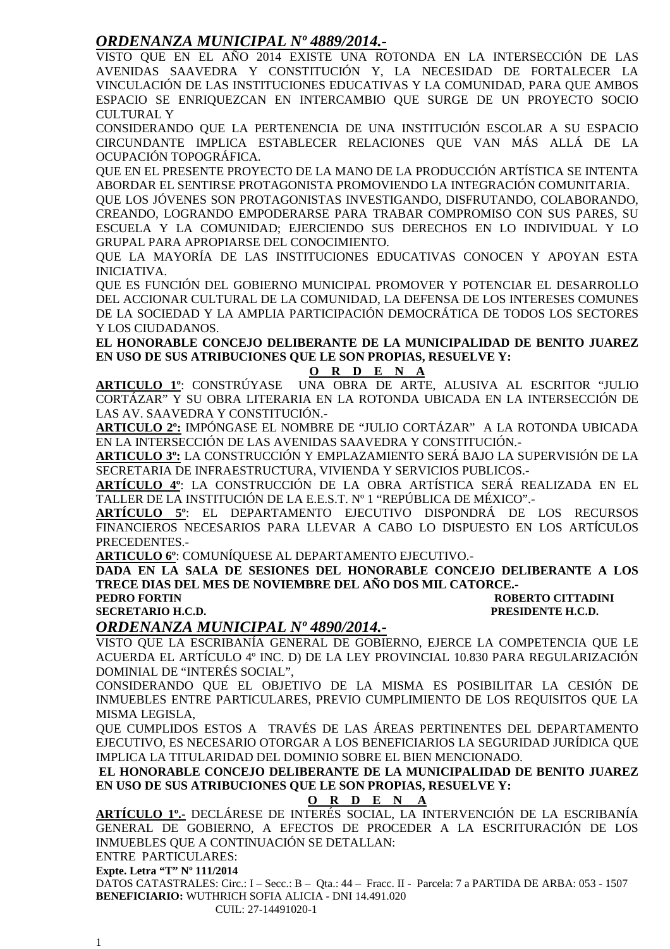### *ORDENANZA MUNICIPAL Nº 4889/2014.-*

VISTO QUE EN EL AÑO 2014 EXISTE UNA ROTONDA EN LA INTERSECCIÓN DE LAS AVENIDAS SAAVEDRA Y CONSTITUCIÓN Y, LA NECESIDAD DE FORTALECER LA VINCULACIÓN DE LAS INSTITUCIONES EDUCATIVAS Y LA COMUNIDAD, PARA QUE AMBOS ESPACIO SE ENRIQUEZCAN EN INTERCAMBIO QUE SURGE DE UN PROYECTO SOCIO CULTURAL Y

CONSIDERANDO QUE LA PERTENENCIA DE UNA INSTITUCIÓN ESCOLAR A SU ESPACIO CIRCUNDANTE IMPLICA ESTABLECER RELACIONES QUE VAN MÁS ALLÁ DE LA OCUPACIÓN TOPOGRÁFICA.

QUE EN EL PRESENTE PROYECTO DE LA MANO DE LA PRODUCCIÓN ARTÍSTICA SE INTENTA ABORDAR EL SENTIRSE PROTAGONISTA PROMOVIENDO LA INTEGRACIÓN COMUNITARIA.

QUE LOS JÓVENES SON PROTAGONISTAS INVESTIGANDO, DISFRUTANDO, COLABORANDO, CREANDO, LOGRANDO EMPODERARSE PARA TRABAR COMPROMISO CON SUS PARES, SU ESCUELA Y LA COMUNIDAD; EJERCIENDO SUS DERECHOS EN LO INDIVIDUAL Y LO GRUPAL PARA APROPIARSE DEL CONOCIMIENTO.

QUE LA MAYORÍA DE LAS INSTITUCIONES EDUCATIVAS CONOCEN Y APOYAN ESTA INICIATIVA.

QUE ES FUNCIÓN DEL GOBIERNO MUNICIPAL PROMOVER Y POTENCIAR EL DESARROLLO DEL ACCIONAR CULTURAL DE LA COMUNIDAD, LA DEFENSA DE LOS INTERESES COMUNES DE LA SOCIEDAD Y LA AMPLIA PARTICIPACIÓN DEMOCRÁTICA DE TODOS LOS SECTORES Y LOS CIUDADANOS.

**EL HONORABLE CONCEJO DELIBERANTE DE LA MUNICIPALIDAD DE BENITO JUAREZ EN USO DE SUS ATRIBUCIONES QUE LE SON PROPIAS, RESUELVE Y:** 

#### **O R D E N A**

**ARTICULO 1º**: CONSTRÚYASE UNA OBRA DE ARTE, ALUSIVA AL ESCRITOR "JULIO CORTÁZAR" Y SU OBRA LITERARIA EN LA ROTONDA UBICADA EN LA INTERSECCIÓN DE LAS AV. SAAVEDRA Y CONSTITUCIÓN.-

**ARTICULO 2º:** IMPÓNGASE EL NOMBRE DE "JULIO CORTÁZAR" A LA ROTONDA UBICADA EN LA INTERSECCIÓN DE LAS AVENIDAS SAAVEDRA Y CONSTITUCIÓN.-

**ARTICULO 3º:** LA CONSTRUCCIÓN Y EMPLAZAMIENTO SERÁ BAJO LA SUPERVISIÓN DE LA SECRETARIA DE INFRAESTRUCTURA, VIVIENDA Y SERVICIOS PUBLICOS.-

**ARTÍCULO 4º**: LA CONSTRUCCIÓN DE LA OBRA ARTÍSTICA SERÁ REALIZADA EN EL TALLER DE LA INSTITUCIÓN DE LA E.E.S.T. Nº 1 "REPÚBLICA DE MÉXICO".-

**ARTÍCULO 5º**: EL DEPARTAMENTO EJECUTIVO DISPONDRÁ DE LOS RECURSOS FINANCIEROS NECESARIOS PARA LLEVAR A CABO LO DISPUESTO EN LOS ARTÍCULOS PRECEDENTES.-

**ARTICULO 6º**: COMUNÍQUESE AL DEPARTAMENTO EJECUTIVO.-

**DADA EN LA SALA DE SESIONES DEL HONORABLE CONCEJO DELIBERANTE A LOS TRECE DIAS DEL MES DE NOVIEMBRE DEL AÑO DOS MIL CATORCE.-** 

**ROBERTO CITTADINI SECRETARIO H.C.D. PRESIDENTE H.C.D.** 

#### *ORDENANZA MUNICIPAL Nº 4890/2014.-*

VISTO QUE LA ESCRIBANÍA GENERAL DE GOBIERNO, EJERCE LA COMPETENCIA QUE LE ACUERDA EL ARTÍCULO 4º INC. D) DE LA LEY PROVINCIAL 10.830 PARA REGULARIZACIÓN DOMINIAL DE "INTERÉS SOCIAL",

CONSIDERANDO QUE EL OBJETIVO DE LA MISMA ES POSIBILITAR LA CESIÓN DE INMUEBLES ENTRE PARTICULARES, PREVIO CUMPLIMIENTO DE LOS REQUISITOS QUE LA MISMA LEGISLA,

QUE CUMPLIDOS ESTOS A TRAVÉS DE LAS ÁREAS PERTINENTES DEL DEPARTAMENTO EJECUTIVO, ES NECESARIO OTORGAR A LOS BENEFICIARIOS LA SEGURIDAD JURÍDICA QUE IMPLICA LA TITULARIDAD DEL DOMINIO SOBRE EL BIEN MENCIONADO.

**EL HONORABLE CONCEJO DELIBERANTE DE LA MUNICIPALIDAD DE BENITO JUAREZ EN USO DE SUS ATRIBUCIONES QUE LE SON PROPIAS, RESUELVE Y:** 

#### **O R D E N A**

**ARTÍCULO 1º.-** DECLÁRESE DE INTERÉS SOCIAL, LA INTERVENCIÓN DE LA ESCRIBANÍA GENERAL DE GOBIERNO, A EFECTOS DE PROCEDER A LA ESCRITURACIÓN DE LOS INMUEBLES QUE A CONTINUACIÓN SE DETALLAN:

ENTRE PARTICULARES:

**Expte. Letra "T" Nº 111/2014** 

DATOS CATASTRALES: Circ.: I – Secc.: B – Qta.: 44 – Fracc. II - Parcela: 7 a PARTIDA DE ARBA: 053 - 1507 **BENEFICIARIO:** WUTHRICH SOFIA ALICIA - DNI 14.491.020

CUIL: 27-14491020-1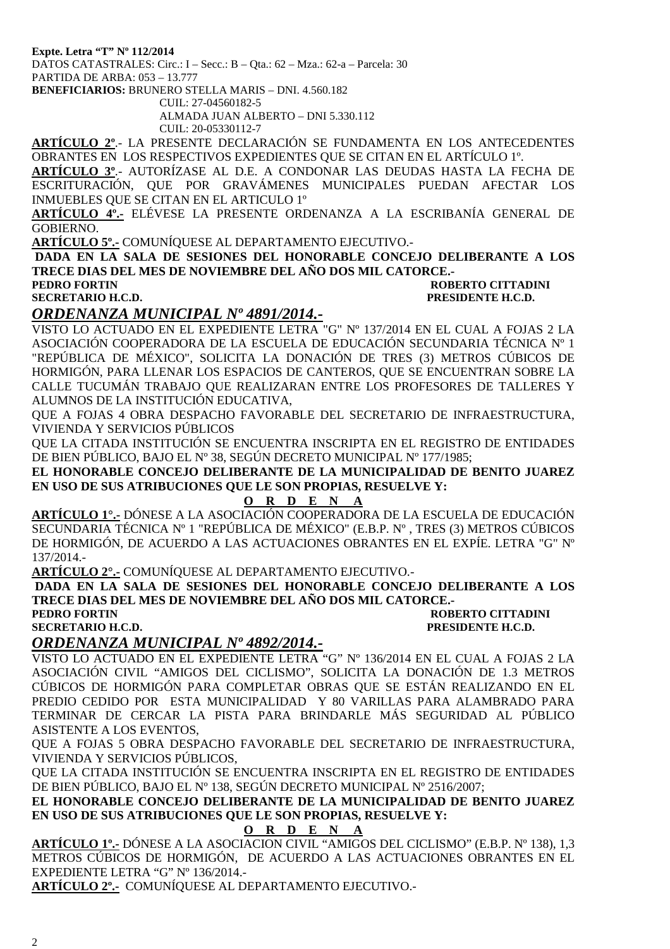**Expte. Letra "T" Nº 112/2014** 

DATOS CATASTRALES: Circ.: I – Secc.: B – Qta.: 62 – Mza.: 62-a – Parcela: 30 PARTIDA DE ARBA: 053 – 13.777

**BENEFICIARIOS:** BRUNERO STELLA MARIS – DNI. 4.560.182

CUIL: 27-04560182-5

ALMADA JUAN ALBERTO – DNI 5.330.112

CUIL: 20-05330112-7

**ARTÍCULO 2º**.- LA PRESENTE DECLARACIÓN SE FUNDAMENTA EN LOS ANTECEDENTES OBRANTES EN LOS RESPECTIVOS EXPEDIENTES QUE SE CITAN EN EL ARTÍCULO 1º.

**ARTÍCULO 3º**.- AUTORÍZASE AL D.E. A CONDONAR LAS DEUDAS HASTA LA FECHA DE ESCRITURACIÓN, QUE POR GRAVÁMENES MUNICIPALES PUEDAN AFECTAR LOS INMUEBLES QUE SE CITAN EN EL ARTICULO 1º

**ARTÍCULO 4º.-** ELÉVESE LA PRESENTE ORDENANZA A LA ESCRIBANÍA GENERAL DE GOBIERNO.

**ARTÍCULO 5º.-** COMUNÍQUESE AL DEPARTAMENTO EJECUTIVO.-

**DADA EN LA SALA DE SESIONES DEL HONORABLE CONCEJO DELIBERANTE A LOS TRECE DIAS DEL MES DE NOVIEMBRE DEL AÑO DOS MIL CATORCE.-** 

#### **PEDRO FORTIN ROBERTO CITTADINI SECRETARIO H.C.D. PRESIDENTE H.C.D.**

### *ORDENANZA MUNICIPAL Nº 4891/2014.-*

VISTO LO ACTUADO EN EL EXPEDIENTE LETRA "G" Nº 137/2014 EN EL CUAL A FOJAS 2 LA ASOCIACIÓN COOPERADORA DE LA ESCUELA DE EDUCACIÓN SECUNDARIA TÉCNICA Nº 1 "REPÚBLICA DE MÉXICO", SOLICITA LA DONACIÓN DE TRES (3) METROS CÚBICOS DE HORMIGÓN, PARA LLENAR LOS ESPACIOS DE CANTEROS, QUE SE ENCUENTRAN SOBRE LA CALLE TUCUMÁN TRABAJO QUE REALIZARAN ENTRE LOS PROFESORES DE TALLERES Y ALUMNOS DE LA INSTITUCIÓN EDUCATIVA,

QUE A FOJAS 4 OBRA DESPACHO FAVORABLE DEL SECRETARIO DE INFRAESTRUCTURA, VIVIENDA Y SERVICIOS PÚBLICOS

QUE LA CITADA INSTITUCIÓN SE ENCUENTRA INSCRIPTA EN EL REGISTRO DE ENTIDADES DE BIEN PÚBLICO, BAJO EL Nº 38, SEGÚN DECRETO MUNICIPAL Nº 177/1985;

**EL HONORABLE CONCEJO DELIBERANTE DE LA MUNICIPALIDAD DE BENITO JUAREZ EN USO DE SUS ATRIBUCIONES QUE LE SON PROPIAS, RESUELVE Y:** 

#### **O R D E N A**

**ARTÍCULO 1°.-** DÓNESE A LA ASOCIACIÓN COOPERADORA DE LA ESCUELA DE EDUCACIÓN SECUNDARIA TÉCNICA Nº 1 "REPÚBLICA DE MÉXICO" (E.B.P. Nº , TRES (3) METROS CÚBICOS DE HORMIGÓN, DE ACUERDO A LAS ACTUACIONES OBRANTES EN EL EXPÍE. LETRA "G" Nº 137/2014.-

**ARTÍCULO 2°.-** COMUNÍQUESE AL DEPARTAMENTO EJECUTIVO.-

**DADA EN LA SALA DE SESIONES DEL HONORABLE CONCEJO DELIBERANTE A LOS TRECE DIAS DEL MES DE NOVIEMBRE DEL AÑO DOS MIL CATORCE.-** 

**SECRETARIO H.C.D.** 

# **PEDRO FORTIN ROBERTO CITTADINI**<br> **PECAL SECRETARIO H.C.D.**<br>
PRESIDENTE H.C.D.

#### *ORDENANZA MUNICIPAL Nº 4892/2014.-*

VISTO LO ACTUADO EN EL EXPEDIENTE LETRA "G" Nº 136/2014 EN EL CUAL A FOJAS 2 LA ASOCIACIÓN CIVIL "AMIGOS DEL CICLISMO", SOLICITA LA DONACIÓN DE 1.3 METROS CÚBICOS DE HORMIGÓN PARA COMPLETAR OBRAS QUE SE ESTÁN REALIZANDO EN EL PREDIO CEDIDO POR ESTA MUNICIPALIDAD Y 80 VARILLAS PARA ALAMBRADO PARA TERMINAR DE CERCAR LA PISTA PARA BRINDARLE MÁS SEGURIDAD AL PÚBLICO ASISTENTE A LOS EVENTOS,

QUE A FOJAS 5 OBRA DESPACHO FAVORABLE DEL SECRETARIO DE INFRAESTRUCTURA, VIVIENDA Y SERVICIOS PÚBLICOS,

QUE LA CITADA INSTITUCIÓN SE ENCUENTRA INSCRIPTA EN EL REGISTRO DE ENTIDADES DE BIEN PÚBLICO, BAJO EL Nº 138, SEGÚN DECRETO MUNICIPAL Nº 2516/2007;

**EL HONORABLE CONCEJO DELIBERANTE DE LA MUNICIPALIDAD DE BENITO JUAREZ EN USO DE SUS ATRIBUCIONES QUE LE SON PROPIAS, RESUELVE Y:** 

#### **O R D E N A**

**ARTÍCULO 1º.-** DÓNESE A LA ASOCIACION CIVIL "AMIGOS DEL CICLISMO" (E.B.P. Nº 138), 1,3 METROS CÚBICOS DE HORMIGÓN, DE ACUERDO A LAS ACTUACIONES OBRANTES EN EL EXPEDIENTE LETRA "G" Nº 136/2014.-

**ARTÍCULO 2º.-** COMUNÍQUESE AL DEPARTAMENTO EJECUTIVO.-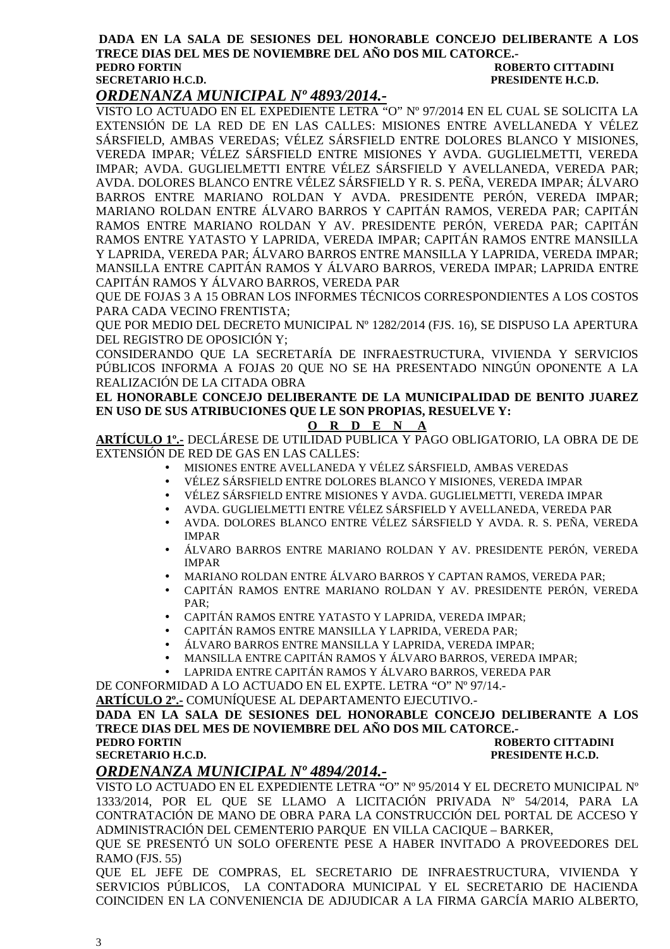#### **DADA EN LA SALA DE SESIONES DEL HONORABLE CONCEJO DELIBERANTE A LOS TRECE DIAS DEL MES DE NOVIEMBRE DEL AÑO DOS MIL CATORCE.- PEDRO FORTIN ROBERTO CITTADINI SECRETARIO H.C.D. PRESIDENTE H.C.D.**

### *ORDENANZA MUNICIPAL Nº 4893/2014.-*

VISTO LO ACTUADO EN EL EXPEDIENTE LETRA "O" Nº 97/2014 EN EL CUAL SE SOLICITA LA EXTENSIÓN DE LA RED DE EN LAS CALLES: MISIONES ENTRE AVELLANEDA Y VÉLEZ SÁRSFIELD, AMBAS VEREDAS; VÉLEZ SÁRSFIELD ENTRE DOLORES BLANCO Y MISIONES, VEREDA IMPAR; VÉLEZ SÁRSFIELD ENTRE MISIONES Y AVDA. GUGLIELMETTI, VEREDA IMPAR; AVDA. GUGLIELMETTI ENTRE VÉLEZ SÁRSFIELD Y AVELLANEDA, VEREDA PAR; AVDA. DOLORES BLANCO ENTRE VÉLEZ SÁRSFIELD Y R. S. PEÑA, VEREDA IMPAR; ÁLVARO BARROS ENTRE MARIANO ROLDAN Y AVDA. PRESIDENTE PERÓN, VEREDA IMPAR; MARIANO ROLDAN ENTRE ÁLVARO BARROS Y CAPITÁN RAMOS, VEREDA PAR; CAPITÁN RAMOS ENTRE MARIANO ROLDAN Y AV. PRESIDENTE PERÓN, VEREDA PAR; CAPITÁN RAMOS ENTRE YATASTO Y LAPRIDA, VEREDA IMPAR; CAPITÁN RAMOS ENTRE MANSILLA Y LAPRIDA, VEREDA PAR; ÁLVARO BARROS ENTRE MANSILLA Y LAPRIDA, VEREDA IMPAR; MANSILLA ENTRE CAPITÁN RAMOS Y ÁLVARO BARROS, VEREDA IMPAR; LAPRIDA ENTRE CAPITÁN RAMOS Y ÁLVARO BARROS, VEREDA PAR

QUE DE FOJAS 3 A 15 OBRAN LOS INFORMES TÉCNICOS CORRESPONDIENTES A LOS COSTOS PARA CADA VECINO FRENTISTA;

QUE POR MEDIO DEL DECRETO MUNICIPAL Nº 1282/2014 (FJS. 16), SE DISPUSO LA APERTURA DEL REGISTRO DE OPOSICIÓN Y;

CONSIDERANDO QUE LA SECRETARÍA DE INFRAESTRUCTURA, VIVIENDA Y SERVICIOS PÚBLICOS INFORMA A FOJAS 20 QUE NO SE HA PRESENTADO NINGÚN OPONENTE A LA REALIZACIÓN DE LA CITADA OBRA

**EL HONORABLE CONCEJO DELIBERANTE DE LA MUNICIPALIDAD DE BENITO JUAREZ EN USO DE SUS ATRIBUCIONES QUE LE SON PROPIAS, RESUELVE Y:** 

#### **O R D E N A**

**ARTÍCULO 1º.-** DECLÁRESE DE UTILIDAD PUBLICA Y PAGO OBLIGATORIO, LA OBRA DE DE EXTENSIÓN DE RED DE GAS EN LAS CALLES:

- MISIONES ENTRE AVELLANEDA Y VÉLEZ SÁRSFIELD, AMBAS VEREDAS
- VÉLEZ SÁRSFIELD ENTRE DOLORES BLANCO Y MISIONES, VEREDA IMPAR
- VÉLEZ SÁRSFIELD ENTRE MISIONES Y AVDA. GUGLIELMETTI, VEREDA IMPAR
- AVDA. GUGLIELMETTI ENTRE VÉLEZ SÁRSFIELD Y AVELLANEDA, VEREDA PAR
- AVDA. DOLORES BLANCO ENTRE VÉLEZ SÁRSFIELD Y AVDA. R. S. PEÑA, VEREDA IMPAR
- ÁLVARO BARROS ENTRE MARIANO ROLDAN Y AV. PRESIDENTE PERÓN, VEREDA IMPAR
- MARIANO ROLDAN ENTRE ÁLVARO BARROS Y CAPTAN RAMOS, VEREDA PAR;
- CAPITÁN RAMOS ENTRE MARIANO ROLDAN Y AV. PRESIDENTE PERÓN, VEREDA  $PAR$
- CAPITÁN RAMOS ENTRE YATASTO Y LAPRIDA, VEREDA IMPAR;
- CAPITÁN RAMOS ENTRE MANSILLA Y LAPRIDA, VEREDA PAR;
- ÁLVARO BARROS ENTRE MANSILLA Y LAPRIDA, VEREDA IMPAR;
- MANSILLA ENTRE CAPITÁN RAMOS Y ÁLVARO BARROS, VEREDA IMPAR;
- LAPRIDA ENTRE CAPITÁN RAMOS Y ÁLVARO BARROS, VEREDA PAR

DE CONFORMIDAD A LO ACTUADO EN EL EXPTE. LETRA "O" Nº 97/14.-

**ARTÍCULO 2º.-** COMUNÍQUESE AL DEPARTAMENTO EJECUTIVO.-

#### **DADA EN LA SALA DE SESIONES DEL HONORABLE CONCEJO DELIBERANTE A LOS TRECE DIAS DEL MES DE NOVIEMBRE DEL AÑO DOS MIL CATORCE.- PEDRO FORTIN ROBERTO CITTADINI SECRETARIO H.C.D. PRESIDENTE H.C.D.**

### *ORDENANZA MUNICIPAL Nº 4894/2014.-*

VISTO LO ACTUADO EN EL EXPEDIENTE LETRA "O" Nº 95/2014 Y EL DECRETO MUNICIPAL Nº 1333/2014, POR EL QUE SE LLAMO A LICITACIÓN PRIVADA Nº 54/2014, PARA LA CONTRATACIÓN DE MANO DE OBRA PARA LA CONSTRUCCIÓN DEL PORTAL DE ACCESO Y ADMINISTRACIÓN DEL CEMENTERIO PARQUE EN VILLA CACIQUE – BARKER,

QUE SE PRESENTÓ UN SOLO OFERENTE PESE A HABER INVITADO A PROVEEDORES DEL RAMO (FJS. 55)

QUE EL JEFE DE COMPRAS, EL SECRETARIO DE INFRAESTRUCTURA, VIVIENDA Y SERVICIOS PÚBLICOS, LA CONTADORA MUNICIPAL Y EL SECRETARIO DE HACIENDA COINCIDEN EN LA CONVENIENCIA DE ADJUDICAR A LA FIRMA GARCÍA MARIO ALBERTO,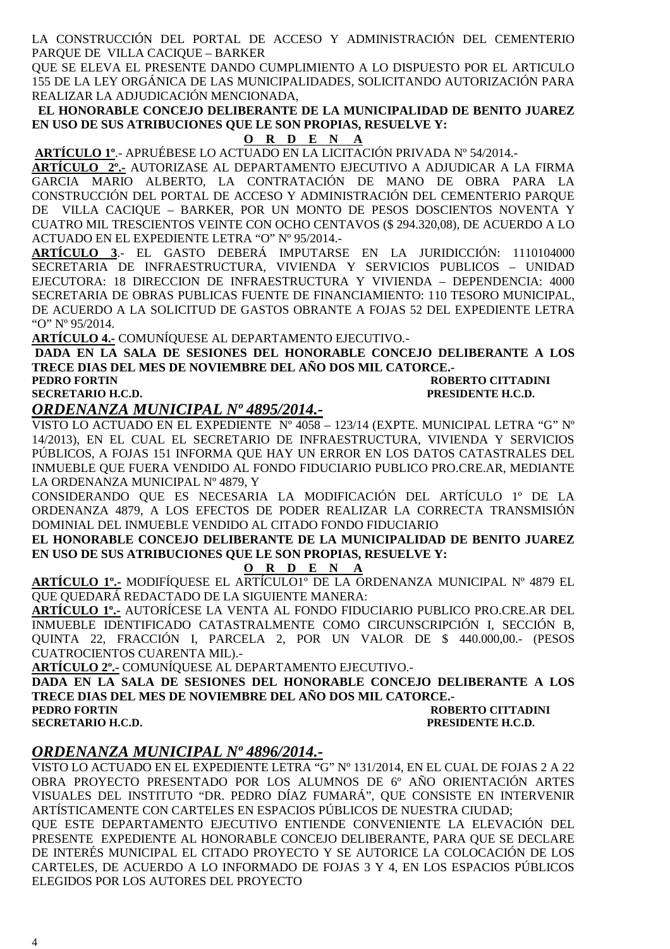LA CONSTRUCCIÓN DEL PORTAL DE ACCESO Y ADMINISTRACIÓN DEL CEMENTERIO PARQUE DE VILLA CACIQUE – BARKER

QUE SE ELEVA EL PRESENTE DANDO CUMPLIMIENTO A LO DISPUESTO POR EL ARTICULO 155 DE LA LEY ORGÁNICA DE LAS MUNICIPALIDADES, SOLICITANDO AUTORIZACIÓN PARA REALIZAR LA ADJUDICACIÓN MENCIONADA,

 **EL HONORABLE CONCEJO DELIBERANTE DE LA MUNICIPALIDAD DE BENITO JUAREZ EN USO DE SUS ATRIBUCIONES QUE LE SON PROPIAS, RESUELVE Y:** 

**O R D E N A**

**ARTÍCULO 1º**.- APRUÉBESE LO ACTUADO EN LA LICITACIÓN PRIVADA Nº 54/2014.-

**ARTÍCULO 2º.-** AUTORIZASE AL DEPARTAMENTO EJECUTIVO A ADJUDICAR A LA FIRMA GARCIA MARIO ALBERTO, LA CONTRATACIÓN DE MANO DE OBRA PARA LA CONSTRUCCIÓN DEL PORTAL DE ACCESO Y ADMINISTRACIÓN DEL CEMENTERIO PARQUE DE VILLA CACIQUE – BARKER, POR UN MONTO DE PESOS DOSCIENTOS NOVENTA Y CUATRO MIL TRESCIENTOS VEINTE CON OCHO CENTAVOS (\$ 294.320,08), DE ACUERDO A LO ACTUADO EN EL EXPEDIENTE LETRA "O" Nº 95/2014.-

**ARTÍCULO 3**.- EL GASTO DEBERÁ IMPUTARSE EN LA JURIDICCIÓN: 1110104000 SECRETARIA DE INFRAESTRUCTURA, VIVIENDA Y SERVICIOS PUBLICOS – UNIDAD EJECUTORA: 18 DIRECCION DE INFRAESTRUCTURA Y VIVIENDA – DEPENDENCIA: 4000 SECRETARIA DE OBRAS PUBLICAS FUENTE DE FINANCIAMIENTO: 110 TESORO MUNICIPAL, DE ACUERDO A LA SOLICITUD DE GASTOS OBRANTE A FOJAS 52 DEL EXPEDIENTE LETRA "O" Nº 95/2014.

**ARTÍCULO 4.-** COMUNÍQUESE AL DEPARTAMENTO EJECUTIVO.-

**DADA EN LA SALA DE SESIONES DEL HONORABLE CONCEJO DELIBERANTE A LOS TRECE DIAS DEL MES DE NOVIEMBRE DEL AÑO DOS MIL CATORCE.-** 

**PEDRO FORTIN ROBERTO CITTADINI SECRETARIO H.C.D. PRESIDENTE H.C.D. PRESIDENTE H.C.D.** 

### *ORDENANZA MUNICIPAL Nº 4895/2014.-*

VISTO LO ACTUADO EN EL EXPEDIENTE Nº 4058 – 123/14 (EXPTE. MUNICIPAL LETRA "G" Nº 14/2013), EN EL CUAL EL SECRETARIO DE INFRAESTRUCTURA, VIVIENDA Y SERVICIOS PÚBLICOS, A FOJAS 151 INFORMA QUE HAY UN ERROR EN LOS DATOS CATASTRALES DEL INMUEBLE QUE FUERA VENDIDO AL FONDO FIDUCIARIO PUBLICO PRO.CRE.AR, MEDIANTE LA ORDENANZA MUNICIPAL Nº 4879, Y

CONSIDERANDO QUE ES NECESARIA LA MODIFICACIÓN DEL ARTÍCULO 1º DE LA ORDENANZA 4879, A LOS EFECTOS DE PODER REALIZAR LA CORRECTA TRANSMISIÓN DOMINIAL DEL INMUEBLE VENDIDO AL CITADO FONDO FIDUCIARIO

**EL HONORABLE CONCEJO DELIBERANTE DE LA MUNICIPALIDAD DE BENITO JUAREZ EN USO DE SUS ATRIBUCIONES QUE LE SON PROPIAS, RESUELVE Y:** 

#### **O R D E N A**

**ARTÍCULO 1º.-** MODIFÍQUESE EL ARTÍCULO1º DE LA ORDENANZA MUNICIPAL Nº 4879 EL QUE QUEDARÁ REDACTADO DE LA SIGUIENTE MANERA:

**ARTÍCULO 1º.-** AUTORÍCESE LA VENTA AL FONDO FIDUCIARIO PUBLICO PRO.CRE.AR DEL INMUEBLE IDENTIFICADO CATASTRALMENTE COMO CIRCUNSCRIPCIÓN I, SECCIÓN B, QUINTA 22, FRACCIÓN I, PARCELA 2, POR UN VALOR DE \$ 440.000,00.- (PESOS CUATROCIENTOS CUARENTA MIL).-

**ARTÍCULO 2º.-** COMUNÍQUESE AL DEPARTAMENTO EJECUTIVO.-

**DADA EN LA SALA DE SESIONES DEL HONORABLE CONCEJO DELIBERANTE A LOS TRECE DIAS DEL MES DE NOVIEMBRE DEL AÑO DOS MIL CATORCE.-** 

**ROBERTO CITTADINI SECRETARIO H.C.D. PRESIDENTE H.C.D. PRESIDENTE H.C.D.** 

### *ORDENANZA MUNICIPAL Nº 4896/2014.-*

VISTO LO ACTUADO EN EL EXPEDIENTE LETRA "G" Nº 131/2014, EN EL CUAL DE FOJAS 2 A 22 OBRA PROYECTO PRESENTADO POR LOS ALUMNOS DE 6º AÑO ORIENTACIÓN ARTES VISUALES DEL INSTITUTO "DR. PEDRO DÍAZ FUMARÁ", QUE CONSISTE EN INTERVENIR ARTÍSTICAMENTE CON CARTELES EN ESPACIOS PÚBLICOS DE NUESTRA CIUDAD;

QUE ESTE DEPARTAMENTO EJECUTIVO ENTIENDE CONVENIENTE LA ELEVACIÓN DEL PRESENTE EXPEDIENTE AL HONORABLE CONCEJO DELIBERANTE, PARA QUE SE DECLARE DE INTERÉS MUNICIPAL EL CITADO PROYECTO Y SE AUTORICE LA COLOCACIÓN DE LOS CARTELES, DE ACUERDO A LO INFORMADO DE FOJAS 3 Y 4, EN LOS ESPACIOS PÚBLICOS ELEGIDOS POR LOS AUTORES DEL PROYECTO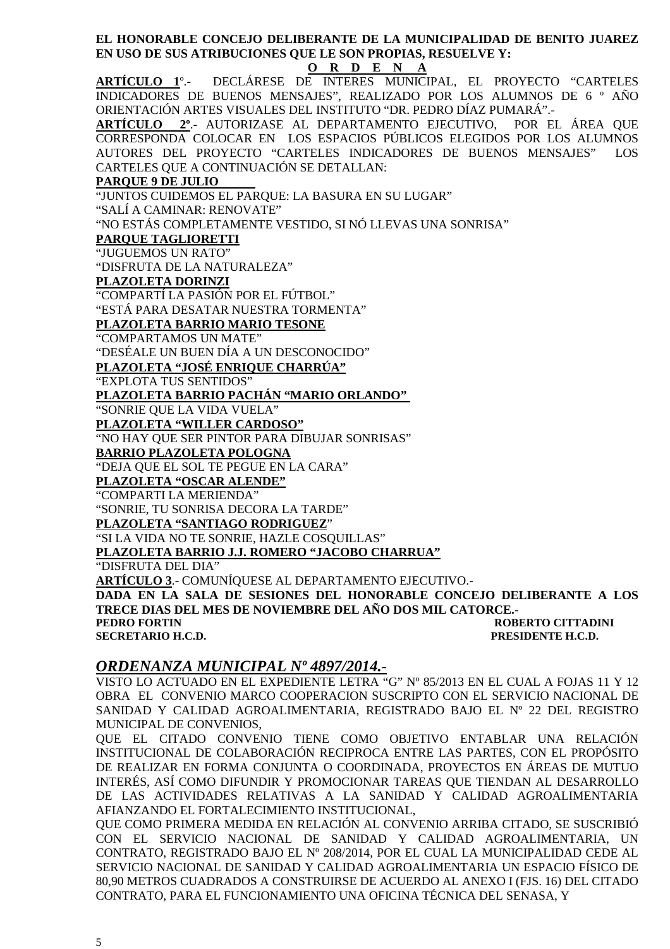**EL HONORABLE CONCEJO DELIBERANTE DE LA MUNICIPALIDAD DE BENITO JUAREZ EN USO DE SUS ATRIBUCIONES QUE LE SON PROPIAS, RESUELVE Y:** 

#### **O R D E N A**

**ARTÍCULO 1**º.- DECLÁRESE DE INTERES MUNICIPAL, EL PROYECTO "CARTELES INDICADORES DE BUENOS MENSAJES", REALIZADO POR LOS ALUMNOS DE 6 º AÑO ORIENTACIÓN ARTES VISUALES DEL INSTITUTO "DR. PEDRO DÍAZ PUMARÁ".-

**ARTÍCULO 2º**.- AUTORIZASE AL DEPARTAMENTO EJECUTIVO, POR EL ÁREA QUE CORRESPONDA COLOCAR EN LOS ESPACIOS PÚBLICOS ELEGIDOS POR LOS ALUMNOS AUTORES DEL PROYECTO "CARTELES INDICADORES DE BUENOS MENSAJES" LOS CARTELES QUE A CONTINUACIÓN SE DETALLAN:

#### **PARQUE 9 DE JULIO**

"JUNTOS CUIDEMOS EL PARQUE: LA BASURA EN SU LUGAR"

"SALÍ A CAMINAR: RENOVATE"

"NO ESTÁS COMPLETAMENTE VESTIDO, SI NÓ LLEVAS UNA SONRISA"

**PARQUE TAGLIORETTI**

"JUGUEMOS UN RATO"

"DISFRUTA DE LA NATURALEZA"

**PLAZOLETA DORINZI**

"COMPARTÍ LA PASIÓN POR EL FÚTBOL"

"ESTÁ PARA DESATAR NUESTRA TORMENTA"

### **PLAZOLETA BARRIO MARIO TESONE**

"COMPARTAMOS UN MATE"

"DESÉALE UN BUEN DÍA A UN DESCONOCIDO"

#### **PLAZOLETA "JOSÉ ENRIQUE CHARRÚA"**

"EXPLOTA TUS SENTIDOS"

**PLAZOLETA BARRIO PACHÁN "MARIO ORLANDO"** 

"SONRIE QUE LA VIDA VUELA"

**PLAZOLETA "WILLER CARDOSO"**

"NO HAY QUE SER PINTOR PARA DIBUJAR SONRISAS"

**BARRIO PLAZOLETA POLOGNA**

"DEJA QUE EL SOL TE PEGUE EN LA CARA"

**PLAZOLETA "OSCAR ALENDE"**

"COMPARTI LA MERIENDA"

"SONRIE, TU SONRISA DECORA LA TARDE"

**PLAZOLETA "SANTIAGO RODRIGUEZ**"

"SI LA VIDA NO TE SONRIE, HAZLE COSQUILLAS"

**PLAZOLETA BARRIO J.J. ROMERO "JACOBO CHARRUA"** 

"DISFRUTA DEL DIA"

**ARTÍCULO 3**.- COMUNÍQUESE AL DEPARTAMENTO EJECUTIVO.- **DADA EN LA SALA DE SESIONES DEL HONORABLE CONCEJO DELIBERANTE A LOS TRECE DIAS DEL MES DE NOVIEMBRE DEL AÑO DOS MIL CATORCE.- PEDRO FORTIN ROBERTO CITTADINI SECRETARIO H.C.D. PRESIDENTE H.C.D.** 

#### *ORDENANZA MUNICIPAL Nº 4897/2014.-*

VISTO LO ACTUADO EN EL EXPEDIENTE LETRA "G" Nº 85/2013 EN EL CUAL A FOJAS 11 Y 12 OBRA EL CONVENIO MARCO COOPERACION SUSCRIPTO CON EL SERVICIO NACIONAL DE SANIDAD Y CALIDAD AGROALIMENTARIA, REGISTRADO BAJO EL Nº 22 DEL REGISTRO MUNICIPAL DE CONVENIOS,

QUE EL CITADO CONVENIO TIENE COMO OBJETIVO ENTABLAR UNA RELACIÓN INSTITUCIONAL DE COLABORACIÓN RECIPROCA ENTRE LAS PARTES, CON EL PROPÓSITO DE REALIZAR EN FORMA CONJUNTA O COORDINADA, PROYECTOS EN ÁREAS DE MUTUO INTERÉS, ASÍ COMO DIFUNDIR Y PROMOCIONAR TAREAS QUE TIENDAN AL DESARROLLO DE LAS ACTIVIDADES RELATIVAS A LA SANIDAD Y CALIDAD AGROALIMENTARIA AFIANZANDO EL FORTALECIMIENTO INSTITUCIONAL,

QUE COMO PRIMERA MEDIDA EN RELACIÓN AL CONVENIO ARRIBA CITADO, SE SUSCRIBIÓ CON EL SERVICIO NACIONAL DE SANIDAD Y CALIDAD AGROALIMENTARIA, UN CONTRATO, REGISTRADO BAJO EL Nº 208/2014, POR EL CUAL LA MUNICIPALIDAD CEDE AL SERVICIO NACIONAL DE SANIDAD Y CALIDAD AGROALIMENTARIA UN ESPACIO FÍSICO DE 80,90 METROS CUADRADOS A CONSTRUIRSE DE ACUERDO AL ANEXO I (FJS. 16) DEL CITADO CONTRATO, PARA EL FUNCIONAMIENTO UNA OFICINA TÉCNICA DEL SENASA, Y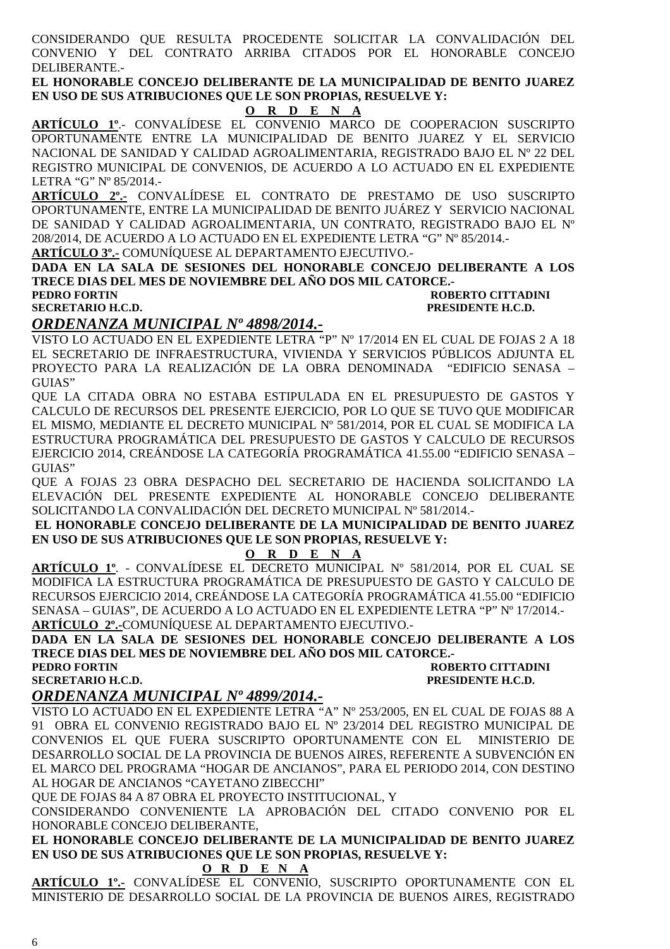CONSIDERANDO QUE RESULTA PROCEDENTE SOLICITAR LA CONVALIDACIÓN DEL CONVENIO Y DEL CONTRATO ARRIBA CITADOS POR EL HONORABLE CONCEJO DELIBERANTE.-

**EL HONORABLE CONCEJO DELIBERANTE DE LA MUNICIPALIDAD DE BENITO JUAREZ EN USO DE SUS ATRIBUCIONES QUE LE SON PROPIAS, RESUELVE Y:** 

**O R D E N A**

**ARTÍCULO 1º**.- CONVALÍDESE EL CONVENIO MARCO DE COOPERACION SUSCRIPTO OPORTUNAMENTE ENTRE LA MUNICIPALIDAD DE BENITO JUAREZ Y EL SERVICIO NACIONAL DE SANIDAD Y CALIDAD AGROALIMENTARIA, REGISTRADO BAJO EL Nº 22 DEL REGISTRO MUNICIPAL DE CONVENIOS, DE ACUERDO A LO ACTUADO EN EL EXPEDIENTE LETRA "G" Nº 85/2014.-

**ARTÍCULO 2º.-** CONVALÍDESE EL CONTRATO DE PRESTAMO DE USO SUSCRIPTO OPORTUNAMENTE, ENTRE LA MUNICIPALIDAD DE BENITO JUÁREZ Y SERVICIO NACIONAL DE SANIDAD Y CALIDAD AGROALIMENTARIA, UN CONTRATO, REGISTRADO BAJO EL Nº 208/2014, DE ACUERDO A LO ACTUADO EN EL EXPEDIENTE LETRA "G" Nº 85/2014.-

**ARTÍCULO 3º.-** COMUNÍQUESE AL DEPARTAMENTO EJECUTIVO.-

**DADA EN LA SALA DE SESIONES DEL HONORABLE CONCEJO DELIBERANTE A LOS TRECE DIAS DEL MES DE NOVIEMBRE DEL AÑO DOS MIL CATORCE.-** 

#### **PEDRO FORTIN ROBERTO CITTADINI SECRETARIO H.C.D. PRESIDENTE H.C.D.**

### *ORDENANZA MUNICIPAL Nº 4898/2014.-*

VISTO LO ACTUADO EN EL EXPEDIENTE LETRA "P" Nº 17/2014 EN EL CUAL DE FOJAS 2 A 18 EL SECRETARIO DE INFRAESTRUCTURA, VIVIENDA Y SERVICIOS PÚBLICOS ADJUNTA EL PROYECTO PARA LA REALIZACIÓN DE LA OBRA DENOMINADA "EDIFICIO SENASA – GUIAS"

QUE LA CITADA OBRA NO ESTABA ESTIPULADA EN EL PRESUPUESTO DE GASTOS Y CALCULO DE RECURSOS DEL PRESENTE EJERCICIO, POR LO QUE SE TUVO QUE MODIFICAR EL MISMO, MEDIANTE EL DECRETO MUNICIPAL Nº 581/2014, POR EL CUAL SE MODIFICA LA ESTRUCTURA PROGRAMÁTICA DEL PRESUPUESTO DE GASTOS Y CALCULO DE RECURSOS EJERCICIO 2014, CREÁNDOSE LA CATEGORÍA PROGRAMÁTICA 41.55.00 "EDIFICIO SENASA – GUIAS"

QUE A FOJAS 23 OBRA DESPACHO DEL SECRETARIO DE HACIENDA SOLICITANDO LA ELEVACIÓN DEL PRESENTE EXPEDIENTE AL HONORABLE CONCEJO DELIBERANTE SOLICITANDO LA CONVALIDACIÓN DEL DECRETO MUNICIPAL Nº 581/2014.-

#### **EL HONORABLE CONCEJO DELIBERANTE DE LA MUNICIPALIDAD DE BENITO JUAREZ EN USO DE SUS ATRIBUCIONES QUE LE SON PROPIAS, RESUELVE Y:**

### **O R D E N A**

**ARTÍCULO 1º**. - CONVALÍDESE EL DECRETO MUNICIPAL Nº 581/2014, POR EL CUAL SE MODIFICA LA ESTRUCTURA PROGRAMÁTICA DE PRESUPUESTO DE GASTO Y CALCULO DE RECURSOS EJERCICIO 2014, CREÁNDOSE LA CATEGORÍA PROGRAMÁTICA 41.55.00 "EDIFICIO SENASA – GUIAS", DE ACUERDO A LO ACTUADO EN EL EXPEDIENTE LETRA "P" Nº 17/2014.- **ARTÍCULO 2º.-**COMUNÍQUESE AL DEPARTAMENTO EJECUTIVO.-

**DADA EN LA SALA DE SESIONES DEL HONORABLE CONCEJO DELIBERANTE A LOS TRECE DIAS DEL MES DE NOVIEMBRE DEL AÑO DOS MIL CATORCE.-** 

#### **PEDRO FORTIN ROBERTO CITTADINI SECRETARIO H.C.D. PRESIDENTE H.C.D.**

### *ORDENANZA MUNICIPAL Nº 4899/2014.-*

VISTO LO ACTUADO EN EL EXPEDIENTE LETRA "A" Nº 253/2005, EN EL CUAL DE FOJAS 88 A 91 OBRA EL CONVENIO REGISTRADO BAJO EL Nº 23/2014 DEL REGISTRO MUNICIPAL DE CONVENIOS EL QUE FUERA SUSCRIPTO OPORTUNAMENTE CON EL MINISTERIO DE DESARROLLO SOCIAL DE LA PROVINCIA DE BUENOS AIRES, REFERENTE A SUBVENCIÓN EN EL MARCO DEL PROGRAMA "HOGAR DE ANCIANOS", PARA EL PERIODO 2014, CON DESTINO AL HOGAR DE ANCIANOS "CAYETANO ZIBECCHI"

QUE DE FOJAS 84 A 87 OBRA EL PROYECTO INSTITUCIONAL, Y

CONSIDERANDO CONVENIENTE LA APROBACIÓN DEL CITADO CONVENIO POR EL HONORABLE CONCEJO DELIBERANTE,

**EL HONORABLE CONCEJO DELIBERANTE DE LA MUNICIPALIDAD DE BENITO JUAREZ EN USO DE SUS ATRIBUCIONES QUE LE SON PROPIAS, RESUELVE Y:** 

#### **O R D E N A**

**ARTÍCULO 1º.-** CONVALÍDESE EL CONVENIO, SUSCRIPTO OPORTUNAMENTE CON EL MINISTERIO DE DESARROLLO SOCIAL DE LA PROVINCIA DE BUENOS AIRES, REGISTRADO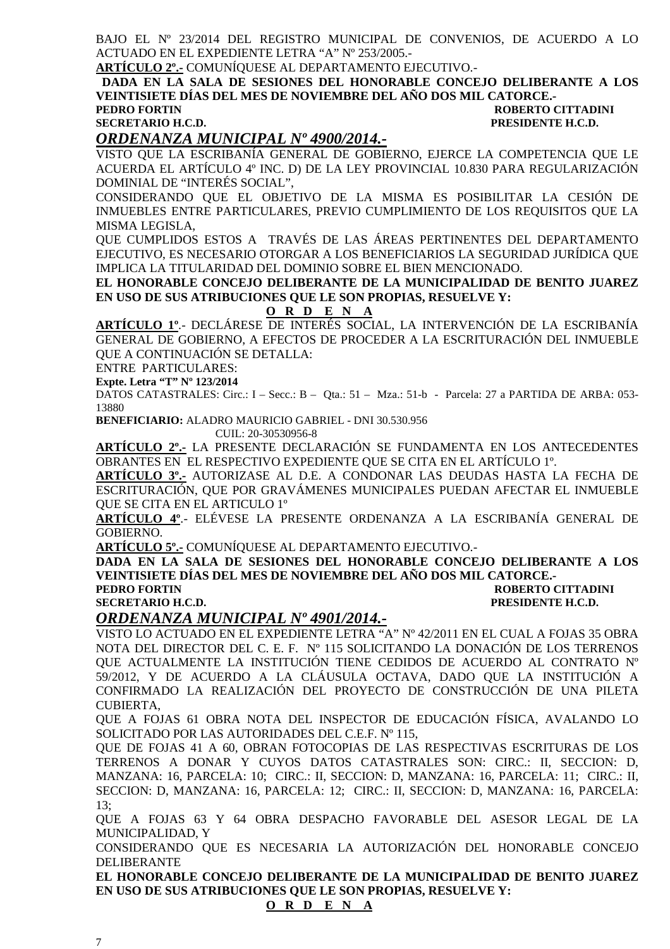BAJO EL Nº 23/2014 DEL REGISTRO MUNICIPAL DE CONVENIOS, DE ACUERDO A LO ACTUADO EN EL EXPEDIENTE LETRA "A" Nº 253/2005.-

**ARTÍCULO 2º.-** COMUNÍQUESE AL DEPARTAMENTO EJECUTIVO.-

 **DADA EN LA SALA DE SESIONES DEL HONORABLE CONCEJO DELIBERANTE A LOS VEINTISIETE DÍAS DEL MES DE NOVIEMBRE DEL AÑO DOS MIL CATORCE.- ROBERTO CITTADINI SECRETARIO H.C.D. PRESIDENTE H.C.D.** 

#### *ORDENANZA MUNICIPAL Nº 4900/2014.-*

VISTO QUE LA ESCRIBANÍA GENERAL DE GOBIERNO, EJERCE LA COMPETENCIA QUE LE ACUERDA EL ARTÍCULO 4º INC. D) DE LA LEY PROVINCIAL 10.830 PARA REGULARIZACIÓN DOMINIAL DE "INTERÉS SOCIAL",

CONSIDERANDO QUE EL OBJETIVO DE LA MISMA ES POSIBILITAR LA CESIÓN DE INMUEBLES ENTRE PARTICULARES, PREVIO CUMPLIMIENTO DE LOS REQUISITOS QUE LA MISMA LEGISLA,

QUE CUMPLIDOS ESTOS A TRAVÉS DE LAS ÁREAS PERTINENTES DEL DEPARTAMENTO EJECUTIVO, ES NECESARIO OTORGAR A LOS BENEFICIARIOS LA SEGURIDAD JURÍDICA QUE IMPLICA LA TITULARIDAD DEL DOMINIO SOBRE EL BIEN MENCIONADO.

**EL HONORABLE CONCEJO DELIBERANTE DE LA MUNICIPALIDAD DE BENITO JUAREZ EN USO DE SUS ATRIBUCIONES QUE LE SON PROPIAS, RESUELVE Y:** 

#### **O R D E N A**

**ARTÍCULO 1º**.- DECLÁRESE DE INTERÉS SOCIAL, LA INTERVENCIÓN DE LA ESCRIBANÍA GENERAL DE GOBIERNO, A EFECTOS DE PROCEDER A LA ESCRITURACIÓN DEL INMUEBLE QUE A CONTINUACIÓN SE DETALLA:

ENTRE PARTICULARES:

**Expte. Letra "T" Nº 123/2014** 

DATOS CATASTRALES: Circ.: I – Secc.: B – Qta.: 51 – Mza.: 51-b - Parcela: 27 a PARTIDA DE ARBA: 053- 13880

**BENEFICIARIO:** ALADRO MAURICIO GABRIEL - DNI 30.530.956

CUIL: 20-30530956-8

**ARTÍCULO 2º.-** LA PRESENTE DECLARACIÓN SE FUNDAMENTA EN LOS ANTECEDENTES OBRANTES EN EL RESPECTIVO EXPEDIENTE QUE SE CITA EN EL ARTÍCULO 1º.

**ARTÍCULO 3º.-** AUTORIZASE AL D.E. A CONDONAR LAS DEUDAS HASTA LA FECHA DE ESCRITURACIÓN, QUE POR GRAVÁMENES MUNICIPALES PUEDAN AFECTAR EL INMUEBLE QUE SE CITA EN EL ARTICULO 1º

**ARTÍCULO 4º**.- ELÉVESE LA PRESENTE ORDENANZA A LA ESCRIBANÍA GENERAL DE GOBIERNO.

**ARTÍCULO 5º.-** COMUNÍQUESE AL DEPARTAMENTO EJECUTIVO.-

**DADA EN LA SALA DE SESIONES DEL HONORABLE CONCEJO DELIBERANTE A LOS VEINTISIETE DÍAS DEL MES DE NOVIEMBRE DEL AÑO DOS MIL CATORCE.- ROBERTO CITTADINI** 

**SECRETARIO H.C.D. PRESIDENTE H.C.D.** 

#### *ORDENANZA MUNICIPAL Nº 4901/2014.-*

VISTO LO ACTUADO EN EL EXPEDIENTE LETRA "A" Nº 42/2011 EN EL CUAL A FOJAS 35 OBRA NOTA DEL DIRECTOR DEL C. E. F. Nº 115 SOLICITANDO LA DONACIÓN DE LOS TERRENOS QUE ACTUALMENTE LA INSTITUCIÓN TIENE CEDIDOS DE ACUERDO AL CONTRATO Nº 59/2012, Y DE ACUERDO A LA CLÁUSULA OCTAVA, DADO QUE LA INSTITUCIÓN A CONFIRMADO LA REALIZACIÓN DEL PROYECTO DE CONSTRUCCIÓN DE UNA PILETA CUBIERTA,

QUE A FOJAS 61 OBRA NOTA DEL INSPECTOR DE EDUCACIÓN FÍSICA, AVALANDO LO SOLICITADO POR LAS AUTORIDADES DEL C.E.F. Nº 115,

QUE DE FOJAS 41 A 60, OBRAN FOTOCOPIAS DE LAS RESPECTIVAS ESCRITURAS DE LOS TERRENOS A DONAR Y CUYOS DATOS CATASTRALES SON: CIRC.: II, SECCION: D, MANZANA: 16, PARCELA: 10; CIRC.: II, SECCION: D, MANZANA: 16, PARCELA: 11; CIRC.: II, SECCION: D, MANZANA: 16, PARCELA: 12; CIRC.: II, SECCION: D, MANZANA: 16, PARCELA: 13;

QUE A FOJAS 63 Y 64 OBRA DESPACHO FAVORABLE DEL ASESOR LEGAL DE LA MUNICIPALIDAD, Y

CONSIDERANDO QUE ES NECESARIA LA AUTORIZACIÓN DEL HONORABLE CONCEJO DELIBERANTE

**EL HONORABLE CONCEJO DELIBERANTE DE LA MUNICIPALIDAD DE BENITO JUAREZ EN USO DE SUS ATRIBUCIONES QUE LE SON PROPIAS, RESUELVE Y:** 

#### **O R D E N A**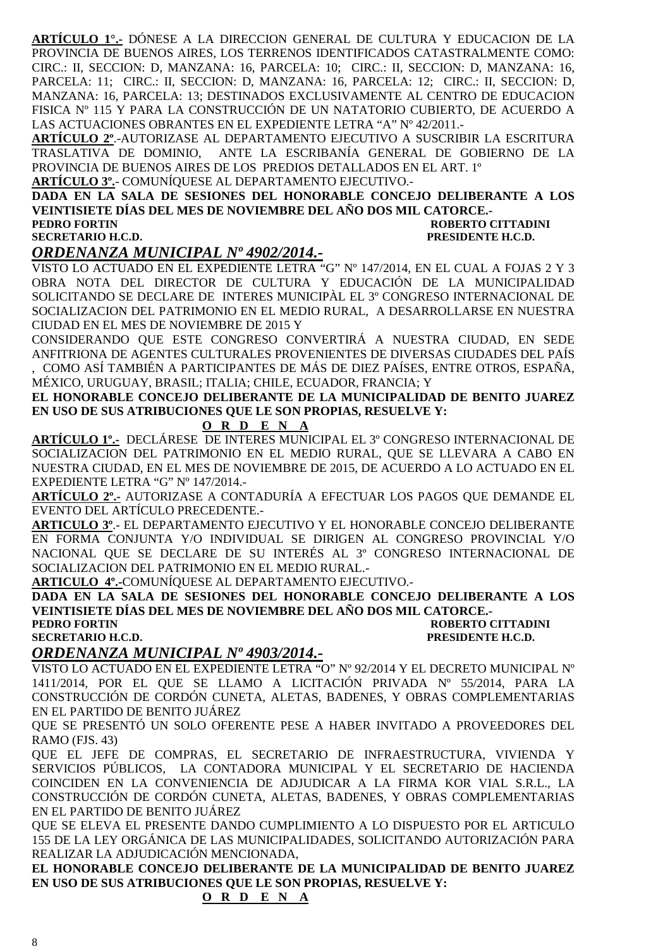**ARTÍCULO 1°.-** DÓNESE A LA DIRECCION GENERAL DE CULTURA Y EDUCACION DE LA PROVINCIA DE BUENOS AIRES, LOS TERRENOS IDENTIFICADOS CATASTRALMENTE COMO: CIRC.: II, SECCION: D, MANZANA: 16, PARCELA: 10; CIRC.: II, SECCION: D, MANZANA: 16, PARCELA: 11; CIRC.: II, SECCION: D, MANZANA: 16, PARCELA: 12; CIRC.: II, SECCION: D, MANZANA: 16, PARCELA: 13; DESTINADOS EXCLUSIVAMENTE AL CENTRO DE EDUCACION FISICA Nº 115 Y PARA LA CONSTRUCCIÓN DE UN NATATORIO CUBIERTO, DE ACUERDO A LAS ACTUACIONES OBRANTES EN EL EXPEDIENTE LETRA "A" Nº 42/2011.-

**ARTÍCULO 2º**.-AUTORIZASE AL DEPARTAMENTO EJECUTIVO A SUSCRIBIR LA ESCRITURA TRASLATIVA DE DOMINIO, ANTE LA ESCRIBANÍA GENERAL DE GOBIERNO DE LA PROVINCIA DE BUENOS AIRES DE LOS PREDIOS DETALLADOS EN EL ART. 1º **ARTÍCULO 3º.**- COMUNÍQUESE AL DEPARTAMENTO EJECUTIVO.-

**DADA EN LA SALA DE SESIONES DEL HONORABLE CONCEJO DELIBERANTE A LOS VEINTISIETE DÍAS DEL MES DE NOVIEMBRE DEL AÑO DOS MIL CATORCE.- PEDRO FORTIN ROBERTO CITTADINI SECRETARIO H.C.D. PRESIDENTE H.C.D.** 

### *ORDENANZA MUNICIPAL Nº 4902/2014.-*

VISTO LO ACTUADO EN EL EXPEDIENTE LETRA "G" Nº 147/2014, EN EL CUAL A FOJAS 2 Y 3 OBRA NOTA DEL DIRECTOR DE CULTURA Y EDUCACIÓN DE LA MUNICIPALIDAD SOLICITANDO SE DECLARE DE INTERES MUNICIPÀL EL 3º CONGRESO INTERNACIONAL DE SOCIALIZACION DEL PATRIMONIO EN EL MEDIO RURAL, A DESARROLLARSE EN NUESTRA CIUDAD EN EL MES DE NOVIEMBRE DE 2015 Y

CONSIDERANDO QUE ESTE CONGRESO CONVERTIRÁ A NUESTRA CIUDAD, EN SEDE ANFITRIONA DE AGENTES CULTURALES PROVENIENTES DE DIVERSAS CIUDADES DEL PAÍS , COMO ASÍ TAMBIÉN A PARTICIPANTES DE MÁS DE DIEZ PAÍSES, ENTRE OTROS, ESPAÑA, MÉXICO, URUGUAY, BRASIL; ITALIA; CHILE, ECUADOR, FRANCIA; Y

**EL HONORABLE CONCEJO DELIBERANTE DE LA MUNICIPALIDAD DE BENITO JUAREZ EN USO DE SUS ATRIBUCIONES QUE LE SON PROPIAS, RESUELVE Y:** 

 **O R D E N A**

**ARTÍCULO 1º.-** DECLÁRESE DE INTERES MUNICIPAL EL 3º CONGRESO INTERNACIONAL DE SOCIALIZACION DEL PATRIMONIO EN EL MEDIO RURAL, QUE SE LLEVARA A CABO EN NUESTRA CIUDAD, EN EL MES DE NOVIEMBRE DE 2015, DE ACUERDO A LO ACTUADO EN EL EXPEDIENTE LETRA "G" Nº 147/2014.-

**ARTÍCULO 2º.-** AUTORIZASE A CONTADURÍA A EFECTUAR LOS PAGOS QUE DEMANDE EL EVENTO DEL ARTÍCULO PRECEDENTE.-

**ARTICULO 3º**.- EL DEPARTAMENTO EJECUTIVO Y EL HONORABLE CONCEJO DELIBERANTE EN FORMA CONJUNTA Y/O INDIVIDUAL SE DIRIGEN AL CONGRESO PROVINCIAL Y/O NACIONAL QUE SE DECLARE DE SU INTERÉS AL 3º CONGRESO INTERNACIONAL DE SOCIALIZACION DEL PATRIMONIO EN EL MEDIO RURAL.-

**ARTICULO 4º.-**COMUNÍQUESE AL DEPARTAMENTO EJECUTIVO.-

**DADA EN LA SALA DE SESIONES DEL HONORABLE CONCEJO DELIBERANTE A LOS VEINTISIETE DÍAS DEL MES DE NOVIEMBRE DEL AÑO DOS MIL CATORCE.- PEDRO FORTIN ROBERTO CITTADINI SECRETARIO H.C.D. PRESIDENTE H.C.D.** 

### *ORDENANZA MUNICIPAL Nº 4903/2014.-*

VISTO LO ACTUADO EN EL EXPEDIENTE LETRA "O" Nº 92/2014 Y EL DECRETO MUNICIPAL Nº 1411/2014, POR EL QUE SE LLAMO A LICITACIÓN PRIVADA Nº 55/2014, PARA LA CONSTRUCCIÓN DE CORDÓN CUNETA, ALETAS, BADENES, Y OBRAS COMPLEMENTARIAS EN EL PARTIDO DE BENITO JUÁREZ

QUE SE PRESENTÓ UN SOLO OFERENTE PESE A HABER INVITADO A PROVEEDORES DEL RAMO (FJS. 43)

QUE EL JEFE DE COMPRAS, EL SECRETARIO DE INFRAESTRUCTURA, VIVIENDA Y SERVICIOS PÚBLICOS, LA CONTADORA MUNICIPAL Y EL SECRETARIO DE HACIENDA COINCIDEN EN LA CONVENIENCIA DE ADJUDICAR A LA FIRMA KOR VIAL S.R.L., LA CONSTRUCCIÓN DE CORDÓN CUNETA, ALETAS, BADENES, Y OBRAS COMPLEMENTARIAS EN EL PARTIDO DE BENITO JUÁREZ

QUE SE ELEVA EL PRESENTE DANDO CUMPLIMIENTO A LO DISPUESTO POR EL ARTICULO 155 DE LA LEY ORGÁNICA DE LAS MUNICIPALIDADES, SOLICITANDO AUTORIZACIÓN PARA REALIZAR LA ADJUDICACIÓN MENCIONADA,

**EL HONORABLE CONCEJO DELIBERANTE DE LA MUNICIPALIDAD DE BENITO JUAREZ EN USO DE SUS ATRIBUCIONES QUE LE SON PROPIAS, RESUELVE Y:** 

 **O R D E N A**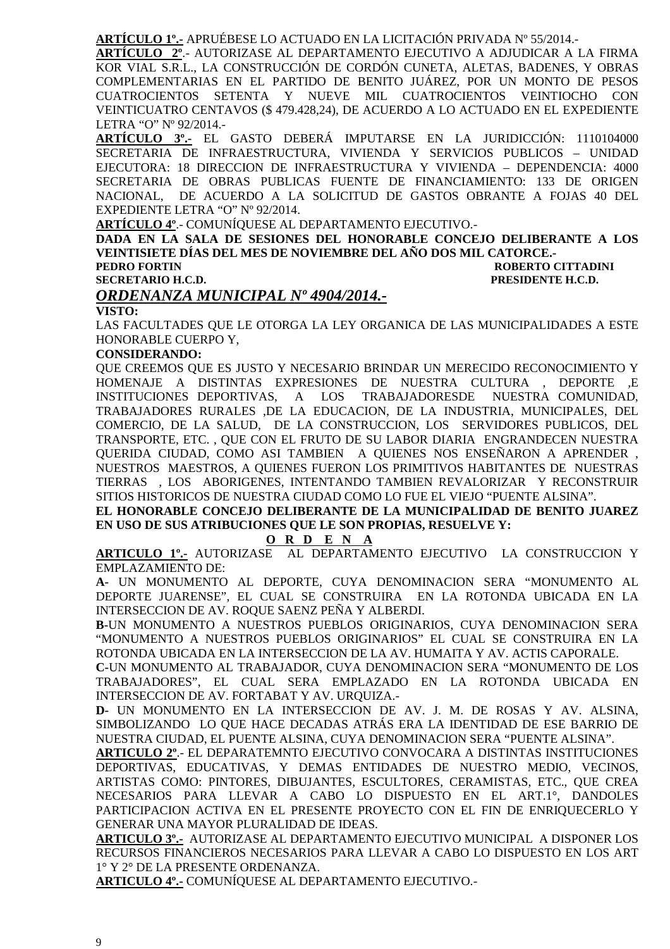**ARTÍCULO 1º.-** APRUÉBESE LO ACTUADO EN LA LICITACIÓN PRIVADA Nº 55/2014.-

**ARTÍCULO 2º**.- AUTORIZASE AL DEPARTAMENTO EJECUTIVO A ADJUDICAR A LA FIRMA KOR VIAL S.R.L., LA CONSTRUCCIÓN DE CORDÓN CUNETA, ALETAS, BADENES, Y OBRAS COMPLEMENTARIAS EN EL PARTIDO DE BENITO JUÁREZ, POR UN MONTO DE PESOS CUATROCIENTOS SETENTA Y NUEVE MIL CUATROCIENTOS VEINTIOCHO CON VEINTICUATRO CENTAVOS (\$ 479.428,24), DE ACUERDO A LO ACTUADO EN EL EXPEDIENTE LETRA "O" Nº 92/2014.-

**ARTÍCULO 3º.-** EL GASTO DEBERÁ IMPUTARSE EN LA JURIDICCIÓN: 1110104000 SECRETARIA DE INFRAESTRUCTURA, VIVIENDA Y SERVICIOS PUBLICOS – UNIDAD EJECUTORA: 18 DIRECCION DE INFRAESTRUCTURA Y VIVIENDA – DEPENDENCIA: 4000 SECRETARIA DE OBRAS PUBLICAS FUENTE DE FINANCIAMIENTO: 133 DE ORIGEN NACIONAL, DE ACUERDO A LA SOLICITUD DE GASTOS OBRANTE A FOJAS 40 DEL EXPEDIENTE LETRA "O" Nº 92/2014.

**ARTÍCULO 4º**.- COMUNÍQUESE AL DEPARTAMENTO EJECUTIVO.-

**DADA EN LA SALA DE SESIONES DEL HONORABLE CONCEJO DELIBERANTE A LOS VEINTISIETE DÍAS DEL MES DE NOVIEMBRE DEL AÑO DOS MIL CATORCE.- PEDRO FORTIN ROBERTO CITTADINI**<br> **PEDRO FORTINI ISECRETARIO H.C.D.**<br>
PRESIDENTE H.C.D. **PRESIDENTE H.C.D.** 

#### *ORDENANZA MUNICIPAL Nº 4904/2014.-*

**VISTO:** 

LAS FACULTADES QUE LE OTORGA LA LEY ORGANICA DE LAS MUNICIPALIDADES A ESTE HONORABLE CUERPO Y,

#### **CONSIDERANDO:**

QUE CREEMOS QUE ES JUSTO Y NECESARIO BRINDAR UN MERECIDO RECONOCIMIENTO Y HOMENAJE A DISTINTAS EXPRESIONES DE NUESTRA CULTURA , DEPORTE ,E INSTITUCIONES DEPORTIVAS, A LOS TRABAJADORESDE NUESTRA COMUNIDAD, TRABAJADORES RURALES ,DE LA EDUCACION, DE LA INDUSTRIA, MUNICIPALES, DEL COMERCIO, DE LA SALUD, DE LA CONSTRUCCION, LOS SERVIDORES PUBLICOS, DEL TRANSPORTE, ETC. , QUE CON EL FRUTO DE SU LABOR DIARIA ENGRANDECEN NUESTRA QUERIDA CIUDAD, COMO ASI TAMBIEN A QUIENES NOS ENSEÑARON A APRENDER , NUESTROS MAESTROS, A QUIENES FUERON LOS PRIMITIVOS HABITANTES DE NUESTRAS TIERRAS , LOS ABORIGENES, INTENTANDO TAMBIEN REVALORIZAR Y RECONSTRUIR SITIOS HISTORICOS DE NUESTRA CIUDAD COMO LO FUE EL VIEJO "PUENTE ALSINA".

**EL HONORABLE CONCEJO DELIBERANTE DE LA MUNICIPALIDAD DE BENITO JUAREZ EN USO DE SUS ATRIBUCIONES QUE LE SON PROPIAS, RESUELVE Y:** 

 **O R D E N A**

**ARTICULO 1º.-** AUTORIZASE AL DEPARTAMENTO EJECUTIVO LA CONSTRUCCION Y EMPLAZAMIENTO DE:

**A-** UN MONUMENTO AL DEPORTE, CUYA DENOMINACION SERA "MONUMENTO AL DEPORTE JUARENSE", EL CUAL SE CONSTRUIRA EN LA ROTONDA UBICADA EN LA INTERSECCION DE AV. ROQUE SAENZ PEÑA Y ALBERDI.

**B-**UN MONUMENTO A NUESTROS PUEBLOS ORIGINARIOS, CUYA DENOMINACION SERA "MONUMENTO A NUESTROS PUEBLOS ORIGINARIOS" EL CUAL SE CONSTRUIRA EN LA ROTONDA UBICADA EN LA INTERSECCION DE LA AV. HUMAITA Y AV. ACTIS CAPORALE.

**C-**UN MONUMENTO AL TRABAJADOR, CUYA DENOMINACION SERA "MONUMENTO DE LOS TRABAJADORES", EL CUAL SERA EMPLAZADO EN LA ROTONDA UBICADA EN INTERSECCION DE AV. FORTABAT Y AV. URQUIZA.-

**D-** UN MONUMENTO EN LA INTERSECCION DE AV. J. M. DE ROSAS Y AV. ALSINA, SIMBOLIZANDO LO QUE HACE DECADAS ATRÁS ERA LA IDENTIDAD DE ESE BARRIO DE NUESTRA CIUDAD, EL PUENTE ALSINA, CUYA DENOMINACION SERA "PUENTE ALSINA".

**ARTICULO 2º**.- EL DEPARATEMNTO EJECUTIVO CONVOCARA A DISTINTAS INSTITUCIONES DEPORTIVAS, EDUCATIVAS, Y DEMAS ENTIDADES DE NUESTRO MEDIO, VECINOS, ARTISTAS COMO: PINTORES, DIBUJANTES, ESCULTORES, CERAMISTAS, ETC., QUE CREA NECESARIOS PARA LLEVAR A CABO LO DISPUESTO EN EL ART.1°, DANDOLES PARTICIPACION ACTIVA EN EL PRESENTE PROYECTO CON EL FIN DE ENRIQUECERLO Y GENERAR UNA MAYOR PLURALIDAD DE IDEAS.

**ARTICULO 3º.-** AUTORIZASE AL DEPARTAMENTO EJECUTIVO MUNICIPAL A DISPONER LOS RECURSOS FINANCIEROS NECESARIOS PARA LLEVAR A CABO LO DISPUESTO EN LOS ART 1° Y 2° DE LA PRESENTE ORDENANZA.

**ARTICULO 4º.-** COMUNÍQUESE AL DEPARTAMENTO EJECUTIVO.-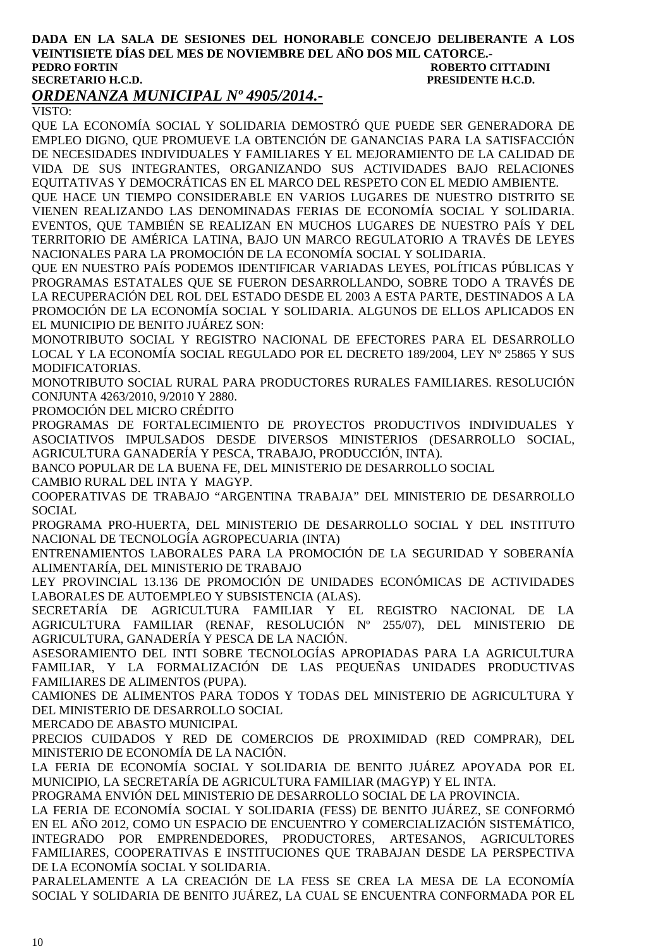#### **DADA EN LA SALA DE SESIONES DEL HONORABLE CONCEJO DELIBERANTE A LOS VEINTISIETE DÍAS DEL MES DE NOVIEMBRE DEL AÑO DOS MIL CATORCE.- ROBERTO CITTADINI SECRETARIO H.C.D. PRESIDENTE H.C.D.**

### *ORDENANZA MUNICIPAL Nº 4905/2014.-*

VISTO:

QUE LA ECONOMÍA SOCIAL Y SOLIDARIA DEMOSTRÓ QUE PUEDE SER GENERADORA DE EMPLEO DIGNO, QUE PROMUEVE LA OBTENCIÓN DE GANANCIAS PARA LA SATISFACCIÓN DE NECESIDADES INDIVIDUALES Y FAMILIARES Y EL MEJORAMIENTO DE LA CALIDAD DE VIDA DE SUS INTEGRANTES, ORGANIZANDO SUS ACTIVIDADES BAJO RELACIONES EQUITATIVAS Y DEMOCRÁTICAS EN EL MARCO DEL RESPETO CON EL MEDIO AMBIENTE.

QUE HACE UN TIEMPO CONSIDERABLE EN VARIOS LUGARES DE NUESTRO DISTRITO SE VIENEN REALIZANDO LAS DENOMINADAS FERIAS DE ECONOMÍA SOCIAL Y SOLIDARIA. EVENTOS, QUE TAMBIÉN SE REALIZAN EN MUCHOS LUGARES DE NUESTRO PAÍS Y DEL TERRITORIO DE AMÉRICA LATINA, BAJO UN MARCO REGULATORIO A TRAVÉS DE LEYES NACIONALES PARA LA PROMOCIÓN DE LA ECONOMÍA SOCIAL Y SOLIDARIA.

QUE EN NUESTRO PAÍS PODEMOS IDENTIFICAR VARIADAS LEYES, POLÍTICAS PÚBLICAS Y PROGRAMAS ESTATALES QUE SE FUERON DESARROLLANDO, SOBRE TODO A TRAVÉS DE LA RECUPERACIÓN DEL ROL DEL ESTADO DESDE EL 2003 A ESTA PARTE, DESTINADOS A LA PROMOCIÓN DE LA ECONOMÍA SOCIAL Y SOLIDARIA. ALGUNOS DE ELLOS APLICADOS EN EL MUNICIPIO DE BENITO JUÁREZ SON:

MONOTRIBUTO SOCIAL Y REGISTRO NACIONAL DE EFECTORES PARA EL DESARROLLO LOCAL Y LA ECONOMÍA SOCIAL REGULADO POR EL DECRETO 189/2004, LEY Nº 25865 Y SUS MODIFICATORIAS.

MONOTRIBUTO SOCIAL RURAL PARA PRODUCTORES RURALES FAMILIARES. RESOLUCIÓN CONJUNTA 4263/2010, 9/2010 Y 2880.

PROMOCIÓN DEL MICRO CRÉDITO

PROGRAMAS DE FORTALECIMIENTO DE PROYECTOS PRODUCTIVOS INDIVIDUALES Y ASOCIATIVOS IMPULSADOS DESDE DIVERSOS MINISTERIOS (DESARROLLO SOCIAL, AGRICULTURA GANADERÍA Y PESCA, TRABAJO, PRODUCCIÓN, INTA).

BANCO POPULAR DE LA BUENA FE, DEL MINISTERIO DE DESARROLLO SOCIAL

CAMBIO RURAL DEL INTA Y MAGYP.

COOPERATIVAS DE TRABAJO "ARGENTINA TRABAJA" DEL MINISTERIO DE DESARROLLO SOCIAL

PROGRAMA PRO-HUERTA, DEL MINISTERIO DE DESARROLLO SOCIAL Y DEL INSTITUTO NACIONAL DE TECNOLOGÍA AGROPECUARIA (INTA)

ENTRENAMIENTOS LABORALES PARA LA PROMOCIÓN DE LA SEGURIDAD Y SOBERANÍA ALIMENTARÍA, DEL MINISTERIO DE TRABAJO

LEY PROVINCIAL 13.136 DE PROMOCIÓN DE UNIDADES ECONÓMICAS DE ACTIVIDADES LABORALES DE AUTOEMPLEO Y SUBSISTENCIA (ALAS).

SECRETARÍA DE AGRICULTURA FAMILIAR Y EL REGISTRO NACIONAL DE LA AGRICULTURA FAMILIAR (RENAF, RESOLUCIÓN Nº 255/07), DEL MINISTERIO DE AGRICULTURA, GANADERÍA Y PESCA DE LA NACIÓN.

ASESORAMIENTO DEL INTI SOBRE TECNOLOGÍAS APROPIADAS PARA LA AGRICULTURA FAMILIAR, Y LA FORMALIZACIÓN DE LAS PEQUEÑAS UNIDADES PRODUCTIVAS FAMILIARES DE ALIMENTOS (PUPA).

CAMIONES DE ALIMENTOS PARA TODOS Y TODAS DEL MINISTERIO DE AGRICULTURA Y DEL MINISTERIO DE DESARROLLO SOCIAL

MERCADO DE ABASTO MUNICIPAL

PRECIOS CUIDADOS Y RED DE COMERCIOS DE PROXIMIDAD (RED COMPRAR), DEL MINISTERIO DE ECONOMÍA DE LA NACIÓN.

LA FERIA DE ECONOMÍA SOCIAL Y SOLIDARIA DE BENITO JUÁREZ APOYADA POR EL MUNICIPIO, LA SECRETARÍA DE AGRICULTURA FAMILIAR (MAGYP) Y EL INTA.

PROGRAMA ENVIÓN DEL MINISTERIO DE DESARROLLO SOCIAL DE LA PROVINCIA.

LA FERIA DE ECONOMÍA SOCIAL Y SOLIDARIA (FESS) DE BENITO JUÁREZ, SE CONFORMÓ EN EL AÑO 2012, COMO UN ESPACIO DE ENCUENTRO Y COMERCIALIZACIÓN SISTEMÁTICO, INTEGRADO POR EMPRENDEDORES, PRODUCTORES, ARTESANOS, AGRICULTORES FAMILIARES, COOPERATIVAS E INSTITUCIONES QUE TRABAJAN DESDE LA PERSPECTIVA DE LA ECONOMÍA SOCIAL Y SOLIDARIA.

PARALELAMENTE A LA CREACIÓN DE LA FESS SE CREA LA MESA DE LA ECONOMÍA SOCIAL Y SOLIDARIA DE BENITO JUÁREZ, LA CUAL SE ENCUENTRA CONFORMADA POR EL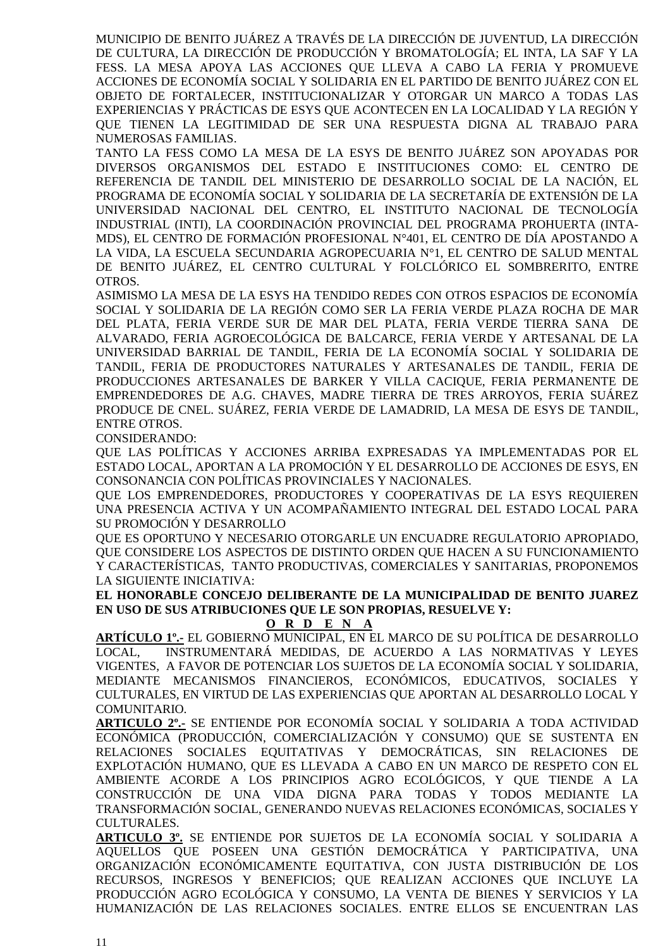MUNICIPIO DE BENITO JUÁREZ A TRAVÉS DE LA DIRECCIÓN DE JUVENTUD, LA DIRECCIÓN DE CULTURA, LA DIRECCIÓN DE PRODUCCIÓN Y BROMATOLOGÍA; EL INTA, LA SAF Y LA FESS. LA MESA APOYA LAS ACCIONES QUE LLEVA A CABO LA FERIA Y PROMUEVE ACCIONES DE ECONOMÍA SOCIAL Y SOLIDARIA EN EL PARTIDO DE BENITO JUÁREZ CON EL OBJETO DE FORTALECER, INSTITUCIONALIZAR Y OTORGAR UN MARCO A TODAS LAS EXPERIENCIAS Y PRÁCTICAS DE ESYS QUE ACONTECEN EN LA LOCALIDAD Y LA REGIÓN Y QUE TIENEN LA LEGITIMIDAD DE SER UNA RESPUESTA DIGNA AL TRABAJO PARA NUMEROSAS FAMILIAS.

TANTO LA FESS COMO LA MESA DE LA ESYS DE BENITO JUÁREZ SON APOYADAS POR DIVERSOS ORGANISMOS DEL ESTADO E INSTITUCIONES COMO: EL CENTRO DE REFERENCIA DE TANDIL DEL MINISTERIO DE DESARROLLO SOCIAL DE LA NACIÓN, EL PROGRAMA DE ECONOMÍA SOCIAL Y SOLIDARIA DE LA SECRETARÍA DE EXTENSIÓN DE LA UNIVERSIDAD NACIONAL DEL CENTRO, EL INSTITUTO NACIONAL DE TECNOLOGÍA INDUSTRIAL (INTI), LA COORDINACIÓN PROVINCIAL DEL PROGRAMA PROHUERTA (INTA-MDS), EL CENTRO DE FORMACIÓN PROFESIONAL N°401, EL CENTRO DE DÍA APOSTANDO A LA VIDA, LA ESCUELA SECUNDARIA AGROPECUARIA N°1, EL CENTRO DE SALUD MENTAL DE BENITO JUÁREZ, EL CENTRO CULTURAL Y FOLCLÓRICO EL SOMBRERITO, ENTRE OTROS.

ASIMISMO LA MESA DE LA ESYS HA TENDIDO REDES CON OTROS ESPACIOS DE ECONOMÍA SOCIAL Y SOLIDARIA DE LA REGIÓN COMO SER LA FERIA VERDE PLAZA ROCHA DE MAR DEL PLATA, FERIA VERDE SUR DE MAR DEL PLATA, FERIA VERDE TIERRA SANA DE ALVARADO, FERIA AGROECOLÓGICA DE BALCARCE, FERIA VERDE Y ARTESANAL DE LA UNIVERSIDAD BARRIAL DE TANDIL, FERIA DE LA ECONOMÍA SOCIAL Y SOLIDARIA DE TANDIL, FERIA DE PRODUCTORES NATURALES Y ARTESANALES DE TANDIL, FERIA DE PRODUCCIONES ARTESANALES DE BARKER Y VILLA CACIQUE, FERIA PERMANENTE DE EMPRENDEDORES DE A.G. CHAVES, MADRE TIERRA DE TRES ARROYOS, FERIA SUÁREZ PRODUCE DE CNEL. SUÁREZ, FERIA VERDE DE LAMADRID, LA MESA DE ESYS DE TANDIL, ENTRE OTROS.

CONSIDERANDO:

QUE LAS POLÍTICAS Y ACCIONES ARRIBA EXPRESADAS YA IMPLEMENTADAS POR EL ESTADO LOCAL, APORTAN A LA PROMOCIÓN Y EL DESARROLLO DE ACCIONES DE ESYS, EN CONSONANCIA CON POLÍTICAS PROVINCIALES Y NACIONALES.

QUE LOS EMPRENDEDORES, PRODUCTORES Y COOPERATIVAS DE LA ESYS REQUIEREN UNA PRESENCIA ACTIVA Y UN ACOMPAÑAMIENTO INTEGRAL DEL ESTADO LOCAL PARA SU PROMOCIÓN Y DESARROLLO

QUE ES OPORTUNO Y NECESARIO OTORGARLE UN ENCUADRE REGULATORIO APROPIADO, QUE CONSIDERE LOS ASPECTOS DE DISTINTO ORDEN QUE HACEN A SU FUNCIONAMIENTO Y CARACTERÍSTICAS, TANTO PRODUCTIVAS, COMERCIALES Y SANITARIAS, PROPONEMOS LA SIGUIENTE INICIATIVA:

#### **EL HONORABLE CONCEJO DELIBERANTE DE LA MUNICIPALIDAD DE BENITO JUAREZ EN USO DE SUS ATRIBUCIONES QUE LE SON PROPIAS, RESUELVE Y:**

#### **O R D E N A**

**ARTÍCULO 1º.-** EL GOBIERNO MUNICIPAL, EN EL MARCO DE SU POLÍTICA DE DESARROLLO LOCAL, INSTRUMENTARÁ MEDIDAS, DE ACUERDO A LAS NORMATIVAS Y LEYES VIGENTES, A FAVOR DE POTENCIAR LOS SUJETOS DE LA ECONOMÍA SOCIAL Y SOLIDARIA, MEDIANTE MECANISMOS FINANCIEROS, ECONÓMICOS, EDUCATIVOS, SOCIALES Y CULTURALES, EN VIRTUD DE LAS EXPERIENCIAS QUE APORTAN AL DESARROLLO LOCAL Y COMUNITARIO.

**ARTICULO 2º.-** SE ENTIENDE POR ECONOMÍA SOCIAL Y SOLIDARIA A TODA ACTIVIDAD ECONÓMICA (PRODUCCIÓN, COMERCIALIZACIÓN Y CONSUMO) QUE SE SUSTENTA EN RELACIONES SOCIALES EQUITATIVAS Y DEMOCRÁTICAS, SIN RELACIONES DE EXPLOTACIÓN HUMANO, QUE ES LLEVADA A CABO EN UN MARCO DE RESPETO CON EL AMBIENTE ACORDE A LOS PRINCIPIOS AGRO ECOLÓGICOS, Y QUE TIENDE A LA CONSTRUCCIÓN DE UNA VIDA DIGNA PARA TODAS Y TODOS MEDIANTE LA TRANSFORMACIÓN SOCIAL, GENERANDO NUEVAS RELACIONES ECONÓMICAS, SOCIALES Y CULTURALES.

**ARTICULO 3º.** SE ENTIENDE POR SUJETOS DE LA ECONOMÍA SOCIAL Y SOLIDARIA A AQUELLOS QUE POSEEN UNA GESTIÓN DEMOCRÁTICA Y PARTICIPATIVA, UNA ORGANIZACIÓN ECONÓMICAMENTE EQUITATIVA, CON JUSTA DISTRIBUCIÓN DE LOS RECURSOS, INGRESOS Y BENEFICIOS; QUE REALIZAN ACCIONES QUE INCLUYE LA PRODUCCIÓN AGRO ECOLÓGICA Y CONSUMO, LA VENTA DE BIENES Y SERVICIOS Y LA HUMANIZACIÓN DE LAS RELACIONES SOCIALES. ENTRE ELLOS SE ENCUENTRAN LAS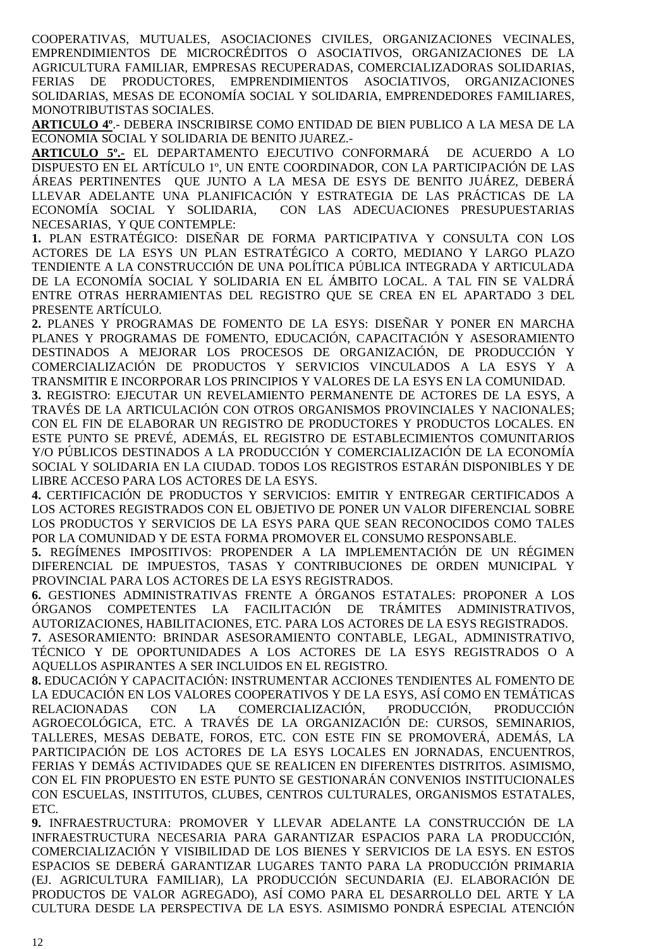COOPERATIVAS, MUTUALES, ASOCIACIONES CIVILES, ORGANIZACIONES VECINALES, EMPRENDIMIENTOS DE MICROCRÉDITOS O ASOCIATIVOS, ORGANIZACIONES DE LA AGRICULTURA FAMILIAR, EMPRESAS RECUPERADAS, COMERCIALIZADORAS SOLIDARIAS, FERIAS DE PRODUCTORES, EMPRENDIMIENTOS ASOCIATIVOS, ORGANIZACIONES SOLIDARIAS, MESAS DE ECONOMÍA SOCIAL Y SOLIDARIA, EMPRENDEDORES FAMILIARES, MONOTRIBUTISTAS SOCIALES.

**ARTICULO 4º**.- DEBERA INSCRIBIRSE COMO ENTIDAD DE BIEN PUBLICO A LA MESA DE LA ECONOMIA SOCIAL Y SOLIDARIA DE BENITO JUAREZ.-

**ARTICULO 5º.-** EL DEPARTAMENTO EJECUTIVO CONFORMARÁ DE ACUERDO A LO DISPUESTO EN EL ARTÍCULO 1º, UN ENTE COORDINADOR, CON LA PARTICIPACIÓN DE LAS ÁREAS PERTINENTES QUE JUNTO A LA MESA DE ESYS DE BENITO JUÁREZ, DEBERÁ LLEVAR ADELANTE UNA PLANIFICACIÓN Y ESTRATEGIA DE LAS PRÁCTICAS DE LA ECONOMÍA SOCIAL Y SOLIDARIA, CON LAS ADECUACIONES PRESUPUESTARIAS NECESARIAS, Y QUE CONTEMPLE:

**1.** PLAN ESTRATÉGICO: DISEÑAR DE FORMA PARTICIPATIVA Y CONSULTA CON LOS ACTORES DE LA ESYS UN PLAN ESTRATÉGICO A CORTO, MEDIANO Y LARGO PLAZO TENDIENTE A LA CONSTRUCCIÓN DE UNA POLÍTICA PÚBLICA INTEGRADA Y ARTICULADA DE LA ECONOMÍA SOCIAL Y SOLIDARIA EN EL ÁMBITO LOCAL. A TAL FIN SE VALDRÁ ENTRE OTRAS HERRAMIENTAS DEL REGISTRO QUE SE CREA EN EL APARTADO 3 DEL PRESENTE ARTÍCULO.

**2.** PLANES Y PROGRAMAS DE FOMENTO DE LA ESYS: DISEÑAR Y PONER EN MARCHA PLANES Y PROGRAMAS DE FOMENTO, EDUCACIÓN, CAPACITACIÓN Y ASESORAMIENTO DESTINADOS A MEJORAR LOS PROCESOS DE ORGANIZACIÓN, DE PRODUCCIÓN Y COMERCIALIZACIÓN DE PRODUCTOS Y SERVICIOS VINCULADOS A LA ESYS Y A TRANSMITIR E INCORPORAR LOS PRINCIPIOS Y VALORES DE LA ESYS EN LA COMUNIDAD.

**3.** REGISTRO: EJECUTAR UN REVELAMIENTO PERMANENTE DE ACTORES DE LA ESYS, A TRAVÉS DE LA ARTICULACIÓN CON OTROS ORGANISMOS PROVINCIALES Y NACIONALES; CON EL FIN DE ELABORAR UN REGISTRO DE PRODUCTORES Y PRODUCTOS LOCALES. EN ESTE PUNTO SE PREVÉ, ADEMÁS, EL REGISTRO DE ESTABLECIMIENTOS COMUNITARIOS Y/O PÚBLICOS DESTINADOS A LA PRODUCCIÓN Y COMERCIALIZACIÓN DE LA ECONOMÍA SOCIAL Y SOLIDARIA EN LA CIUDAD. TODOS LOS REGISTROS ESTARÁN DISPONIBLES Y DE LIBRE ACCESO PARA LOS ACTORES DE LA ESYS.

**4.** CERTIFICACIÓN DE PRODUCTOS Y SERVICIOS: EMITIR Y ENTREGAR CERTIFICADOS A LOS ACTORES REGISTRADOS CON EL OBJETIVO DE PONER UN VALOR DIFERENCIAL SOBRE LOS PRODUCTOS Y SERVICIOS DE LA ESYS PARA QUE SEAN RECONOCIDOS COMO TALES POR LA COMUNIDAD Y DE ESTA FORMA PROMOVER EL CONSUMO RESPONSABLE.

**5.** REGÍMENES IMPOSITIVOS: PROPENDER A LA IMPLEMENTACIÓN DE UN RÉGIMEN DIFERENCIAL DE IMPUESTOS, TASAS Y CONTRIBUCIONES DE ORDEN MUNICIPAL Y PROVINCIAL PARA LOS ACTORES DE LA ESYS REGISTRADOS.

**6.** GESTIONES ADMINISTRATIVAS FRENTE A ÓRGANOS ESTATALES: PROPONER A LOS ÓRGANOS COMPETENTES LA FACILITACIÓN DE TRÁMITES ADMINISTRATIVOS, AUTORIZACIONES, HABILITACIONES, ETC. PARA LOS ACTORES DE LA ESYS REGISTRADOS.

**7.** ASESORAMIENTO: BRINDAR ASESORAMIENTO CONTABLE, LEGAL, ADMINISTRATIVO, TÉCNICO Y DE OPORTUNIDADES A LOS ACTORES DE LA ESYS REGISTRADOS O A AQUELLOS ASPIRANTES A SER INCLUIDOS EN EL REGISTRO.

**8.** EDUCACIÓN Y CAPACITACIÓN: INSTRUMENTAR ACCIONES TENDIENTES AL FOMENTO DE LA EDUCACIÓN EN LOS VALORES COOPERATIVOS Y DE LA ESYS, ASÍ COMO EN TEMÁTICAS RELACIONADAS CON LA COMERCIALIZACIÓN, PRODUCCIÓN, PRODUCCIÓN AGROECOLÓGICA, ETC. A TRAVÉS DE LA ORGANIZACIÓN DE: CURSOS, SEMINARIOS, TALLERES, MESAS DEBATE, FOROS, ETC. CON ESTE FIN SE PROMOVERÁ, ADEMÁS, LA PARTICIPACIÓN DE LOS ACTORES DE LA ESYS LOCALES EN JORNADAS, ENCUENTROS, FERIAS Y DEMÁS ACTIVIDADES QUE SE REALICEN EN DIFERENTES DISTRITOS. ASIMISMO, CON EL FIN PROPUESTO EN ESTE PUNTO SE GESTIONARÁN CONVENIOS INSTITUCIONALES CON ESCUELAS, INSTITUTOS, CLUBES, CENTROS CULTURALES, ORGANISMOS ESTATALES, ETC.

**9.** INFRAESTRUCTURA: PROMOVER Y LLEVAR ADELANTE LA CONSTRUCCIÓN DE LA INFRAESTRUCTURA NECESARIA PARA GARANTIZAR ESPACIOS PARA LA PRODUCCIÓN, COMERCIALIZACIÓN Y VISIBILIDAD DE LOS BIENES Y SERVICIOS DE LA ESYS. EN ESTOS ESPACIOS SE DEBERÁ GARANTIZAR LUGARES TANTO PARA LA PRODUCCIÓN PRIMARIA (EJ. AGRICULTURA FAMILIAR), LA PRODUCCIÓN SECUNDARIA (EJ. ELABORACIÓN DE PRODUCTOS DE VALOR AGREGADO), ASÍ COMO PARA EL DESARROLLO DEL ARTE Y LA CULTURA DESDE LA PERSPECTIVA DE LA ESYS. ASIMISMO PONDRÁ ESPECIAL ATENCIÓN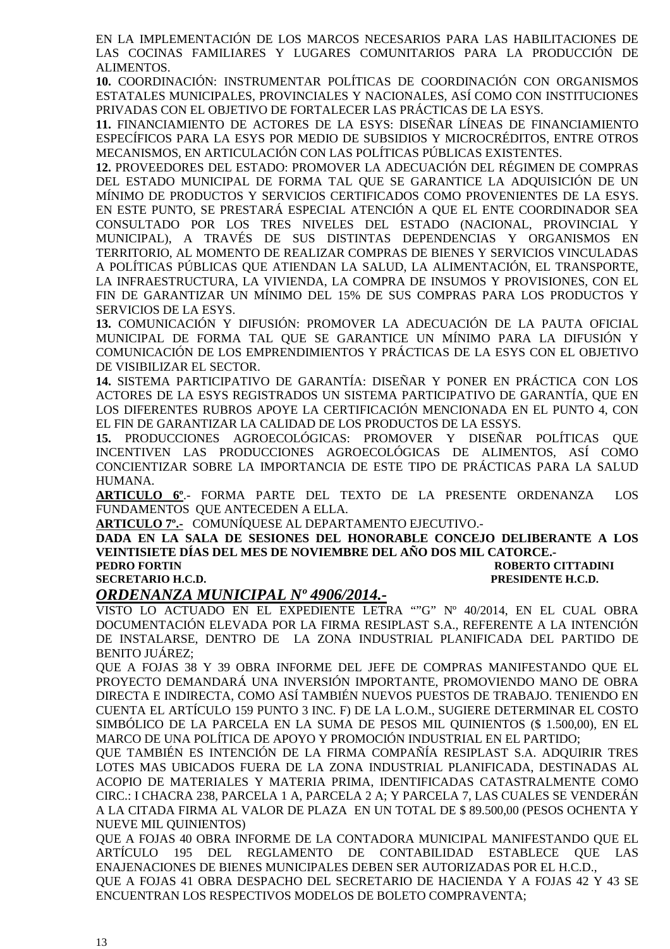EN LA IMPLEMENTACIÓN DE LOS MARCOS NECESARIOS PARA LAS HABILITACIONES DE LAS COCINAS FAMILIARES Y LUGARES COMUNITARIOS PARA LA PRODUCCIÓN DE ALIMENTOS.

**10.** COORDINACIÓN: INSTRUMENTAR POLÍTICAS DE COORDINACIÓN CON ORGANISMOS ESTATALES MUNICIPALES, PROVINCIALES Y NACIONALES, ASÍ COMO CON INSTITUCIONES PRIVADAS CON EL OBJETIVO DE FORTALECER LAS PRÁCTICAS DE LA ESYS.

**11.** FINANCIAMIENTO DE ACTORES DE LA ESYS: DISEÑAR LÍNEAS DE FINANCIAMIENTO ESPECÍFICOS PARA LA ESYS POR MEDIO DE SUBSIDIOS Y MICROCRÉDITOS, ENTRE OTROS MECANISMOS, EN ARTICULACIÓN CON LAS POLÍTICAS PÚBLICAS EXISTENTES.

**12.** PROVEEDORES DEL ESTADO: PROMOVER LA ADECUACIÓN DEL RÉGIMEN DE COMPRAS DEL ESTADO MUNICIPAL DE FORMA TAL QUE SE GARANTICE LA ADQUISICIÓN DE UN MÍNIMO DE PRODUCTOS Y SERVICIOS CERTIFICADOS COMO PROVENIENTES DE LA ESYS. EN ESTE PUNTO, SE PRESTARÁ ESPECIAL ATENCIÓN A QUE EL ENTE COORDINADOR SEA CONSULTADO POR LOS TRES NIVELES DEL ESTADO (NACIONAL, PROVINCIAL Y MUNICIPAL), A TRAVÉS DE SUS DISTINTAS DEPENDENCIAS Y ORGANISMOS EN TERRITORIO, AL MOMENTO DE REALIZAR COMPRAS DE BIENES Y SERVICIOS VINCULADAS A POLÍTICAS PÚBLICAS QUE ATIENDAN LA SALUD, LA ALIMENTACIÓN, EL TRANSPORTE, LA INFRAESTRUCTURA, LA VIVIENDA, LA COMPRA DE INSUMOS Y PROVISIONES, CON EL FIN DE GARANTIZAR UN MÍNIMO DEL 15% DE SUS COMPRAS PARA LOS PRODUCTOS Y SERVICIOS DE LA ESYS.

**13.** COMUNICACIÓN Y DIFUSIÓN: PROMOVER LA ADECUACIÓN DE LA PAUTA OFICIAL MUNICIPAL DE FORMA TAL QUE SE GARANTICE UN MÍNIMO PARA LA DIFUSIÓN Y COMUNICACIÓN DE LOS EMPRENDIMIENTOS Y PRÁCTICAS DE LA ESYS CON EL OBJETIVO DE VISIBILIZAR EL SECTOR.

**14.** SISTEMA PARTICIPATIVO DE GARANTÍA: DISEÑAR Y PONER EN PRÁCTICA CON LOS ACTORES DE LA ESYS REGISTRADOS UN SISTEMA PARTICIPATIVO DE GARANTÍA, QUE EN LOS DIFERENTES RUBROS APOYE LA CERTIFICACIÓN MENCIONADA EN EL PUNTO 4, CON EL FIN DE GARANTIZAR LA CALIDAD DE LOS PRODUCTOS DE LA ESSYS.

**15.** PRODUCCIONES AGROECOLÓGICAS: PROMOVER Y DISEÑAR POLÍTICAS QUE INCENTIVEN LAS PRODUCCIONES AGROECOLÓGICAS DE ALIMENTOS, ASÍ COMO CONCIENTIZAR SOBRE LA IMPORTANCIA DE ESTE TIPO DE PRÁCTICAS PARA LA SALUD HUMANA.

**ARTICULO 6º**.- FORMA PARTE DEL TEXTO DE LA PRESENTE ORDENANZA LOS FUNDAMENTOS QUE ANTECEDEN A ELLA.

**ARTICULO 7º.-** COMUNÍQUESE AL DEPARTAMENTO EJECUTIVO.-

**DADA EN LA SALA DE SESIONES DEL HONORABLE CONCEJO DELIBERANTE A LOS VEINTISIETE DÍAS DEL MES DE NOVIEMBRE DEL AÑO DOS MIL CATORCE.- PEDRO FORTIN ROBERTO CITTADINI SECRETARIO H.C.D. PRESIDENTE H.C.D.** 

### *ORDENANZA MUNICIPAL Nº 4906/2014.-*

VISTO LO ACTUADO EN EL EXPEDIENTE LETRA ""G" Nº 40/2014, EN EL CUAL OBRA DOCUMENTACIÓN ELEVADA POR LA FIRMA RESIPLAST S.A., REFERENTE A LA INTENCIÓN DE INSTALARSE, DENTRO DE LA ZONA INDUSTRIAL PLANIFICADA DEL PARTIDO DE BENITO JUÁREZ;

QUE A FOJAS 38 Y 39 OBRA INFORME DEL JEFE DE COMPRAS MANIFESTANDO QUE EL PROYECTO DEMANDARÁ UNA INVERSIÓN IMPORTANTE, PROMOVIENDO MANO DE OBRA DIRECTA E INDIRECTA, COMO ASÍ TAMBIÉN NUEVOS PUESTOS DE TRABAJO. TENIENDO EN CUENTA EL ARTÍCULO 159 PUNTO 3 INC. F) DE LA L.O.M., SUGIERE DETERMINAR EL COSTO SIMBÓLICO DE LA PARCELA EN LA SUMA DE PESOS MIL QUINIENTOS (\$ 1.500,00), EN EL MARCO DE UNA POLÍTICA DE APOYO Y PROMOCIÓN INDUSTRIAL EN EL PARTIDO;

QUE TAMBIÉN ES INTENCIÓN DE LA FIRMA COMPAÑÍA RESIPLAST S.A. ADQUIRIR TRES LOTES MAS UBICADOS FUERA DE LA ZONA INDUSTRIAL PLANIFICADA, DESTINADAS AL ACOPIO DE MATERIALES Y MATERIA PRIMA, IDENTIFICADAS CATASTRALMENTE COMO CIRC.: I CHACRA 238, PARCELA 1 A, PARCELA 2 A; Y PARCELA 7, LAS CUALES SE VENDERÁN A LA CITADA FIRMA AL VALOR DE PLAZA EN UN TOTAL DE \$ 89.500,00 (PESOS OCHENTA Y NUEVE MIL QUINIENTOS)

QUE A FOJAS 40 OBRA INFORME DE LA CONTADORA MUNICIPAL MANIFESTANDO QUE EL ARTÍCULO 195 DEL REGLAMENTO DE CONTABILIDAD ESTABLECE QUE LAS ENAJENACIONES DE BIENES MUNICIPALES DEBEN SER AUTORIZADAS POR EL H.C.D.,

QUE A FOJAS 41 OBRA DESPACHO DEL SECRETARIO DE HACIENDA Y A FOJAS 42 Y 43 SE ENCUENTRAN LOS RESPECTIVOS MODELOS DE BOLETO COMPRAVENTA;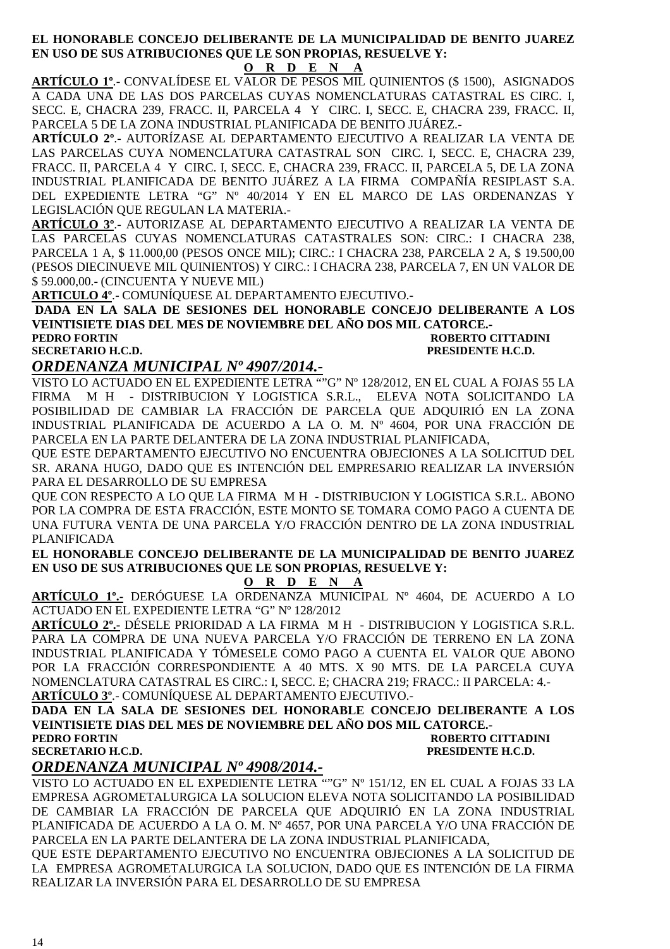#### **EL HONORABLE CONCEJO DELIBERANTE DE LA MUNICIPALIDAD DE BENITO JUAREZ EN USO DE SUS ATRIBUCIONES QUE LE SON PROPIAS, RESUELVE Y:**

**O R D E N A**

**ARTÍCULO 1º**.- CONVALÍDESE EL VALOR DE PESOS MIL QUINIENTOS (\$ 1500), ASIGNADOS A CADA UNA DE LAS DOS PARCELAS CUYAS NOMENCLATURAS CATASTRAL ES CIRC. I, SECC. E, CHACRA 239, FRACC. II, PARCELA 4 Y CIRC. I, SECC. E, CHACRA 239, FRACC. II, PARCELA 5 DE LA ZONA INDUSTRIAL PLANIFICADA DE BENITO JUÁREZ.-

**ARTÍCULO 2º**.- AUTORÍZASE AL DEPARTAMENTO EJECUTIVO A REALIZAR LA VENTA DE LAS PARCELAS CUYA NOMENCLATURA CATASTRAL SON CIRC. I, SECC. E, CHACRA 239, FRACC. II, PARCELA 4 Y CIRC. I, SECC. E, CHACRA 239, FRACC. II, PARCELA 5, DE LA ZONA INDUSTRIAL PLANIFICADA DE BENITO JUÁREZ A LA FIRMA COMPAÑÍA RESIPLAST S.A. DEL EXPEDIENTE LETRA "G" Nº 40/2014 Y EN EL MARCO DE LAS ORDENANZAS Y LEGISLACIÓN QUE REGULAN LA MATERIA.-

**ARTÍCULO 3º**.- AUTORIZASE AL DEPARTAMENTO EJECUTIVO A REALIZAR LA VENTA DE LAS PARCELAS CUYAS NOMENCLATURAS CATASTRALES SON: CIRC.: I CHACRA 238, PARCELA 1 A, \$ 11.000,00 (PESOS ONCE MIL); CIRC.: I CHACRA 238, PARCELA 2 A, \$ 19.500,00 (PESOS DIECINUEVE MIL QUINIENTOS) Y CIRC.: I CHACRA 238, PARCELA 7, EN UN VALOR DE \$ 59.000,00.- (CINCUENTA Y NUEVE MIL)

**ARTICULO 4º**.- COMUNÍQUESE AL DEPARTAMENTO EJECUTIVO.-

**DADA EN LA SALA DE SESIONES DEL HONORABLE CONCEJO DELIBERANTE A LOS VEINTISIETE DIAS DEL MES DE NOVIEMBRE DEL AÑO DOS MIL CATORCE.-** 

**PEDRO FORTIN ROBERTO CITTADINI SECRETARIO H.C.D. PRESIDENTE H.C.D.** 

### *ORDENANZA MUNICIPAL Nº 4907/2014.-*

VISTO LO ACTUADO EN EL EXPEDIENTE LETRA ""G" Nº 128/2012, EN EL CUAL A FOJAS 55 LA FIRMA M H - DISTRIBUCION Y LOGISTICA S.R.L., ELEVA NOTA SOLICITANDO LA POSIBILIDAD DE CAMBIAR LA FRACCIÓN DE PARCELA QUE ADQUIRIÓ EN LA ZONA INDUSTRIAL PLANIFICADA DE ACUERDO A LA O. M. Nº 4604, POR UNA FRACCIÓN DE PARCELA EN LA PARTE DELANTERA DE LA ZONA INDUSTRIAL PLANIFICADA,

QUE ESTE DEPARTAMENTO EJECUTIVO NO ENCUENTRA OBJECIONES A LA SOLICITUD DEL SR. ARANA HUGO, DADO QUE ES INTENCIÓN DEL EMPRESARIO REALIZAR LA INVERSIÓN PARA EL DESARROLLO DE SU EMPRESA

QUE CON RESPECTO A LO QUE LA FIRMA M H - DISTRIBUCION Y LOGISTICA S.R.L. ABONO POR LA COMPRA DE ESTA FRACCIÓN, ESTE MONTO SE TOMARA COMO PAGO A CUENTA DE UNA FUTURA VENTA DE UNA PARCELA Y/O FRACCIÓN DENTRO DE LA ZONA INDUSTRIAL PLANIFICADA

**EL HONORABLE CONCEJO DELIBERANTE DE LA MUNICIPALIDAD DE BENITO JUAREZ EN USO DE SUS ATRIBUCIONES QUE LE SON PROPIAS, RESUELVE Y:** 

**O R D E N A**

**ARTÍCULO 1º.-** DERÓGUESE LA ORDENANZA MUNICIPAL Nº 4604, DE ACUERDO A LO ACTUADO EN EL EXPEDIENTE LETRA "G" Nº 128/2012

**ARTÍCULO 2º.-** DÉSELE PRIORIDAD A LA FIRMA M H - DISTRIBUCION Y LOGISTICA S.R.L. PARA LA COMPRA DE UNA NUEVA PARCELA Y/O FRACCIÓN DE TERRENO EN LA ZONA INDUSTRIAL PLANIFICADA Y TÓMESELE COMO PAGO A CUENTA EL VALOR QUE ABONO POR LA FRACCIÓN CORRESPONDIENTE A 40 MTS. X 90 MTS. DE LA PARCELA CUYA NOMENCLATURA CATASTRAL ES CIRC.: I, SECC. E; CHACRA 219; FRACC.: II PARCELA: 4.- **ARTÍCULO 3º**.- COMUNÍQUESE AL DEPARTAMENTO EJECUTIVO.-

**DADA EN LA SALA DE SESIONES DEL HONORABLE CONCEJO DELIBERANTE A LOS VEINTISIETE DIAS DEL MES DE NOVIEMBRE DEL AÑO DOS MIL CATORCE.- PEDRO FORTIN ROBERTO CITTADINI SECRETARIO H.C.D. PRESIDENTE H.C.D.** 

### *ORDENANZA MUNICIPAL Nº 4908/2014.-*

VISTO LO ACTUADO EN EL EXPEDIENTE LETRA ""G" Nº 151/12, EN EL CUAL A FOJAS 33 LA EMPRESA AGROMETALURGICA LA SOLUCION ELEVA NOTA SOLICITANDO LA POSIBILIDAD DE CAMBIAR LA FRACCIÓN DE PARCELA QUE ADQUIRIÓ EN LA ZONA INDUSTRIAL PLANIFICADA DE ACUERDO A LA O. M. Nº 4657, POR UNA PARCELA Y/O UNA FRACCIÓN DE PARCELA EN LA PARTE DELANTERA DE LA ZONA INDUSTRIAL PLANIFICADA,

QUE ESTE DEPARTAMENTO EJECUTIVO NO ENCUENTRA OBJECIONES A LA SOLICITUD DE LA EMPRESA AGROMETALURGICA LA SOLUCION, DADO QUE ES INTENCIÓN DE LA FIRMA REALIZAR LA INVERSIÓN PARA EL DESARROLLO DE SU EMPRESA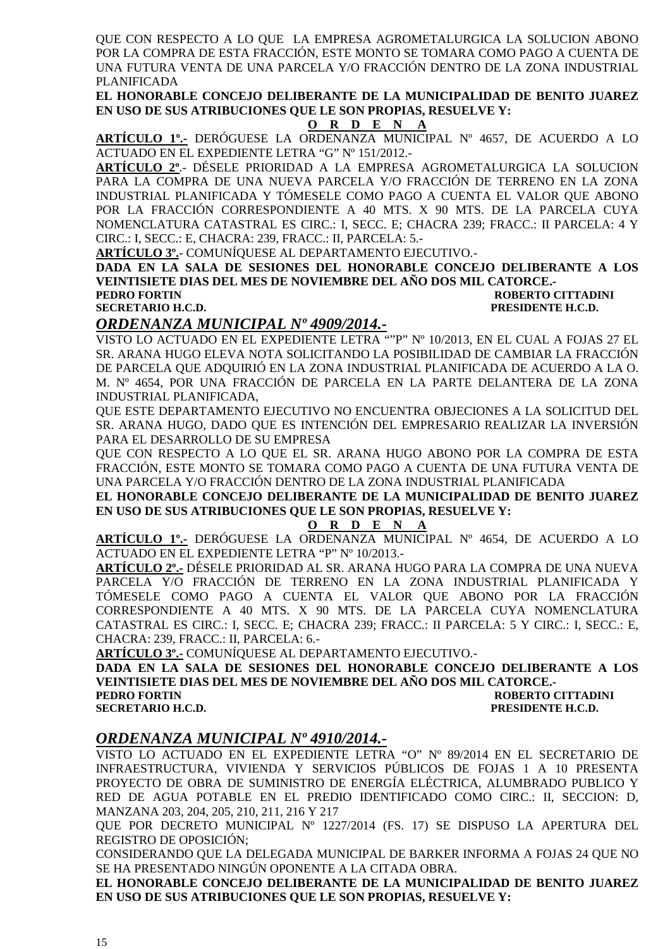QUE CON RESPECTO A LO QUE LA EMPRESA AGROMETALURGICA LA SOLUCION ABONO POR LA COMPRA DE ESTA FRACCIÓN, ESTE MONTO SE TOMARA COMO PAGO A CUENTA DE UNA FUTURA VENTA DE UNA PARCELA Y/O FRACCIÓN DENTRO DE LA ZONA INDUSTRIAL PLANIFICADA

**EL HONORABLE CONCEJO DELIBERANTE DE LA MUNICIPALIDAD DE BENITO JUAREZ EN USO DE SUS ATRIBUCIONES QUE LE SON PROPIAS, RESUELVE Y:** 

**O R D E N A**

**ARTÍCULO 1º.-** DERÓGUESE LA ORDENANZA MUNICIPAL Nº 4657, DE ACUERDO A LO ACTUADO EN EL EXPEDIENTE LETRA "G" Nº 151/2012.-

**ARTÍCULO 2º**.- DÉSELE PRIORIDAD A LA EMPRESA AGROMETALURGICA LA SOLUCION PARA LA COMPRA DE UNA NUEVA PARCELA Y/O FRACCIÓN DE TERRENO EN LA ZONA INDUSTRIAL PLANIFICADA Y TÓMESELE COMO PAGO A CUENTA EL VALOR QUE ABONO POR LA FRACCIÓN CORRESPONDIENTE A 40 MTS. X 90 MTS. DE LA PARCELA CUYA NOMENCLATURA CATASTRAL ES CIRC.: I, SECC. E; CHACRA 239; FRACC.: II PARCELA: 4 Y CIRC.: I, SECC.: E, CHACRA: 239, FRACC.: II, PARCELA: 5.-

**ARTÍCULO 3º.**- COMUNÍQUESE AL DEPARTAMENTO EJECUTIVO.-

**DADA EN LA SALA DE SESIONES DEL HONORABLE CONCEJO DELIBERANTE A LOS VEINTISIETE DIAS DEL MES DE NOVIEMBRE DEL AÑO DOS MIL CATORCE.-** 

**PEDRO FORTIN ROBERTO CITTADINI SECRETARIO H.C.D. PRESIDENTE H.C.D.** 

### *ORDENANZA MUNICIPAL Nº 4909/2014.-*

VISTO LO ACTUADO EN EL EXPEDIENTE LETRA ""P" Nº 10/2013, EN EL CUAL A FOJAS 27 EL SR. ARANA HUGO ELEVA NOTA SOLICITANDO LA POSIBILIDAD DE CAMBIAR LA FRACCIÓN DE PARCELA QUE ADQUIRIÓ EN LA ZONA INDUSTRIAL PLANIFICADA DE ACUERDO A LA O. M. Nº 4654, POR UNA FRACCIÓN DE PARCELA EN LA PARTE DELANTERA DE LA ZONA INDUSTRIAL PLANIFICADA,

QUE ESTE DEPARTAMENTO EJECUTIVO NO ENCUENTRA OBJECIONES A LA SOLICITUD DEL SR. ARANA HUGO, DADO QUE ES INTENCIÓN DEL EMPRESARIO REALIZAR LA INVERSIÓN PARA EL DESARROLLO DE SU EMPRESA

QUE CON RESPECTO A LO QUE EL SR. ARANA HUGO ABONO POR LA COMPRA DE ESTA FRACCIÓN, ESTE MONTO SE TOMARA COMO PAGO A CUENTA DE UNA FUTURA VENTA DE UNA PARCELA Y/O FRACCIÓN DENTRO DE LA ZONA INDUSTRIAL PLANIFICADA

**EL HONORABLE CONCEJO DELIBERANTE DE LA MUNICIPALIDAD DE BENITO JUAREZ EN USO DE SUS ATRIBUCIONES QUE LE SON PROPIAS, RESUELVE Y:** 

#### **O R D E N A**

**ARTÍCULO 1º.-** DERÓGUESE LA ORDENANZA MUNICIPAL Nº 4654, DE ACUERDO A LO ACTUADO EN EL EXPEDIENTE LETRA "P" Nº 10/2013.-

**ARTÍCULO 2º.-** DÉSELE PRIORIDAD AL SR. ARANA HUGO PARA LA COMPRA DE UNA NUEVA PARCELA Y/O FRACCIÓN DE TERRENO EN LA ZONA INDUSTRIAL PLANIFICADA Y TÓMESELE COMO PAGO A CUENTA EL VALOR QUE ABONO POR LA FRACCIÓN CORRESPONDIENTE A 40 MTS. X 90 MTS. DE LA PARCELA CUYA NOMENCLATURA CATASTRAL ES CIRC.: I, SECC. E; CHACRA 239; FRACC.: II PARCELA: 5 Y CIRC.: I, SECC.: E, CHACRA: 239, FRACC.: II, PARCELA: 6.-

**ARTÍCULO 3º.-** COMUNÍQUESE AL DEPARTAMENTO EJECUTIVO.-

**DADA EN LA SALA DE SESIONES DEL HONORABLE CONCEJO DELIBERANTE A LOS VEINTISIETE DIAS DEL MES DE NOVIEMBRE DEL AÑO DOS MIL CATORCE.- PEDRO FORTIN ROBERTO CITTADINI** 

**SECRETARIO H.C.D. PRESIDENTE H.C.D.** 

### *ORDENANZA MUNICIPAL Nº 4910/2014.-*

VISTO LO ACTUADO EN EL EXPEDIENTE LETRA "O" Nº 89/2014 EN EL SECRETARIO DE INFRAESTRUCTURA, VIVIENDA Y SERVICIOS PÚBLICOS DE FOJAS 1 A 10 PRESENTA PROYECTO DE OBRA DE SUMINISTRO DE ENERGÍA ELÉCTRICA, ALUMBRADO PUBLICO Y RED DE AGUA POTABLE EN EL PREDIO IDENTIFICADO COMO CIRC.: II, SECCION: D, MANZANA 203, 204, 205, 210, 211, 216 Y 217

QUE POR DECRETO MUNICIPAL Nº 1227/2014 (FS. 17) SE DISPUSO LA APERTURA DEL REGISTRO DE OPOSICIÓN;

CONSIDERANDO QUE LA DELEGADA MUNICIPAL DE BARKER INFORMA A FOJAS 24 QUE NO SE HA PRESENTADO NINGÚN OPONENTE A LA CITADA OBRA.

**EL HONORABLE CONCEJO DELIBERANTE DE LA MUNICIPALIDAD DE BENITO JUAREZ EN USO DE SUS ATRIBUCIONES QUE LE SON PROPIAS, RESUELVE Y:**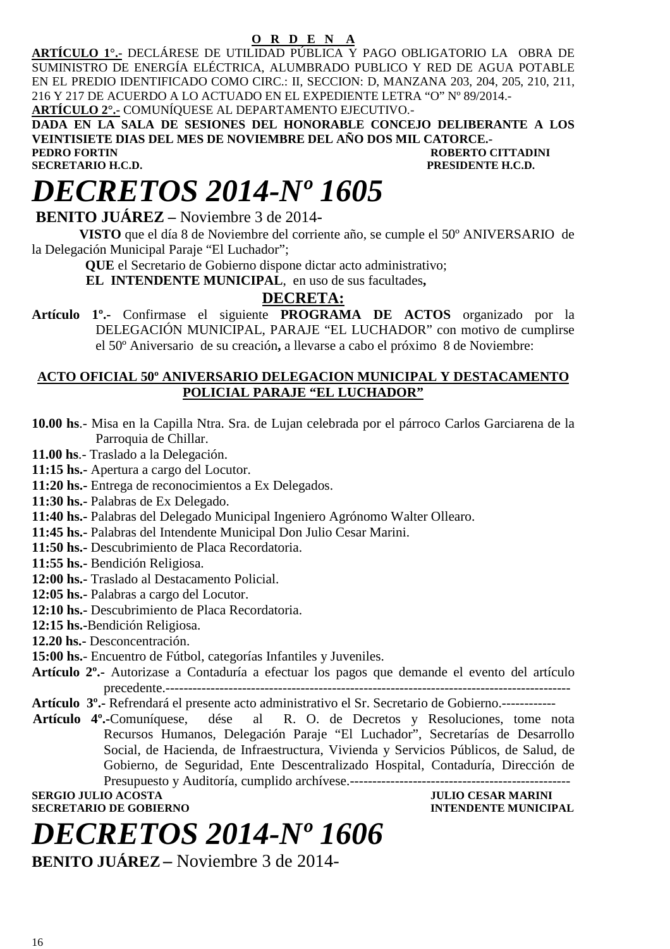### **O R D E N A**

**ARTÍCULO 1°.-** DECLÁRESE DE UTILIDAD PÚBLICA Y PAGO OBLIGATORIO LA OBRA DE SUMINISTRO DE ENERGÍA ELÉCTRICA, ALUMBRADO PUBLICO Y RED DE AGUA POTABLE EN EL PREDIO IDENTIFICADO COMO CIRC.: II, SECCION: D, MANZANA 203, 204, 205, 210, 211, 216 Y 217 DE ACUERDO A LO ACTUADO EN EL EXPEDIENTE LETRA "O" Nº 89/2014.- **ARTÍCULO 2°.-** COMUNÍQUESE AL DEPARTAMENTO EJECUTIVO.-

**DADA EN LA SALA DE SESIONES DEL HONORABLE CONCEJO DELIBERANTE A LOS VEINTISIETE DIAS DEL MES DE NOVIEMBRE DEL AÑO DOS MIL CATORCE.- PEDRO FORTIN ROBERTO CITTADINI**<br> **PECAL SECRETARIO H.C.D.**<br>
PRESIDENTE H.C.D. **SECRETARIO H.C.D.** 

# *DECRETOS 2014-Nº 1605*

 **BENITO JUÁREZ –** Noviembre 3 de 2014**-** 

 **VISTO** que el día 8 de Noviembre del corriente año, se cumple el 50º ANIVERSARIO de la Delegación Municipal Paraje "El Luchador";

**QUE** el Secretario de Gobierno dispone dictar acto administrativo;

 **EL INTENDENTE MUNICIPAL**, en uso de sus facultades**,** 

### **DECRETA:**

**Artículo 1º.-** Confirmase el siguiente **PROGRAMA DE ACTOS** organizado por la DELEGACIÓN MUNICIPAL, PARAJE "EL LUCHADOR" con motivo de cumplirse el 50º Aniversario de su creación**,** a llevarse a cabo el próximo 8 de Noviembre:

#### **ACTO OFICIAL 50º ANIVERSARIO DELEGACION MUNICIPAL Y DESTACAMENTO POLICIAL PARAJE "EL LUCHADOR"**

- **10.00 hs**.- Misa en la Capilla Ntra. Sra. de Lujan celebrada por el párroco Carlos Garciarena de la Parroquia de Chillar.
- **11.00 hs**.- Traslado a la Delegación.
- **11:15 hs.-** Apertura a cargo del Locutor.
- **11:20 hs.-** Entrega de reconocimientos a Ex Delegados.
- **11:30 hs.-** Palabras de Ex Delegado.
- **11:40 hs.-** Palabras del Delegado Municipal Ingeniero Agrónomo Walter Ollearo.
- **11:45 hs.-** Palabras del Intendente Municipal Don Julio Cesar Marini.
- **11:50 hs.-** Descubrimiento de Placa Recordatoria.
- **11:55 hs.-** Bendición Religiosa.
- **12:00 hs.-** Traslado al Destacamento Policial.
- **12:05 hs.-** Palabras a cargo del Locutor.
- **12:10 hs.-** Descubrimiento de Placa Recordatoria.
- **12:15 hs.-**Bendición Religiosa.
- **12.20 hs.-** Desconcentración.
- **15:00 hs.** Encuentro de Fútbol, categorías Infantiles y Juveniles.
- **Artículo 2º.-** Autorizase a Contaduría a efectuar los pagos que demande el evento del artículo precedente.------------------------------------------------------------------------------------------
- **Artículo 3º.-** Refrendará el presente acto administrativo el Sr. Secretario de Gobierno.------------<br>**Artículo 4º.-**Comuníquese, dése al R. O. de Decretos y Resoluciones, tome r
- al R. O. de Decretos y Resoluciones, tome nota Recursos Humanos, Delegación Paraje "El Luchador", Secretarías de Desarrollo Social, de Hacienda, de Infraestructura, Vivienda y Servicios Públicos, de Salud, de Gobierno, de Seguridad, Ente Descentralizado Hospital, Contaduría, Dirección de Presupuesto y Auditoría, cumplido archívese.------------------------------------------------- **SERGIO JULIO ACOSTA DE CONFERNO DE CONFERNO DE CONFERNO DE CONFERNO DE CONFERNO DE CONFERNO DE CONFERNO DE CONFERNO DE CONFERNO DE CONFERNO DE CONFERNO DE CONFERNO DE CONFERNO DE CONFERNO DE CONFERNO DE CONFERNO DE CONFER**

**SECRETARIO DE GOBIERNO** 

# *DECRETOS 2014-Nº 1606*

**BENITO JUÁREZ –** Noviembre 3 de 2014-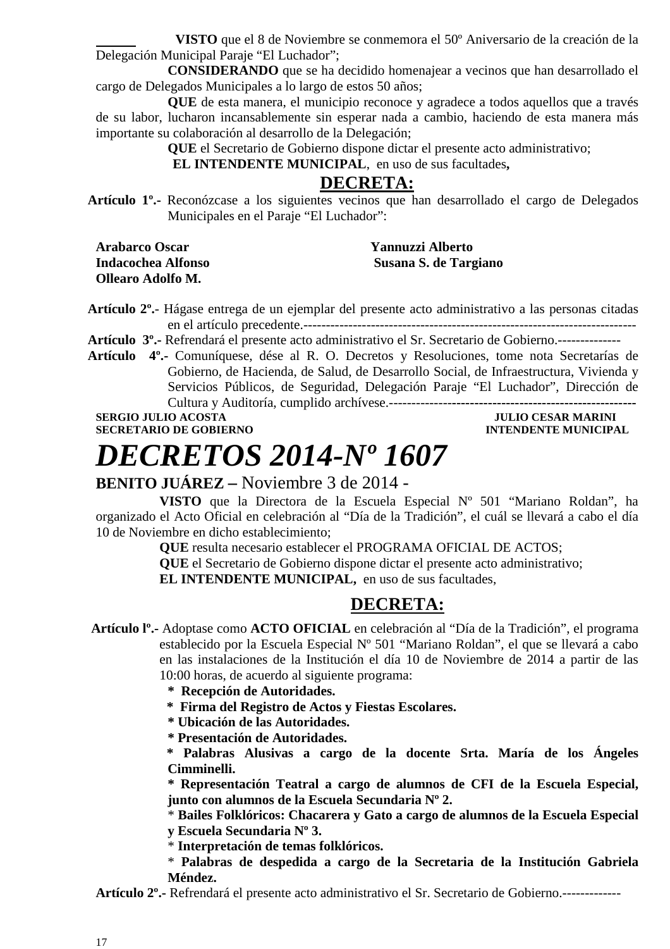**VISTO** que el 8 de Noviembre se conmemora el 50º Aniversario de la creación de la Delegación Municipal Paraje "El Luchador";

 **CONSIDERANDO** que se ha decidido homenajear a vecinos que han desarrollado el cargo de Delegados Municipales a lo largo de estos 50 años;

 **QUE** de esta manera, el municipio reconoce y agradece a todos aquellos que a través de su labor, lucharon incansablemente sin esperar nada a cambio, haciendo de esta manera más importante su colaboración al desarrollo de la Delegación;

**QUE** el Secretario de Gobierno dispone dictar el presente acto administrativo;

 **EL INTENDENTE MUNICIPAL**, en uso de sus facultades**,** 

### **DECRETA:**

**Artículo 1º.-** Reconózcase a los siguientes vecinos que han desarrollado el cargo de Delegados Municipales en el Paraje "El Luchador":

**Arabarco Oscar Yannuzzi Alberto Ollearo Adolfo M.** 

**Indacochea Alfonso Susana S. de Targiano** 

**Artículo 2º.**- Hágase entrega de un ejemplar del presente acto administrativo a las personas citadas en el artículo precedente.--------------------------------------------------------------------------

**Artículo 3º.-** Refrendará el presente acto administrativo el Sr. Secretario de Gobierno.--------------

**Artículo 4º.-** Comuníquese, dése al R. O. Decretos y Resoluciones, tome nota Secretarías de Gobierno, de Hacienda, de Salud, de Desarrollo Social, de Infraestructura, Vivienda y Servicios Públicos, de Seguridad, Delegación Paraje "El Luchador", Dirección de Cultura y Auditoría, cumplido archívese.--------------**-----------------------------------------** 

**SERGIO JULIO ACOSTA JULIO CESAR MARINI SECRETARIO DE GOBIERNO INTENDENTE MUNICIPAL** 

# *DECRETOS 2014-Nº 1607*

### **BENITO JUÁREZ –** Noviembre 3 de 2014 -

**VISTO** que la Directora de la Escuela Especial Nº 501 "Mariano Roldan", ha organizado el Acto Oficial en celebración al "Día de la Tradición", el cuál se llevará a cabo el día 10 de Noviembre en dicho establecimiento;

**QUE** resulta necesario establecer el PROGRAMA OFICIAL DE ACTOS;

**QUE** el Secretario de Gobierno dispone dictar el presente acto administrativo;

**EL INTENDENTE MUNICIPAL,** en uso de sus facultades,

### **DECRETA:**

 **Artículo lº.-** Adoptase como **ACTO OFICIAL** en celebración al "Día de la Tradición", el programa establecido por la Escuela Especial Nº 501 "Mariano Roldan", el que se llevará a cabo en las instalaciones de la Institución el día 10 de Noviembre de 2014 a partir de las 10:00 horas, de acuerdo al siguiente programa:

**\* Recepción de Autoridades.** 

 **\* Firma del Registro de Actos y Fiestas Escolares.** 

**\* Ubicación de las Autoridades.** 

**\* Presentación de Autoridades.** 

 **\* Palabras Alusivas a cargo de la docente Srta. María de los Ángeles Cimminelli.** 

**\* Representación Teatral a cargo de alumnos de CFI de la Escuela Especial, junto con alumnos de la Escuela Secundaria Nº 2.** 

\* **Bailes Folklóricos: Chacarera y Gato a cargo de alumnos de la Escuela Especial y Escuela Secundaria Nº 3.** 

\* **Interpretación de temas folklóricos.** 

\* **Palabras de despedida a cargo de la Secretaria de la Institución Gabriela Méndez.** 

**Artículo 2º.-** Refrendará el presente acto administrativo el Sr. Secretario de Gobierno.-------------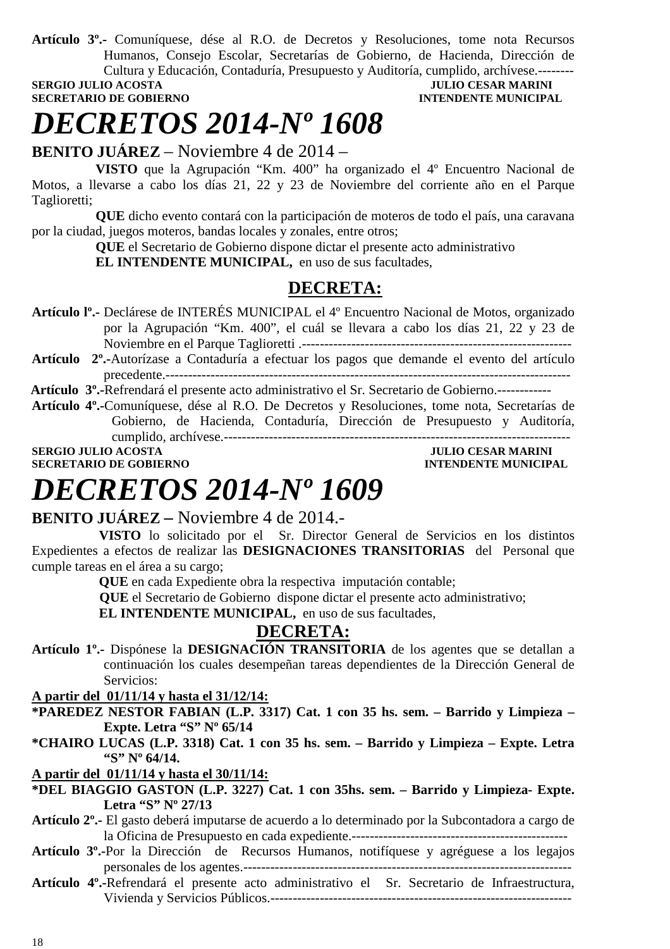**Artículo 3º.-** Comuníquese, dése al R.O. de Decretos y Resoluciones, tome nota Recursos Humanos, Consejo Escolar, Secretarías de Gobierno, de Hacienda, Dirección de Cultura y Educación, Contaduría, Presupuesto y Auditoría, cumplido, archívese.--------

**SECRETARIO DE GOBIERNO INTENDENTE MUNICIPAL** 

# **JULIO CESAR MARINI**

# *DECRETOS 2014-Nº 1608*

**BENITO JUÁREZ** – Noviembre 4 de 2014 –

**VISTO** que la Agrupación "Km. 400" ha organizado el 4º Encuentro Nacional de Motos, a llevarse a cabo los días 21, 22 y 23 de Noviembre del corriente año en el Parque Taglioretti;

**QUE** dicho evento contará con la participación de moteros de todo el país, una caravana por la ciudad, juegos moteros, bandas locales y zonales, entre otros;

**QUE** el Secretario de Gobierno dispone dictar el presente acto administrativo

**EL INTENDENTE MUNICIPAL,** en uso de sus facultades,

## **DECRETA:**

- **Artículo lº.-** Declárese de INTERÉS MUNICIPAL el 4º Encuentro Nacional de Motos, organizado por la Agrupación "Km. 400", el cuál se llevara a cabo los días 21, 22 y 23 de Noviembre en el Parque Taglioretti .------------------------------------------------------------
- **Artículo 2º.-**Autorízase a Contaduría a efectuar los pagos que demande el evento del artículo precedente.------------------------------------------------------------------------------------------

**Artículo 3º.-**Refrendará el presente acto administrativo el Sr. Secretario de Gobierno.------------

**Artículo 4º.-**Comuníquese, dése al R.O. De Decretos y Resoluciones, tome nota, Secretarías de Gobierno, de Hacienda, Contaduría, Dirección de Presupuesto y Auditoría, cumplido, archívese.-----------------------------------------------------------------------------

**SERGIO JULIO ACOSTA JULIO CESAR MARINI** 

**SECRETARIO DE GOBIERNO INTENDENTE MUNICIPAL** 

# *DECRETOS 2014-Nº 1609*

### **BENITO JUÁREZ –** Noviembre 4 de 2014.-

 **VISTO** lo solicitado por el Sr. Director General de Servicios en los distintos Expedientes a efectos de realizar las **DESIGNACIONES TRANSITORIAS** del Personal que cumple tareas en el área a su cargo;

 **QUE** en cada Expediente obra la respectiva imputación contable;

 **QUE** el Secretario de Gobierno dispone dictar el presente acto administrativo;

 **EL INTENDENTE MUNICIPAL,** en uso de sus facultades,

# **DECRETA:**

**Artículo 1º.-** Dispónese la **DESIGNACIÓN TRANSITORIA** de los agentes que se detallan a continuación los cuales desempeñan tareas dependientes de la Dirección General de Servicios:

**A partir del 01/11/14 y hasta el 31/12/14:**

- **\*PAREDEZ NESTOR FABIAN (L.P. 3317) Cat. 1 con 35 hs. sem. Barrido y Limpieza Expte. Letra "S" Nº 65/14**
- **\*CHAIRO LUCAS (L.P. 3318) Cat. 1 con 35 hs. sem. Barrido y Limpieza Expte. Letra "S" Nº 64/14.**

**A partir del 01/11/14 y hasta el 30/11/14:**

- **\*DEL BIAGGIO GASTON (L.P. 3227) Cat. 1 con 35hs. sem. Barrido y Limpieza- Expte. Letra "S" Nº 27/13**
- **Artículo 2º.-** El gasto deberá imputarse de acuerdo a lo determinado por la Subcontadora a cargo de la Oficina de Presupuesto en cada expediente.------------------------------------------------
- **Artículo 3º.-**Por la Dirección de Recursos Humanos, notifíquese y agréguese a los legajos personales de los agentes.-------------------------------------------------------------------------
- **Artículo 4º.-**Refrendará el presente acto administrativo el Sr. Secretario de Infraestructura, Vivienda y Servicios Públicos.-------------------------------------------------------------------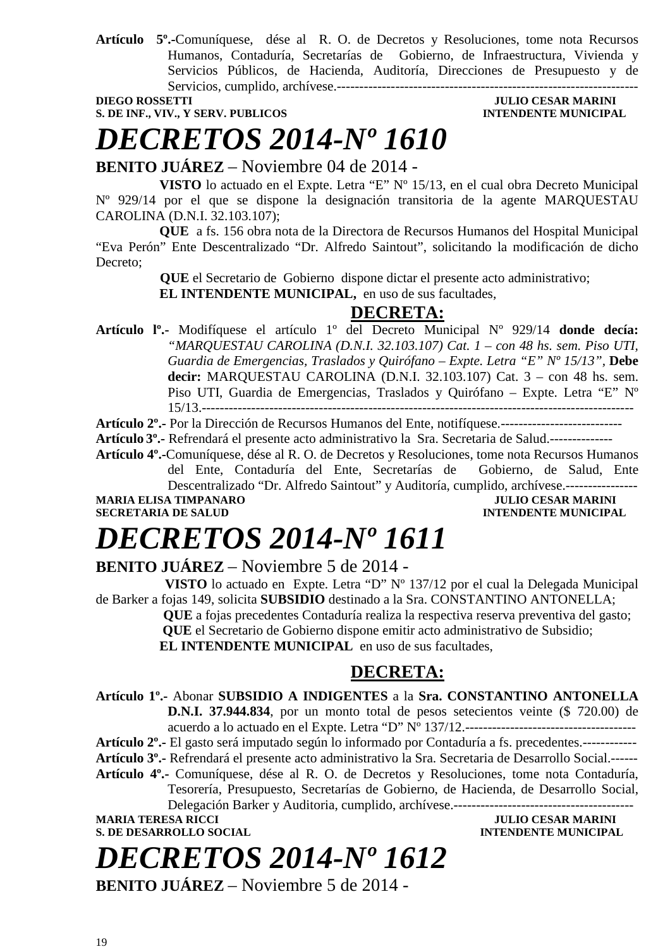**Artículo 5º.-**Comuníquese, dése al R. O. de Decretos y Resoluciones, tome nota Recursos Humanos, Contaduría, Secretarías de Gobierno, de Infraestructura, Vivienda y Servicios Públicos, de Hacienda, Auditoría, Direcciones de Presupuesto y de Servicios, cumplido, archívese.-------------------------------------------------------------------

**S. DE INF., VIV., Y SERV. PUBLICOS INTENDENTE MUNICIPAL** 

# **DIEGO ROSSETTI JULIO CESAR MARINI**

# *DECRETOS 2014-Nº 1610*

**BENITO JUÁREZ** – Noviembre 04 de 2014 -

**VISTO** lo actuado en el Expte. Letra "E" Nº 15/13, en el cual obra Decreto Municipal Nº 929/14 por el que se dispone la designación transitoria de la agente MARQUESTAU CAROLINA (D.N.I. 32.103.107);

**QUE** a fs. 156 obra nota de la Directora de Recursos Humanos del Hospital Municipal "Eva Perón" Ente Descentralizado "Dr. Alfredo Saintout", solicitando la modificación de dicho Decreto;

 **QUE** el Secretario de Gobierno dispone dictar el presente acto administrativo;

**EL INTENDENTE MUNICIPAL,** en uso de sus facultades,

### **DECRETA:**

**Artículo lº.-** Modifíquese el artículo 1º del Decreto Municipal Nº 929/14 **donde decía:** *"MARQUESTAU CAROLINA (D.N.I. 32.103.107) Cat. 1 – con 48 hs. sem. Piso UTI, Guardia de Emergencias, Traslados y Quirófano – Expte. Letra "E" Nº 15/13",* **Debe decir:** MARQUESTAU CAROLINA (D.N.I. 32.103.107) Cat. 3 – con 48 hs. sem. Piso UTI, Guardia de Emergencias, Traslados y Quirófano – Expte. Letra "E" Nº 15/13.------------------------------------------------------------------------------------------------

**Artículo 2º.-** Por la Dirección de Recursos Humanos del Ente, notifíquese.---------------------------

**Artículo 3º.-** Refrendará el presente acto administrativo la Sra. Secretaria de Salud.--------------

**Artículo 4º.-**Comuníquese, dése al R. O. de Decretos y Resoluciones, tome nota Recursos Humanos del Ente, Contaduría del Ente, Secretarías de Gobierno, de Salud, Ente

Descentralizado "Dr. Alfredo Saintout" y Auditoría, cumplido, archívese.----------------

**MARIA ELISA TIMPANARO JULIO CESAR MARINI** 

# **INTENDENTE MUNICIPAL**

# *DECRETOS 2014-Nº 1611*

**BENITO JUÁREZ** – Noviembre 5 de 2014 -

 **VISTO** lo actuado en Expte. Letra "D" Nº 137/12 por el cual la Delegada Municipal de Barker a fojas 149, solicita **SUBSIDIO** destinado a la Sra. CONSTANTINO ANTONELLA;

 **QUE** a fojas precedentes Contaduría realiza la respectiva reserva preventiva del gasto;  **QUE** el Secretario de Gobierno dispone emitir acto administrativo de Subsidio; **EL INTENDENTE MUNICIPAL** en uso de sus facultades,

# **DECRETA:**

**Artículo 1º.-** Abonar **SUBSIDIO A INDIGENTES** a la **Sra. CONSTANTINO ANTONELLA D.N.I. 37.944.834**, por un monto total de pesos setecientos veinte (\$ 720.00) de

acuerdo a lo actuado en el Expte. Letra "D" Nº 137/12.--------------------------------------

**Artículo 2º.-** El gasto será imputado según lo informado por Contaduría a fs. precedentes.------------ **Artículo 3º.-** Refrendará el presente acto administrativo la Sra. Secretaria de Desarrollo Social.------

**Artículo 4º.-** Comuníquese, dése al R. O. de Decretos y Resoluciones, tome nota Contaduría,

Tesorería, Presupuesto, Secretarías de Gobierno, de Hacienda, de Desarrollo Social,

Delegación Barker y Auditoria, cumplido, archívese.----------------------------------------

# *DECRETOS 2014-Nº 1612*

**BENITO JUÁREZ** – Noviembre 5 de 2014 -

MARIA TERESA RICCI JULIO CESAR MARINI<br>
S. DE DESARROLLO SOCIAL **INTENDENTE MUNICIPAL**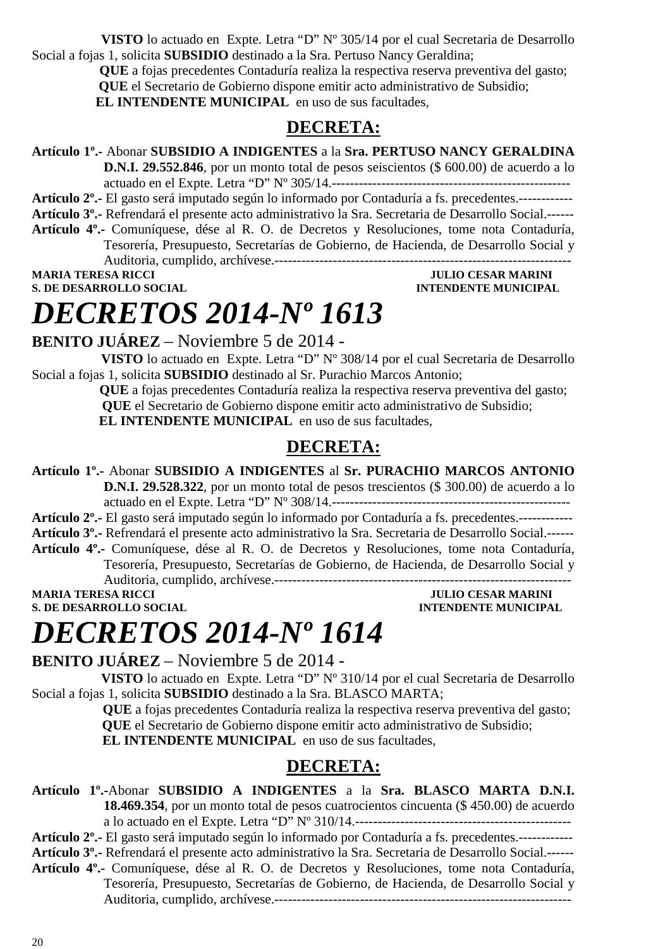**VISTO** lo actuado en Expte. Letra "D" Nº 305/14 por el cual Secretaria de Desarrollo Social a fojas 1, solicita **SUBSIDIO** destinado a la Sra. Pertuso Nancy Geraldina;

> **QUE** a fojas precedentes Contaduría realiza la respectiva reserva preventiva del gasto;  **QUE** el Secretario de Gobierno dispone emitir acto administrativo de Subsidio; **EL INTENDENTE MUNICIPAL** en uso de sus facultades,

### **DECRETA:**

**Artículo 1º.-** Abonar **SUBSIDIO A INDIGENTES** a la **Sra. PERTUSO NANCY GERALDINA D.N.I. 29.552.846**, por un monto total de pesos seiscientos (\$ 600.00) de acuerdo a lo actuado en el Expte. Letra "D" Nº 305/14.----------------------------------------------------- **Artículo 2º.-** El gasto será imputado según lo informado por Contaduría a fs. precedentes.------------ **Artículo 3º.-** Refrendará el presente acto administrativo la Sra. Secretaria de Desarrollo Social.------ **Artículo 4º.-** Comuníquese, dése al R. O. de Decretos y Resoluciones, tome nota Contaduría, Tesorería, Presupuesto, Secretarías de Gobierno, de Hacienda, de Desarrollo Social y Auditoria, cumplido, archívese.------------------------------------------------------------------ **MARIA TERESA RICCI DE LOS ENFORMADOS DE LOS ENFORMADOS DE LOS ENFORMADOS DE LOS ENFORMADOS DE LOS ENFORMADOS DE LOS ENFORMADOS DE LOS ENFORMADOS DE LOS ENFORMADOS DE LOS ENFORMADOS DE LOS ENFORMADOS DE LOS ENFORMADOS DE L S. DE DESARROLLO SOCIAL INTENDENTE MUNICIPAL** 

# *DECRETOS 2014-Nº 1613*

**BENITO JUÁREZ** – Noviembre 5 de 2014 -

 **VISTO** lo actuado en Expte. Letra "D" Nº 308/14 por el cual Secretaria de Desarrollo Social a fojas 1, solicita **SUBSIDIO** destinado al Sr. Purachio Marcos Antonio;

> **QUE** a fojas precedentes Contaduría realiza la respectiva reserva preventiva del gasto;  **QUE** el Secretario de Gobierno dispone emitir acto administrativo de Subsidio;

**EL INTENDENTE MUNICIPAL** en uso de sus facultades,

## **DECRETA:**

**Artículo 1º.-** Abonar **SUBSIDIO A INDIGENTES** al **Sr. PURACHIO MARCOS ANTONIO D.N.I. 29.528.322**, por un monto total de pesos trescientos (\$ 300.00) de acuerdo a lo

actuado en el Expte. Letra "D" Nº 308/14.----------------------------------------------------- **Artículo 2º.-** El gasto será imputado según lo informado por Contaduría a fs. precedentes.------------ **Artículo 3º.-** Refrendará el presente acto administrativo la Sra. Secretaria de Desarrollo Social.------ **Artículo 4º.-** Comuníquese, dése al R. O. de Decretos y Resoluciones, tome nota Contaduría,

Tesorería, Presupuesto, Secretarías de Gobierno, de Hacienda, de Desarrollo Social y

Auditoria, cumplido, archívese.------------------------------------------------------------------

**S. DE DESARROLLO SOCIAL DESARROLLO SOCIAL DESARROLLO SOCIAL DESARROLLO SOCIAL DESARROLLO SOCIAL DE SOCIAL DE SOCIAL DE SOCIAL DE SOCIAL DE SOCIAL DE SOCIAL DE SOCIAL DE SOCIAL DE SOCIAL DE SOCIAL DE SOCIAL DE SOCIAL DE SO** 

**JULIO CESAR MARINI** 

# *DECRETOS 2014-Nº 1614*

**BENITO JUÁREZ** – Noviembre 5 de 2014 -

 **VISTO** lo actuado en Expte. Letra "D" Nº 310/14 por el cual Secretaria de Desarrollo Social a fojas 1, solicita **SUBSIDIO** destinado a la Sra. BLASCO MARTA;

 **QUE** a fojas precedentes Contaduría realiza la respectiva reserva preventiva del gasto;  **QUE** el Secretario de Gobierno dispone emitir acto administrativo de Subsidio;

**EL INTENDENTE MUNICIPAL** en uso de sus facultades,

## **DECRETA:**

**Artículo 1º.-**Abonar **SUBSIDIO A INDIGENTES** a la **Sra. BLASCO MARTA D.N.I. 18.469.354**, por un monto total de pesos cuatrocientos cincuenta (\$ 450.00) de acuerdo a lo actuado en el Expte. Letra "D" Nº 310/14.------------------------------------------------

**Artículo 2º.-** El gasto será imputado según lo informado por Contaduría a fs. precedentes.------------ **Artículo 3º.-** Refrendará el presente acto administrativo la Sra. Secretaria de Desarrollo Social.------

**Artículo 4º.-** Comuníquese, dése al R. O. de Decretos y Resoluciones, tome nota Contaduría, Tesorería, Presupuesto, Secretarías de Gobierno, de Hacienda, de Desarrollo Social y Auditoria, cumplido, archívese.------------------------------------------------------------------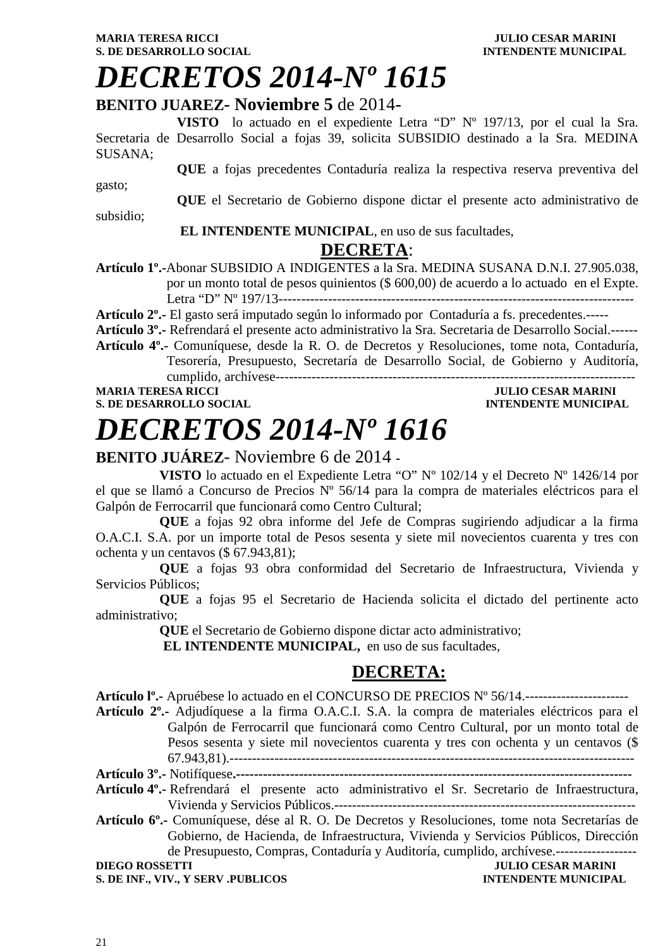#### **MARIA TERESA RICCI DEL CONSUMINI DE L'ULIO CESAR MARINI S. DE DESARROLLO SOCIAL CONSUMING A LOCAL CONSUMING A LOCAL CONSUMING A LOCAL CONSUMING A LOCAL CONSUMING A LOCAL CONSUMING A LOCAL CONSUMING A LOCAL CONSUMING A LOCAL CONSUMING A LOCAL CONSUMING A LOCAL CONSUMING A LOCAL**

# *DECRETOS 2014-Nº 1615*

### **BENITO JUAREZ- Noviembre 5** de 2014**-**

**VISTO** lo actuado en el expediente Letra "D" Nº 197/13, por el cual la Sra. Secretaria de Desarrollo Social a fojas 39, solicita SUBSIDIO destinado a la Sra. MEDINA SUSANA;

**QUE** a fojas precedentes Contaduría realiza la respectiva reserva preventiva del

gasto;

**QUE** el Secretario de Gobierno dispone dictar el presente acto administrativo de

subsidio;

#### **EL INTENDENTE MUNICIPAL**, en uso de sus facultades,

### **DECRETA**:

**Artículo 1º.-**Abonar SUBSIDIO A INDIGENTES a la Sra. MEDINA SUSANA D.N.I. 27.905.038, por un monto total de pesos quinientos (\$ 600,00) de acuerdo a lo actuado en el Expte. Letra "D" Nº 197/13-------------------------------------------------------------------------------

**Artículo 2º.-** El gasto será imputado según lo informado por Contaduría a fs. precedentes.-----

**Artículo 3º.-** Refrendará el presente acto administrativo la Sra. Secretaria de Desarrollo Social.------

**Artículo 4º.-** Comuníquese, desde la R. O. de Decretos y Resoluciones, tome nota, Contaduría, Tesorería, Presupuesto, Secretaría de Desarrollo Social, de Gobierno y Auditoría, cumplido, archívese--------------------------------------------------------------------------------

#### **MULIO CESAR MARINI S. DE DESARROLLO SOCIAL DESARROLLO SOCIAL DESARROLLO SOCIAL DESARROLLO SOCIAL DESARROLLO SOCIAL DE LA PERSONAL DE LA PERSONAL DE LA PERSONAL DE LA PERSONAL DE LA PERSONAL DE LA PERSONAL DE LA PERSONAL DE LA PERSONAL DE LA**

# *DECRETOS 2014-Nº 1616*

## **BENITO JUÁREZ**- Noviembre 6 de 2014 **-**

**VISTO** lo actuado en el Expediente Letra "O" Nº 102/14 y el Decreto Nº 1426/14 por el que se llamó a Concurso de Precios Nº 56/14 para la compra de materiales eléctricos para el Galpón de Ferrocarril que funcionará como Centro Cultural;

**QUE** a fojas 92 obra informe del Jefe de Compras sugiriendo adjudicar a la firma O.A.C.I. S.A. por un importe total de Pesos sesenta y siete mil novecientos cuarenta y tres con ochenta y un centavos (\$ 67.943,81);

**QUE** a fojas 93 obra conformidad del Secretario de Infraestructura, Vivienda y Servicios Públicos;

**QUE** a fojas 95 el Secretario de Hacienda solicita el dictado del pertinente acto administrativo;

**QUE** el Secretario de Gobierno dispone dictar acto administrativo;

**EL INTENDENTE MUNICIPAL,** en uso de sus facultades,

# **DECRETA:**

**Artículo lº.-** Apruébese lo actuado en el CONCURSO DE PRECIOS Nº 56/14.-----------------------

**Artículo 2º.-** Adjudíquese a la firma O.A.C.I. S.A. la compra de materiales eléctricos para el Galpón de Ferrocarril que funcionará como Centro Cultural, por un monto total de Pesos sesenta y siete mil novecientos cuarenta y tres con ochenta y un centavos (\$ 67.943,81).------------------------------------------------------------------------------------------

- **Artículo 3º.-** Notifíquese**.----------------------------------------------------------------------------------------**
- **Artículo 4º.-** Refrendará el presente acto administrativo el Sr. Secretario de Infraestructura, Vivienda y Servicios Públicos.-------------------------------------------------------------------

**Artículo 6º.-** Comuníquese, dése al R. O. De Decretos y Resoluciones, tome nota Secretarías de Gobierno, de Hacienda, de Infraestructura, Vivienda y Servicios Públicos, Dirección de Presupuesto, Compras, Contaduría y Auditoría, cumplido, archívese.------------------

**S. DE INF., VIV., Y SERV .PUBLICOS INTENDENTE MUNICIPAL** 

**JULIO CESAR MARINI**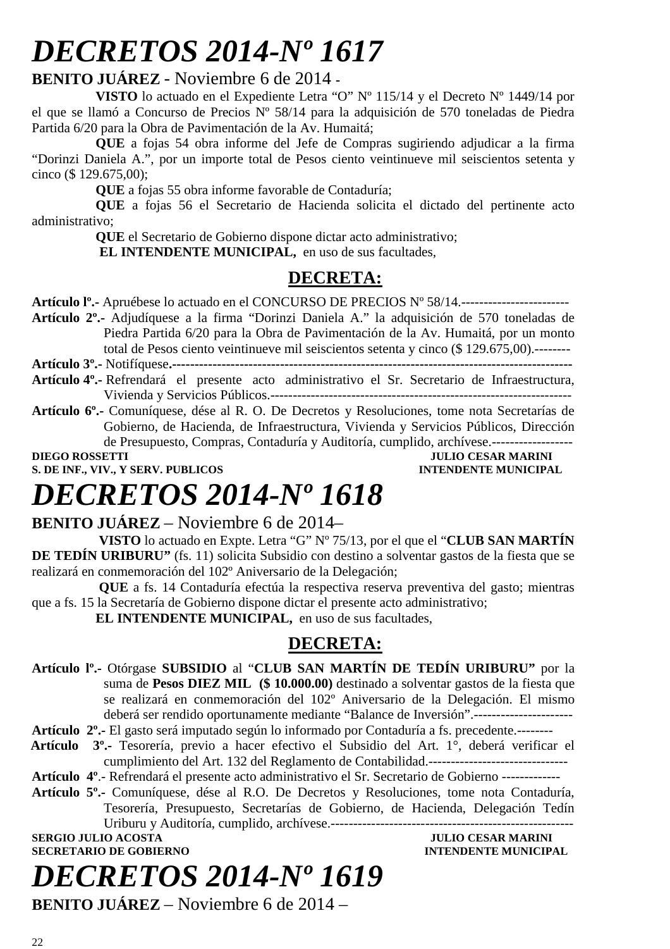# *DECRETOS 2014-Nº 1617*

### **BENITO JUÁREZ** - Noviembre 6 de 2014 **-**

**VISTO** lo actuado en el Expediente Letra "O" Nº 115/14 y el Decreto Nº 1449/14 por el que se llamó a Concurso de Precios Nº 58/14 para la adquisición de 570 toneladas de Piedra Partida 6/20 para la Obra de Pavimentación de la Av. Humaitá;

**QUE** a fojas 54 obra informe del Jefe de Compras sugiriendo adjudicar a la firma "Dorinzi Daniela A.", por un importe total de Pesos ciento veintinueve mil seiscientos setenta y cinco (\$ 129.675,00);

**QUE** a fojas 55 obra informe favorable de Contaduría;

**QUE** a fojas 56 el Secretario de Hacienda solicita el dictado del pertinente acto administrativo;

**QUE** el Secretario de Gobierno dispone dictar acto administrativo;

**EL INTENDENTE MUNICIPAL,** en uso de sus facultades,

# **DECRETA:**

**Artículo lº.-** Apruébese lo actuado en el CONCURSO DE PRECIOS Nº 58/14.------------------------

**Artículo 2º.-** Adjudíquese a la firma "Dorinzi Daniela A." la adquisición de 570 toneladas de Piedra Partida 6/20 para la Obra de Pavimentación de la Av. Humaitá, por un monto total de Pesos ciento veintinueve mil seiscientos setenta y cinco (\$ 129.675,00).--------

**Artículo 3º.-** Notifíquese**.-----------------------------------------------------------------------------------------** 

- **Artículo 4º.-** Refrendará el presente acto administrativo el Sr. Secretario de Infraestructura, Vivienda y Servicios Públicos.-------------------------------------------------------------------
- **Artículo 6º.-** Comuníquese, dése al R. O. De Decretos y Resoluciones, tome nota Secretarías de Gobierno, de Hacienda, de Infraestructura, Vivienda y Servicios Públicos, Dirección de Presupuesto, Compras, Contaduría y Auditoría, cumplido, archívese.------------------ **DIEGO ROSSETTI** JULIO CESAR MARINI

**S. DE INF., VIV., Y SERV. PUBLICOS INTENDENTE MUNICIPAL** 

# *DECRETOS 2014-Nº 1618*

### **BENITO JUÁREZ** – Noviembre 6 de 2014–

 **VISTO** lo actuado en Expte. Letra "G" Nº 75/13, por el que el "**CLUB SAN MARTÍN DE TEDÍN URIBURU"** (fs. 11) solicita Subsidio con destino a solventar gastos de la fiesta que se realizará en conmemoración del 102º Aniversario de la Delegación;

 **QUE** a fs. 14 Contaduría efectúa la respectiva reserva preventiva del gasto; mientras que a fs. 15 la Secretaría de Gobierno dispone dictar el presente acto administrativo;

**EL INTENDENTE MUNICIPAL,** en uso de sus facultades,

## **DECRETA:**

**Artículo lº.-** Otórgase **SUBSIDIO** al "**CLUB SAN MARTÍN DE TEDÍN URIBURU"** por la suma de **Pesos DIEZ MIL (\$ 10.000.00)** destinado a solventar gastos de la fiesta que se realizará en conmemoración del 102º Aniversario de la Delegación. El mismo deberá ser rendido oportunamente mediante "Balance de Inversión".----------------------

**Artículo 2º.-** El gasto será imputado según lo informado por Contaduría a fs. precedente.--------

- **Artículo 3º.-** Tesorería, previo a hacer efectivo el Subsidio del Art. 1°, deberá verificar el cumplimiento del Art. 132 del Reglamento de Contabilidad.-------------------------------
- **Artículo 4º**.- Refrendará el presente acto administrativo el Sr. Secretario de Gobierno -------------
- **Artículo 5º.-** Comuníquese, dése al R.O. De Decretos y Resoluciones, tome nota Contaduría, Tesorería, Presupuesto, Secretarías de Gobierno, de Hacienda, Delegación Tedín Uriburu y Auditoría, cumplido, archívese.------------------------------------------------------

**SERGIO JULIO ACOSTA JULIO CESAR MARINI** 

# *DECRETOS 2014-Nº 1619*

**SECRETARIO DE GOBIERNO INTENDENTE MUNICIPAL** 

**BENITO JUÁREZ** – Noviembre 6 de 2014 –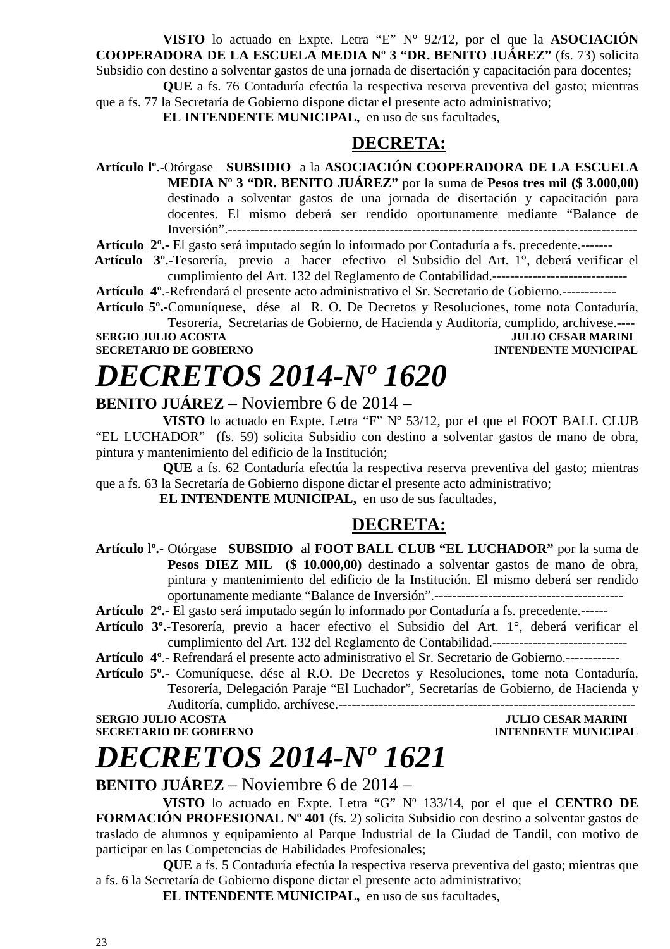**VISTO** lo actuado en Expte. Letra "E" Nº 92/12, por el que la **ASOCIACIÓN COOPERADORA DE LA ESCUELA MEDIA Nº 3 "DR. BENITO JUÁREZ"** (fs. 73) solicita Subsidio con destino a solventar gastos de una jornada de disertación y capacitación para docentes;

 **QUE** a fs. 76 Contaduría efectúa la respectiva reserva preventiva del gasto; mientras que a fs. 77 la Secretaría de Gobierno dispone dictar el presente acto administrativo;

 **EL INTENDENTE MUNICIPAL,** en uso de sus facultades,

### **DECRETA:**

**Artículo lº.-**Otórgase **SUBSIDIO** a la **ASOCIACIÓN COOPERADORA DE LA ESCUELA MEDIA Nº 3 "DR. BENITO JUÁREZ"** por la suma de **Pesos tres mil (\$ 3.000,00)**  destinado a solventar gastos de una jornada de disertación y capacitación para docentes. El mismo deberá ser rendido oportunamente mediante "Balance de Inversión".-------------------------------------------------------------------------------------------

**Artículo 2º.-** El gasto será imputado según lo informado por Contaduría a fs. precedente.-------

 **Artículo 3º.-**Tesorería, previo a hacer efectivo el Subsidio del Art. 1°, deberá verificar el cumplimiento del Art. 132 del Reglamento de Contabilidad.------------------------------

**Artículo 4º**.-Refrendará el presente acto administrativo el Sr. Secretario de Gobierno.------------

**Artículo 5º.-**Comuníquese, dése al R. O. De Decretos y Resoluciones, tome nota Contaduría, Tesorería, Secretarías de Gobierno, de Hacienda y Auditoría, cumplido, archívese.----

# **SERGIO JULIO ACOSTA JULIO CESAR MARINI**

# **SECRETARIO DE GOBIERNO INTENDENTE MUNICIPAL**

# *DECRETOS 2014-Nº 1620*

## **BENITO JUÁREZ** – Noviembre 6 de 2014 –

 **VISTO** lo actuado en Expte. Letra "F" Nº 53/12, por el que el FOOT BALL CLUB "EL LUCHADOR" (fs. 59) solicita Subsidio con destino a solventar gastos de mano de obra, pintura y mantenimiento del edificio de la Institución;

 **QUE** a fs. 62 Contaduría efectúa la respectiva reserva preventiva del gasto; mientras que a fs. 63 la Secretaría de Gobierno dispone dictar el presente acto administrativo;

**EL INTENDENTE MUNICIPAL,** en uso de sus facultades,

### **DECRETA:**

**Artículo lº.-** Otórgase **SUBSIDIO** al **FOOT BALL CLUB "EL LUCHADOR"** por la suma de Pesos DIEZ MIL (\$ 10.000,00) destinado a solventar gastos de mano de obra, pintura y mantenimiento del edificio de la Institución. El mismo deberá ser rendido oportunamente mediante "Balance de Inversión".------------------------------------------

**Artículo 2º.-** El gasto será imputado según lo informado por Contaduría a fs. precedente.------

- **Artículo 3º.-**Tesorería, previo a hacer efectivo el Subsidio del Art. 1°, deberá verificar el cumplimiento del Art. 132 del Reglamento de Contabilidad.------------------------------
- **Artículo 4º**.- Refrendará el presente acto administrativo el Sr. Secretario de Gobierno.------------
- **Artículo 5º.-** Comuníquese, dése al R.O. De Decretos y Resoluciones, tome nota Contaduría, Tesorería, Delegación Paraje "El Luchador", Secretarías de Gobierno, de Hacienda y Auditoría, cumplido, archívese.------------------------------------------------------------------

**SERGIO JULIO ACOSTA JULIO CESAR MARINI SECRETARIO DE GOBIERNO INTENDENTE MUNICIPAL** 

# *DECRETOS 2014-Nº 1621*

**BENITO JUÁREZ** – Noviembre 6 de 2014 –

 **VISTO** lo actuado en Expte. Letra "G" Nº 133/14, por el que el **CENTRO DE FORMACIÓN PROFESIONAL Nº 401** (fs. 2) solicita Subsidio con destino a solventar gastos de traslado de alumnos y equipamiento al Parque Industrial de la Ciudad de Tandil, con motivo de participar en las Competencias de Habilidades Profesionales;

 **QUE** a fs. 5 Contaduría efectúa la respectiva reserva preventiva del gasto; mientras que a fs. 6 la Secretaría de Gobierno dispone dictar el presente acto administrativo;

 **EL INTENDENTE MUNICIPAL,** en uso de sus facultades,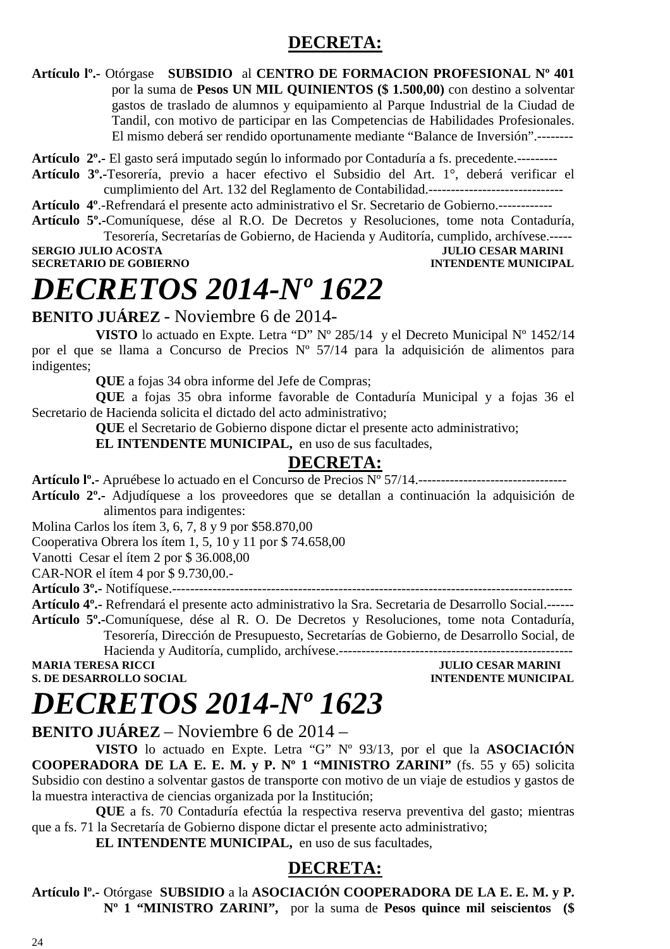# **DECRETA:**

**Artículo lº.-** Otórgase **SUBSIDIO** al **CENTRO DE FORMACION PROFESIONAL Nº 401** por la suma de **Pesos UN MIL QUINIENTOS (\$ 1.500,00)** con destino a solventar gastos de traslado de alumnos y equipamiento al Parque Industrial de la Ciudad de Tandil, con motivo de participar en las Competencias de Habilidades Profesionales. El mismo deberá ser rendido oportunamente mediante "Balance de Inversión".--------

**Artículo 2º.-** El gasto será imputado según lo informado por Contaduría a fs. precedente.---------

**Artículo 3º.-**Tesorería, previo a hacer efectivo el Subsidio del Art. 1°, deberá verificar el cumplimiento del Art. 132 del Reglamento de Contabilidad.------------------------------

**Artículo 4º**.-Refrendará el presente acto administrativo el Sr. Secretario de Gobierno.------------

**Artículo 5º.-**Comuníquese, dése al R.O. De Decretos y Resoluciones, tome nota Contaduría, Tesorería, Secretarías de Gobierno, de Hacienda y Auditoría, cumplido, archívese.-----

**SECRETARIO DE GOBIERNO INTENDENTE MUNICIPAL** 

**SERGIO JULIO ACOSTA JULIO ACOSTA JULIO CESAR MARINI** 

# *DECRETOS 2014-Nº 1622*

**BENITO JUÁREZ** - Noviembre 6 de 2014-

**VISTO** lo actuado en Expte. Letra "D" Nº 285/14 y el Decreto Municipal Nº 1452/14 por el que se llama a Concurso de Precios Nº 57/14 para la adquisición de alimentos para indigentes;

**QUE** a fojas 34 obra informe del Jefe de Compras;

**QUE** a fojas 35 obra informe favorable de Contaduría Municipal y a fojas 36 el Secretario de Hacienda solicita el dictado del acto administrativo;

**QUE** el Secretario de Gobierno dispone dictar el presente acto administrativo;

**EL INTENDENTE MUNICIPAL,** en uso de sus facultades,

### **DECRETA:**

**Artículo lº.-** Apruébese lo actuado en el Concurso de Precios Nº 57/14.---------------------------------

**Artículo 2º.-** Adjudíquese a los proveedores que se detallan a continuación la adquisición de alimentos para indigentes:

Molina Carlos los ítem 3, 6, 7, 8 y 9 por \$58.870,00

Cooperativa Obrera los ítem 1, 5, 10 y 11 por \$ 74.658,00

Vanotti Cesar el ítem 2 por \$ 36.008,00

CAR-NOR el ítem 4 por \$ 9.730,00.-

**Artículo 3º.-** Notifíquese.-----------------------------------------------------------------------------------------

**Artículo 4º.-** Refrendará el presente acto administrativo la Sra. Secretaria de Desarrollo Social.------

**Artículo 5º.-**Comuníquese, dése al R. O. De Decretos y Resoluciones, tome nota Contaduría, Tesorería, Dirección de Presupuesto, Secretarías de Gobierno, de Desarrollo Social, de

Hacienda y Auditoría, cumplido, archívese.---------------------------------------------------- **S. DE DESARROLLO SOCIAL COMPUTE DE LA CONFIDENTE MUNICIPAL AND SOCIAL COMPUTE DE LA CONFIDENCIAL COMPUTE DE LA CONFIDENCIAL COMPUTE DE LA CONFIDENCIAL COMPUTE DE LA CONFIDENCIAL COMPUTE DE LA CONFIDENCIAL COMPUTE DE LA CO** 

**JULIO CESAR MARINI** 

# *DECRETOS 2014-Nº 1623*

**BENITO JUÁREZ** – Noviembre 6 de 2014 –

**VISTO** lo actuado en Expte. Letra "G" Nº 93/13, por el que la **ASOCIACIÓN COOPERADORA DE LA E. E. M. y P. Nº 1 "MINISTRO ZARINI"** (fs. 55 y 65) solicita Subsidio con destino a solventar gastos de transporte con motivo de un viaje de estudios y gastos de la muestra interactiva de ciencias organizada por la Institución;

**QUE** a fs. 70 Contaduría efectúa la respectiva reserva preventiva del gasto; mientras que a fs. 71 la Secretaría de Gobierno dispone dictar el presente acto administrativo;

**EL INTENDENTE MUNICIPAL,** en uso de sus facultades,

### **DECRETA:**

**Artículo lº.-** Otórgase **SUBSIDIO** a la **ASOCIACIÓN COOPERADORA DE LA E. E. M. y P. Nº 1 "MINISTRO ZARINI",** por la suma de **Pesos quince mil seiscientos (\$**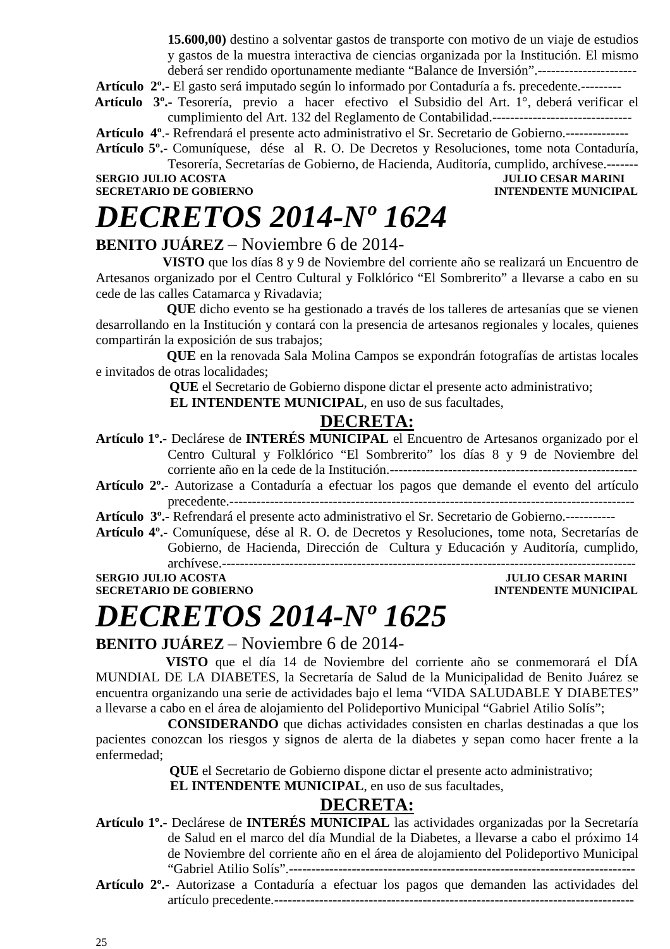**15.600,00)** destino a solventar gastos de transporte con motivo de un viaje de estudios y gastos de la muestra interactiva de ciencias organizada por la Institución. El mismo deberá ser rendido oportunamente mediante "Balance de Inversión".----------------------

**Artículo 2º.-** El gasto será imputado según lo informado por Contaduría a fs. precedente.---------

 **Artículo 3º.-** Tesorería, previo a hacer efectivo el Subsidio del Art. 1°, deberá verificar el cumplimiento del Art. 132 del Reglamento de Contabilidad.-------------------------------

**Artículo 4º**.- Refrendará el presente acto administrativo el Sr. Secretario de Gobierno.--------------

**Artículo 5º.-** Comuníquese, dése al R. O. De Decretos y Resoluciones, tome nota Contaduría, Tesorería, Secretarías de Gobierno, de Hacienda, Auditoría, cumplido, archívese.-------

# **SERGIO JULIO ACOSTA JULIO CESAR MARINI**

# *DECRETOS 2014-Nº 1624*

# **INTENDENTE MUNICIPAL**

### **BENITO JUÁREZ** – Noviembre 6 de 2014-

 **VISTO** que los días 8 y 9 de Noviembre del corriente año se realizará un Encuentro de Artesanos organizado por el Centro Cultural y Folklórico "El Sombrerito" a llevarse a cabo en su cede de las calles Catamarca y Rivadavia;

 **QUE** dicho evento se ha gestionado a través de los talleres de artesanías que se vienen desarrollando en la Institución y contará con la presencia de artesanos regionales y locales, quienes compartirán la exposición de sus trabajos;

 **QUE** en la renovada Sala Molina Campos se expondrán fotografías de artistas locales e invitados de otras localidades;

**QUE** el Secretario de Gobierno dispone dictar el presente acto administrativo;

 **EL INTENDENTE MUNICIPAL**, en uso de sus facultades,

### **DECRETA:**

- **Artículo 1º.-** Declárese de **INTERÉS MUNICIPAL** el Encuentro de Artesanos organizado por el Centro Cultural y Folklórico "El Sombrerito" los días 8 y 9 de Noviembre del corriente año en la cede de la Institución.-------------------------------------------------------
- **Artículo 2º.-** Autorizase a Contaduría a efectuar los pagos que demande el evento del artículo precedente.------------------------------------------------------------------------------------------

**Artículo 3º.-** Refrendará el presente acto administrativo el Sr. Secretario de Gobierno.-----------

**Artículo 4º.-** Comuníquese, dése al R. O. de Decretos y Resoluciones, tome nota, Secretarías de Gobierno, de Hacienda, Dirección de Cultura y Educación y Auditoría, cumplido,

archívese.-------------------------------------------------------------------------------------------- **SERGIO JULIO ACOSTA JULIO CESAR MARINI SECRETARIO DE GOBIERNO** 

# *DECRETOS 2014-Nº 1625*

### **BENITO JUÁREZ** – Noviembre 6 de 2014-

 **VISTO** que el día 14 de Noviembre del corriente año se conmemorará el DÍA MUNDIAL DE LA DIABETES, la Secretaría de Salud de la Municipalidad de Benito Juárez se encuentra organizando una serie de actividades bajo el lema "VIDA SALUDABLE Y DIABETES" a llevarse a cabo en el área de alojamiento del Polideportivo Municipal "Gabriel Atilio Solís";

**CONSIDERANDO** que dichas actividades consisten en charlas destinadas a que los pacientes conozcan los riesgos y signos de alerta de la diabetes y sepan como hacer frente a la enfermedad;

**QUE** el Secretario de Gobierno dispone dictar el presente acto administrativo;

 **EL INTENDENTE MUNICIPAL**, en uso de sus facultades,

## **DECRETA:**

- **Artículo 1º.-** Declárese de **INTERÉS MUNICIPAL** las actividades organizadas por la Secretaría de Salud en el marco del día Mundial de la Diabetes, a llevarse a cabo el próximo 14 de Noviembre del corriente año en el área de alojamiento del Polideportivo Municipal "Gabriel Atilio Solís".-----------------------------------------------------------------------------
- **Artículo 2º.-** Autorizase a Contaduría a efectuar los pagos que demanden las actividades del artículo precedente.--------------------------------------------------------------------------------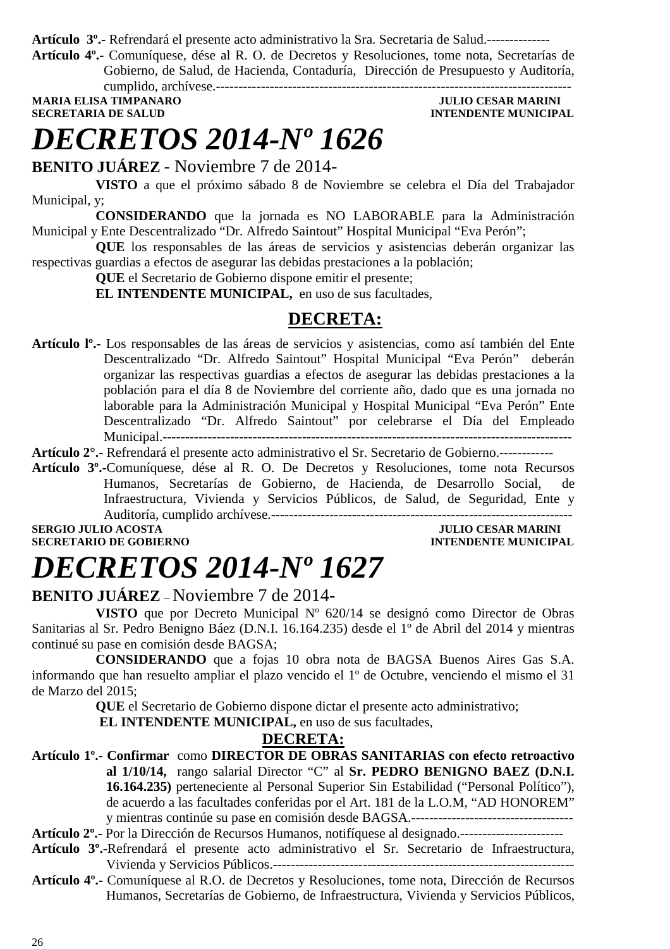**Artículo 3º.-** Refrendará el presente acto administrativo la Sra. Secretaria de Salud.--------------

**Artículo 4º.-** Comuníquese, dése al R. O. de Decretos y Resoluciones, tome nota, Secretarías de Gobierno, de Salud, de Hacienda, Contaduría, Dirección de Presupuesto y Auditoría, cumplido, archívese.-------------------------------------------------------------------------------

**MARIA ELISA TIMPANARO JULIO CESAR MARINI SECRETARIA DE SALUD INTENDENTE MUNICIPAL** 

# *DECRETOS 2014-Nº 1626*

**BENITO JUÁREZ** - Noviembre 7 de 2014-

**VISTO** a que el próximo sábado 8 de Noviembre se celebra el Día del Trabajador Municipal, y;

**CONSIDERANDO** que la jornada es NO LABORABLE para la Administración Municipal y Ente Descentralizado "Dr. Alfredo Saintout" Hospital Municipal "Eva Perón";

**QUE** los responsables de las áreas de servicios y asistencias deberán organizar las respectivas guardias a efectos de asegurar las debidas prestaciones a la población;

**QUE** el Secretario de Gobierno dispone emitir el presente;

**EL INTENDENTE MUNICIPAL,** en uso de sus facultades,

### **DECRETA:**

**Artículo lº.-** Los responsables de las áreas de servicios y asistencias, como así también del Ente Descentralizado "Dr. Alfredo Saintout" Hospital Municipal "Eva Perón" deberán organizar las respectivas guardias a efectos de asegurar las debidas prestaciones a la población para el día 8 de Noviembre del corriente año, dado que es una jornada no laborable para la Administración Municipal y Hospital Municipal "Eva Perón" Ente Descentralizado "Dr. Alfredo Saintout" por celebrarse el Día del Empleado Municipal.-------------------------------------------------------------------------------------------

**Artículo 2°.-** Refrendará el presente acto administrativo el Sr. Secretario de Gobierno.------------

**Artículo 3º.-**Comuníquese, dése al R. O. De Decretos y Resoluciones, tome nota Recursos Humanos, Secretarías de Gobierno, de Hacienda, de Desarrollo Social, de Infraestructura, Vivienda y Servicios Públicos, de Salud, de Seguridad, Ente y Auditoría, cumplido archívese.-------------------------------------------------------------------

**SERGIO JULIO ACOSTA** JULIO CESAR MARINI **SECRETARIO DE GOBIERNO INTENDENTE MUNICIPAL** 

# *DECRETOS 2014-Nº 1627*

### **BENITO JUÁREZ** – Noviembre 7 de 2014**-**

**VISTO** que por Decreto Municipal Nº 620/14 se designó como Director de Obras Sanitarias al Sr. Pedro Benigno Báez (D.N.I. 16.164.235) desde el 1º de Abril del 2014 y mientras continué su pase en comisión desde BAGSA;

**CONSIDERANDO** que a fojas 10 obra nota de BAGSA Buenos Aires Gas S.A. informando que han resuelto ampliar el plazo vencido el 1º de Octubre, venciendo el mismo el 31 de Marzo del 2015;

**QUE** el Secretario de Gobierno dispone dictar el presente acto administrativo;

 **EL INTENDENTE MUNICIPAL,** en uso de sus facultades,

#### **DECRETA:**

**Artículo 1º.- Confirmar** como **DIRECTOR DE OBRAS SANITARIAS con efecto retroactivo al 1/10/14,** rango salarial Director "C" al **Sr. PEDRO BENIGNO BAEZ (D.N.I. 16.164.235)** perteneciente al Personal Superior Sin Estabilidad ("Personal Político"), de acuerdo a las facultades conferidas por el Art. 181 de la L.O.M, "AD HONOREM" y mientras continúe su pase en comisión desde BAGSA.------------------------------------

**Artículo 2º.-** Por la Dirección de Recursos Humanos, notifíquese al designado.-----------------------

- **Artículo 3º.-**Refrendará el presente acto administrativo el Sr. Secretario de Infraestructura, Vivienda y Servicios Públicos.-------------------------------------------------------------------
- **Artículo 4º.-** Comuníquese al R.O. de Decretos y Resoluciones, tome nota, Dirección de Recursos Humanos, Secretarías de Gobierno, de Infraestructura, Vivienda y Servicios Públicos,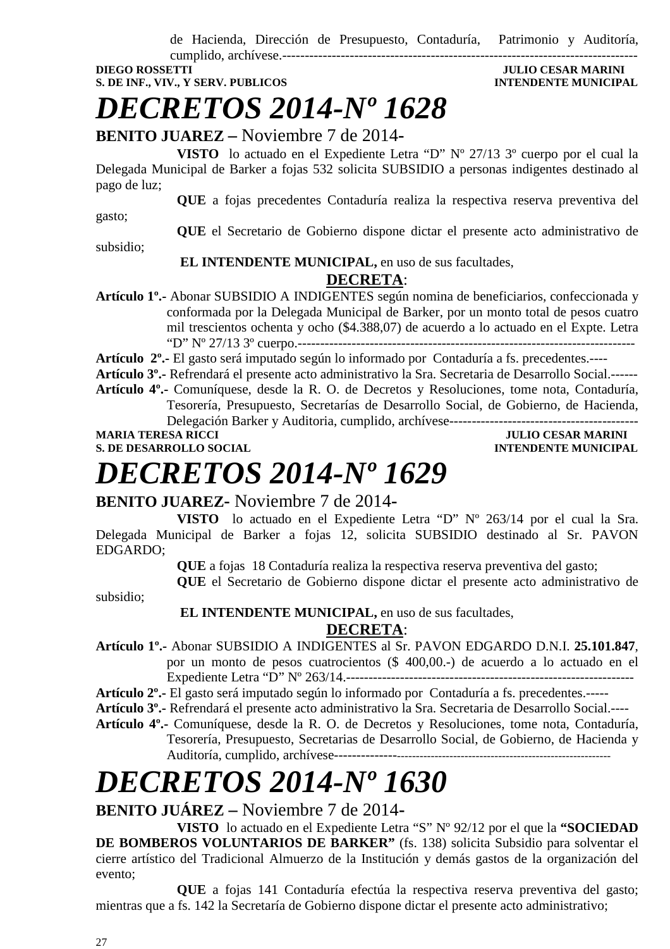de Hacienda, Dirección de Presupuesto, Contaduría, Patrimonio y Auditoría,

cumplido, archívese.-------------------------------------------------------------------------------

**DIEGO ROSSETTI DIEGO ROSSETTI** *DIEGO ROSSETTI* **S. DE INF., VIV., Y SERV. PUBLICOS AND INTENDENTE MUNICIPAL** 

*DECRETOS 2014-Nº 1628* 

## **BENITO JUAREZ –** Noviembre 7 de 2014**-**

**VISTO** lo actuado en el Expediente Letra "D" Nº 27/13 3º cuerpo por el cual la Delegada Municipal de Barker a fojas 532 solicita SUBSIDIO a personas indigentes destinado al pago de luz;

**QUE** a fojas precedentes Contaduría realiza la respectiva reserva preventiva del

gasto;

**QUE** el Secretario de Gobierno dispone dictar el presente acto administrativo de

subsidio;

### **EL INTENDENTE MUNICIPAL,** en uso de sus facultades,

### **DECRETA**:

**Artículo 1º.-** Abonar SUBSIDIO A INDIGENTES según nomina de beneficiarios, confeccionada y conformada por la Delegada Municipal de Barker, por un monto total de pesos cuatro mil trescientos ochenta y ocho (\$4.388,07) de acuerdo a lo actuado en el Expte. Letra "D" Nº 27/13 3º cuerpo.---------------------------------------------------------------------------

**Artículo 2º.-** El gasto será imputado según lo informado por Contaduría a fs. precedentes.----

**Artículo 3º.-** Refrendará el presente acto administrativo la Sra. Secretaria de Desarrollo Social.------

**Artículo 4º.-** Comuníquese, desde la R. O. de Decretos y Resoluciones, tome nota, Contaduría, Tesorería, Presupuesto, Secretarías de Desarrollo Social, de Gobierno, de Hacienda, Delegación Barker y Auditoria, cumplido, archívese-------------

**MARIA TERESA RICCI DE LOS ENFORMADOS DE LOS ENFORMADOS DE LOS ENFORMADOS DE LOS ENFORMADOS DE LOS ENFORMADOS DE LOS ENFORMADOS DE LOS ENFORMADOS DE LOS ENFORMADOS DE LOS ENFORMADOS DE LOS ENFORMADOS DE LOS ENFORMADOS DE L** 

**S. DE DESARROLLO SOCIAL DESARROLLO SOCIAL DESARROLLO SOCIAL DESARROLLO SOCIAL DESARROLLO SOCIAL DE LA PERSONAL DE LA PERSONAL DE LA PERSONAL DE LA PERSONAL DE LA PERSONAL DE LA PERSONAL DE LA PERSONAL DE LA PERSONAL DE LA** 

# *DECRETOS 2014-Nº 1629*

### **BENITO JUAREZ-** Noviembre 7 de 2014**-**

**VISTO** lo actuado en el Expediente Letra "D" Nº 263/14 por el cual la Sra. Delegada Municipal de Barker a fojas 12, solicita SUBSIDIO destinado al Sr. PAVON EDGARDO;

**QUE** a fojas 18 Contaduría realiza la respectiva reserva preventiva del gasto;

**QUE** el Secretario de Gobierno dispone dictar el presente acto administrativo de

subsidio;

 **EL INTENDENTE MUNICIPAL,** en uso de sus facultades,

### **DECRETA**:

**Artículo 1º.-** Abonar SUBSIDIO A INDIGENTES al Sr. PAVON EDGARDO D.N.I. **25.101.847**, por un monto de pesos cuatrocientos (\$ 400,00.-) de acuerdo a lo actuado en el Expediente Letra "D" Nº 263/14.----------------------------------------------------------------

**Artículo 2º.-** El gasto será imputado según lo informado por Contaduría a fs. precedentes.-----

**Artículo 3º.-** Refrendará el presente acto administrativo la Sra. Secretaria de Desarrollo Social.----

**Artículo 4º.-** Comuníquese, desde la R. O. de Decretos y Resoluciones, tome nota, Contaduría, Tesorería, Presupuesto, Secretarias de Desarrollo Social, de Gobierno, de Hacienda y Auditoría, cumplido, archívese-----------------------------------------------------------------------

# *DECRETOS 2014-Nº 1630*

## **BENITO JUÁREZ –** Noviembre 7 de 2014**-**

**VISTO** lo actuado en el Expediente Letra "S" Nº 92/12 por el que la **"SOCIEDAD DE BOMBEROS VOLUNTARIOS DE BARKER"** (fs. 138) solicita Subsidio para solventar el cierre artístico del Tradicional Almuerzo de la Institución y demás gastos de la organización del evento;

**QUE** a fojas 141 Contaduría efectúa la respectiva reserva preventiva del gasto; mientras que a fs. 142 la Secretaría de Gobierno dispone dictar el presente acto administrativo;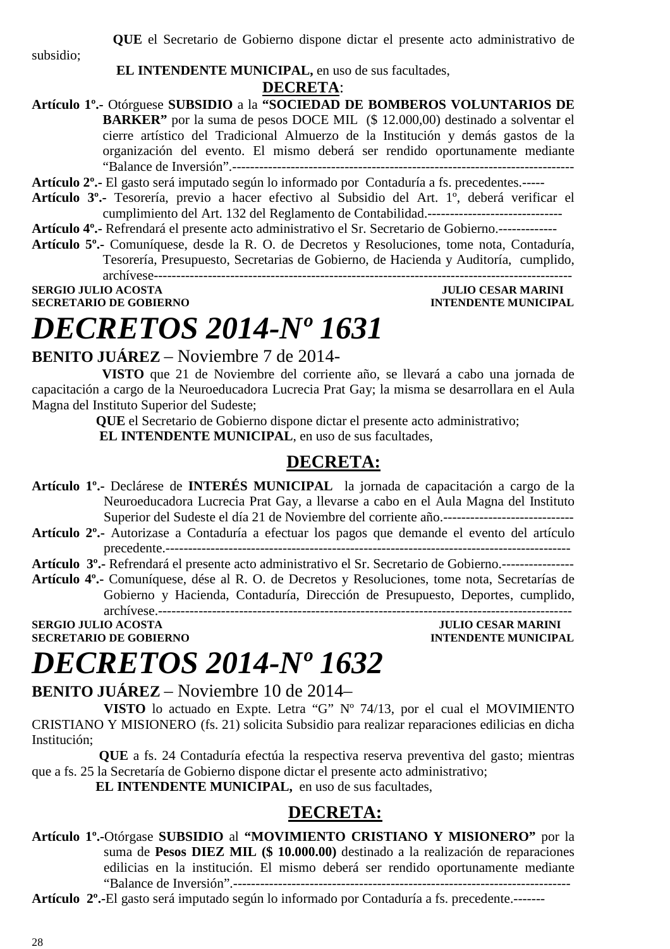**QUE** el Secretario de Gobierno dispone dictar el presente acto administrativo de

subsidio;

#### **EL INTENDENTE MUNICIPAL,** en uso de sus facultades,

#### **DECRETA**:

**Artículo 1º.-** Otórguese **SUBSIDIO** a la **"SOCIEDAD DE BOMBEROS VOLUNTARIOS DE BARKER"** por la suma de pesos DOCE MIL (\$ 12.000,00) destinado a solventar el cierre artístico del Tradicional Almuerzo de la Institución y demás gastos de la organización del evento. El mismo deberá ser rendido oportunamente mediante "Balance de Inversión".----------------------------------------------------------------------------

**Artículo 2º.-** El gasto será imputado según lo informado por Contaduría a fs. precedentes.-----

**Artículo 3º.-** Tesorería, previo a hacer efectivo al Subsidio del Art. 1º, deberá verificar el cumplimiento del Art. 132 del Reglamento de Contabilidad.------------------------------

**Artículo 4º.-** Refrendará el presente acto administrativo el Sr. Secretario de Gobierno.-------------

**Artículo 5º.-** Comuníquese, desde la R. O. de Decretos y Resoluciones, tome nota, Contaduría, Tesorería, Presupuesto, Secretarias de Gobierno, de Hacienda y Auditoría, cumplido, archívese---------------------------------------------------------------------------------------------

**SERGIO JULIO ACOSTA JULIO CESAR MARINI SECRETARIO DE GOBIERNO INTENDENTE MUNICIPAL** 

# *DECRETOS 2014-Nº 1631*

# **BENITO JUÁREZ** – Noviembre 7 de 2014-

 **VISTO** que 21 de Noviembre del corriente año, se llevará a cabo una jornada de capacitación a cargo de la Neuroeducadora Lucrecia Prat Gay; la misma se desarrollara en el Aula Magna del Instituto Superior del Sudeste;

**QUE** el Secretario de Gobierno dispone dictar el presente acto administrativo;

 **EL INTENDENTE MUNICIPAL**, en uso de sus facultades,

### **DECRETA:**

- **Artículo 1º.-** Declárese de **INTERÉS MUNICIPAL** la jornada de capacitación a cargo de la Neuroeducadora Lucrecia Prat Gay, a llevarse a cabo en el Aula Magna del Instituto Superior del Sudeste el día 21 de Noviembre del corriente año.-----------------------------
- **Artículo 2º.-** Autorizase a Contaduría a efectuar los pagos que demande el evento del artículo precedente.------------------------------------------------------------------------------------------

**Artículo 3º.-** Refrendará el presente acto administrativo el Sr. Secretario de Gobierno.----------------

**Artículo 4º.-** Comuníquese, dése al R. O. de Decretos y Resoluciones, tome nota, Secretarías de Gobierno y Hacienda, Contaduría, Dirección de Presupuesto, Deportes, cumplido, archívese.--------------------------------------------------------------------------------------------

**SERGIO JULIO ACOSTA<br>SECRETARIO DE GOBIERNO** 

**INTENDENTE MUNICIPAL** 

# *DECRETOS 2014-Nº 1632*

### **BENITO JUÁREZ** – Noviembre 10 de 2014–

**VISTO** lo actuado en Expte. Letra "G" Nº 74/13, por el cual el MOVIMIENTO CRISTIANO Y MISIONERO (fs. 21) solicita Subsidio para realizar reparaciones edilicias en dicha Institución;

 **QUE** a fs. 24 Contaduría efectúa la respectiva reserva preventiva del gasto; mientras que a fs. 25 la Secretaría de Gobierno dispone dictar el presente acto administrativo;

**EL INTENDENTE MUNICIPAL,** en uso de sus facultades,

# **DECRETA:**

**Artículo 1º.-**Otórgase **SUBSIDIO** al **"MOVIMIENTO CRISTIANO Y MISIONERO"** por la suma de **Pesos DIEZ MIL (\$ 10.000.00)** destinado a la realización de reparaciones edilicias en la institución. El mismo deberá ser rendido oportunamente mediante "Balance de Inversión".---------------------------------------------------------------------------

**Artículo 2º.-**El gasto será imputado según lo informado por Contaduría a fs. precedente.-------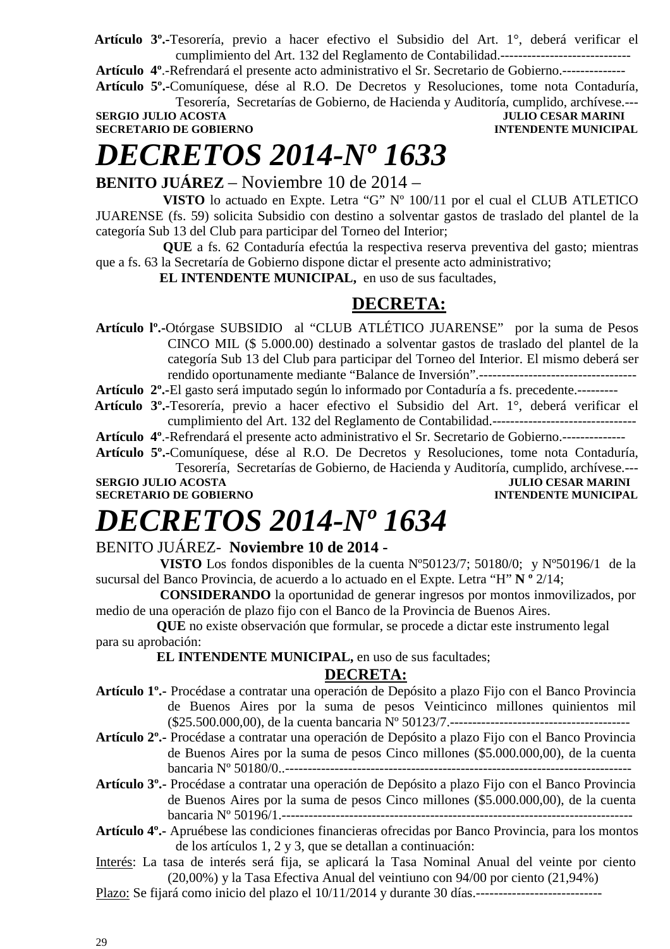**Artículo 3º.-**Tesorería, previo a hacer efectivo el Subsidio del Art. 1°, deberá verificar el cumplimiento del Art. 132 del Reglamento de Contabilidad.-----------------------------

**Artículo 4º**.-Refrendará el presente acto administrativo el Sr. Secretario de Gobierno.--------------

**Artículo 5º.-**Comuníquese, dése al R.O. De Decretos y Resoluciones, tome nota Contaduría, Tesorería, Secretarías de Gobierno, de Hacienda y Auditoría, cumplido, archívese.---

**SERGIO JULIO ACOSTA JULIO CESAR MARINI SECRETARIO DE GOBIERNO DE SOBIERNO DE SOBIERNO DE SOBIERNO DE SOBIERNO SECRETARIO DE GOBIERNO** 

# *DECRETOS 2014-Nº 1633*

### **BENITO JUÁREZ** – Noviembre 10 de 2014 –

 **VISTO** lo actuado en Expte. Letra "G" Nº 100/11 por el cual el CLUB ATLETICO JUARENSE (fs. 59) solicita Subsidio con destino a solventar gastos de traslado del plantel de la categoría Sub 13 del Club para participar del Torneo del Interior;

 **QUE** a fs. 62 Contaduría efectúa la respectiva reserva preventiva del gasto; mientras que a fs. 63 la Secretaría de Gobierno dispone dictar el presente acto administrativo;

**EL INTENDENTE MUNICIPAL,** en uso de sus facultades,

### **DECRETA:**

**Artículo lº.-**Otórgase SUBSIDIO al "CLUB ATLÉTICO JUARENSE" por la suma de Pesos CINCO MIL (\$ 5.000.00) destinado a solventar gastos de traslado del plantel de la categoría Sub 13 del Club para participar del Torneo del Interior. El mismo deberá ser rendido oportunamente mediante "Balance de Inversión".-----------------------------------

**Artículo 2º.-**El gasto será imputado según lo informado por Contaduría a fs. precedente.---------

 **Artículo 3º.-**Tesorería, previo a hacer efectivo el Subsidio del Art. 1°, deberá verificar el cumplimiento del Art. 132 del Reglamento de Contabilidad.--------------------------------

**Artículo 4º**.-Refrendará el presente acto administrativo el Sr. Secretario de Gobierno.--------------

**Artículo 5º.-**Comuníquese, dése al R.O. De Decretos y Resoluciones, tome nota Contaduría,

Tesorería, Secretarías de Gobierno, de Hacienda y Auditoría, cumplido, archívese.--- **SERGIO JULIO ACOSTA** JULIO CESAR MARINI

**SECRETARIO DE GOBIERNO INTENDENTE MUNICIPAL** 

# *DECRETOS 2014-Nº 1634*

### BENITO JUÁREZ- **Noviembre 10 de 2014 -**

 **VISTO** Los fondos disponibles de la cuenta Nº50123/7; 50180/0; y Nº50196/1 de la sucursal del Banco Provincia, de acuerdo a lo actuado en el Expte. Letra "H" **N º** 2/14;

 **CONSIDERANDO** la oportunidad de generar ingresos por montos inmovilizados, por medio de una operación de plazo fijo con el Banco de la Provincia de Buenos Aires.

 **QUE** no existe observación que formular, se procede a dictar este instrumento legal para su aprobación:

**EL INTENDENTE MUNICIPAL, en uso de sus facultades;** 

### **DECRETA:**

- **Artículo 1º.-** Procédase a contratar una operación de Depósito a plazo Fijo con el Banco Provincia de Buenos Aires por la suma de pesos Veinticinco millones quinientos mil (\$25.500.000,00), de la cuenta bancaria Nº 50123/7.----------------------------------------
- **Artículo 2º.-** Procédase a contratar una operación de Depósito a plazo Fijo con el Banco Provincia de Buenos Aires por la suma de pesos Cinco millones (\$5.000.000,00), de la cuenta bancaria Nº 50180/0..-----------------------------------------------------------------------------

**Artículo 3º.-** Procédase a contratar una operación de Depósito a plazo Fijo con el Banco Provincia de Buenos Aires por la suma de pesos Cinco millones (\$5.000.000,00), de la cuenta bancaria Nº 50196/1.------------------------------------------------------------------------------

- **Artículo 4º.-** Apruébese las condiciones financieras ofrecidas por Banco Provincia, para los montos de los artículos 1, 2 y 3, que se detallan a continuación:
- Interés: La tasa de interés será fija, se aplicará la Tasa Nominal Anual del veinte por ciento (20,00%) y la Tasa Efectiva Anual del veintiuno con 94/00 por ciento (21,94%)

Plazo: Se fijará como inicio del plazo el 10/11/2014 y durante 30 días.----------------------------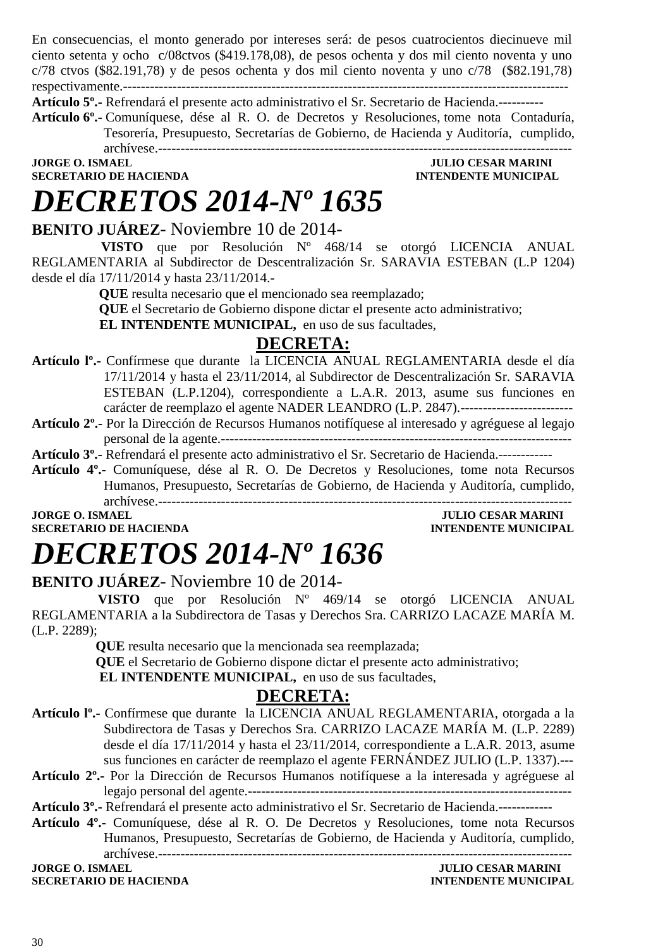En consecuencias, el monto generado por intereses será: de pesos cuatrocientos diecinueve mil ciento setenta y ocho c/08ctvos (\$419.178,08), de pesos ochenta y dos mil ciento noventa y uno c/78 ctvos (\$82.191,78) y de pesos ochenta y dos mil ciento noventa y uno c/78 (\$82.191,78) respectivamente.---------------------------------------------------------------------------------------------------

**Artículo 5º.-** Refrendará el presente acto administrativo el Sr. Secretario de Hacienda.----------

**Artículo 6º.-** Comuníquese, dése al R. O. de Decretos y Resoluciones, tome nota Contaduría, Tesorería, Presupuesto, Secretarías de Gobierno, de Hacienda y Auditoría, cumplido,

archívese.--------------------------------------------------------------------------------------------

**SECRETARIO DE HACIENDA INTENDENTE MUNICIPAL** 

# *DECRETOS 2014-Nº 1635*

**JULIO CESAR MARINI** 

### **BENITO JUÁREZ**- Noviembre 10 de 2014-

 **VISTO** que por Resolución Nº 468/14 se otorgó LICENCIA ANUAL REGLAMENTARIA al Subdirector de Descentralización Sr. SARAVIA ESTEBAN (L.P 1204) desde el día 17/11/2014 y hasta 23/11/2014.-

 **QUE** resulta necesario que el mencionado sea reemplazado;

 **QUE** el Secretario de Gobierno dispone dictar el presente acto administrativo;

**EL INTENDENTE MUNICIPAL,** en uso de sus facultades,

# **DECRETA:**

- **Artículo lº.-** Confírmese que durante la LICENCIA ANUAL REGLAMENTARIA desde el día 17/11/2014 y hasta el 23/11/2014, al Subdirector de Descentralización Sr. SARAVIA ESTEBAN (L.P.1204), correspondiente a L.A.R. 2013, asume sus funciones en carácter de reemplazo el agente NADER LEANDRO (L.P. 2847).-------------------------
- **Artículo 2º.-** Por la Dirección de Recursos Humanos notifíquese al interesado y agréguese al legajo personal de la agente.------------------------------------------------------------------------------
- **Artículo 3º.-** Refrendará el presente acto administrativo el Sr. Secretario de Hacienda.------------
- **Artículo 4º.-** Comuníquese, dése al R. O. De Decretos y Resoluciones, tome nota Recursos Humanos, Presupuesto, Secretarías de Gobierno, de Hacienda y Auditoría, cumplido, archívese.--------------------------------------------------------------------------------------------

**JORGE O. ISMAEL SERVICE OF A SERVICE OF A SERVICE OF A SERVICE OF A SERVICE OF A SERVICE OF A SERVICE OF A SERVICE OF A SERVICE OF A SERVICE OF A SERVICE OF A SERVICE OF A SERVICE OF A SERVICE OF A SERVICE OF A SERVICE OF** 

# **SECRETARIO DE HACIENDA INTENDENTE MUNICIPAL**

# *DECRETOS 2014-Nº 1636*

## **BENITO JUÁREZ**- Noviembre 10 de 2014-

 **VISTO** que por Resolución Nº 469/14 se otorgó LICENCIA ANUAL REGLAMENTARIA a la Subdirectora de Tasas y Derechos Sra. CARRIZO LACAZE MARÍA M. (L.P. 2289);

**QUE** resulta necesario que la mencionada sea reemplazada;

**QUE** el Secretario de Gobierno dispone dictar el presente acto administrativo;

**EL INTENDENTE MUNICIPAL**, en uso de sus facultades,

### **DECRETA:**

- **Artículo lº.-** Confírmese que durante la LICENCIA ANUAL REGLAMENTARIA, otorgada a la Subdirectora de Tasas y Derechos Sra. CARRIZO LACAZE MARÍA M. (L.P. 2289) desde el día 17/11/2014 y hasta el 23/11/2014, correspondiente a L.A.R. 2013, asume sus funciones en carácter de reemplazo el agente FERNÁNDEZ JULIO (L.P. 1337).---
- **Artículo 2º.-** Por la Dirección de Recursos Humanos notifíquese a la interesada y agréguese al legajo personal del agente.------------------------------------------------------------------------

**Artículo 3º.-** Refrendará el presente acto administrativo el Sr. Secretario de Hacienda.------------

**Artículo 4º.-** Comuníquese, dése al R. O. De Decretos y Resoluciones, tome nota Recursos Humanos, Presupuesto, Secretarías de Gobierno, de Hacienda y Auditoría, cumplido, archívese.-------------------------------------------------------------------------------------------- **JORGE O. ISMAEL JULIO CESAR MARINI** 

**SECRETARIO DE HACIENDA INTENDENTE MUNICIPAL**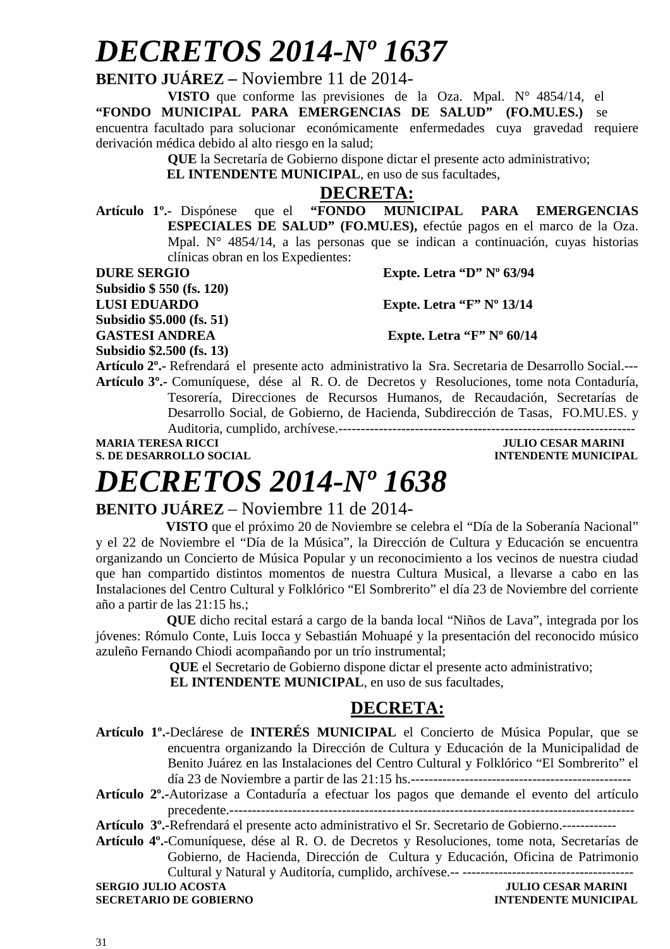# *DECRETOS 2014-Nº 1637*

**BENITO JUÁREZ –** Noviembre 11 de 2014-

**VISTO** que conforme las previsiones de la Oza. Mpal. N° 4854/14, el **"FONDO MUNICIPAL PARA EMERGENCIAS DE SALUD" (FO.MU.ES.)** se encuentra facultado para solucionar económicamente enfermedades cuya gravedad requiere derivación médica debido al alto riesgo en la salud;

**QUE** la Secretaría de Gobierno dispone dictar el presente acto administrativo;

**EL INTENDENTE MUNICIPAL**, en uso de sus facultades,

# **DECRETA:**<br> **FONDO** MUN

**Artículo 1º.-** Dispónese que el **"FONDO MUNICIPAL PARA EMERGENCIAS ESPECIALES DE SALUD" (FO.MU.ES),** efectúe pagos en el marco de la Oza. Mpal. N° 4854/14, a las personas que se indican a continuación, cuyas historias clínicas obran en los Expedientes:

**Subsidio \$ 550 (fs. 120)** 

**DURE SERGIO** Expte. Letra "D" Nº 63/94

**LUSI EDUARDO Expte. Letra "F" Nº 13/14** 

**Subsidio \$5.000 (fs. 51)** 

GASTESI ANDREA Expte. Letra "F" Nº 60/14

**Subsidio \$2.500 (fs. 13)** 

**Artículo 2º.-** Refrendará el presente acto administrativo la Sra. Secretaria de Desarrollo Social.--- **Artículo 3º.-** Comuníquese, dése al R. O. de Decretos y Resoluciones, tome nota Contaduría, Tesorería, Direcciones de Recursos Humanos, de Recaudación, Secretarías de Desarrollo Social, de Gobierno, de Hacienda, Subdirección de Tasas, FO.MU.ES. y Auditoria, cumplido, archívese.------------------------------------------------------------------

**S. DE DESARROLLO SOCIAL DESARROLLO SOCIAL DESARROLLO SOCIAL DESARROLLO SOCIAL DESARROLLO SOCIAL DE LA PERSONAL DE LA PERSONAL DE LA PERSONAL DE LA PERSONAL DE LA PERSONAL DE LA PERSONAL DE LA PERSONAL DE LA PERSONAL DE LA** 

**MARIA TERESA RICCI JULIO CESAR MARINI** 

# *DECRETOS 2014-Nº 1638*

### **BENITO JUÁREZ** – Noviembre 11 de 2014-

 **VISTO** que el próximo 20 de Noviembre se celebra el "Día de la Soberanía Nacional" y el 22 de Noviembre el "Día de la Música", la Dirección de Cultura y Educación se encuentra organizando un Concierto de Música Popular y un reconocimiento a los vecinos de nuestra ciudad que han compartido distintos momentos de nuestra Cultura Musical, a llevarse a cabo en las Instalaciones del Centro Cultural y Folklórico "El Sombrerito" el día 23 de Noviembre del corriente año a partir de las 21:15 hs.;

 **QUE** dicho recital estará a cargo de la banda local "Niños de Lava", integrada por los jóvenes: Rómulo Conte, Luis Iocca y Sebastián Mohuapé y la presentación del reconocido músico azuleño Fernando Chiodi acompañando por un trío instrumental;

**QUE** el Secretario de Gobierno dispone dictar el presente acto administrativo;

 **EL INTENDENTE MUNICIPAL**, en uso de sus facultades,

## **DECRETA:**

- **Artículo 1º.-**Declárese de **INTERÉS MUNICIPAL** el Concierto de Música Popular, que se encuentra organizando la Dirección de Cultura y Educación de la Municipalidad de Benito Juárez en las Instalaciones del Centro Cultural y Folklórico "El Sombrerito" el día 23 de Noviembre a partir de las 21:15 hs.-------------------------------------------------
- **Artículo 2º.-**Autorizase a Contaduría a efectuar los pagos que demande el evento del artículo precedente.------------------------------------------------------------------------------------------

**Artículo 3º.-**Refrendará el presente acto administrativo el Sr. Secretario de Gobierno.------------

**Artículo 4º.-**Comuníquese, dése al R. O. de Decretos y Resoluciones, tome nota, Secretarías de Gobierno, de Hacienda, Dirección de Cultura y Educación, Oficina de Patrimonio Cultural y Natural y Auditoría, cumplido, archívese.-- --------------------------------------

**SERGIO JULIO ACOSTA** JULIO CESAR MARINI **SECRETARIO DE GOBIERNO INTENDENTE MUNICIPAL**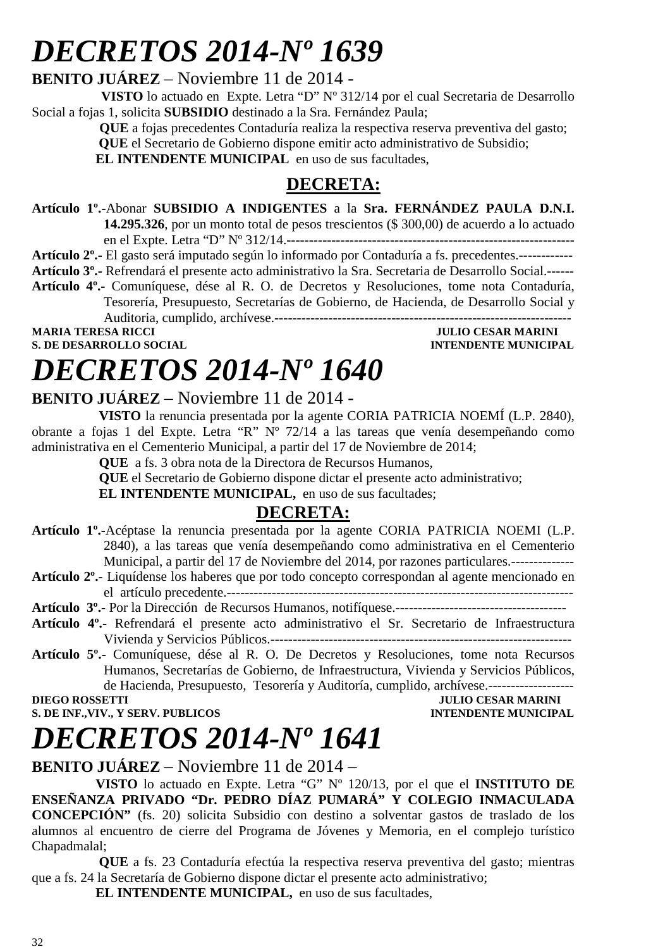# *DECRETOS 2014-Nº 1639*

**BENITO JUÁREZ** – Noviembre 11 de 2014 -

 **VISTO** lo actuado en Expte. Letra "D" Nº 312/14 por el cual Secretaria de Desarrollo Social a fojas 1, solicita **SUBSIDIO** destinado a la Sra. Fernández Paula;

> **QUE** a fojas precedentes Contaduría realiza la respectiva reserva preventiva del gasto;  **QUE** el Secretario de Gobierno dispone emitir acto administrativo de Subsidio;

**EL INTENDENTE MUNICIPAL** en uso de sus facultades.

# **DECRETA:**

**Artículo 1º.-**Abonar **SUBSIDIO A INDIGENTES** a la **Sra. FERNÁNDEZ PAULA D.N.I. 14.295.326**, por un monto total de pesos trescientos (\$ 300,00) de acuerdo a lo actuado

en el Expte. Letra "D" Nº 312/14.----------------------------------------------------------------

**Artículo 2º.-** El gasto será imputado según lo informado por Contaduría a fs. precedentes.------------

**Artículo 3º.-** Refrendará el presente acto administrativo la Sra. Secretaria de Desarrollo Social.------

**Artículo 4º.-** Comuníquese, dése al R. O. de Decretos y Resoluciones, tome nota Contaduría, Tesorería, Presupuesto, Secretarías de Gobierno, de Hacienda, de Desarrollo Social y Auditoria, cumplido, archívese.------------------------------------------------------------------ **MARIA TERESA RICCI JULIO CESAR MARINI** 

**S. DE DESARROLLO SOCIAL DESARROLLO SOCIAL DESARROLLO SOCIAL DESARROLLO SOCIAL DESARROLLO SOCIAL DE SOCIAL DE SOCIAL DE SOCIAL DE SOCIAL DE SOCIAL DE SOCIAL DE SOCIAL DE SOCIAL DE SOCIAL DE SOCIAL DE SOCIAL DE SOCIAL DE SO** 

# *DECRETOS 2014-Nº 1640*

### **BENITO JUÁREZ** – Noviembre 11 de 2014 -

 **VISTO** la renuncia presentada por la agente CORIA PATRICIA NOEMÍ (L.P. 2840), obrante a fojas 1 del Expte. Letra "R" Nº 72/14 a las tareas que venía desempeñando como administrativa en el Cementerio Municipal, a partir del 17 de Noviembre de 2014;

**QUE** a fs. 3 obra nota de la Directora de Recursos Humanos,

 **QUE** el Secretario de Gobierno dispone dictar el presente acto administrativo;

**EL INTENDENTE MUNICIPAL**, en uso de sus facultades;

# **DECRETA:**

- **Artículo 1º.-**Acéptase la renuncia presentada por la agente CORIA PATRICIA NOEMI (L.P. 2840), a las tareas que venía desempeñando como administrativa en el Cementerio Municipal, a partir del 17 de Noviembre del 2014, por razones particulares.--------------
- **Artículo 2º.** Liquídense los haberes que por todo concepto correspondan al agente mencionado en el artículo precedente.-----------------------------------------------------------------------------

**Artículo 3º.-** Por la Dirección de Recursos Humanos, notifíquese.--------------------------------------

- **Artículo 4º.-** Refrendará el presente acto administrativo el Sr. Secretario de Infraestructura Vivienda y Servicios Públicos.-------------------------------------------------------------------
- **Artículo 5º.-** Comuníquese, dése al R. O. De Decretos y Resoluciones, tome nota Recursos Humanos, Secretarías de Gobierno, de Infraestructura, Vivienda y Servicios Públicos, de Hacienda, Presupuesto, Tesorería y Auditoría, cumplido, archívese.-------------------

**JULIO CESAR MARINI S. DE INF., VIV., Y SERV. PUBLICOS INTENDENTE MUNICIPAL** 

# *DECRETOS 2014-Nº 1641*

**BENITO JUÁREZ** – Noviembre 11 de 2014 –

**VISTO** lo actuado en Expte. Letra "G" Nº 120/13, por el que el **INSTITUTO DE ENSEÑANZA PRIVADO "Dr. PEDRO DÍAZ PUMARÁ" Y COLEGIO INMACULADA CONCEPCIÓN"** (fs. 20) solicita Subsidio con destino a solventar gastos de traslado de los alumnos al encuentro de cierre del Programa de Jóvenes y Memoria, en el complejo turístico Chapadmalal:

 **QUE** a fs. 23 Contaduría efectúa la respectiva reserva preventiva del gasto; mientras que a fs. 24 la Secretaría de Gobierno dispone dictar el presente acto administrativo;

**EL INTENDENTE MUNICIPAL,** en uso de sus facultades,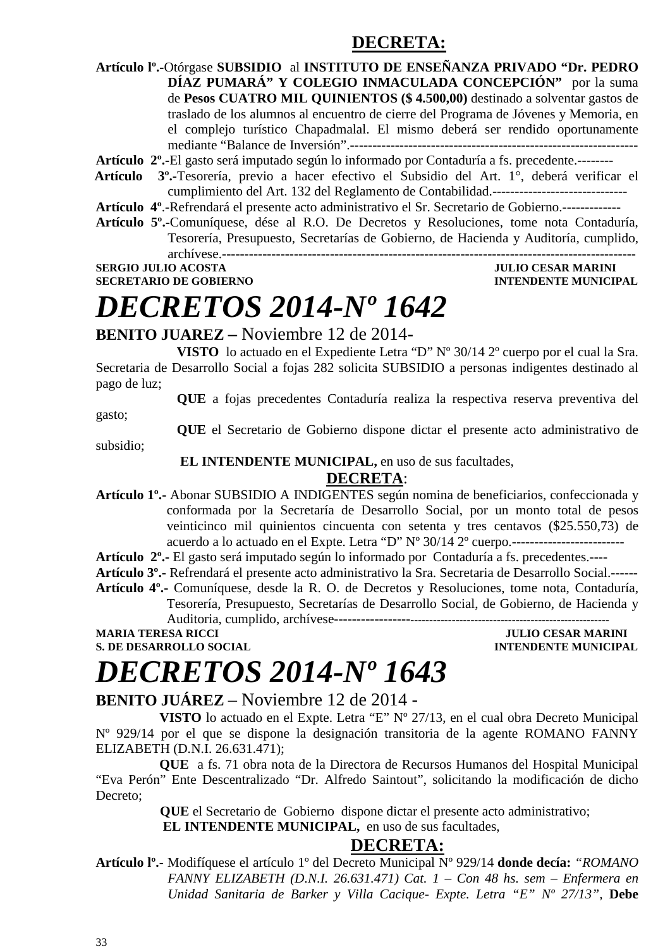## **DECRETA:**

**Artículo lº.-**Otórgase **SUBSIDIO** al **INSTITUTO DE ENSEÑANZA PRIVADO "Dr. PEDRO DÍAZ PUMARÁ" Y COLEGIO INMACULADA CONCEPCIÓN"** por la suma de **Pesos CUATRO MIL QUINIENTOS (\$ 4.500,00)** destinado a solventar gastos de traslado de los alumnos al encuentro de cierre del Programa de Jóvenes y Memoria, en el complejo turístico Chapadmalal. El mismo deberá ser rendido oportunamente mediante "Balance de Inversión".----------------------------------------------------------------

**Artículo 2º.-**El gasto será imputado según lo informado por Contaduría a fs. precedente.--------

- **Artículo 3º.-**Tesorería, previo a hacer efectivo el Subsidio del Art. 1°, deberá verificar el cumplimiento del Art. 132 del Reglamento de Contabilidad.------------------------------
- **Artículo 4º**.-Refrendará el presente acto administrativo el Sr. Secretario de Gobierno.-------------
- **Artículo 5º.-**Comuníquese, dése al R.O. De Decretos y Resoluciones, tome nota Contaduría, Tesorería, Presupuesto, Secretarías de Gobierno, de Hacienda y Auditoría, cumplido, archívese.--------------------------------------------------------------------------------------------

**SERGIO JULIO ACOSTA JULIO CESAR MARINI SECRETARIO DE GOBIERNO INTENDENTE MUNICIPAL** 

# *DECRETOS 2014-Nº 1642*

### **BENITO JUAREZ –** Noviembre 12 de 2014**-**

**VISTO** lo actuado en el Expediente Letra "D" Nº 30/14 2º cuerpo por el cual la Sra. Secretaria de Desarrollo Social a fojas 282 solicita SUBSIDIO a personas indigentes destinado al pago de luz;

**QUE** a fojas precedentes Contaduría realiza la respectiva reserva preventiva del

gasto;

**QUE** el Secretario de Gobierno dispone dictar el presente acto administrativo de

subsidio;

#### **EL INTENDENTE MUNICIPAL,** en uso de sus facultades,

#### **DECRETA**:

**Artículo 1º.-** Abonar SUBSIDIO A INDIGENTES según nomina de beneficiarios, confeccionada y conformada por la Secretaría de Desarrollo Social, por un monto total de pesos veinticinco mil quinientos cincuenta con setenta y tres centavos (\$25.550,73) de acuerdo a lo actuado en el Expte. Letra "D" Nº 30/14 2º cuerpo.-------------------------

**Artículo 2º.-** El gasto será imputado según lo informado por Contaduría a fs. precedentes.----

**Artículo 3º.-** Refrendará el presente acto administrativo la Sra. Secretaria de Desarrollo Social.------ **Artículo 4º.-** Comuníquese, desde la R. O. de Decretos y Resoluciones, tome nota, Contaduría,

Tesorería, Presupuesto, Secretarías de Desarrollo Social, de Gobierno, de Hacienda y Auditoria, cumplido, archívese----------------------------------------------------------------------

**MARIA TERESA RICCI JULIO CESAR MARINI** 

**INTENDENTE MUNICIPAL** 

# *DECRETOS 2014-Nº 1643*

### **BENITO JUÁREZ** – Noviembre 12 de 2014 -

**VISTO** lo actuado en el Expte. Letra "E" Nº 27/13, en el cual obra Decreto Municipal Nº 929/14 por el que se dispone la designación transitoria de la agente ROMANO FANNY ELIZABETH (D.N.I. 26.631.471);

**QUE** a fs. 71 obra nota de la Directora de Recursos Humanos del Hospital Municipal "Eva Perón" Ente Descentralizado "Dr. Alfredo Saintout", solicitando la modificación de dicho Decreto;

 **QUE** el Secretario de Gobierno dispone dictar el presente acto administrativo;

 **EL INTENDENTE MUNICIPAL,** en uso de sus facultades,

### **DECRETA:**

**Artículo lº.-** Modifíquese el artículo 1º del Decreto Municipal Nº 929/14 **donde decía:** *"ROMANO FANNY ELIZABETH (D.N.I. 26.631.471) Cat. 1 – Con 48 hs. sem – Enfermera en Unidad Sanitaria de Barker y Villa Cacique- Expte. Letra "E" Nº 27/13",* **Debe**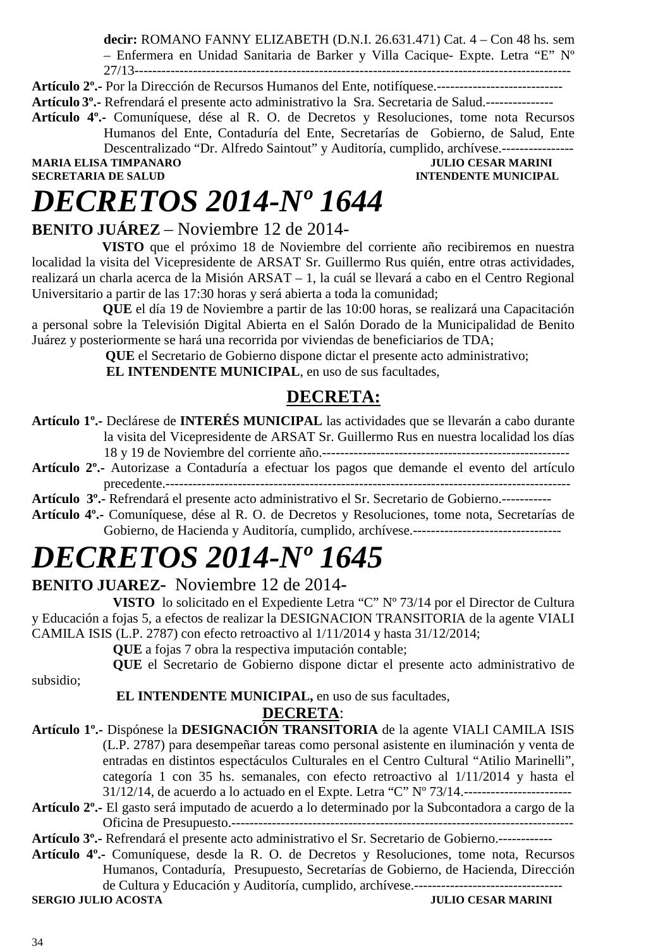**decir:** ROMANO FANNY ELIZABETH (D.N.I. 26.631.471) Cat. 4 – Con 48 hs. sem – Enfermera en Unidad Sanitaria de Barker y Villa Cacique- Expte. Letra "E" Nº 27/13-------------------------------------------------------------------------------------------------

**Artículo 2º.-** Por la Dirección de Recursos Humanos del Ente, notifíquese.---------------------------- **Artículo 3º.-** Refrendará el presente acto administrativo la Sra. Secretaria de Salud.---------------

**Artículo 4º.-** Comuníquese, dése al R. O. de Decretos y Resoluciones, tome nota Recursos

Humanos del Ente, Contaduría del Ente, Secretarías de Gobierno, de Salud, Ente Descentralizado "Dr. Alfredo Saintout" y Auditoría, cumplido, archívese.----------------

**MARIA ELISA TIMPANARO<br>SECRETARIA DE SALUD** 

**INTENDENTE MUNICIPAL** 

# *DECRETOS 2014-Nº 1644*

## **BENITO JUÁREZ** – Noviembre 12 de 2014-

 **VISTO** que el próximo 18 de Noviembre del corriente año recibiremos en nuestra localidad la visita del Vicepresidente de ARSAT Sr. Guillermo Rus quién, entre otras actividades, realizará un charla acerca de la Misión ARSAT – 1, la cuál se llevará a cabo en el Centro Regional Universitario a partir de las 17:30 horas y será abierta a toda la comunidad;

 **QUE** el día 19 de Noviembre a partir de las 10:00 horas, se realizará una Capacitación a personal sobre la Televisión Digital Abierta en el Salón Dorado de la Municipalidad de Benito Juárez y posteriormente se hará una recorrida por viviendas de beneficiarios de TDA;

**QUE** el Secretario de Gobierno dispone dictar el presente acto administrativo;

 **EL INTENDENTE MUNICIPAL**, en uso de sus facultades,

## **DECRETA:**

- **Artículo 1º.-** Declárese de **INTERÉS MUNICIPAL** las actividades que se llevarán a cabo durante la visita del Vicepresidente de ARSAT Sr. Guillermo Rus en nuestra localidad los días 18 y 19 de Noviembre del corriente año.-------------------------------------------------------
- **Artículo 2º.-** Autorizase a Contaduría a efectuar los pagos que demande el evento del artículo precedente.------------------------------------------------------------------------------------------
- **Artículo 3º.-** Refrendará el presente acto administrativo el Sr. Secretario de Gobierno.-----------
- **Artículo 4º.-** Comuníquese, dése al R. O. de Decretos y Resoluciones, tome nota, Secretarías de Gobierno, de Hacienda y Auditoría, cumplido, archívese.---------------------------------

# *DECRETOS 2014-Nº 1645*

### **BENITO JUAREZ-** Noviembre 12 de 2014**-**

**VISTO** lo solicitado en el Expediente Letra "C" Nº 73/14 por el Director de Cultura y Educación a fojas 5, a efectos de realizar la DESIGNACION TRANSITORIA de la agente VIALI CAMILA ISIS (L.P. 2787) con efecto retroactivo al 1/11/2014 y hasta 31/12/2014;

**QUE** a fojas 7 obra la respectiva imputación contable;

**QUE** el Secretario de Gobierno dispone dictar el presente acto administrativo de

subsidio;

### **EL INTENDENTE MUNICIPAL,** en uso de sus facultades,

### **DECRETA**:

- **Artículo 1º.-** Dispónese la **DESIGNACIÓN TRANSITORIA** de la agente VIALI CAMILA ISIS (L.P. 2787) para desempeñar tareas como personal asistente en iluminación y venta de entradas en distintos espectáculos Culturales en el Centro Cultural "Atilio Marinelli", categoría 1 con 35 hs. semanales, con efecto retroactivo al 1/11/2014 y hasta el 31/12/14, de acuerdo a lo actuado en el Expte. Letra "C" Nº 73/14.------------------------
- **Artículo 2º.-** El gasto será imputado de acuerdo a lo determinado por la Subcontadora a cargo de la Oficina de Presupuesto.----------------------------------------------------------------------------

**Artículo 3º.-** Refrendará el presente acto administrativo el Sr. Secretario de Gobierno.------------

**Artículo 4º.-** Comuníquese, desde la R. O. de Decretos y Resoluciones, tome nota, Recursos Humanos, Contaduría, Presupuesto, Secretarías de Gobierno, de Hacienda, Dirección de Cultura y Educación y Auditoría, cumplido, archívese.---------------------------------

**SERGIO JULIO ACOSTA**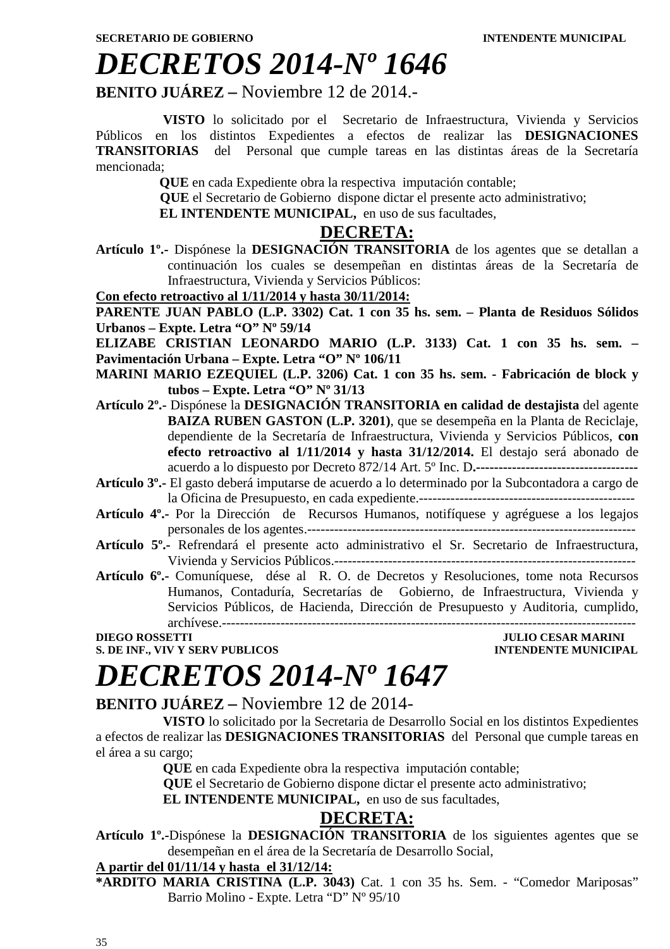# *DECRETOS 2014-Nº 1646*

**BENITO JUÁREZ –** Noviembre 12 de 2014.-

 **VISTO** lo solicitado por el Secretario de Infraestructura, Vivienda y Servicios Públicos en los distintos Expedientes a efectos de realizar las **DESIGNACIONES TRANSITORIAS** del Personal que cumple tareas en las distintas áreas de la Secretaría mencionada;

**QUE** en cada Expediente obra la respectiva imputación contable;

 **QUE** el Secretario de Gobierno dispone dictar el presente acto administrativo;

**EL INTENDENTE MUNICIPAL**, en uso de sus facultades,

#### **DECRETA:**

**Artículo 1º.-** Dispónese la **DESIGNACIÓN TRANSITORIA** de los agentes que se detallan a continuación los cuales se desempeñan en distintas áreas de la Secretaría de Infraestructura, Vivienda y Servicios Públicos:

**Con efecto retroactivo al 1/11/2014 y hasta 30/11/2014:**

**PARENTE JUAN PABLO (L.P. 3302) Cat. 1 con 35 hs. sem. – Planta de Residuos Sólidos Urbanos – Expte. Letra "O" Nº 59/14** 

**ELIZABE CRISTIAN LEONARDO MARIO (L.P. 3133) Cat. 1 con 35 hs. sem. – Pavimentación Urbana – Expte. Letra "O" Nº 106/11** 

**MARINI MARIO EZEQUIEL (L.P. 3206) Cat. 1 con 35 hs. sem. - Fabricación de block y tubos – Expte. Letra "O" Nº 31/13** 

- **Artículo 2º.-** Dispónese la **DESIGNACIÓN TRANSITORIA en calidad de destajista** del agente **BAIZA RUBEN GASTON (L.P. 3201)**, que se desempeña en la Planta de Reciclaje, dependiente de la Secretaría de Infraestructura, Vivienda y Servicios Públicos, **con efecto retroactivo al 1/11/2014 y hasta 31/12/2014.** El destajo será abonado de acuerdo a lo dispuesto por Decreto 872/14 Art. 5º Inc. D**.------------------------------------**
- **Artículo 3º.-** El gasto deberá imputarse de acuerdo a lo determinado por la Subcontadora a cargo de la Oficina de Presupuesto, en cada expediente.------------------------------------------------
- **Artículo 4º.-** Por la Dirección de Recursos Humanos, notifíquese y agréguese a los legajos personales de los agentes.-------------------------------------------------------------------------
- **Artículo 5º.-** Refrendará el presente acto administrativo el Sr. Secretario de Infraestructura, Vivienda y Servicios Públicos.-------------------------------------------------------------------
- **Artículo 6º.-** Comuníquese, dése al R. O. de Decretos y Resoluciones, tome nota Recursos Humanos, Contaduría, Secretarías de Gobierno, de Infraestructura, Vivienda y Servicios Públicos, de Hacienda, Dirección de Presupuesto y Auditoria, cumplido, archívese.--------------------------------------------------------------------------------------------

**DIEGO ROSSETTI JULIO CESAR MARINI S. DE INF., VIV Y SERV PUBLICOS** 

# *DECRETOS 2014-Nº 1647*

**BENITO JUÁREZ –** Noviembre 12 de 2014-

 **VISTO** lo solicitado por la Secretaria de Desarrollo Social en los distintos Expedientes a efectos de realizar las **DESIGNACIONES TRANSITORIAS** del Personal que cumple tareas en el área a su cargo;

 **QUE** en cada Expediente obra la respectiva imputación contable;

 **QUE** el Secretario de Gobierno dispone dictar el presente acto administrativo;

**EL INTENDENTE MUNICIPAL, en uso de sus facultades,** 

### **DECRETA:**

**Artículo 1º.-**Dispónese la **DESIGNACIÓN TRANSITORIA** de los siguientes agentes que se desempeñan en el área de la Secretaría de Desarrollo Social,

### **A partir del 01/11/14 y hasta el 31/12/14:**

**\*ARDITO MARIA CRISTINA (L.P. 3043)** Cat. 1 con 35 hs. Sem. - "Comedor Mariposas" Barrio Molino - Expte. Letra "D" Nº 95/10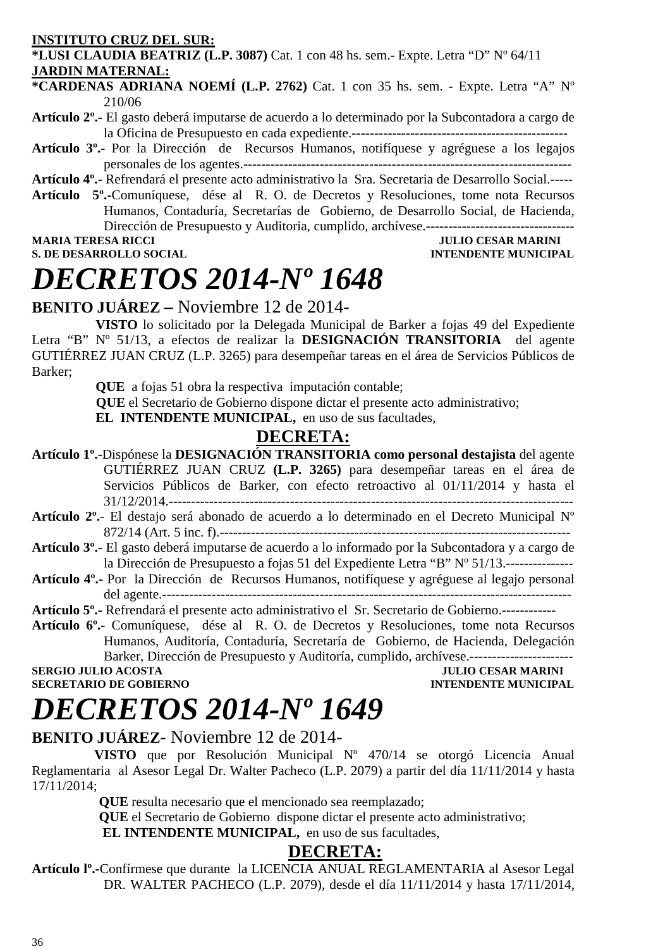#### **INSTITUTO CRUZ DEL SUR:**

**\*LUSI CLAUDIA BEATRIZ (L.P. 3087)** Cat. 1 con 48 hs. sem.- Expte. Letra "D" Nº 64/11 **JARDIN MATERNAL:**

**\*CARDENAS ADRIANA NOEMÍ (L.P. 2762)** Cat. 1 con 35 hs. sem. - Expte. Letra "A" Nº 210/06

- **Artículo 2º.-** El gasto deberá imputarse de acuerdo a lo determinado por la Subcontadora a cargo de la Oficina de Presupuesto en cada expediente.------------------------------------------------
- **Artículo 3º.-** Por la Dirección de Recursos Humanos, notifíquese y agréguese a los legajos personales de los agentes.-------------------------------------------------------------------------

**Artículo 4º.-** Refrendará el presente acto administrativo la Sra. Secretaria de Desarrollo Social.-----

**Artículo 5º.-**Comuníquese, dése al R. O. de Decretos y Resoluciones, tome nota Recursos Humanos, Contaduría, Secretarías de Gobierno, de Desarrollo Social, de Hacienda, Dirección de Presupuesto y Auditoria, cumplido, archívese.---------------------------------

**S. DE DESARROLLO SOCIAL** 

# **MULIO CESAR MARINI<br>INTENDENTE MUNICIPAL**

# *DECRETOS 2014-Nº 1648*

### **BENITO JUÁREZ –** Noviembre 12 de 2014-

**VISTO** lo solicitado por la Delegada Municipal de Barker a fojas 49 del Expediente Letra "B" Nº 51/13, a efectos de realizar la **DESIGNACIÓN TRANSITORIA** del agente GUTIÉRREZ JUAN CRUZ (L.P. 3265) para desempeñar tareas en el área de Servicios Públicos de Barker;

**QUE** a fojas 51 obra la respectiva imputación contable;

 **QUE** el Secretario de Gobierno dispone dictar el presente acto administrativo;

EL INTENDENTE MUNICIPAL, en uso de sus facultades,

## **DECRETA:**

- **Artículo 1º.-**Dispónese la **DESIGNACIÓN TRANSITORIA como personal destajista** del agente GUTIÉRREZ JUAN CRUZ **(L.P. 3265)** para desempeñar tareas en el área de Servicios Públicos de Barker, con efecto retroactivo al 01/11/2014 y hasta el 31/12/2014.------------------------------------------------------------------------------------------
- **Artículo 2º.** El destajo será abonado de acuerdo a lo determinado en el Decreto Municipal Nº 872/14 (Art. 5 inc. f).------------------------------------------------------------------------------
- **Artículo 3º.-** El gasto deberá imputarse de acuerdo a lo informado por la Subcontadora y a cargo de la Dirección de Presupuesto a fojas 51 del Expediente Letra "B" Nº 51/13.---------------
- **Artículo 4º.-** Por la Dirección de Recursos Humanos, notifíquese y agréguese al legajo personal del agente.-------------------------------------------------------------------------------------------
- **Artículo 5º.-** Refrendará el presente acto administrativo el Sr. Secretario de Gobierno.------------

**Artículo 6º.-** Comuníquese, dése al R. O. de Decretos y Resoluciones, tome nota Recursos Humanos, Auditoría, Contaduría, Secretaría de Gobierno, de Hacienda, Delegación Barker, Dirección de Presupuesto y Auditoría, cumplido, archívese.------------------

# **SECRETARIO DE GOBIERNO**

**SERGIO JULIO ACOSTA DE CONFERNO DE COBIERNO DE COBIERNO DE COBIERNO DE COBIERNO DE COBIERNO DE COBIERNO DE COBIERNO DE COBIERNO DE COBIERNO DE COBIERNO DE COBIERNO DE COBIERNO DE COBIERNO DE COBIERNO DE COBIERNO DE COBIER** 

# *DECRETOS 2014-Nº 1649*

### **BENITO JUÁREZ**- Noviembre 12 de 2014-

 **VISTO** que por Resolución Municipal Nº 470/14 se otorgó Licencia Anual Reglamentaria al Asesor Legal Dr. Walter Pacheco (L.P. 2079) a partir del día 11/11/2014 y hasta 17/11/2014;

 **QUE** resulta necesario que el mencionado sea reemplazado;

 **QUE** el Secretario de Gobierno dispone dictar el presente acto administrativo;

**EL INTENDENTE MUNICIPAL,** en uso de sus facultades,

### **DECRETA:**

**Artículo lº.-**Confírmese que durante la LICENCIA ANUAL REGLAMENTARIA al Asesor Legal DR. WALTER PACHECO (L.P. 2079), desde el día 11/11/2014 y hasta 17/11/2014,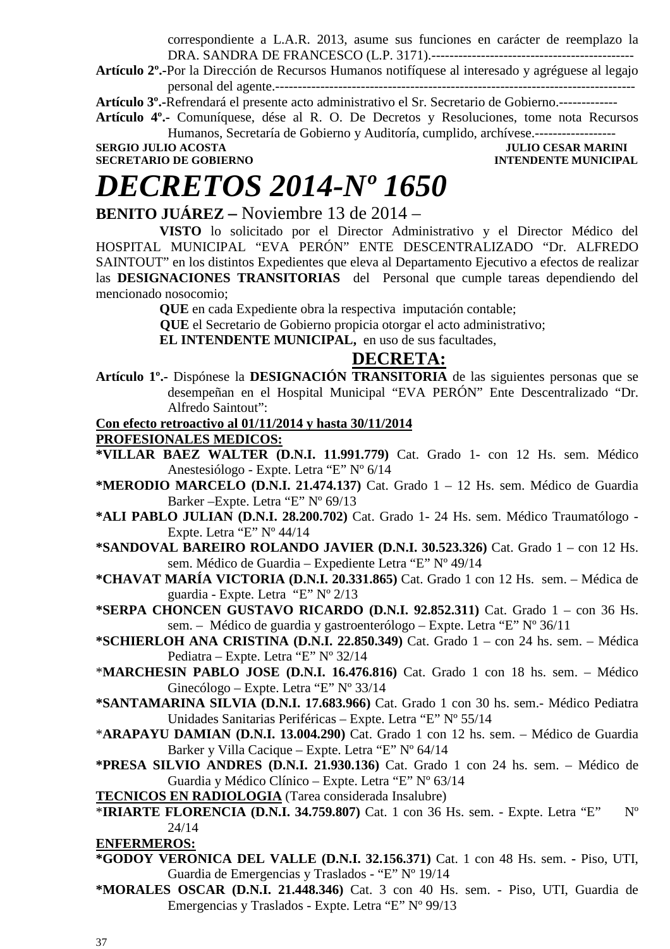correspondiente a L.A.R. 2013, asume sus funciones en carácter de reemplazo la DRA. SANDRA DE FRANCESCO (L.P. 3171).---------------------------------------------

**Artículo 2º.-**Por la Dirección de Recursos Humanos notifíquese al interesado y agréguese al legajo personal del agente.--------------------------------------------------------------------------------

**Artículo 3º.-**Refrendará el presente acto administrativo el Sr. Secretario de Gobierno.-------------

**Artículo 4º.-** Comuníquese, dése al R. O. De Decretos y Resoluciones, tome nota Recursos Humanos, Secretaría de Gobierno y Auditoría, cumplido, archívese.------------------

**SERGIO JULIO ACOSTA JULIO CESAR MARINI SECRETARIO DE GOBIERNO INTENDENTE MUNICIPAL** 

### *DECRETOS 2014-Nº 1650*

**BENITO JUÁREZ –** Noviembre 13 de 2014 –

**VISTO** lo solicitado por el Director Administrativo y el Director Médico del HOSPITAL MUNICIPAL "EVA PERÓN" ENTE DESCENTRALIZADO "Dr. ALFREDO SAINTOUT" en los distintos Expedientes que eleva al Departamento Ejecutivo a efectos de realizar las **DESIGNACIONES TRANSITORIAS** del Personal que cumple tareas dependiendo del mencionado nosocomio;

**QUE** en cada Expediente obra la respectiva imputación contable;

 **QUE** el Secretario de Gobierno propicia otorgar el acto administrativo;

**EL INTENDENTE MUNICIPAL,** en uso de sus facultades,

### **DECRETA:**

**Artículo 1º.-** Dispónese la **DESIGNACIÓN TRANSITORIA** de las siguientes personas que se desempeñan en el Hospital Municipal "EVA PERÓN" Ente Descentralizado "Dr. Alfredo Saintout":

#### **Con efecto retroactivo al 01/11/2014 y hasta 30/11/2014**

**PROFESIONALES MEDICOS:**

- **\*VILLAR BAEZ WALTER (D.N.I. 11.991.779)** Cat. Grado 1- con 12 Hs. sem. Médico Anestesiólogo - Expte. Letra "E" Nº 6/14
- **\*MERODIO MARCELO (D.N.I. 21.474.137)** Cat. Grado 1 12 Hs. sem. Médico de Guardia Barker –Expte. Letra "E" Nº 69/13
- **\*ALI PABLO JULIAN (D.N.I. 28.200.702)** Cat. Grado 1- 24 Hs. sem. Médico Traumatólogo Expte. Letra "E" Nº 44/14
- **\*SANDOVAL BAREIRO ROLANDO JAVIER (D.N.I. 30.523.326)** Cat. Grado 1 con 12 Hs. sem. Médico de Guardia – Expediente Letra "E" Nº 49/14
- **\*CHAVAT MARÍA VICTORIA (D.N.I. 20.331.865)** Cat. Grado 1 con 12 Hs. sem. Médica de guardia - Expte. Letra "E" Nº 2/13
- **\*SERPA CHONCEN GUSTAVO RICARDO (D.N.I. 92.852.311)** Cat. Grado 1 con 36 Hs. sem. – Médico de guardia y gastroenterólogo – Expte. Letra "E" Nº 36/11
- **\*SCHIERLOH ANA CRISTINA (D.N.I. 22.850.349)** Cat. Grado 1 con 24 hs. sem. Médica Pediatra – Expte. Letra "E" Nº 32/14
- \***MARCHESIN PABLO JOSE (D.N.I. 16.476.816)** Cat. Grado 1 con 18 hs. sem. Médico Ginecólogo – Expte. Letra "E" Nº 33/14
- **\*SANTAMARINA SILVIA (D.N.I. 17.683.966)** Cat. Grado 1 con 30 hs. sem.- Médico Pediatra Unidades Sanitarias Periféricas – Expte. Letra "E" Nº 55/14
- \***ARAPAYU DAMIAN (D.N.I. 13.004.290)** Cat. Grado 1 con 12 hs. sem. Médico de Guardia Barker y Villa Cacique – Expte. Letra "E" Nº 64/14
- **\*PRESA SILVIO ANDRES (D.N.I. 21.930.136)** Cat. Grado 1 con 24 hs. sem. Médico de Guardia y Médico Clínico – Expte. Letra "E" Nº 63/14

**TECNICOS EN RADIOLOGIA** (Tarea considerada Insalubre)

\***IRIARTE FLORENCIA (D.N.I. 34.759.807)** Cat. 1 con 36 Hs. sem. - Expte. Letra "E" Nº 24/14

**ENFERMEROS:**

- **\*GODOY VERONICA DEL VALLE (D.N.I. 32.156.371)** Cat. 1 con 48 Hs. sem.Piso, UTI, Guardia de Emergencias y Traslados - "E" Nº 19/14
- **\*MORALES OSCAR (D.N.I. 21.448.346)** Cat. 3 con 40 Hs. sem. Piso, UTI, Guardia de Emergencias y Traslados - Expte. Letra "E" Nº 99/13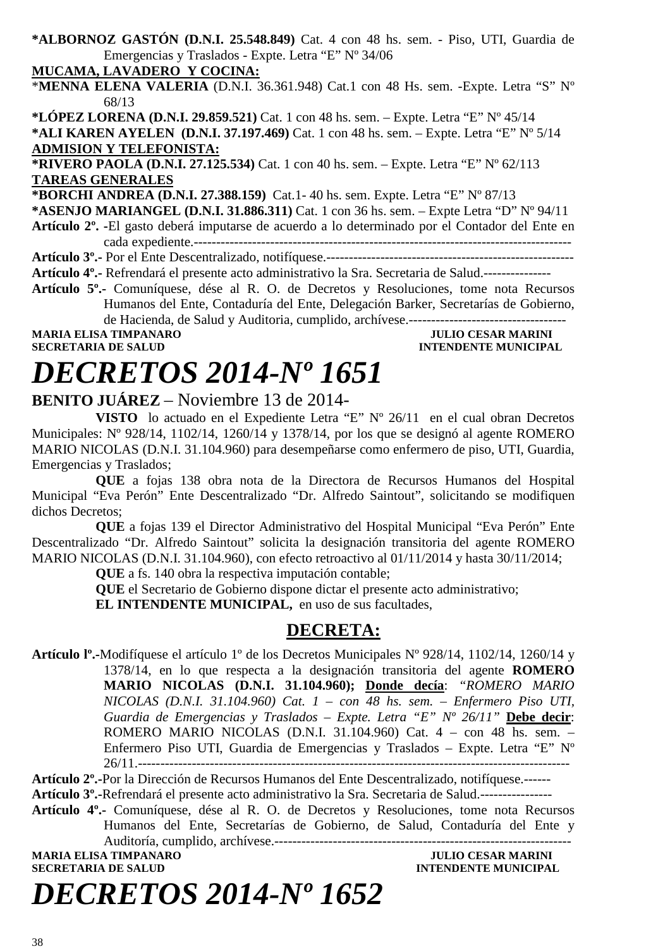**\*ALBORNOZ GASTÓN (D.N.I. 25.548.849)** Cat. 4 con 48 hs. sem. - Piso, UTI, Guardia de Emergencias y Traslados - Expte. Letra "E" Nº 34/06

**MUCAMA, LAVADERO Y COCINA:**

\***MENNA ELENA VALERIA** (D.N.I. 36.361.948) Cat.1 con 48 Hs. sem. -Expte. Letra "S" Nº 68/13

**\*LÓPEZ LORENA (D.N.I. 29.859.521)** Cat. 1 con 48 hs. sem. – Expte. Letra "E" Nº 45/14

**\*ALI KAREN AYELEN (D.N.I. 37.197.469)** Cat. 1 con 48 hs. sem. – Expte. Letra "E" Nº 5/14 **ADMISION Y TELEFONISTA:** 

**\*RIVERO PAOLA (D.N.I. 27.125.534)** Cat. 1 con 40 hs. sem. – Expte. Letra "E" Nº 62/113 **TAREAS GENERALES**

**\*BORCHI ANDREA (D.N.I. 27.388.159)** Cat.1- 40 hs. sem. Expte. Letra "E" Nº 87/13

**\*ASENJO MARIANGEL (D.N.I. 31.886.311)** Cat. 1 con 36 hs. sem. – Expte Letra "D" Nº 94/11 **Artículo 2º. -**El gasto deberá imputarse de acuerdo a lo determinado por el Contador del Ente en

cada expediente.------------------------------------------------------------------------------------

**Artículo 3º.-** Por el Ente Descentralizado, notifíquese.------------------------------------------------------- **Artículo 4º.-** Refrendará el presente acto administrativo la Sra. Secretaria de Salud.---------------

**Artículo 5º.-** Comuníquese, dése al R. O. de Decretos y Resoluciones, tome nota Recursos Humanos del Ente, Contaduría del Ente, Delegación Barker, Secretarías de Gobierno, de Hacienda, de Salud y Auditoria, cumplido, archívese.-----------------------------------

**MARIA ELISA TIMPANARO JULIO CESAR MARINI SECRETARIA DE SALUD INTENDENTE MUNICIPAL** 

## *DECRETOS 2014-Nº 1651*

**BENITO JUÁREZ** – Noviembre 13 de 2014-

**VISTO** lo actuado en el Expediente Letra "E" Nº 26/11 en el cual obran Decretos Municipales: Nº 928/14, 1102/14, 1260/14 y 1378/14, por los que se designó al agente ROMERO MARIO NICOLAS (D.N.I. 31.104.960) para desempeñarse como enfermero de piso, UTI, Guardia, Emergencias y Traslados;

**QUE** a fojas 138 obra nota de la Directora de Recursos Humanos del Hospital Municipal "Eva Perón" Ente Descentralizado "Dr. Alfredo Saintout", solicitando se modifiquen dichos Decretos;

**QUE** a fojas 139 el Director Administrativo del Hospital Municipal "Eva Perón" Ente Descentralizado "Dr. Alfredo Saintout" solicita la designación transitoria del agente ROMERO MARIO NICOLAS (D.N.I. 31.104.960), con efecto retroactivo al 01/11/2014 y hasta 30/11/2014;

**QUE** a fs. 140 obra la respectiva imputación contable;

**QUE** el Secretario de Gobierno dispone dictar el presente acto administrativo;

**EL INTENDENTE MUNICIPAL,** en uso de sus facultades,

### **DECRETA:**

**Artículo lº.-**Modifíquese el artículo 1º de los Decretos Municipales Nº 928/14, 1102/14, 1260/14 y 1378/14, en lo que respecta a la designación transitoria del agente **ROMERO MARIO NICOLAS (D.N.I. 31.104.960); Donde decía**: *"ROMERO MARIO NICOLAS (D.N.I. 31.104.960) Cat. 1 – con 48 hs. sem. – Enfermero Piso UTI, Guardia de Emergencias y Traslados – Expte. Letra "E" Nº 26/11"* **Debe decir**: ROMERO MARIO NICOLAS (D.N.I. 31.104.960) Cat. 4 – con 48 hs. sem. – Enfermero Piso UTI, Guardia de Emergencias y Traslados – Expte. Letra "E" Nº 26/11.------------------------------------------------------------------------------------------------

**Artículo 2º.-**Por la Dirección de Recursos Humanos del Ente Descentralizado, notifíquese.------ **Artículo 3º.-**Refrendará el presente acto administrativo la Sra. Secretaria de Salud.----------------

**Artículo 4º.-** Comuníquese, dése al R. O. de Decretos y Resoluciones, tome nota Recursos Humanos del Ente, Secretarías de Gobierno, de Salud, Contaduría del Ente y Auditoría, cumplido, archívese.------------------------------------------------------------------

**MARIA ELISA TIMPANARO JULIO CESAR MARINI** 

**INTENDENTE MUNICIPAL** 

# *DECRETOS 2014-Nº 1652*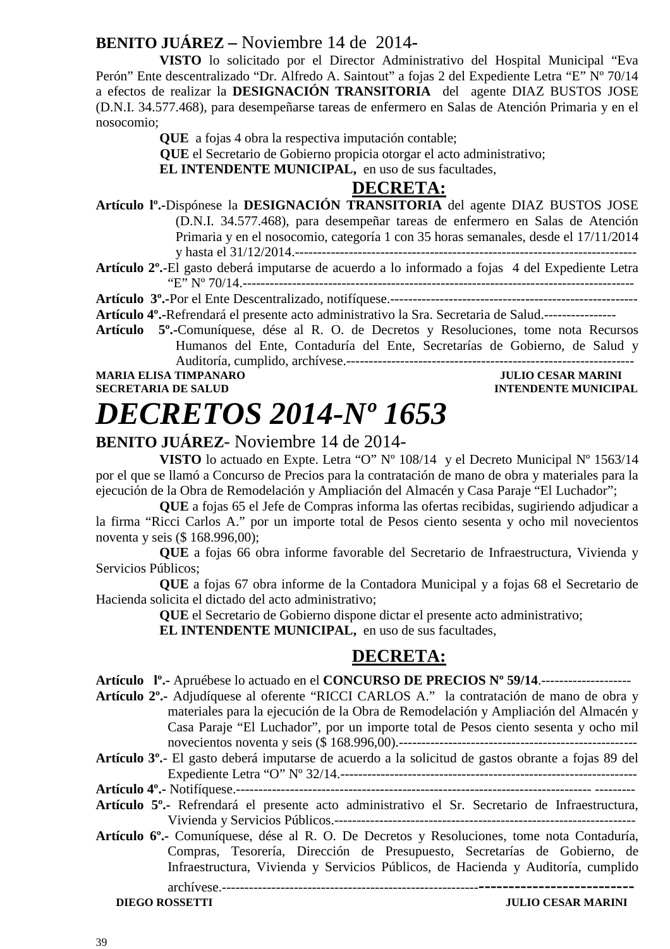### **BENITO JUÁREZ –** Noviembre 14 de 2014**-**

**VISTO** lo solicitado por el Director Administrativo del Hospital Municipal "Eva Perón" Ente descentralizado "Dr. Alfredo A. Saintout" a fojas 2 del Expediente Letra "E" Nº 70/14 a efectos de realizar la **DESIGNACIÓN TRANSITORIA** del agente DIAZ BUSTOS JOSE (D.N.I. 34.577.468), para desempeñarse tareas de enfermero en Salas de Atención Primaria y en el nosocomio;

**QUE** a fojas 4 obra la respectiva imputación contable;

 **QUE** el Secretario de Gobierno propicia otorgar el acto administrativo;

**EL INTENDENTE MUNICIPAL,** en uso de sus facultades,

### **DECRETA:**

**Artículo lº.-**Dispónese la **DESIGNACIÓN TRANSITORIA** del agente DIAZ BUSTOS JOSE (D.N.I. 34.577.468), para desempeñar tareas de enfermero en Salas de Atención Primaria y en el nosocomio, categoría 1 con 35 horas semanales, desde el 17/11/2014 y hasta el 31/12/2014.---------------------------------------------------------------------------- **Artículo 2º.**-El gasto deberá imputarse de acuerdo a lo informado a fojas 4 del Expediente Letra

"E" Nº 70/14.---------------------------------------------------------------------------------------

**Artículo 3º.-**Por el Ente Descentralizado, notifíquese.-------------------------------------------------------

**Artículo 4º.-**Refrendará el presente acto administrativo la Sra. Secretaria de Salud.----------------

**Artículo 5º.-**Comuníquese, dése al R. O. de Decretos y Resoluciones, tome nota Recursos Humanos del Ente, Contaduría del Ente, Secretarías de Gobierno, de Salud y Auditoría, cumplido, archívese.----------------------------------------------------------------

**MARIA ELISA TIMPANARO JULIO CESAR MARINI SECRETARIA DE SALUD INTENDENTE MUNICIPAL** 

### *DECRETOS 2014-Nº 1653*

### **BENITO JUÁREZ**- Noviembre 14 de 2014-

**VISTO** lo actuado en Expte. Letra "O" Nº 108/14 y el Decreto Municipal Nº 1563/14 por el que se llamó a Concurso de Precios para la contratación de mano de obra y materiales para la ejecución de la Obra de Remodelación y Ampliación del Almacén y Casa Paraje "El Luchador";

**QUE** a fojas 65 el Jefe de Compras informa las ofertas recibidas, sugiriendo adjudicar a la firma "Ricci Carlos A." por un importe total de Pesos ciento sesenta y ocho mil novecientos noventa y seis (\$ 168.996,00);

**QUE** a fojas 66 obra informe favorable del Secretario de Infraestructura, Vivienda y Servicios Públicos;

**QUE** a fojas 67 obra informe de la Contadora Municipal y a fojas 68 el Secretario de Hacienda solicita el dictado del acto administrativo;

**QUE** el Secretario de Gobierno dispone dictar el presente acto administrativo;

**EL INTENDENTE MUNICIPAL,** en uso de sus facultades,

### **DECRETA:**

**Artículo lº.-** Apruébese lo actuado en el **CONCURSO DE PRECIOS Nº 59/14**.--------------------

**Artículo 2º.-** Adjudíquese al oferente "RICCI CARLOS A." la contratación de mano de obra y materiales para la ejecución de la Obra de Remodelación y Ampliación del Almacén y Casa Paraje "El Luchador", por un importe total de Pesos ciento sesenta y ocho mil novecientos noventa y seis (\$ 168.996,00).-----------------------------------------------------

**Artículo 3º.**- El gasto deberá imputarse de acuerdo a la solicitud de gastos obrante a fojas 89 del Expediente Letra "O" Nº 32/14.------------------------------------------------------------------ **Artículo 4º.-** Notifíquese.------------------------------------------------------------------------------- ---------

**Artículo 6º.-** Comuníquese, dése al R. O. De Decretos y Resoluciones, tome nota Contaduría, Compras, Tesorería, Dirección de Presupuesto, Secretarías de Gobierno, de Infraestructura, Vivienda y Servicios Públicos, de Hacienda y Auditoría, cumplido

archívese.---------------------------------------------------------**--------------------------**

**Artículo 5º.-** Refrendará el presente acto administrativo el Sr. Secretario de Infraestructura, Vivienda y Servicios Públicos.-------------------------------------------------------------------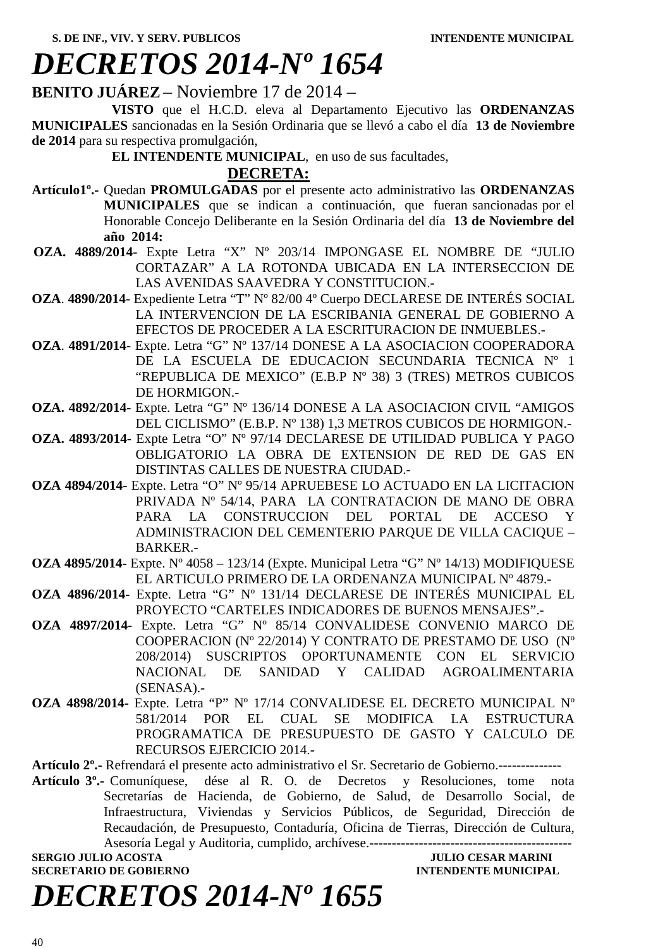### *DECRETOS 2014-Nº 1654*

**BENITO JUÁREZ** – Noviembre 17 de 2014 –

 **VISTO** que el H.C.D. eleva al Departamento Ejecutivo las **ORDENANZAS MUNICIPALES** sancionadas en la Sesión Ordinaria que se llevó a cabo el día **13 de Noviembre de 2014** para su respectiva promulgación,

**EL INTENDENTE MUNICIPAL**, en uso de sus facultades,

#### **DECRETA:**

- **Artículo1º.-** Quedan **PROMULGADAS** por el presente acto administrativo las **ORDENANZAS MUNICIPALES** que se indican a continuación, que fueran sancionadas por el Honorable Concejo Deliberante en la Sesión Ordinaria del día **13 de Noviembre del año 2014:**
- **OZA. 4889/2014** Expte Letra "X" Nº 203/14 IMPONGASE EL NOMBRE DE "JULIO CORTAZAR" A LA ROTONDA UBICADA EN LA INTERSECCION DE LAS AVENIDAS SAAVEDRA Y CONSTITUCION.-
- **OZA**. **4890/2014** Expediente Letra "T" Nº 82/00 4º Cuerpo DECLARESE DE INTERÉS SOCIAL LA INTERVENCION DE LA ESCRIBANIA GENERAL DE GOBIERNO A EFECTOS DE PROCEDER A LA ESCRITURACION DE INMUEBLES.-
- **OZA**. **4891/2014** Expte. Letra "G" Nº 137/14 DONESE A LA ASOCIACION COOPERADORA DE LA ESCUELA DE EDUCACION SECUNDARIA TECNICA Nº 1 "REPUBLICA DE MEXICO" (E.B.P Nº 38) 3 (TRES) METROS CUBICOS DE HORMIGON.-
- **OZA. 4892/2014-** Expte. Letra "G" Nº 136/14 DONESE A LA ASOCIACION CIVIL "AMIGOS DEL CICLISMO" (E.B.P. Nº 138) 1,3 METROS CUBICOS DE HORMIGON.-
- **OZA. 4893/2014-** Expte Letra "O" Nº 97/14 DECLARESE DE UTILIDAD PUBLICA Y PAGO OBLIGATORIO LA OBRA DE EXTENSION DE RED DE GAS EN DISTINTAS CALLES DE NUESTRA CIUDAD.-
- **OZA 4894/2014-** Expte. Letra "O" Nº 95/14 APRUEBESE LO ACTUADO EN LA LICITACION PRIVADA Nº 54/14, PARA LA CONTRATACION DE MANO DE OBRA PARA LA CONSTRUCCION DEL PORTAL DE ACCESO Y ADMINISTRACION DEL CEMENTERIO PARQUE DE VILLA CACIQUE – BARKER.-
- **OZA 4895/2014-** Expte. Nº 4058 123/14 (Expte. Municipal Letra "G" Nº 14/13) MODIFIQUESE EL ARTICULO PRIMERO DE LA ORDENANZA MUNICIPAL Nº 4879.-
- **OZA 4896/2014-** Expte. Letra "G" Nº 131/14 DECLARESE DE INTERÉS MUNICIPAL EL PROYECTO "CARTELES INDICADORES DE BUENOS MENSAJES".-
- **OZA 4897/2014-** Expte. Letra "G" Nº 85/14 CONVALIDESE CONVENIO MARCO DE COOPERACION (Nº 22/2014) Y CONTRATO DE PRESTAMO DE USO (Nº 208/2014) SUSCRIPTOS OPORTUNAMENTE CON EL SERVICIO NACIONAL DE SANIDAD Y CALIDAD AGROALIMENTARIA (SENASA).-
- **OZA 4898/2014-** Expte. Letra "P" Nº 17/14 CONVALIDESE EL DECRETO MUNICIPAL Nº 581/2014 POR EL CUAL SE MODIFICA LA ESTRUCTURA PROGRAMATICA DE PRESUPUESTO DE GASTO Y CALCULO DE RECURSOS EJERCICIO 2014.-

**Artículo 2º.-** Refrendará el presente acto administrativo el Sr. Secretario de Gobierno.--------------

**Artículo 3º.-** Comuníquese, dése al R. O. de Decretos y Resoluciones, tome nota Secretarías de Hacienda, de Gobierno, de Salud, de Desarrollo Social, de Infraestructura, Viviendas y Servicios Públicos, de Seguridad, Dirección de Recaudación, de Presupuesto, Contaduría, Oficina de Tierras, Dirección de Cultura, Asesoría Legal y Auditoria, cumplido, archívese.---------------------------------------------

**SERGIO JULIO ACOSTA** JULIO CESAR MARINI **SECRETARIO DE GOBIERNO INTENDENTE MUNICIPAL** 

## *DECRETOS 2014-Nº 1655*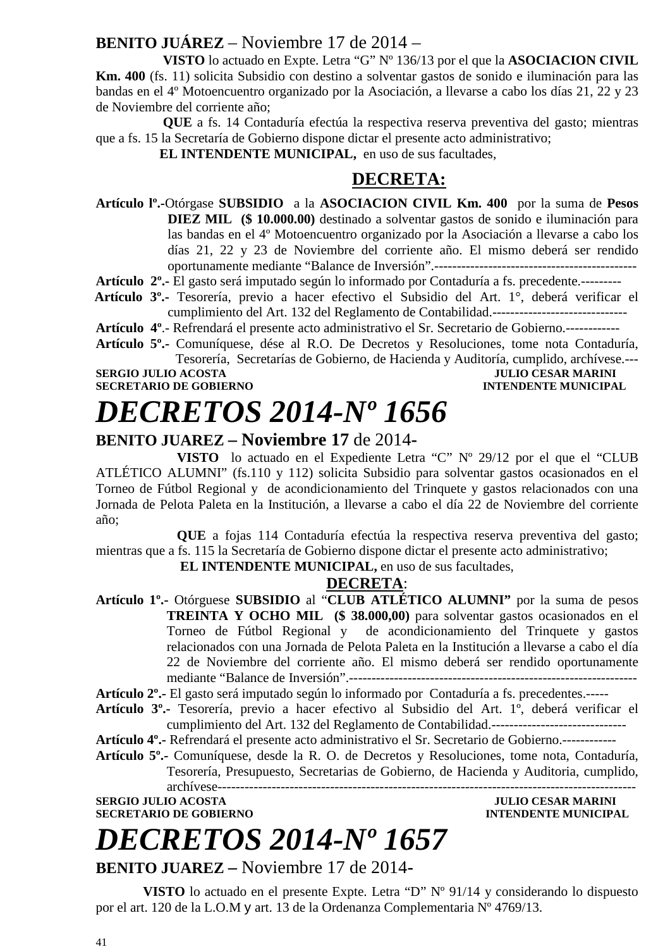### **BENITO JUÁREZ** – Noviembre 17 de 2014 –

 **VISTO** lo actuado en Expte. Letra "G" Nº 136/13 por el que la **ASOCIACION CIVIL Km. 400** (fs. 11) solicita Subsidio con destino a solventar gastos de sonido e iluminación para las bandas en el 4º Motoencuentro organizado por la Asociación, a llevarse a cabo los días 21, 22 y 23 de Noviembre del corriente año;

 **QUE** a fs. 14 Contaduría efectúa la respectiva reserva preventiva del gasto; mientras que a fs. 15 la Secretaría de Gobierno dispone dictar el presente acto administrativo;

**EL INTENDENTE MUNICIPAL,** en uso de sus facultades,

### **DECRETA:**

**Artículo lº.-**Otórgase **SUBSIDIO** a la **ASOCIACION CIVIL Km. 400** por la suma de **Pesos DIEZ MIL (\$ 10.000.00)** destinado a solventar gastos de sonido e iluminación para las bandas en el 4º Motoencuentro organizado por la Asociación a llevarse a cabo los días 21, 22 y 23 de Noviembre del corriente año. El mismo deberá ser rendido oportunamente mediante "Balance de Inversión".---------------------------------------------

**Artículo 2º.-** El gasto será imputado según lo informado por Contaduría a fs. precedente.---------

 **Artículo 3º.-** Tesorería, previo a hacer efectivo el Subsidio del Art. 1°, deberá verificar el cumplimiento del Art. 132 del Reglamento de Contabilidad.------------------------------

**Artículo 4º**.- Refrendará el presente acto administrativo el Sr. Secretario de Gobierno.------------

**Artículo 5º.-** Comuníquese, dése al R.O. De Decretos y Resoluciones, tome nota Contaduría, Tesorería, Secretarías de Gobierno, de Hacienda y Auditoría, cumplido, archívese.---

**SERGIO JULIO ACOSTA JULIO CESAR MARINI SECRETARIO DE GOBIERNO DE PORTA DE CONTRA DE LO DE COMPUTA DE LO DE CO<br>A CONTRA DE LO DE COMPUTA DE LO DE COMPUTA DE LO DE LO DE LO DE LO DE LO DE LO DE LO DE LO DE LO DE LO DE LO D** 

### **INTENDENTE MUNICIPAL**

### *DECRETOS 2014-Nº 1656*

### **BENITO JUAREZ – Noviembre 17** de 2014**-**

**VISTO** lo actuado en el Expediente Letra "C" Nº 29/12 por el que el "CLUB ATLÉTICO ALUMNI" (fs.110 y 112) solicita Subsidio para solventar gastos ocasionados en el Torneo de Fútbol Regional y de acondicionamiento del Trinquete y gastos relacionados con una Jornada de Pelota Paleta en la Institución, a llevarse a cabo el día 22 de Noviembre del corriente año;

**QUE** a fojas 114 Contaduría efectúa la respectiva reserva preventiva del gasto; mientras que a fs. 115 la Secretaría de Gobierno dispone dictar el presente acto administrativo;

 **EL INTENDENTE MUNICIPAL,** en uso de sus facultades,

#### **DECRETA**:

**Artículo 1º.-** Otórguese **SUBSIDIO** al "**CLUB ATLÉTICO ALUMNI"** por la suma de pesos **TREINTA Y OCHO MIL (\$ 38.000,00)** para solventar gastos ocasionados en el Torneo de Fútbol Regional y de acondicionamiento del Trinquete y gastos relacionados con una Jornada de Pelota Paleta en la Institución a llevarse a cabo el día 22 de Noviembre del corriente año. El mismo deberá ser rendido oportunamente mediante "Balance de Inversión".----------------------------------------------------------------

**Artículo 2º.-** El gasto será imputado según lo informado por Contaduría a fs. precedentes.-----

- **Artículo 3º.-** Tesorería, previo a hacer efectivo al Subsidio del Art. 1º, deberá verificar el cumplimiento del Art. 132 del Reglamento de Contabilidad.------------------------------
- **Artículo 4º.-** Refrendará el presente acto administrativo el Sr. Secretario de Gobierno.------------

**Artículo 5º.-** Comuníquese, desde la R. O. de Decretos y Resoluciones, tome nota, Contaduría, Tesorería, Presupuesto, Secretarias de Gobierno, de Hacienda y Auditoria, cumplido, archívese---------------------------------------------------------------------------------------------

**SECRETARIO DE GOBIERNO INTENDENTE MUNICIPAL** 

**SERGIO JULIO ACOSTA JULIO CESAR MARINI** 

# *DECRETOS 2014-Nº 1657*

**BENITO JUAREZ –** Noviembre 17 de 2014**-** 

 **VISTO** lo actuado en el presente Expte. Letra "D" Nº 91/14 y considerando lo dispuesto por el art. 120 de la L.O.M y art. 13 de la Ordenanza Complementaria Nº 4769/13.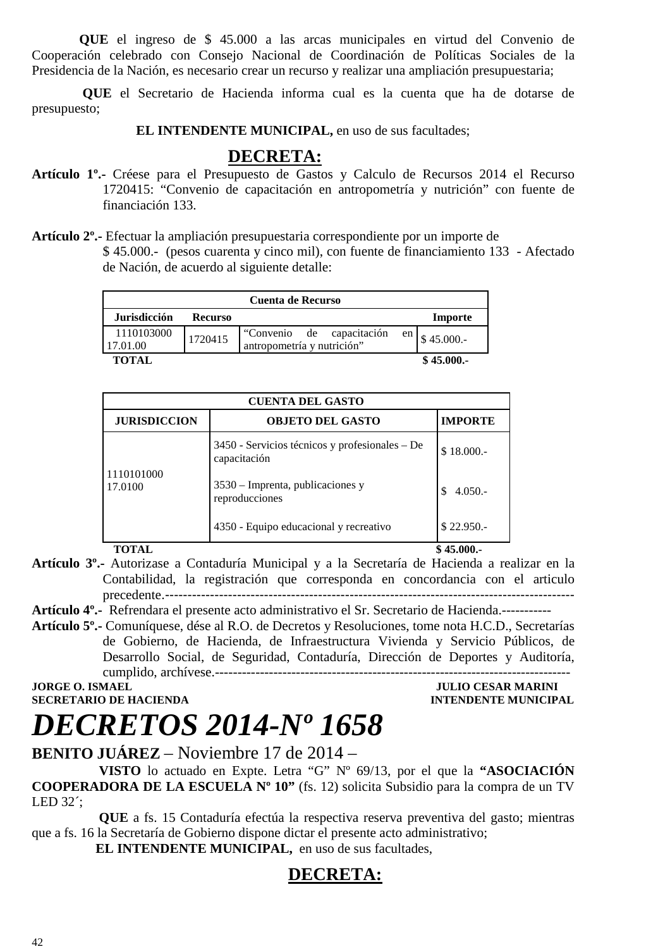**QUE** el ingreso de \$ 45.000 a las arcas municipales en virtud del Convenio de Cooperación celebrado con Consejo Nacional de Coordinación de Políticas Sociales de la Presidencia de la Nación, es necesario crear un recurso y realizar una ampliación presupuestaria;

 **QUE** el Secretario de Hacienda informa cual es la cuenta que ha de dotarse de presupuesto;

**EL INTENDENTE MUNICIPAL, en uso de sus facultades;** 

### **DECRETA:**

- **Artículo 1º.-** Créese para el Presupuesto de Gastos y Calculo de Recursos 2014 el Recurso 1720415: "Convenio de capacitación en antropometría y nutrición" con fuente de financiación 133.
- **Artículo 2º.-** Efectuar la ampliación presupuestaria correspondiente por un importe de \$ 45.000.- (pesos cuarenta y cinco mil), con fuente de financiamiento 133 - Afectado de Nación, de acuerdo al siguiente detalle:

|                        |                | <b>Cuenta de Recurso</b>                                 |      |           |
|------------------------|----------------|----------------------------------------------------------|------|-----------|
| <b>Jurisdicción</b>    | <b>Recurso</b> |                                                          |      | Importe   |
| 1110103000<br>17.01.00 | 1720415        | "Convenio de capacitación"<br>antropometría y nutrición" | en l | \$45.000. |
| <b>TOTAL</b>           |                |                                                          |      | \$45.000. |

| <b>CUENTA DEL GASTO</b> |                                                                |                |  |
|-------------------------|----------------------------------------------------------------|----------------|--|
| <b>JURISDICCION</b>     | <b>OBJETO DEL GASTO</b>                                        | <b>IMPORTE</b> |  |
| 1110101000<br>17.0100   | 3450 - Servicios técnicos y profesionales – De<br>capacitación | \$18,000.      |  |
|                         | $3530$ – Imprenta, publicaciones y<br>reproducciones           | $4.050 -$      |  |
|                         | 4350 - Equipo educacional y recreativo                         | \$22.950.      |  |

#### **TOTAL** \$45.000.-

- **Artículo 3º.-** Autorizase a Contaduría Municipal y a la Secretaría de Hacienda a realizar en la Contabilidad, la registración que corresponda en concordancia con el articulo precedente.-------------------------------------------------------------------------------------------
- **Artículo 4º.-** Refrendara el presente acto administrativo el Sr. Secretario de Hacienda.-----------
- **Artículo 5º.-** Comuníquese, dése al R.O. de Decretos y Resoluciones, tome nota H.C.D., Secretarías de Gobierno, de Hacienda, de Infraestructura Vivienda y Servicio Públicos, de Desarrollo Social, de Seguridad, Contaduría, Dirección de Deportes y Auditoría, cumplido, archívese.-------------------------------------------------------------------------------

#### **JORGE O. ISMAEL AND SECRETARIO DE HACIENDA CONSUMING A CONSUMING A CONSUMING A CONSUMING A CONSUMING A CONSUMING A CONSUMING A CONSUMING A CONSUMING A CONSUMING A CONSUMING A CONSUMING A CONSUMING A CONSUMING A CONSUMING INTENDENTE MUNICIPAL**

### *DECRETOS 2014-Nº 1658*

**BENITO JUÁREZ** – Noviembre 17 de 2014 –

 **VISTO** lo actuado en Expte. Letra "G" Nº 69/13, por el que la **"ASOCIACIÓN COOPERADORA DE LA ESCUELA Nº 10"** (fs. 12) solicita Subsidio para la compra de un TV LED 32´;

 **QUE** a fs. 15 Contaduría efectúa la respectiva reserva preventiva del gasto; mientras que a fs. 16 la Secretaría de Gobierno dispone dictar el presente acto administrativo;

**EL INTENDENTE MUNICIPAL,** en uso de sus facultades,

### **DECRETA:**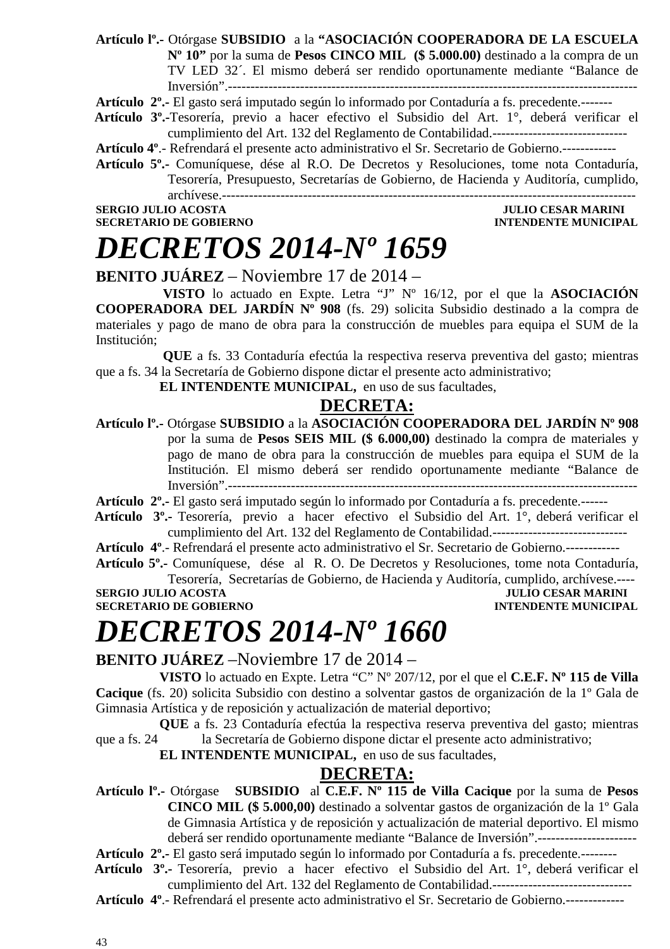**Artículo lº.-** Otórgase **SUBSIDIO** a la **"ASOCIACIÓN COOPERADORA DE LA ESCUELA Nº 10"** por la suma de **Pesos CINCO MIL (\$ 5.000.00)** destinado a la compra de un TV LED 32´. El mismo deberá ser rendido oportunamente mediante "Balance de Inversión".-------------------------------------------------------------------------------------------

**Artículo 2º.-** El gasto será imputado según lo informado por Contaduría a fs. precedente.-------

 **Artículo 3º.-**Tesorería, previo a hacer efectivo el Subsidio del Art. 1°, deberá verificar el cumplimiento del Art. 132 del Reglamento de Contabilidad.------------------------------

**Artículo 4º**.- Refrendará el presente acto administrativo el Sr. Secretario de Gobierno.------------

**Artículo 5º.-** Comuníquese, dése al R.O. De Decretos y Resoluciones, tome nota Contaduría, Tesorería, Presupuesto, Secretarías de Gobierno, de Hacienda y Auditoría, cumplido, archívese.--------------------------------------------------------------------------------------------

**SERGIO JULIO ACOSTA JULIO CESAR MARINI SECRETARIO DE GOBIERNO INTENDENTE MUNICIPAL** 

### *DECRETOS 2014-Nº 1659*

### **BENITO JUÁREZ** – Noviembre 17 de 2014 –

 **VISTO** lo actuado en Expte. Letra "J" Nº 16/12, por el que la **ASOCIACIÓN COOPERADORA DEL JARDÍN Nº 908** (fs. 29) solicita Subsidio destinado a la compra de materiales y pago de mano de obra para la construcción de muebles para equipa el SUM de la Institución;

 **QUE** a fs. 33 Contaduría efectúa la respectiva reserva preventiva del gasto; mientras que a fs. 34 la Secretaría de Gobierno dispone dictar el presente acto administrativo;

**EL INTENDENTE MUNICIPAL,** en uso de sus facultades,

#### **DECRETA:**

**Artículo lº.-** Otórgase **SUBSIDIO** a la **ASOCIACIÓN COOPERADORA DEL JARDÍN Nº 908**  por la suma de **Pesos SEIS MIL (\$ 6.000,00)** destinado la compra de materiales y pago de mano de obra para la construcción de muebles para equipa el SUM de la Institución. El mismo deberá ser rendido oportunamente mediante "Balance de Inversión".-------------------------------------------------------------------------------------------

**Artículo 2º.-** El gasto será imputado según lo informado por Contaduría a fs. precedente.------

 **Artículo 3º.-** Tesorería, previo a hacer efectivo el Subsidio del Art. 1°, deberá verificar el cumplimiento del Art. 132 del Reglamento de Contabilidad.------------------------------

**Artículo 4º**.- Refrendará el presente acto administrativo el Sr. Secretario de Gobierno.------------

**Artículo 5º.-** Comuníquese, dése al R. O. De Decretos y Resoluciones, tome nota Contaduría, Tesorería, Secretarías de Gobierno, de Hacienda y Auditoría, cumplido, archívese.----

**SERGIO JULIO ACOSTA JULIO CESAR MARINI SECRETARIO DE GOBIERNO DE SOBIERO DE SOBIERO DE SOBIERO DE SOBIERO DE SOBIERO DE SOBIERO DE SOBIERO DE SOBIERO DE SOBIERO DE SOBIERO DE SOBIERO DE SOBIERO DE SOBIERO DE SOBIERO DE SO** 

**INTENDENTE MUNICIPAL** 

### *DECRETOS 2014-Nº 1660*

**BENITO JUÁREZ** –Noviembre 17 de 2014 –

**VISTO** lo actuado en Expte. Letra "C" Nº 207/12, por el que el **C.E.F. Nº 115 de Villa Cacique** (fs. 20) solicita Subsidio con destino a solventar gastos de organización de la 1º Gala de Gimnasia Artística y de reposición y actualización de material deportivo;

**QUE** a fs. 23 Contaduría efectúa la respectiva reserva preventiva del gasto; mientras que a fs. 24 la Secretaría de Gobierno dispone dictar el presente acto administrativo;

**EL INTENDENTE MUNICIPAL,** en uso de sus facultades,

#### **DECRETA:**

**Artículo lº.-** Otórgase **SUBSIDIO** al **C.E.F. Nº 115 de Villa Cacique** por la suma de **Pesos CINCO MIL (\$ 5.000,00)** destinado a solventar gastos de organización de la 1º Gala de Gimnasia Artística y de reposición y actualización de material deportivo. El mismo deberá ser rendido oportunamente mediante "Balance de Inversión".----------------------

**Artículo 2º.-** El gasto será imputado según lo informado por Contaduría a fs. precedente.--------

- **Artículo 3º.-** Tesorería, previo a hacer efectivo el Subsidio del Art. 1°, deberá verificar el cumplimiento del Art. 132 del Reglamento de Contabilidad.-------------------------------
- **Artículo 4º**.- Refrendará el presente acto administrativo el Sr. Secretario de Gobierno.-------------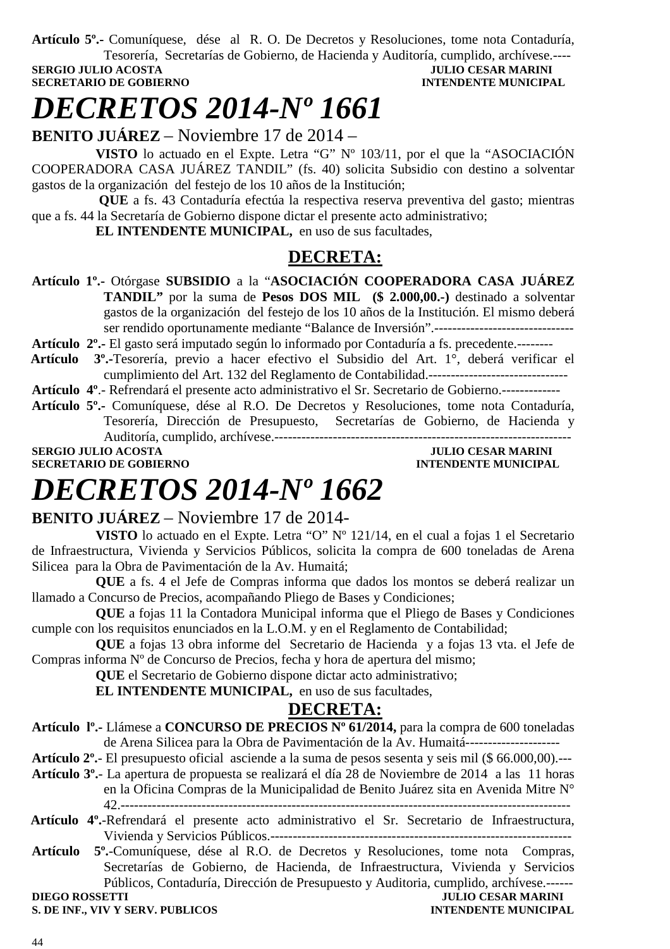**Artículo 5º.-** Comuníquese, dése al R. O. De Decretos y Resoluciones, tome nota Contaduría, Tesorería, Secretarías de Gobierno, de Hacienda y Auditoría, cumplido, archívese.----

**SERGIO JULIO ACOSTA SECRETARIO DE GOBIERNO INTENDENTE MUNICIPAL** 

### *DECRETOS 2014-Nº 1661*

**BENITO JUÁREZ** – Noviembre 17 de 2014 –

**VISTO** lo actuado en el Expte. Letra "G" Nº 103/11, por el que la "ASOCIACIÓN COOPERADORA CASA JUÁREZ TANDIL" (fs. 40) solicita Subsidio con destino a solventar gastos de la organización del festejo de los 10 años de la Institución;

 **QUE** a fs. 43 Contaduría efectúa la respectiva reserva preventiva del gasto; mientras que a fs. 44 la Secretaría de Gobierno dispone dictar el presente acto administrativo;

**EL INTENDENTE MUNICIPAL,** en uso de sus facultades,

### **DECRETA:**

- **Artículo 1º.-** Otórgase **SUBSIDIO** a la "**ASOCIACIÓN COOPERADORA CASA JUÁREZ TANDIL"** por la suma de **Pesos DOS MIL (\$ 2.000,00.-)** destinado a solventar gastos de la organización del festejo de los 10 años de la Institución. El mismo deberá ser rendido oportunamente mediante "Balance de Inversión".-------------------------------
- **Artículo 2º.-** El gasto será imputado según lo informado por Contaduría a fs. precedente.--------
- **Artículo 3º.-**Tesorería, previo a hacer efectivo el Subsidio del Art. 1°, deberá verificar el cumplimiento del Art. 132 del Reglamento de Contabilidad.-------------------------------

**Artículo 4º**.- Refrendará el presente acto administrativo el Sr. Secretario de Gobierno.-------------

**Artículo 5º.-** Comuníquese, dése al R.O. De Decretos y Resoluciones, tome nota Contaduría, Tesorería, Dirección de Presupuesto, Secretarías de Gobierno, de Hacienda y Auditoría, cumplido, archívese.------------------------------------------------------------------

**SECRETARIO DE GOBIERNO INTENDENTE MUNICIPAL** 

**SERGIO JULIO ACOSTA JULIO CESAR MARINI** 

### *DECRETOS 2014-Nº 1662*

### **BENITO JUÁREZ** – Noviembre 17 de 2014-

**VISTO** lo actuado en el Expte. Letra "O" Nº 121/14, en el cual a fojas 1 el Secretario de Infraestructura, Vivienda y Servicios Públicos, solicita la compra de 600 toneladas de Arena Silicea para la Obra de Pavimentación de la Av. Humaitá;

**QUE** a fs. 4 el Jefe de Compras informa que dados los montos se deberá realizar un llamado a Concurso de Precios, acompañando Pliego de Bases y Condiciones;

**QUE** a fojas 11 la Contadora Municipal informa que el Pliego de Bases y Condiciones cumple con los requisitos enunciados en la L.O.M. y en el Reglamento de Contabilidad;

**QUE** a fojas 13 obra informe del Secretario de Hacienda y a fojas 13 vta. el Jefe de Compras informa Nº de Concurso de Precios, fecha y hora de apertura del mismo;

**QUE** el Secretario de Gobierno dispone dictar acto administrativo;

**EL INTENDENTE MUNICIPAL,** en uso de sus facultades,

### **DECRETA:**

**Artículo lº.-** Llámese a **CONCURSO DE PRECIOS Nº 61/2014,** para la compra de 600 toneladas de Arena Silicea para la Obra de Pavimentación de la Av. Humaitá---------------------

**Artículo 2º.**- El presupuesto oficial asciende a la suma de pesos sesenta y seis mil (\$ 66.000,00).---

**Artículo 3º.**- La apertura de propuesta se realizará el día 28 de Noviembre de 2014 a las 11 horas en la Oficina Compras de la Municipalidad de Benito Juárez sita en Avenida Mitre N° 42.----------------------------------------------------------------------------------------------------

- **Artículo 4º.**-Refrendará el presente acto administrativo el Sr. Secretario de Infraestructura, Vivienda y Servicios Públicos.-------------------------------------------------------------------
- **Artículo 5º.**-Comuníquese, dése al R.O. de Decretos y Resoluciones, tome nota Compras, Secretarías de Gobierno, de Hacienda, de Infraestructura, Vivienda y Servicios Públicos, Contaduría, Dirección de Presupuesto y Auditoria, cumplido, archívese.------<br>JULIO CESAR MARINI

**S. DE INF., VIV Y SERV. PUBLICOS**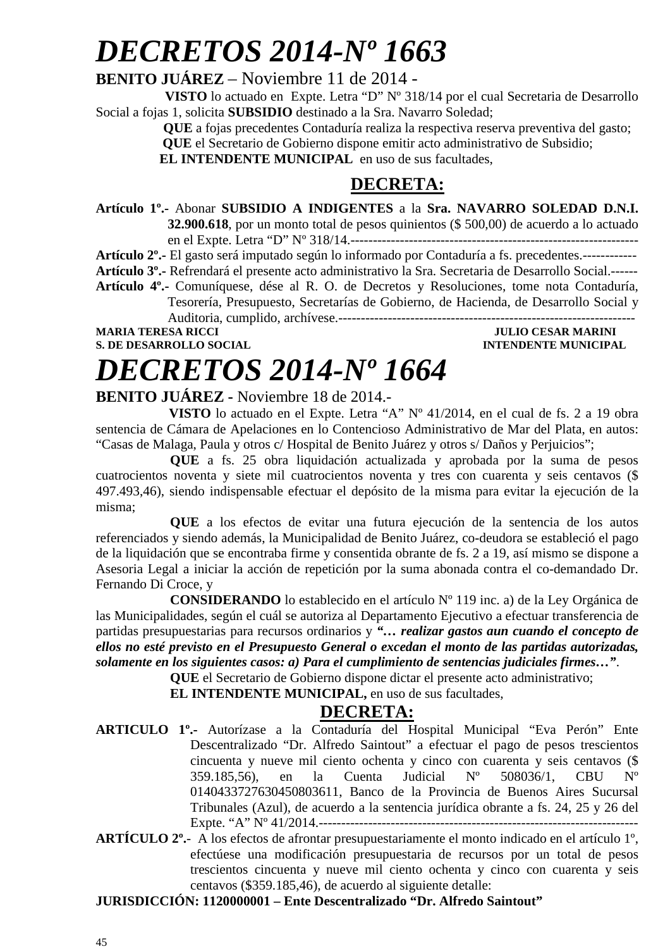## *DECRETOS 2014-Nº 1663*

### **BENITO JUÁREZ** – Noviembre 11 de 2014 -

 **VISTO** lo actuado en Expte. Letra "D" Nº 318/14 por el cual Secretaria de Desarrollo Social a fojas 1, solicita **SUBSIDIO** destinado a la Sra. Navarro Soledad;

 **QUE** a fojas precedentes Contaduría realiza la respectiva reserva preventiva del gasto;

 **QUE** el Secretario de Gobierno dispone emitir acto administrativo de Subsidio;

**EL INTENDENTE MUNICIPAL** en uso de sus facultades,

### **DECRETA:**

**Artículo 1º.-** Abonar **SUBSIDIO A INDIGENTES** a la **Sra. NAVARRO SOLEDAD D.N.I. 32.900.618**, por un monto total de pesos quinientos (\$ 500,00) de acuerdo a lo actuado

en el Expte. Letra "D" Nº 318/14.----------------------------------------------------------------

**Artículo 2º.-** El gasto será imputado según lo informado por Contaduría a fs. precedentes.------------

**Artículo 3º.-** Refrendará el presente acto administrativo la Sra. Secretaria de Desarrollo Social.------ **Artículo 4º.-** Comuníquese, dése al R. O. de Decretos y Resoluciones, tome nota Contaduría, Tesorería, Presupuesto, Secretarías de Gobierno, de Hacienda, de Desarrollo Social y Auditoria, cumplido, archívese.------------------------------------------------------------------

**MARIA TERESA RICCI DE LOS EN EL ENCOLO DE LOS ENFIRMADELES DE LOS ENFIRMADELES DE LOS ENFIRMADELES DE LOS ENFIRMADELES DE LOS ENFIRMADELES DE LOS ENFIRMADELES DE LOS ENFIRMADELES DE LOS ENFIRMADELES DE LOS ENFIRMADELES DE** 

**S. DE DESARROLLO SOCIAL DESARROLLO SOCIAL DESARROLLO SOCIAL DESARROLLO SOCIAL DESARROLLO SOCIAL DE LA PERIODICIPAL DE LA PERIODICIPAL DE LA PERIODICIPAL DE LA PERIODICIPAL DE LA PERIODICIPAL DE LA PERIODICIPAL DE LA PERIO** 

# *DECRETOS 2014-Nº 1664*

#### **BENITO JUÁREZ -** Noviembre 18 de 2014.-

 **VISTO** lo actuado en el Expte. Letra "A" Nº 41/2014, en el cual de fs. 2 a 19 obra sentencia de Cámara de Apelaciones en lo Contencioso Administrativo de Mar del Plata, en autos: "Casas de Malaga, Paula y otros c/ Hospital de Benito Juárez y otros s/ Daños y Perjuicios";

**QUE** a fs. 25 obra liquidación actualizada y aprobada por la suma de pesos cuatrocientos noventa y siete mil cuatrocientos noventa y tres con cuarenta y seis centavos (\$ 497.493,46), siendo indispensable efectuar el depósito de la misma para evitar la ejecución de la misma;

**QUE** a los efectos de evitar una futura ejecución de la sentencia de los autos referenciados y siendo además, la Municipalidad de Benito Juárez, co-deudora se estableció el pago de la liquidación que se encontraba firme y consentida obrante de fs. 2 a 19, así mismo se dispone a Asesoria Legal a iniciar la acción de repetición por la suma abonada contra el co-demandado Dr. Fernando Di Croce, y

 **CONSIDERANDO** lo establecido en el artículo Nº 119 inc. a) de la Ley Orgánica de las Municipalidades, según el cuál se autoriza al Departamento Ejecutivo a efectuar transferencia de partidas presupuestarias para recursos ordinarios y *"… realizar gastos aun cuando el concepto de ellos no esté previsto en el Presupuesto General o excedan el monto de las partidas autorizadas, solamente en los siguientes casos: a) Para el cumplimiento de sentencias judiciales firmes…"*.

**QUE** el Secretario de Gobierno dispone dictar el presente acto administrativo;

**EL INTENDENTE MUNICIPAL,** en uso de sus facultades,

### **DECRETA:**

- **ARTICULO 1º.-** Autorízase a la Contaduría del Hospital Municipal "Eva Perón" Ente Descentralizado "Dr. Alfredo Saintout" a efectuar el pago de pesos trescientos cincuenta y nueve mil ciento ochenta y cinco con cuarenta y seis centavos (\$ 359.185,56), en la Cuenta Judicial Nº 508036/1, CBU Nº 0140433727630450803611, Banco de la Provincia de Buenos Aires Sucursal Tribunales (Azul), de acuerdo a la sentencia jurídica obrante a fs. 24, 25 y 26 del Expte. "A" Nº 41/2014.-----------------------------------------------------------------------
- **ARTÍCULO 2º.** A los efectos de afrontar presupuestariamente el monto indicado en el artículo 1º, efectúese una modificación presupuestaria de recursos por un total de pesos trescientos cincuenta y nueve mil ciento ochenta y cinco con cuarenta y seis centavos (\$359.185,46), de acuerdo al siguiente detalle:

**JURISDICCIÓN: 1120000001 – Ente Descentralizado "Dr. Alfredo Saintout"**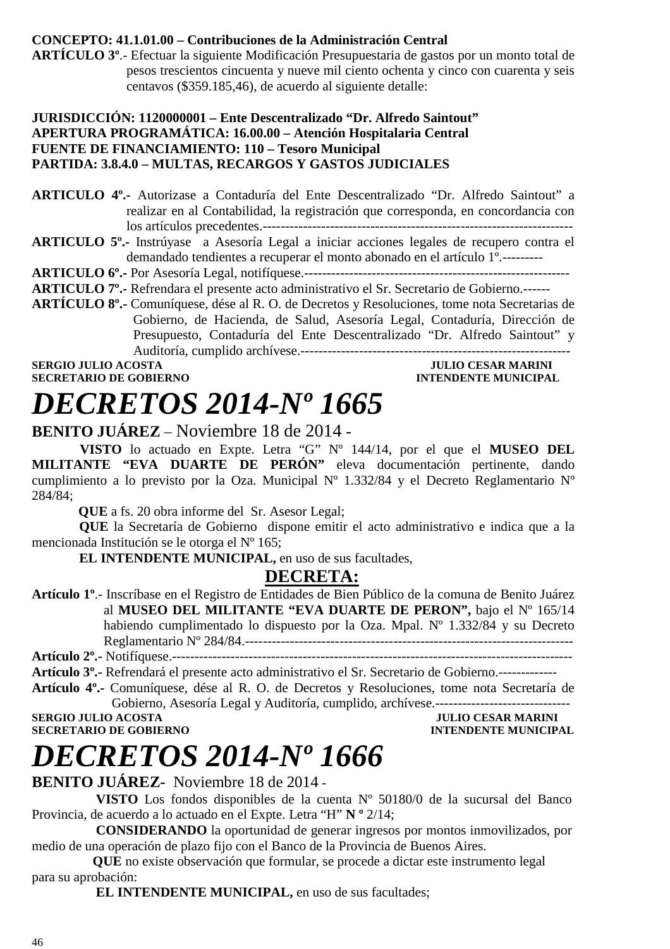#### **CONCEPTO: 41.1.01.00 – Contribuciones de la Administración Central**

**ARTÍCULO 3º**.- Efectuar la siguiente Modificación Presupuestaria de gastos por un monto total de pesos trescientos cincuenta y nueve mil ciento ochenta y cinco con cuarenta y seis centavos (\$359.185,46), de acuerdo al siguiente detalle:

#### **JURISDICCIÓN: 1120000001 – Ente Descentralizado "Dr. Alfredo Saintout" APERTURA PROGRAMÁTICA: 16.00.00 – Atención Hospitalaria Central FUENTE DE FINANCIAMIENTO: 110 – Tesoro Municipal PARTIDA: 3.8.4.0 – MULTAS, RECARGOS Y GASTOS JUDICIALES**

**ARTICULO 4º.-** Autorizase a Contaduría del Ente Descentralizado "Dr. Alfredo Saintout" a realizar en al Contabilidad, la registración que corresponda, en concordancia con los artículos precedentes.---------------------------------------------------------------------

ARTICULO 5°.- Instrúyase a Asesoría Legal a iniciar acciones legales de recupero contra el demandado tendientes a recuperar el monto abonado en el artículo 1º.---------

**ARTICULO 6º.-** Por Asesoría Legal, notifíquese.-----------------------------------------------------------

**ARTICULO 7º.-** Refrendara el presente acto administrativo el Sr. Secretario de Gobierno.------

**ARTÍCULO 8º.-** Comuníquese, dése al R. O. de Decretos y Resoluciones, tome nota Secretarias de Gobierno, de Hacienda, de Salud, Asesoría Legal, Contaduría, Dirección de Presupuesto, Contaduría del Ente Descentralizado "Dr. Alfredo Saintout" y Auditoría, cumplido archívese.------------------------------------------------------------

**SERGIO JULIO ACOSTA JULIO CESAR MARINI SECRETARIO DE GOBIERNO** 

### *DECRETOS 2014-Nº 1665*  **BENITO JUÁREZ** – Noviembre 18 de 2014 **-**

**VISTO** lo actuado en Expte. Letra "G" Nº 144/14, por el que el **MUSEO DEL MILITANTE "EVA DUARTE DE PERÓN"** eleva documentación pertinente, dando cumplimiento a lo previsto por la Oza. Municipal Nº 1.332/84 y el Decreto Reglamentario Nº 284/84;

 **QUE** a fs. 20 obra informe del Sr. Asesor Legal;

 **QUE** la Secretaría de Gobierno dispone emitir el acto administrativo e indica que a la mencionada Institución se le otorga el Nº 165;

 **EL INTENDENTE MUNICIPAL,** en uso de sus facultades,

### **DECRETA:**

**Artículo 1º**.- Inscríbase en el Registro de Entidades de Bien Público de la comuna de Benito Juárez al **MUSEO DEL MILITANTE "EVA DUARTE DE PERON",** bajo el Nº 165/14 habiendo cumplimentado lo dispuesto por la Oza. Mpal. Nº 1.332/84 y su Decreto Reglamentario Nº 284/84.------------------------------------------------------------------------- **Artículo 2º.-** Notifíquese.-----------------------------------------------------------------------------------------

**Artículo 3º.-** Refrendará el presente acto administrativo el Sr. Secretario de Gobierno.-------------

**Artículo 4º.-** Comuníquese, dése al R. O. de Decretos y Resoluciones, tome nota Secretaría de Gobierno, Asesoría Legal y Auditoría, cumplido, archívese.------------------------------

**SECRETARIO DE GOBIERNO INTENDENTE MUNICIPAL** 

**JULIO CESAR MARINI** 

## *DECRETOS 2014-Nº 1666*

**BENITO JUÁREZ-** Noviembre 18 de 2014 -

 **VISTO** Los fondos disponibles de la cuenta Nº 50180/0 de la sucursal del Banco Provincia, de acuerdo a lo actuado en el Expte. Letra "H" **N º** 2/14;

 **CONSIDERANDO** la oportunidad de generar ingresos por montos inmovilizados, por medio de una operación de plazo fijo con el Banco de la Provincia de Buenos Aires.

 **QUE** no existe observación que formular, se procede a dictar este instrumento legal para su aprobación:

**EL INTENDENTE MUNICIPAL, en uso de sus facultades;**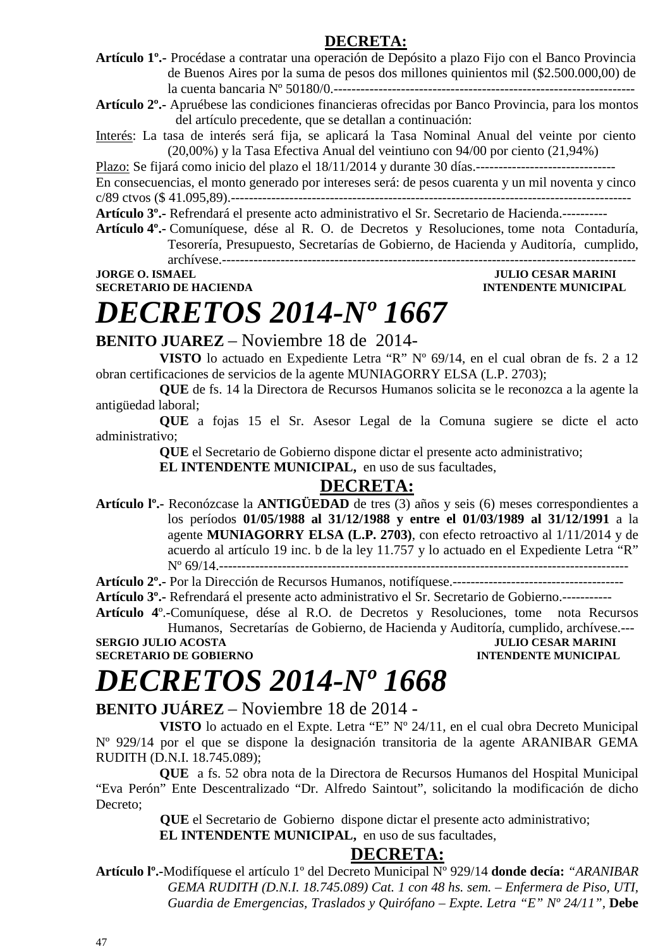#### **DECRETA:**

**Artículo 1º.-** Procédase a contratar una operación de Depósito a plazo Fijo con el Banco Provincia de Buenos Aires por la suma de pesos dos millones quinientos mil (\$2.500.000,00) de la cuenta bancaria Nº 50180/0.-------------------------------------------------------------------

**Artículo 2º.-** Apruébese las condiciones financieras ofrecidas por Banco Provincia, para los montos del artículo precedente, que se detallan a continuación:

Interés: La tasa de interés será fija, se aplicará la Tasa Nominal Anual del veinte por ciento (20,00%) y la Tasa Efectiva Anual del veintiuno con 94/00 por ciento (21,94%)

Plazo: Se fijará como inicio del plazo el 18/11/2014 y durante 30 días.-------------------------------

En consecuencias, el monto generado por intereses será: de pesos cuarenta y un mil noventa y cinco c/89 ctvos (\$ 41.095,89).-----------------------------------------------------------------------------------------

**Artículo 3º.-** Refrendará el presente acto administrativo el Sr. Secretario de Hacienda.----------

**Artículo 4º.-** Comuníquese, dése al R. O. de Decretos y Resoluciones, tome nota Contaduría, Tesorería, Presupuesto, Secretarías de Gobierno, de Hacienda y Auditoría, cumplido, archívese.--------------------------------------------------------------------------------------------

**SECRETARIO DE HACIENDA INTENDENTE MUNICIPAL** 

### **JORGE O. ISMAEL JULIO CESAR MARINI**

### *DECRETOS 2014-Nº 1667*

**BENITO JUAREZ** – Noviembre 18 de 2014-

**VISTO** lo actuado en Expediente Letra "R" Nº 69/14, en el cual obran de fs. 2 a 12 obran certificaciones de servicios de la agente MUNIAGORRY ELSA (L.P. 2703);

**QUE** de fs. 14 la Directora de Recursos Humanos solicita se le reconozca a la agente la antigüedad laboral;

**QUE** a fojas 15 el Sr. Asesor Legal de la Comuna sugiere se dicte el acto administrativo;

**QUE** el Secretario de Gobierno dispone dictar el presente acto administrativo;

**EL INTENDENTE MUNICIPAL,** en uso de sus facultades,

### **DECRETA:**

**Artículo lº.-** Reconózcase la **ANTIGÜEDAD** de tres (3) años y seis (6) meses correspondientes a los períodos **01/05/1988 al 31/12/1988 y entre el 01/03/1989 al 31/12/1991** a la agente **MUNIAGORRY ELSA (L.P. 2703)**, con efecto retroactivo al 1/11/2014 y de acuerdo al artículo 19 inc. b de la ley 11.757 y lo actuado en el Expediente Letra "R" Nº 69/14.-------------------------------------------------------------------------------------------

**Artículo 2º.-** Por la Dirección de Recursos Humanos, notifíquese.--------------------------------------

**Artículo 3º.-** Refrendará el presente acto administrativo el Sr. Secretario de Gobierno.-----------

**Artículo 4**º.**-**Comuníquese, dése al R.O. de Decretos y Resoluciones, tome nota Recursos Humanos, Secretarías de Gobierno, de Hacienda y Auditoría, cumplido, archívese.---

**SERGIO JULIO ACOSTA JULIO CESAR MARINI SECRETARIO DE GOBIERNO INTENDENTE MUNICIPAL** 

### *DECRETOS 2014-Nº 1668*

### **BENITO JUÁREZ** – Noviembre 18 de 2014 -

**VISTO** lo actuado en el Expte. Letra "E" Nº 24/11, en el cual obra Decreto Municipal Nº 929/14 por el que se dispone la designación transitoria de la agente ARANIBAR GEMA RUDITH (D.N.I. 18.745.089);

**QUE** a fs. 52 obra nota de la Directora de Recursos Humanos del Hospital Municipal "Eva Perón" Ente Descentralizado "Dr. Alfredo Saintout", solicitando la modificación de dicho Decreto;

 **QUE** el Secretario de Gobierno dispone dictar el presente acto administrativo;

**EL INTENDENTE MUNICIPAL,** en uso de sus facultades,

#### **DECRETA:**

**Artículo lº.-**Modifíquese el artículo 1º del Decreto Municipal Nº 929/14 **donde decía:** *"ARANIBAR GEMA RUDITH (D.N.I. 18.745.089) Cat. 1 con 48 hs. sem. – Enfermera de Piso, UTI, Guardia de Emergencias, Traslados y Quirófano – Expte. Letra "E" Nº 24/11",* **Debe**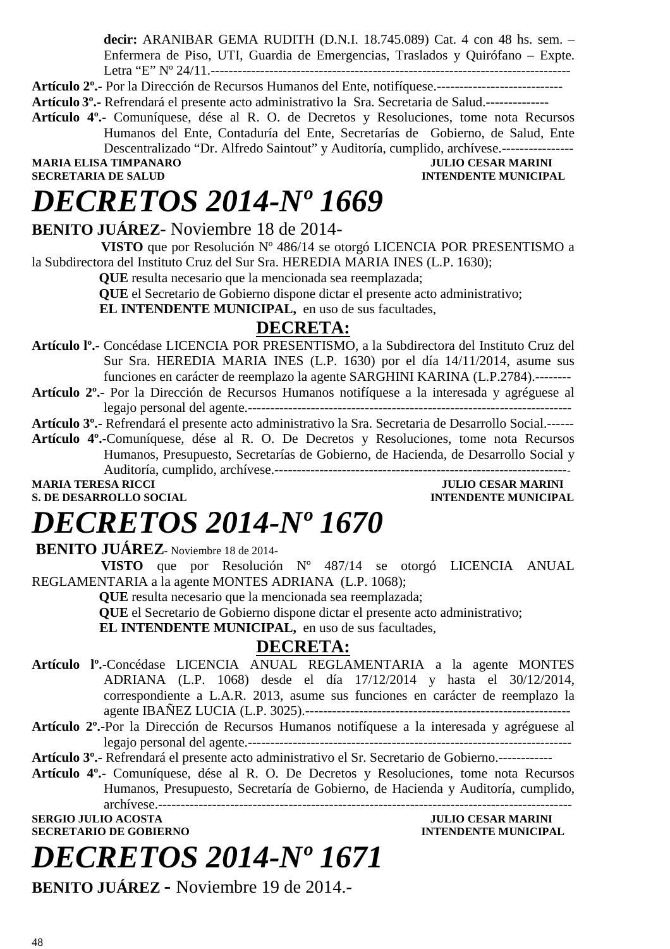**decir:** ARANIBAR GEMA RUDITH (D.N.I. 18.745.089) Cat. 4 con 48 hs. sem. – Enfermera de Piso, UTI, Guardia de Emergencias, Traslados y Quirófano – Expte. Letra "E" Nº 24/11.--------------------------------------------------------------------------------

**Artículo 2º.-** Por la Dirección de Recursos Humanos del Ente, notifíquese.----------------------------

**Artículo 3º.-** Refrendará el presente acto administrativo la Sra. Secretaria de Salud.--------------

**Artículo 4º.-** Comuníquese, dése al R. O. de Decretos y Resoluciones, tome nota Recursos Humanos del Ente, Contaduría del Ente, Secretarías de Gobierno, de Salud, Ente Descentralizado "Dr. Alfredo Saintout" y Auditoría, cumplido, archívese.---------------- MARIA ELISA TIMPANARO **JULIO CESAR MARINI**<br>SECRETARIA DE SALUD **ANTICOLOGÍA ELISA ELISA DE SALUD** 

**INTENDENTE MUNICIPAL** 

### *DECRETOS 2014-Nº 1669*

### **BENITO JUÁREZ**- Noviembre 18 de 2014-

 **VISTO** que por Resolución Nº 486/14 se otorgó LICENCIA POR PRESENTISMO a la Subdirectora del Instituto Cruz del Sur Sra. HEREDIA MARIA INES (L.P. 1630);

 **QUE** resulta necesario que la mencionada sea reemplazada;

 **QUE** el Secretario de Gobierno dispone dictar el presente acto administrativo;

**EL INTENDENTE MUNICIPAL,** en uso de sus facultades,

### **DECRETA:**

**Artículo lº.-** Concédase LICENCIA POR PRESENTISMO, a la Subdirectora del Instituto Cruz del Sur Sra. HEREDIA MARIA INES (L.P. 1630) por el día 14/11/2014, asume sus funciones en carácter de reemplazo la agente SARGHINI KARINA (L.P.2784).--------

**Artículo 2º.-** Por la Dirección de Recursos Humanos notifíquese a la interesada y agréguese al legajo personal del agente.------------------------------------------------------------------------

**Artículo 3º.-** Refrendará el presente acto administrativo la Sra. Secretaria de Desarrollo Social.------

**Artículo 4º.-**Comuníquese, dése al R. O. De Decretos y Resoluciones, tome nota Recursos Humanos, Presupuesto, Secretarías de Gobierno, de Hacienda, de Desarrollo Social y Auditoría, cumplido, archívese.------------------------------------------------------------------

**S. DE DESARROLLO SOCIAL DESARROLLO SOCIAL DESARROLLO SOCIAL DESARROLLO SOCIAL DESARROLLO SOCIAL DE SOCIAL DE SOCIAL DE SOCIAL DE SOCIAL DE SOCIAL DE SOCIAL DE SOCIAL DE SOCIAL DE SOCIAL DE SOCIAL DE SOCIAL DE SOCIAL DE SO** 

**MARIA TERESA RICCI JULIO CESAR MARINI** 

### *DECRETOS 2014-Nº 1670*

 **BENITO JUÁREZ**- Noviembre 18 de 2014-

 **VISTO** que por Resolución Nº 487/14 se otorgó LICENCIA ANUAL REGLAMENTARIA a la agente MONTES ADRIANA (L.P. 1068);

 **QUE** resulta necesario que la mencionada sea reemplazada;

 **QUE** el Secretario de Gobierno dispone dictar el presente acto administrativo;

**EL INTENDENTE MUNICIPAL,** en uso de sus facultades,

### **DECRETA:**

- **Artículo lº.-**Concédase LICENCIA ANUAL REGLAMENTARIA a la agente MONTES ADRIANA (L.P. 1068) desde el día 17/12/2014 y hasta el 30/12/2014, correspondiente a L.A.R. 2013, asume sus funciones en carácter de reemplazo la agente IBAÑEZ LUCIA (L.P. 3025).-----------------------------------------------------------
- **Artículo 2º.-**Por la Dirección de Recursos Humanos notifíquese a la interesada y agréguese al legajo personal del agente.------------------------------------------------------------------------

**Artículo 3º.-** Refrendará el presente acto administrativo el Sr. Secretario de Gobierno.------------

**Artículo 4º.-** Comuníquese, dése al R. O. De Decretos y Resoluciones, tome nota Recursos Humanos, Presupuesto, Secretaría de Gobierno, de Hacienda y Auditoría, cumplido, archívese.--------------------------------------------------------------------------------------------

**SERGIO JULIO ACOSTA JULIO CESAR MARINI SECRETARIO DE GOBIERNO INTENDENTE MUNICIPAL** 

## *DECRETOS 2014-Nº 1671*

**BENITO JUÁREZ -** Noviembre 19 de 2014.-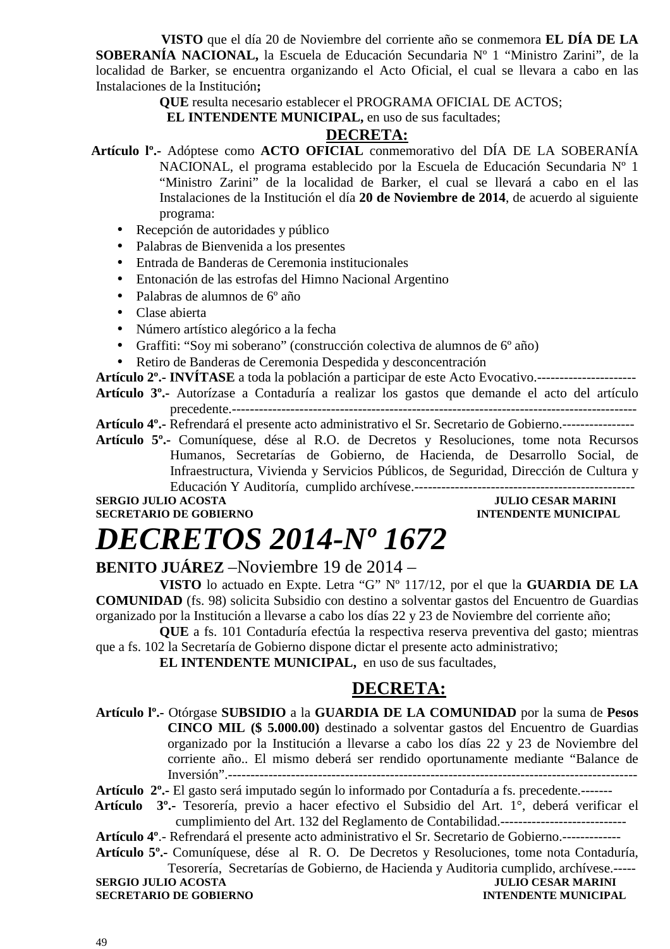**VISTO** que el día 20 de Noviembre del corriente año se conmemora **EL DÍA DE LA SOBERANÍA NACIONAL,** la Escuela de Educación Secundaria Nº 1 "Ministro Zarini", de la localidad de Barker, se encuentra organizando el Acto Oficial, el cual se llevara a cabo en las Instalaciones de la Institución**;** 

**QUE** resulta necesario establecer el PROGRAMA OFICIAL DE ACTOS;

**EL INTENDENTE MUNICIPAL, en uso de sus facultades;** 

#### **DECRETA:**

- **Artículo lº.-** Adóptese como **ACTO OFICIAL** conmemorativo del DÍA DE LA SOBERANÍA NACIONAL, el programa establecido por la Escuela de Educación Secundaria Nº 1 "Ministro Zarini" de la localidad de Barker, el cual se llevará a cabo en el las Instalaciones de la Institución el día **20 de Noviembre de 2014**, de acuerdo al siguiente programa:
	- Recepción de autoridades y público
	- Palabras de Bienvenida a los presentes
	- Entrada de Banderas de Ceremonia institucionales
	- Entonación de las estrofas del Himno Nacional Argentino
	- Palabras de alumnos de 6º año
	- Clase abierta
	- Número artístico alegórico a la fecha
	- Graffiti: "Soy mi soberano" (construcción colectiva de alumnos de 6º año)
	- Retiro de Banderas de Ceremonia Despedida y desconcentración

**Artículo 2º.- INVÍTASE** a toda la población a participar de este Acto Evocativo.---------------------- **Artículo 3º.-** Autorízase a Contaduría a realizar los gastos que demande el acto del artículo

precedente.------------------------------------------------------------------------------------------ **Artículo 4º.-** Refrendará el presente acto administrativo el Sr. Secretario de Gobierno.----------------

**Artículo 5º.-** Comuníquese, dése al R.O. de Decretos y Resoluciones, tome nota Recursos Humanos, Secretarías de Gobierno, de Hacienda, de Desarrollo Social, de Infraestructura, Vivienda y Servicios Públicos, de Seguridad, Dirección de Cultura y Educación Y Auditoría, cumplido archívese.-------------------------------------------------

#### **SERGIO JULIO ACOSTA SECRETARIO DE GOBIERNO INTENDENTE MUNICIPAL**

### *DECRETOS 2014-Nº 1672*

#### **BENITO JUÁREZ** –Noviembre 19 de 2014 –

**VISTO** lo actuado en Expte. Letra "G" Nº 117/12, por el que la **GUARDIA DE LA COMUNIDAD** (fs. 98) solicita Subsidio con destino a solventar gastos del Encuentro de Guardias organizado por la Institución a llevarse a cabo los días 22 y 23 de Noviembre del corriente año;

**QUE** a fs. 101 Contaduría efectúa la respectiva reserva preventiva del gasto; mientras que a fs. 102 la Secretaría de Gobierno dispone dictar el presente acto administrativo;

**EL INTENDENTE MUNICIPAL,** en uso de sus facultades,

### **DECRETA:**

**Artículo lº.-** Otórgase **SUBSIDIO** a la **GUARDIA DE LA COMUNIDAD** por la suma de **Pesos CINCO MIL (\$ 5.000.00)** destinado a solventar gastos del Encuentro de Guardias organizado por la Institución a llevarse a cabo los días 22 y 23 de Noviembre del corriente año.. El mismo deberá ser rendido oportunamente mediante "Balance de Inversión".-------------------------------------------------------------------------------------------

**Artículo 2º.-** El gasto será imputado según lo informado por Contaduría a fs. precedente.-------

 **Artículo 3º.-** Tesorería, previo a hacer efectivo el Subsidio del Art. 1°, deberá verificar el cumplimiento del Art. 132 del Reglamento de Contabilidad.----------------------------

**Artículo 4º**.- Refrendará el presente acto administrativo el Sr. Secretario de Gobierno.-------------

**Artículo 5º.-** Comuníquese, dése al R. O. De Decretos y Resoluciones, tome nota Contaduría, Tesorería, Secretarías de Gobierno, de Hacienda y Auditoria cumplido, archívese.-----

**SERGIO JULIO ACOSTA SECRETARIO DE GOBIERNO INTENDENTE MUNICIPAL**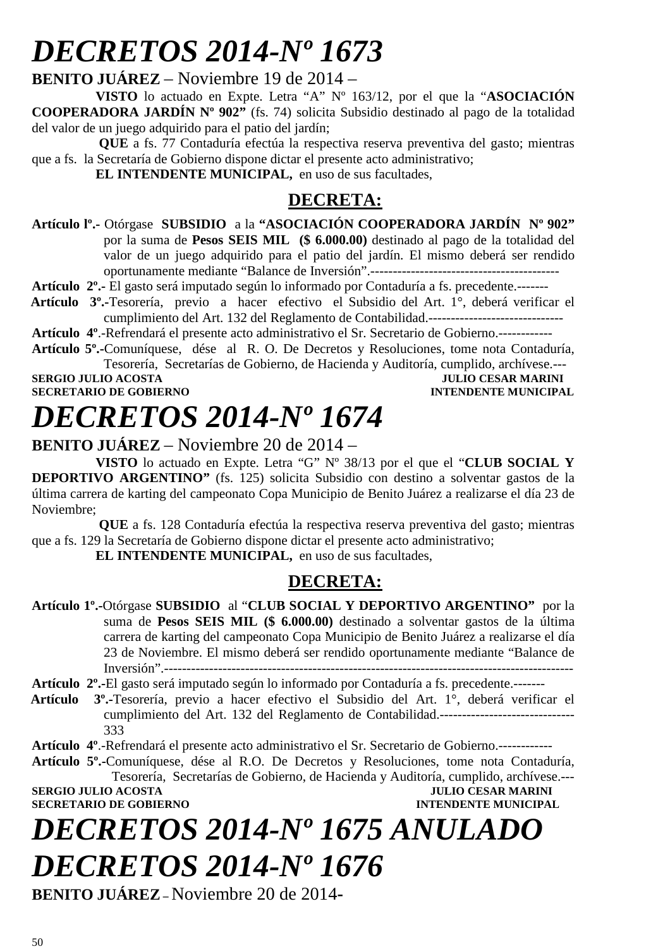## *DECRETOS 2014-Nº 1673*

**BENITO JUÁREZ** – Noviembre 19 de 2014 –

**VISTO** lo actuado en Expte. Letra "A" Nº 163/12, por el que la "**ASOCIACIÓN COOPERADORA JARDÍN Nº 902"** (fs. 74) solicita Subsidio destinado al pago de la totalidad del valor de un juego adquirido para el patio del jardín;

 **QUE** a fs. 77 Contaduría efectúa la respectiva reserva preventiva del gasto; mientras que a fs. la Secretaría de Gobierno dispone dictar el presente acto administrativo;

**EL INTENDENTE MUNICIPAL,** en uso de sus facultades,

### **DECRETA:**

- **Artículo lº.-** Otórgase **SUBSIDIO** a la **"ASOCIACIÓN COOPERADORA JARDÍN Nº 902"**  por la suma de **Pesos SEIS MIL (\$ 6.000.00)** destinado al pago de la totalidad del valor de un juego adquirido para el patio del jardín. El mismo deberá ser rendido oportunamente mediante "Balance de Inversión".------------------------------------------
- **Artículo 2º.-** El gasto será imputado según lo informado por Contaduría a fs. precedente.-------
- **Artículo 3º.-**Tesorería, previo a hacer efectivo el Subsidio del Art. 1°, deberá verificar el cumplimiento del Art. 132 del Reglamento de Contabilidad.------------------------------

**Artículo 4º**.-Refrendará el presente acto administrativo el Sr. Secretario de Gobierno.------------

**Artículo 5º.-**Comuníquese, dése al R. O. De Decretos y Resoluciones, tome nota Contaduría, Tesorería, Secretarías de Gobierno, de Hacienda y Auditoría, cumplido, archívese.---

**SERGIO JULIO ACOSTA JULIO CESAR MARINI SECRETARIO DE GOBIERNO** 

# *DECRETOS 2014-Nº 1674*

### **BENITO JUÁREZ** – Noviembre 20 de 2014 –

**VISTO** lo actuado en Expte. Letra "G" Nº 38/13 por el que el "**CLUB SOCIAL Y DEPORTIVO ARGENTINO"** (fs. 125) solicita Subsidio con destino a solventar gastos de la última carrera de karting del campeonato Copa Municipio de Benito Juárez a realizarse el día 23 de Noviembre;

 **QUE** a fs. 128 Contaduría efectúa la respectiva reserva preventiva del gasto; mientras que a fs. 129 la Secretaría de Gobierno dispone dictar el presente acto administrativo;

**EL INTENDENTE MUNICIPAL,** en uso de sus facultades,

### **DECRETA:**

**Artículo 1º.-**Otórgase **SUBSIDIO** al "**CLUB SOCIAL Y DEPORTIVO ARGENTINO"** por la suma de **Pesos SEIS MIL (\$ 6.000.00)** destinado a solventar gastos de la última carrera de karting del campeonato Copa Municipio de Benito Juárez a realizarse el día 23 de Noviembre. El mismo deberá ser rendido oportunamente mediante "Balance de Inversión".-------------------------------------------------------------------------------------------

**Artículo 2º.-**El gasto será imputado según lo informado por Contaduría a fs. precedente.-------

 **Artículo 3º.-**Tesorería, previo a hacer efectivo el Subsidio del Art. 1°, deberá verificar el cumplimiento del Art. 132 del Reglamento de Contabilidad.------------------------------ 333

**Artículo 4º**.-Refrendará el presente acto administrativo el Sr. Secretario de Gobierno.------------

**Artículo 5º.-**Comuníquese, dése al R.O. De Decretos y Resoluciones, tome nota Contaduría, Tesorería, Secretarías de Gobierno, de Hacienda y Auditoría, cumplido, archívese.--- **SERGIO JULIO ACOSTA JULIO CESAR MARINI SECRETARIO DE GOBIERNO INTENDENTE MUNICIPAL** 

# *DECRETOS 2014-Nº 1675 ANULADO*

*DECRETOS 2014-Nº 1676* 

**BENITO JUÁREZ–** Noviembre 20 de 2014**-**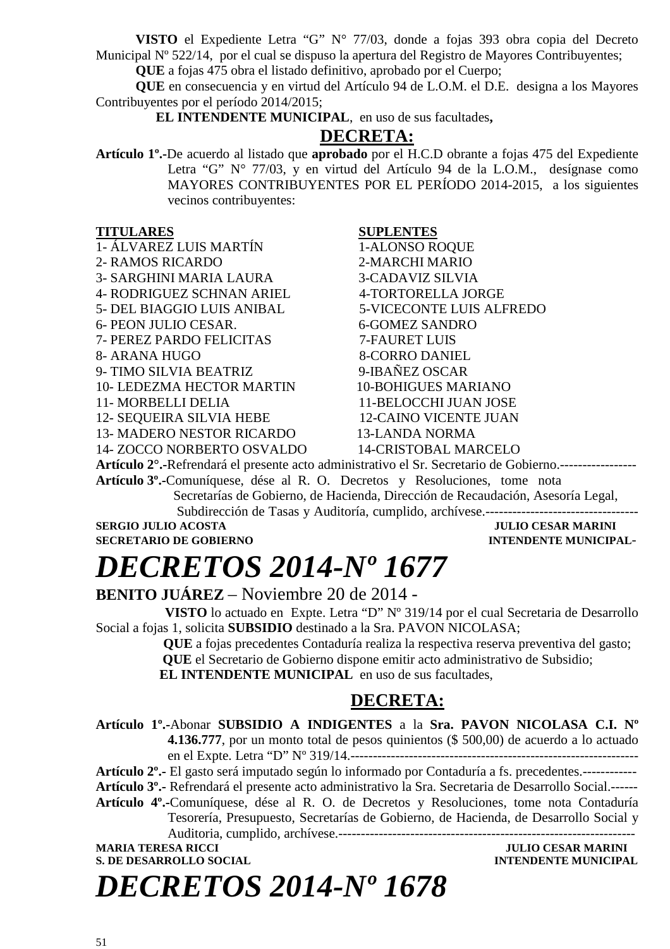**VISTO** el Expediente Letra "G" N° 77/03, donde a fojas 393 obra copia del Decreto Municipal Nº 522/14, por el cual se dispuso la apertura del Registro de Mayores Contribuyentes;

**QUE** a fojas 475 obra el listado definitivo, aprobado por el Cuerpo;

**QUE** en consecuencia y en virtud del Artículo 94 de L.O.M. el D.E. designa a los Mayores Contribuyentes por el período 2014/2015;

 **EL INTENDENTE MUNICIPAL**, en uso de sus facultades**,** 

### **DECRETA:**

**Artículo 1º.-**De acuerdo al listado que **aprobado** por el H.C.D obrante a fojas 475 del Expediente Letra "G" N° 77/03, y en virtud del Artículo 94 de la L.O.M., desígnase como MAYORES CONTRIBUYENTES POR EL PERÍODO 2014-2015, a los siguientes vecinos contribuyentes:

#### **TITULARES SUPLENTES**

1- ÁLVAREZ LUIS MARTÍN 1-ALONSO ROQUE

3- SARGHINI MARIA LAURA 3-CADAVIZ SILVIA

4- RODRIGUEZ SCHNAN ARIEL 4-TORTORELLA JORGE

6- PEON JULIO CESAR. 6-GOMEZ SANDRO

7- PEREZ PARDO FELICITAS 7-FAURET LUIS

9- TIMO SILVIA BEATRIZ 9-IBAÑEZ OSCAR

10- LEDEZMA HECTOR MARTIN 10-BOHIGUES MARIANO

12- SEQUEIRA SILVIA HEBE 12-CAINO VICENTE JUAN

13- MADERO NESTOR RICARDO 13-LANDA NORMA

14- ZOCCO NORBERTO OSVALDO 14-CRISTOBAL MARCELO

2- RAMOS RICARDO 2-MARCHI MARIO 5- DEL BIAGGIO LUIS ANIBAL 5-VICECONTE LUIS ALFREDO 8- ARANA HUGO 8-CORRO DANIEL 11- MORBELLI DELIA 11-BELOCCHI JUAN JOSE

**Artículo 2°.-**Refrendará el presente acto administrativo el Sr. Secretario de Gobierno.-----------------

**Artículo 3º.-**Comuníquese, dése al R. O. Decretos y Resoluciones, tome notaSecretarías de Gobierno, de Hacienda, Dirección de Recaudación, Asesoría Legal, Subdirección de Tasas y Auditoría, cumplido, archívese.----------------------------------

**SERGIO JULIO ACOSTA JULIO CESAR MARINI** 

### **SECRETARIO DE GOBIERNO INTENDENTE MUNICIPAL-**

### *DECRETOS 2014-Nº 1677*

**BENITO JUÁREZ** – Noviembre 20 de 2014 -

 **VISTO** lo actuado en Expte. Letra "D" Nº 319/14 por el cual Secretaria de Desarrollo Social a fojas 1, solicita **SUBSIDIO** destinado a la Sra. PAVON NICOLASA;

 **QUE** a fojas precedentes Contaduría realiza la respectiva reserva preventiva del gasto;

 **QUE** el Secretario de Gobierno dispone emitir acto administrativo de Subsidio;

**EL INTENDENTE MUNICIPAL** en uso de sus facultades,

### **DECRETA:**

**Artículo 1º.-**Abonar **SUBSIDIO A INDIGENTES** a la **Sra. PAVON NICOLASA C.I. Nº 4.136.777**, por un monto total de pesos quinientos (\$ 500,00) de acuerdo a lo actuado en el Expte. Letra "D" Nº 319/14.----------------------------------------------------------------

**Artículo 2º.-** El gasto será imputado según lo informado por Contaduría a fs. precedentes.------------

**Artículo 3º.-** Refrendará el presente acto administrativo la Sra. Secretaria de Desarrollo Social.------

**Artículo 4º.-**Comuníquese, dése al R. O. de Decretos y Resoluciones, tome nota Contaduría Tesorería, Presupuesto, Secretarías de Gobierno, de Hacienda, de Desarrollo Social y Auditoria, cumplido, archívese.------------------------------------------------------------------

**MARIA TERESA RICCI JULIO CESAR MARINI S. DE DESARROLLO SOCIAL CONSUMING A LOCAL CONSUMING A LOCAL CONSUMING A LOCAL CONSUMING A LOCAL CONSUMING A LOCAL CONSUMING A LOCAL CONSUMING A LOCAL CONSUMING A LOCAL CONSUMING A LOCAL CONSUMING A LOCAL CONSUMING A LOCAL** 

*DECRETOS 2014-Nº 1678*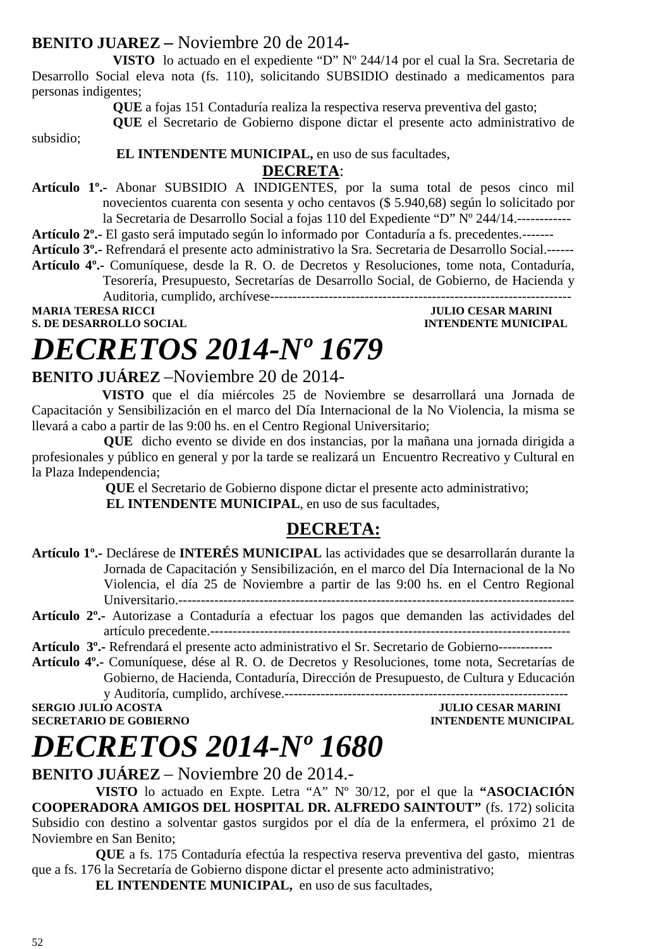### **BENITO JUAREZ –** Noviembre 20 de 2014**-**

**VISTO** lo actuado en el expediente "D" Nº 244/14 por el cual la Sra. Secretaria de Desarrollo Social eleva nota (fs. 110), solicitando SUBSIDIO destinado a medicamentos para personas indigentes;

**QUE** a fojas 151 Contaduría realiza la respectiva reserva preventiva del gasto;

**QUE** el Secretario de Gobierno dispone dictar el presente acto administrativo de

subsidio;

#### **EL INTENDENTE MUNICIPAL,** en uso de sus facultades, **DECRETA**:

**Artículo 1º.-** Abonar SUBSIDIO A INDIGENTES, por la suma total de pesos cinco mil novecientos cuarenta con sesenta y ocho centavos (\$ 5.940,68) según lo solicitado por la Secretaria de Desarrollo Social a fojas 110 del Expediente "D" Nº 244/14.------------

**Artículo 2º.-** El gasto será imputado según lo informado por Contaduría a fs. precedentes.-------

**Artículo 3º.-** Refrendará el presente acto administrativo la Sra. Secretaria de Desarrollo Social.------

**Artículo 4º.-** Comuníquese, desde la R. O. de Decretos y Resoluciones, tome nota, Contaduría, Tesorería, Presupuesto, Secretarías de Desarrollo Social, de Gobierno, de Hacienda y

Auditoria, cumplido, archívese------------------------------------------------------------------- **MARIA TERESA RICCI JULIO CESAR MARINI** 

**S. DE DESARROLLO SOCIAL** 

# *DECRETOS 2014-Nº 1679*

### **BENITO JUÁREZ** –Noviembre 20 de 2014-

 **VISTO** que el día miércoles 25 de Noviembre se desarrollará una Jornada de Capacitación y Sensibilización en el marco del Día Internacional de la No Violencia, la misma se llevará a cabo a partir de las 9:00 hs. en el Centro Regional Universitario;

**QUE** dicho evento se divide en dos instancias, por la mañana una jornada dirigida a profesionales y público en general y por la tarde se realizará un Encuentro Recreativo y Cultural en la Plaza Independencia;

 **QUE** el Secretario de Gobierno dispone dictar el presente acto administrativo;  **EL INTENDENTE MUNICIPAL**, en uso de sus facultades,

### **DECRETA:**

- **Artículo 1º.-** Declárese de **INTERÉS MUNICIPAL** las actividades que se desarrollarán durante la Jornada de Capacitación y Sensibilización, en el marco del Día Internacional de la No Violencia, el día 25 de Noviembre a partir de las 9:00 hs. en el Centro Regional Universitario.----------------------------------------------------------------------------------------
- **Artículo 2º.-** Autorizase a Contaduría a efectuar los pagos que demanden las actividades del artículo precedente.--------------------------------------------------------------------------------

**Artículo 3º.-** Refrendará el presente acto administrativo el Sr. Secretario de Gobierno------------

**Artículo 4º.-** Comuníquese, dése al R. O. de Decretos y Resoluciones, tome nota, Secretarías de Gobierno, de Hacienda, Contaduría, Dirección de Presupuesto, de Cultura y Educación y Auditoría, cumplido, archívese.---------------------------------------------------------------

**SERGIO JULIO ACOSTA JULIO CESAR MARINI** 

**SECRETARIO DE GOBIERNO INTENDENTE MUNICIPAL** 

## *DECRETOS 2014-Nº 1680*

**BENITO JUÁREZ** – Noviembre 20 de 2014.-

**VISTO** lo actuado en Expte. Letra "A" Nº 30/12, por el que la **"ASOCIACIÓN COOPERADORA AMIGOS DEL HOSPITAL DR. ALFREDO SAINTOUT"** (fs. 172) solicita Subsidio con destino a solventar gastos surgidos por el día de la enfermera, el próximo 21 de Noviembre en San Benito;

**QUE** a fs. 175 Contaduría efectúa la respectiva reserva preventiva del gasto, mientras que a fs. 176 la Secretaría de Gobierno dispone dictar el presente acto administrativo;

**EL INTENDENTE MUNICIPAL,** en uso de sus facultades,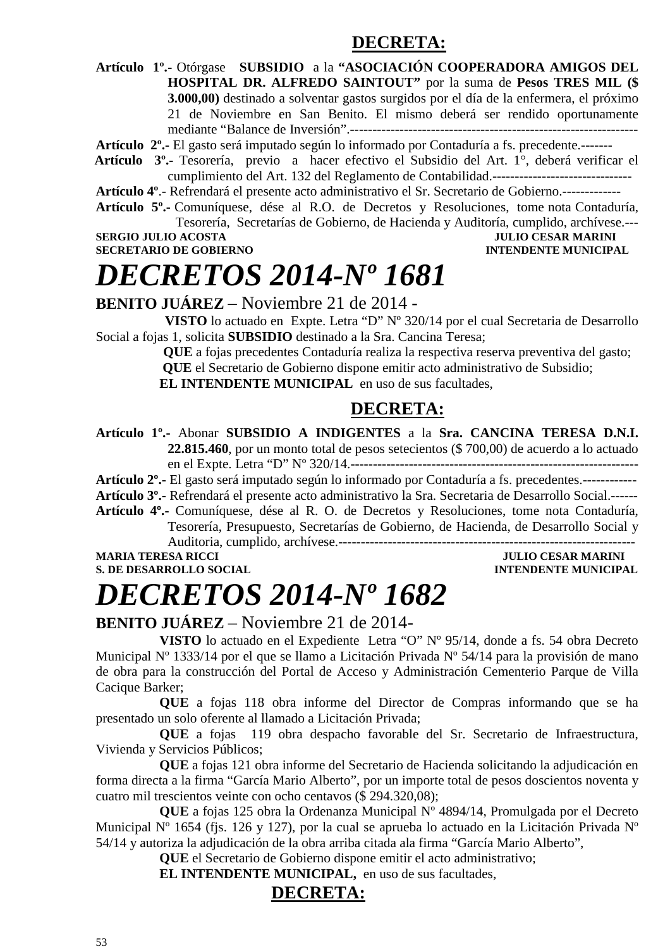### **DECRETA:**

**Artículo 1º.-** Otórgase **SUBSIDIO** a la **"ASOCIACIÓN COOPERADORA AMIGOS DEL HOSPITAL DR. ALFREDO SAINTOUT"** por la suma de **Pesos TRES MIL (\$ 3.000,00)** destinado a solventar gastos surgidos por el día de la enfermera, el próximo 21 de Noviembre en San Benito. El mismo deberá ser rendido oportunamente mediante "Balance de Inversión".----------------------------------------------------------------

**Artículo 2º.-** El gasto será imputado según lo informado por Contaduría a fs. precedente.-------

 **Artículo 3º.-** Tesorería, previo a hacer efectivo el Subsidio del Art. 1°, deberá verificar el cumplimiento del Art. 132 del Reglamento de Contabilidad.-------------------------------

**Artículo 4º**.- Refrendará el presente acto administrativo el Sr. Secretario de Gobierno.-------------

**Artículo 5º.-** Comuníquese, dése al R.O. de Decretos y Resoluciones, tome nota Contaduría,

Tesorería, Secretarías de Gobierno, de Hacienda y Auditoría, cumplido, archívese.--- **SERGIO JULIO ACOSTA JULIO CESAR MARINI** 

**SECRETARIO DE GOBIERNO INTENDENTE MUNICIPAL** 

### *DECRETOS 2014-Nº 1681*

**BENITO JUÁREZ** – Noviembre 21 de 2014 -

 **VISTO** lo actuado en Expte. Letra "D" Nº 320/14 por el cual Secretaria de Desarrollo Social a fojas 1, solicita **SUBSIDIO** destinado a la Sra. Cancina Teresa;

> **QUE** a fojas precedentes Contaduría realiza la respectiva reserva preventiva del gasto;  **QUE** el Secretario de Gobierno dispone emitir acto administrativo de Subsidio;

**EL INTENDENTE MUNICIPAL** en uso de sus facultades,

### **DECRETA:**

**Artículo 1º.-** Abonar **SUBSIDIO A INDIGENTES** a la **Sra. CANCINA TERESA D.N.I. 22.815.460**, por un monto total de pesos setecientos (\$ 700,00) de acuerdo a lo actuado en el Expte. Letra "D" Nº 320/14.----------------------------------------------------------------

**Artículo 2º.-** El gasto será imputado según lo informado por Contaduría a fs. precedentes.------------

**Artículo 3º.-** Refrendará el presente acto administrativo la Sra. Secretaria de Desarrollo Social.------ **Artículo 4º.-** Comuníquese, dése al R. O. de Decretos y Resoluciones, tome nota Contaduría,

Tesorería, Presupuesto, Secretarías de Gobierno, de Hacienda, de Desarrollo Social y

Auditoria, cumplido, archívese.------------------------------------------------------------------ **MARIA TERESA RICCI JULIO CESAR MARINI** 

**S. DE DESARROLLO SOCIAL DESARROLLO SOCIAL DESARROLLO SOCIAL DESARROLLO SOCIAL DESARROLLO SOCIAL DE LA PERIODICIPAL DE LA PERIODICIPAL DE LA PERIODICIPAL DE LA PERIODICIPAL DE LA PERIODICIPAL DE LA PERIODICIPAL DE LA PERIO** 

## *DECRETOS 2014-Nº 1682*

**BENITO JUÁREZ** – Noviembre 21 de 2014-

**VISTO** lo actuado en el Expediente Letra "O" Nº 95/14, donde a fs. 54 obra Decreto Municipal Nº 1333/14 por el que se llamo a Licitación Privada Nº 54/14 para la provisión de mano de obra para la construcción del Portal de Acceso y Administración Cementerio Parque de Villa Cacique Barker;

**QUE** a fojas 118 obra informe del Director de Compras informando que se ha presentado un solo oferente al llamado a Licitación Privada;

**QUE** a fojas 119 obra despacho favorable del Sr. Secretario de Infraestructura, Vivienda y Servicios Públicos;

**QUE** a fojas 121 obra informe del Secretario de Hacienda solicitando la adjudicación en forma directa a la firma "García Mario Alberto", por un importe total de pesos doscientos noventa y cuatro mil trescientos veinte con ocho centavos (\$ 294.320,08);

**QUE** a fojas 125 obra la Ordenanza Municipal Nº 4894/14, Promulgada por el Decreto Municipal Nº 1654 (fjs. 126 y 127), por la cual se aprueba lo actuado en la Licitación Privada Nº 54/14 y autoriza la adjudicación de la obra arriba citada ala firma "García Mario Alberto",

**QUE** el Secretario de Gobierno dispone emitir el acto administrativo;

**EL INTENDENTE MUNICIPAL,** en uso de sus facultades,

### **DECRETA:**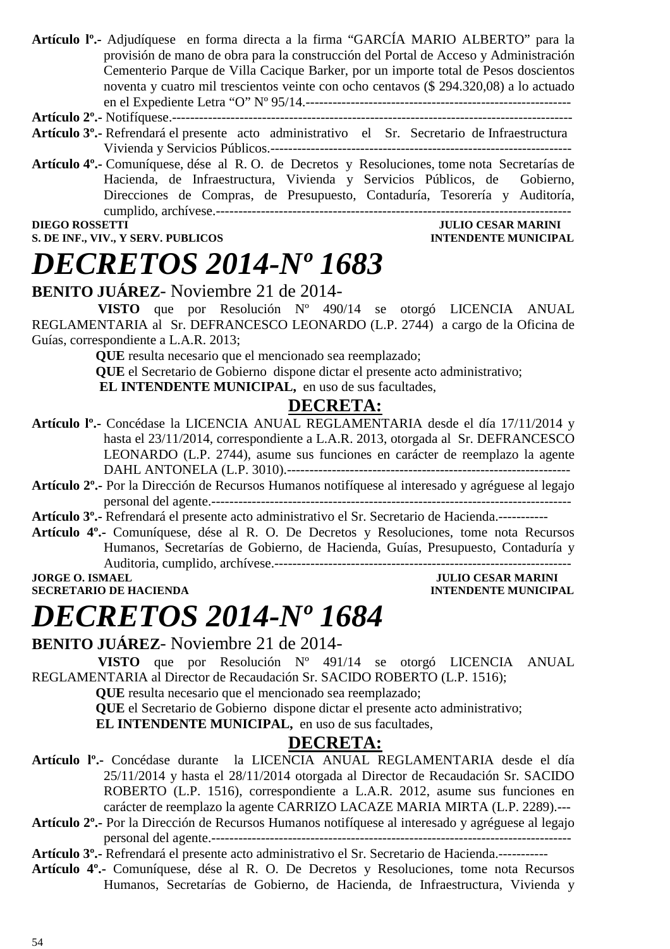**Artículo lº.-** Adjudíquese en forma directa a la firma "GARCÍA MARIO ALBERTO" para la provisión de mano de obra para la construcción del Portal de Acceso y Administración Cementerio Parque de Villa Cacique Barker, por un importe total de Pesos doscientos noventa y cuatro mil trescientos veinte con ocho centavos (\$ 294.320,08) a lo actuado en el Expediente Letra "O" Nº 95/14.-----------------------------------------------------------

### **Artículo 2º.-** Notifíquese.-----------------------------------------------------------------------------------------

- **Artículo 3º.-** Refrendará el presente acto administrativo el Sr. Secretario de Infraestructura Vivienda y Servicios Públicos.-------------------------------------------------------------------
- **Artículo 4º.-** Comuníquese, dése al R. O. de Decretos y Resoluciones, tome nota Secretarías de Hacienda, de Infraestructura, Vivienda y Servicios Públicos, de Gobierno, Direcciones de Compras, de Presupuesto, Contaduría, Tesorería y Auditoría, cumplido, archívese.-------------------------------------------------------------------------------

#### **DIEGO ROSSETTI JULIO CESAR MARINI S. DE INF., VIV., Y SERV. PUBLICOS INTENDENTE MUNICIPAL**

### *DECRETOS 2014-Nº 1683*

### **BENITO JUÁREZ**- Noviembre 21 de 2014-

 **VISTO** que por Resolución Nº 490/14 se otorgó LICENCIA ANUAL REGLAMENTARIA al Sr. DEFRANCESCO LEONARDO (L.P. 2744) a cargo de la Oficina de Guías, correspondiente a L.A.R. 2013;

**QUE** resulta necesario que el mencionado sea reemplazado;

**QUE** el Secretario de Gobierno dispone dictar el presente acto administrativo;

**EL INTENDENTE MUNICIPAL,** en uso de sus facultades,

#### **DECRETA:**

- **Artículo lº.-** Concédase la LICENCIA ANUAL REGLAMENTARIA desde el día 17/11/2014 y hasta el 23/11/2014, correspondiente a L.A.R. 2013, otorgada al Sr. DEFRANCESCO LEONARDO (L.P. 2744), asume sus funciones en carácter de reemplazo la agente DAHL ANTONELA (L.P. 3010).---------------------------------------------------------------
- **Artículo 2º.-** Por la Dirección de Recursos Humanos notifíquese al interesado y agréguese al legajo personal del agente.--------------------------------------------------------------------------------

**Artículo 3º.-** Refrendará el presente acto administrativo el Sr. Secretario de Hacienda.-----------

**Artículo 4º.-** Comuníquese, dése al R. O. De Decretos y Resoluciones, tome nota Recursos Humanos, Secretarías de Gobierno, de Hacienda, Guías, Presupuesto, Contaduría y Auditoria, cumplido, archívese.------------------------------------------------------------------

**SECRETARIO DE HACIENDA** 

### **JORGE O. ISMAEL JULIO CESAR MARINI**<br> **SECRETARIO DE HACIENDA**

### *DECRETOS 2014-Nº 1684*

**BENITO JUÁREZ**- Noviembre 21 de 2014-

 **VISTO** que por Resolución Nº 491/14 se otorgó LICENCIA ANUAL REGLAMENTARIA al Director de Recaudación Sr. SACIDO ROBERTO (L.P. 1516);

**QUE** resulta necesario que el mencionado sea reemplazado;

**QUE** el Secretario de Gobierno dispone dictar el presente acto administrativo;

**EL INTENDENTE MUNICIPAL,** en uso de sus facultades,

### **DECRETA:**

- **Artículo lº.-** Concédase durante la LICENCIA ANUAL REGLAMENTARIA desde el día 25/11/2014 y hasta el 28/11/2014 otorgada al Director de Recaudación Sr. SACIDO ROBERTO (L.P. 1516), correspondiente a L.A.R. 2012, asume sus funciones en carácter de reemplazo la agente CARRIZO LACAZE MARIA MIRTA (L.P. 2289).---
- **Artículo 2º.-** Por la Dirección de Recursos Humanos notifíquese al interesado y agréguese al legajo personal del agente.--------------------------------------------------------------------------------

**Artículo 3º.-** Refrendará el presente acto administrativo el Sr. Secretario de Hacienda.-----------

**Artículo 4º.-** Comuníquese, dése al R. O. De Decretos y Resoluciones, tome nota Recursos Humanos, Secretarías de Gobierno, de Hacienda, de Infraestructura, Vivienda y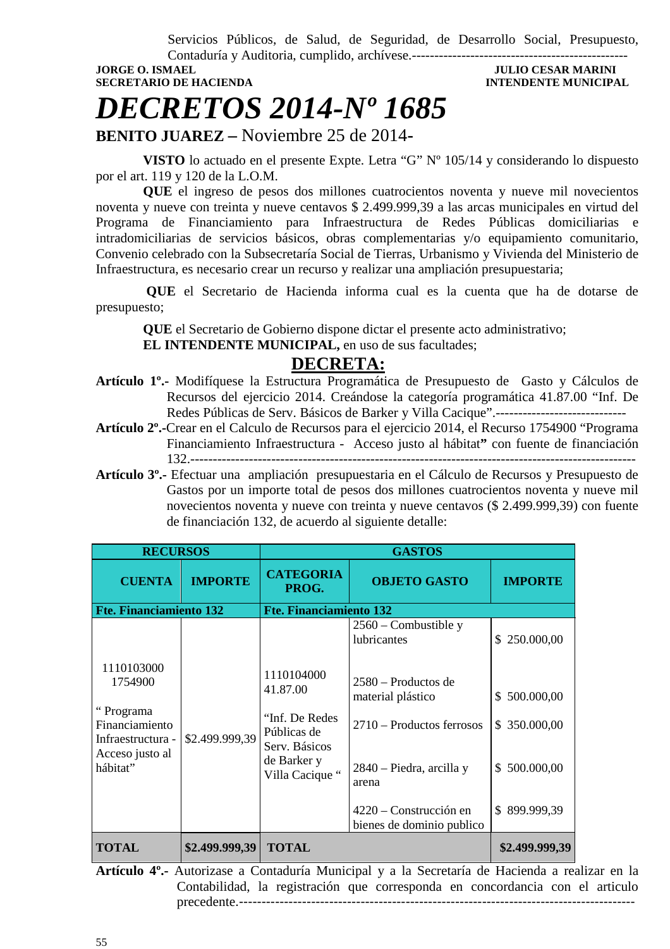Servicios Públicos, de Salud, de Seguridad, de Desarrollo Social, Presupuesto,

Contaduría y Auditoria, cumplido, archívese.------------------------------------------------

**SECRETARIO DE HACIENDA INTENDENTE MUNICIPAL** 

**JULIO CESAR MARINI** 

### *DECRETOS 2014-Nº 1685*

**BENITO JUAREZ –** Noviembre 25 de 2014**-** 

 **VISTO** lo actuado en el presente Expte. Letra "G" Nº 105/14 y considerando lo dispuesto por el art. 119 y 120 de la L.O.M.

 **QUE** el ingreso de pesos dos millones cuatrocientos noventa y nueve mil novecientos noventa y nueve con treinta y nueve centavos \$ 2.499.999,39 a las arcas municipales en virtud del Programa de Financiamiento para Infraestructura de Redes Públicas domiciliarias e intradomiciliarias de servicios básicos, obras complementarias y/o equipamiento comunitario, Convenio celebrado con la Subsecretaría Social de Tierras, Urbanismo y Vivienda del Ministerio de Infraestructura, es necesario crear un recurso y realizar una ampliación presupuestaria;

 **QUE** el Secretario de Hacienda informa cual es la cuenta que ha de dotarse de presupuesto;

**QUE** el Secretario de Gobierno dispone dictar el presente acto administrativo;

 **EL INTENDENTE MUNICIPAL,** en uso de sus facultades;

### **DECRETA:**

- **Artículo 1º.-** Modifíquese la Estructura Programática de Presupuesto de Gasto y Cálculos de Recursos del ejercicio 2014. Creándose la categoría programática 41.87.00 "Inf. De Redes Públicas de Serv. Básicos de Barker y Villa Cacique".-----------------------------
- **Artículo 2º.-**Crear en el Calculo de Recursos para el ejercicio 2014, el Recurso 1754900 "Programa Financiamiento Infraestructura - Acceso justo al hábitat**"** con fuente de financiación 132.---------------------------------------------------------------------------------------------------
- **Artículo 3º.-** Efectuar una ampliación presupuestaria en el Cálculo de Recursos y Presupuesto de Gastos por un importe total de pesos dos millones cuatrocientos noventa y nueve mil novecientos noventa y nueve con treinta y nueve centavos (\$ 2.499.999,39) con fuente de financiación 132, de acuerdo al siguiente detalle:

| <b>RECURSOS</b>                                                                                                            |                                                                                  | <b>GASTOS</b>                                       |                                       |                |  |
|----------------------------------------------------------------------------------------------------------------------------|----------------------------------------------------------------------------------|-----------------------------------------------------|---------------------------------------|----------------|--|
| <b>CUENTA</b>                                                                                                              | <b>IMPORTE</b>                                                                   | <b>CATEGORIA</b><br>PROG.                           | <b>OBJETO GASTO</b>                   | <b>IMPORTE</b> |  |
| Fte. Financiamiento 132                                                                                                    |                                                                                  | <b>Fte. Financiamiento 132</b>                      |                                       |                |  |
|                                                                                                                            |                                                                                  |                                                     | $2560$ – Combustible y<br>lubricantes | \$250.000,00   |  |
| 1110103000<br>1754900<br>"Programa<br>Financiamiento<br>\$2.499.999,39<br>Infraestructura -<br>Acceso justo al<br>hábitat" | 1110104000<br>41.87.00                                                           | 2580 – Productos de<br>material plástico            | 500.000,00<br>S.                      |                |  |
|                                                                                                                            | "Inf. De Redes<br>Públicas de<br>Serv. Básicos<br>de Barker y<br>Villa Cacique " | 2710 – Productos ferrosos                           | \$350.000,00                          |                |  |
|                                                                                                                            |                                                                                  | 2840 – Piedra, arcilla y<br>arena                   | \$500.000,00                          |                |  |
|                                                                                                                            |                                                                                  | 4220 – Construcción en<br>bienes de dominio publico | \$899.999,39                          |                |  |
| <b>TOTAL</b>                                                                                                               | \$2.499.999,39                                                                   | <b>TOTAL</b>                                        |                                       | \$2.499.999,39 |  |

**Artículo 4º.-** Autorizase a Contaduría Municipal y a la Secretaría de Hacienda a realizar en la Contabilidad, la registración que corresponda en concordancia con el articulo precedente.-------------------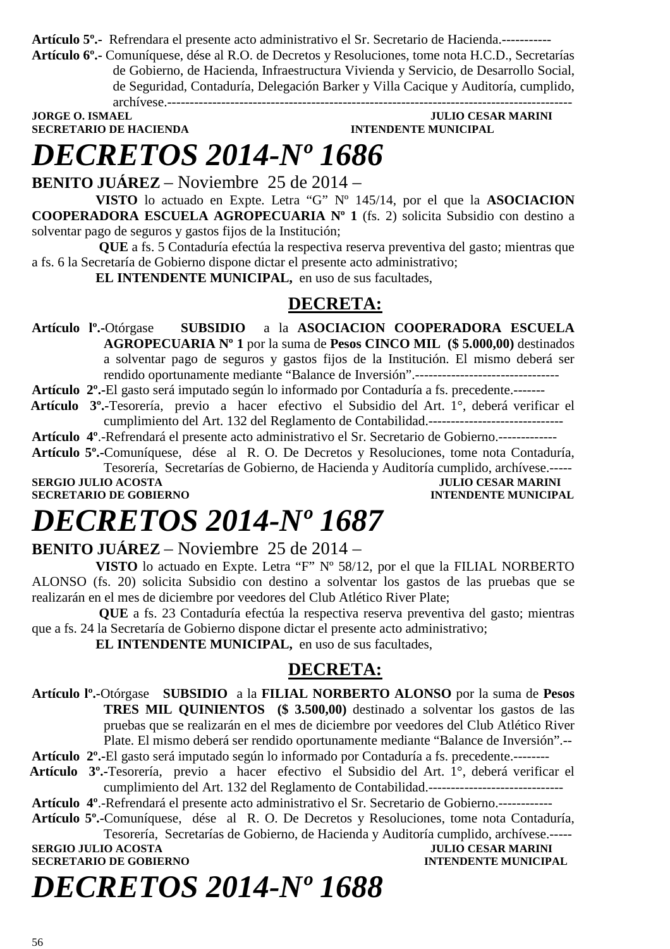**Artículo 5º.-** Refrendara el presente acto administrativo el Sr. Secretario de Hacienda.-----------

**Artículo 6º.-** Comuníquese, dése al R.O. de Decretos y Resoluciones, tome nota H.C.D., Secretarías de Gobierno, de Hacienda, Infraestructura Vivienda y Servicio, de Desarrollo Social, de Seguridad, Contaduría, Delegación Barker y Villa Cacique y Auditoría, cumplido,

archívese.------------------------------------------------------------------------------------------ **SECRETARIO DE HACIENDA** 

### **JULIO CESAR MARINI**<br>**INTENDENTE MUNICIPAL**

### *DECRETOS 2014-Nº 1686*

**BENITO JUÁREZ** – Noviembre 25 de 2014 –

**VISTO** lo actuado en Expte. Letra "G" Nº 145/14, por el que la **ASOCIACION COOPERADORA ESCUELA AGROPECUARIA Nº 1** (fs. 2) solicita Subsidio con destino a solventar pago de seguros y gastos fijos de la Institución;

 **QUE** a fs. 5 Contaduría efectúa la respectiva reserva preventiva del gasto; mientras que a fs. 6 la Secretaría de Gobierno dispone dictar el presente acto administrativo;

**EL INTENDENTE MUNICIPAL,** en uso de sus facultades,

### **DECRETA:**

**Artículo lº.-**Otórgase **SUBSIDIO** a la **ASOCIACION COOPERADORA ESCUELA AGROPECUARIA Nº 1** por la suma de **Pesos CINCO MIL (\$ 5.000,00)** destinados a solventar pago de seguros y gastos fijos de la Institución. El mismo deberá ser rendido oportunamente mediante "Balance de Inversión".--------------------------------

**Artículo 2º.-**El gasto será imputado según lo informado por Contaduría a fs. precedente.-------

 **Artículo 3º.-**Tesorería, previo a hacer efectivo el Subsidio del Art. 1°, deberá verificar el cumplimiento del Art. 132 del Reglamento de Contabilidad.------------------------------

**Artículo 4º**.-Refrendará el presente acto administrativo el Sr. Secretario de Gobierno.-------------

**Artículo 5º.-**Comuníquese, dése al R. O. De Decretos y Resoluciones, tome nota Contaduría, Tesorería, Secretarías de Gobierno, de Hacienda y Auditoría cumplido, archívese.----- **SERGIO JULIO ACOSTA** JULIO CESAR MARINI

**SECRETARIO DE GOBIERNO INTENDENTE MUNICIPAL** 

### *DECRETOS 2014-Nº 1687*

**BENITO JUÁREZ** – Noviembre 25 de 2014 –

**VISTO** lo actuado en Expte. Letra "F" Nº 58/12, por el que la FILIAL NORBERTO ALONSO (fs. 20) solicita Subsidio con destino a solventar los gastos de las pruebas que se realizarán en el mes de diciembre por veedores del Club Atlético River Plate;

 **QUE** a fs. 23 Contaduría efectúa la respectiva reserva preventiva del gasto; mientras que a fs. 24 la Secretaría de Gobierno dispone dictar el presente acto administrativo;

**EL INTENDENTE MUNICIPAL,** en uso de sus facultades,

### **DECRETA:**

**Artículo lº.-**Otórgase **SUBSIDIO** a la **FILIAL NORBERTO ALONSO** por la suma de **Pesos TRES MIL QUINIENTOS (\$ 3.500,00)** destinado a solventar los gastos de las pruebas que se realizarán en el mes de diciembre por veedores del Club Atlético River Plate. El mismo deberá ser rendido oportunamente mediante "Balance de Inversión".--

- **Artículo 2º.-**El gasto será imputado según lo informado por Contaduría a fs. precedente.--------
- **Artículo 3º.-**Tesorería, previo a hacer efectivo el Subsidio del Art. 1°, deberá verificar el cumplimiento del Art. 132 del Reglamento de Contabilidad.------------------------------
- **Artículo 4º**.-Refrendará el presente acto administrativo el Sr. Secretario de Gobierno.------------
- **Artículo 5º.-**Comuníquese, dése al R. O. De Decretos y Resoluciones, tome nota Contaduría, Tesorería, Secretarías de Gobierno, de Hacienda y Auditoría cumplido, archívese.-----

**SERGIO JULIO ACOSTA SECRETARIO DE GOBIERNO INTENDENTE MUNICIPAL** 

*DECRETOS 2014-Nº 1688*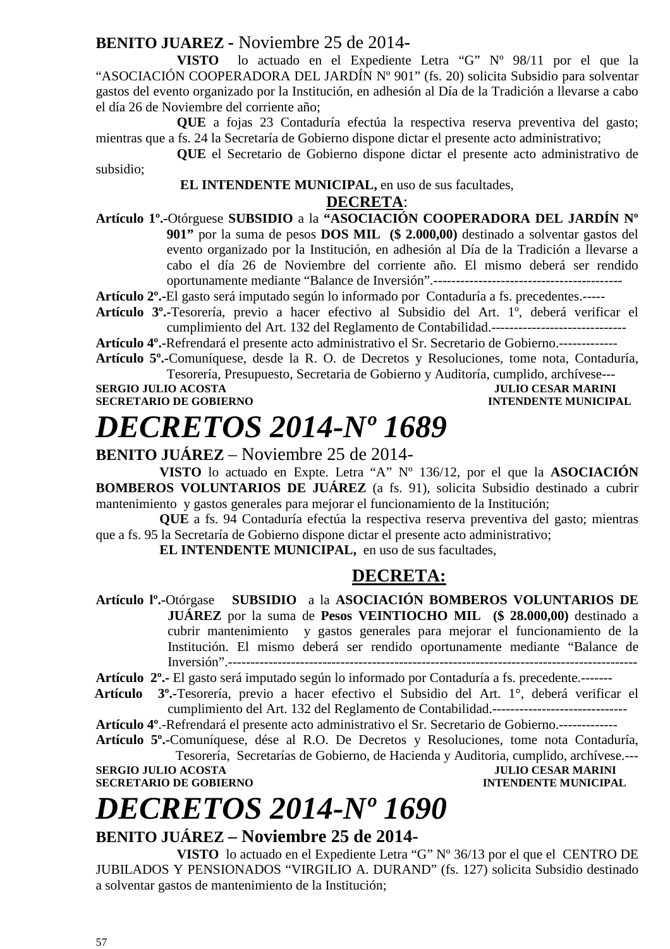### **BENITO JUAREZ -** Noviembre 25 de 2014**-**

**VISTO** lo actuado en el Expediente Letra "G" Nº 98/11 por el que la "ASOCIACIÓN COOPERADORA DEL JARDÍN Nº 901" (fs. 20) solicita Subsidio para solventar gastos del evento organizado por la Institución, en adhesión al Día de la Tradición a llevarse a cabo el día 26 de Noviembre del corriente año;

**QUE** a fojas 23 Contaduría efectúa la respectiva reserva preventiva del gasto; mientras que a fs. 24 la Secretaría de Gobierno dispone dictar el presente acto administrativo;

**QUE** el Secretario de Gobierno dispone dictar el presente acto administrativo de subsidio;

#### **EL INTENDENTE MUNICIPAL,** en uso de sus facultades, **DECRETA**:

**Artículo 1º.-**Otórguese **SUBSIDIO** a la **"ASOCIACIÓN COOPERADORA DEL JARDÍN Nº 901"** por la suma de pesos **DOS MIL (\$ 2.000,00)** destinado a solventar gastos del evento organizado por la Institución, en adhesión al Día de la Tradición a llevarse a cabo el día 26 de Noviembre del corriente año. El mismo deberá ser rendido oportunamente mediante "Balance de Inversión".------------------------------------------

**Artículo 2º.-**El gasto será imputado según lo informado por Contaduría a fs. precedentes.-----

**Artículo 3º.-**Tesorería, previo a hacer efectivo al Subsidio del Art. 1º, deberá verificar el cumplimiento del Art. 132 del Reglamento de Contabilidad.------------------------------

**Artículo 4º.-**Refrendará el presente acto administrativo el Sr. Secretario de Gobierno.-------------

**Artículo 5º.-**Comuníquese, desde la R. O. de Decretos y Resoluciones, tome nota, Contaduría,

Tesorería, Presupuesto, Secretaria de Gobierno y Auditoría, cumplido, archívese--- **SERGIO JULIO ACOSTA<br>SECRETARIO DE GOBIERNO INTENDENTE MUNICIPAL** 

### *DECRETOS 2014-Nº 1689*

**BENITO JUÁREZ** – Noviembre 25 de 2014-

**VISTO** lo actuado en Expte. Letra "A" Nº 136/12, por el que la **ASOCIACIÓN BOMBEROS VOLUNTARIOS DE JUÁREZ** (a fs. 91), solicita Subsidio destinado a cubrir mantenimiento y gastos generales para mejorar el funcionamiento de la Institución;

**QUE** a fs. 94 Contaduría efectúa la respectiva reserva preventiva del gasto; mientras que a fs. 95 la Secretaría de Gobierno dispone dictar el presente acto administrativo;

**EL INTENDENTE MUNICIPAL,** en uso de sus facultades,

### **DECRETA:**

**Artículo lº.-**Otórgase **SUBSIDIO** a la **ASOCIACIÓN BOMBEROS VOLUNTARIOS DE JUÁREZ** por la suma de **Pesos VEINTIOCHO MIL (\$ 28.000,00)** destinado a cubrir mantenimiento y gastos generales para mejorar el funcionamiento de la Institución. El mismo deberá ser rendido oportunamente mediante "Balance de Inversión".-------------------------------------------------------------------------------------------

**Artículo 2º.-** El gasto será imputado según lo informado por Contaduría a fs. precedente.-------

 **Artículo 3º.-**Tesorería, previo a hacer efectivo el Subsidio del Art. 1°, deberá verificar el cumplimiento del Art. 132 del Reglamento de Contabilidad.------------------------------

**Artículo 4º**.-Refrendará el presente acto administrativo el Sr. Secretario de Gobierno.-------------

**Artículo 5º.-**Comuníquese, dése al R.O. De Decretos y Resoluciones, tome nota Contaduría, Tesorería, Secretarías de Gobierno, de Hacienda y Auditoria, cumplido, archívese.---

**SECRETARIO DE GOBIERNO** 

**SERGIO JULIO ACOSTA DE CONFERNO DE COBLERNO DE COBLETA DE LA CORTA DE LA CORTA DE LA CORTA DE LA CORTA DE LA CORTA DE LA CORTA DE LA CORTA DE LA CORTA DE LA CORTA DE LA CORTA DE LA CORTA DE LA CORTA DE LA CORTA DE LA CORT** 

### *DECRETOS 2014-Nº 1690*

### **BENITO JUÁREZ – Noviembre 25 de 2014-**

**VISTO** lo actuado en el Expediente Letra "G" Nº 36/13 por el que el CENTRO DE JUBILADOS Y PENSIONADOS "VIRGILIO A. DURAND" (fs. 127) solicita Subsidio destinado a solventar gastos de mantenimiento de la Institución;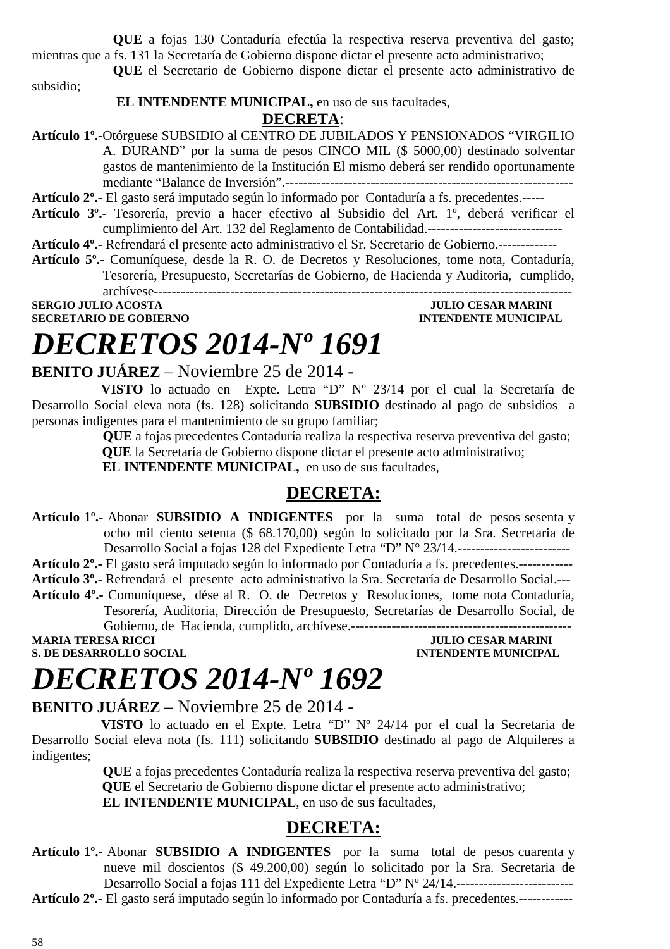**QUE** a fojas 130 Contaduría efectúa la respectiva reserva preventiva del gasto; mientras que a fs. 131 la Secretaría de Gobierno dispone dictar el presente acto administrativo;

**QUE** el Secretario de Gobierno dispone dictar el presente acto administrativo de

subsidio;

#### **EL INTENDENTE MUNICIPAL,** en uso de sus facultades,

#### **DECRETA**:

**Artículo 1º.-**Otórguese SUBSIDIO al CENTRO DE JUBILADOS Y PENSIONADOS "VIRGILIO A. DURAND" por la suma de pesos CINCO MIL (\$ 5000,00) destinado solventar gastos de mantenimiento de la Institución El mismo deberá ser rendido oportunamente mediante "Balance de Inversión".----------------------------------------------------------------

**Artículo 2º.-** El gasto será imputado según lo informado por Contaduría a fs. precedentes.-----

**Artículo 3º.-** Tesorería, previo a hacer efectivo al Subsidio del Art. 1º, deberá verificar el cumplimiento del Art. 132 del Reglamento de Contabilidad.------------------------------

**Artículo 4º.-** Refrendará el presente acto administrativo el Sr. Secretario de Gobierno.-------------

**Artículo 5º.-** Comuníquese, desde la R. O. de Decretos y Resoluciones, tome nota, Contaduría, Tesorería, Presupuesto, Secretarías de Gobierno, de Hacienda y Auditoria, cumplido,

archívese---------------------------------------------------------------------------------------------

**SERGIO JULIO ACOSTA JULIO CESAR MARINI SECRETARIO DE GOBIERNO** 

## *DECRETOS 2014-Nº 1691*

### **BENITO JUÁREZ** – Noviembre 25 de 2014 -

 **VISTO** lo actuado en Expte. Letra "D" Nº 23/14 por el cual la Secretaría de Desarrollo Social eleva nota (fs. 128) solicitando **SUBSIDIO** destinado al pago de subsidios a personas indigentes para el mantenimiento de su grupo familiar;

> **QUE** a fojas precedentes Contaduría realiza la respectiva reserva preventiva del gasto;  **QUE** la Secretaría de Gobierno dispone dictar el presente acto administrativo;

 **EL INTENDENTE MUNICIPAL,** en uso de sus facultades,

### **DECRETA:**

**Artículo 1º.-** Abonar **SUBSIDIO A INDIGENTES** por la suma total de pesos sesenta y ocho mil ciento setenta (\$ 68.170,00) según lo solicitado por la Sra. Secretaria de Desarrollo Social a fojas 128 del Expediente Letra "D" N° 23/14.-------------------------

**Artículo 2º.-** El gasto será imputado según lo informado por Contaduría a fs. precedentes.------------

**Artículo 3º.-** Refrendará el presente acto administrativo la Sra. Secretaría de Desarrollo Social.---

**Artículo 4º.-** Comuníquese, dése al R. O. de Decretos y Resoluciones, tome nota Contaduría, Tesorería, Auditoria, Dirección de Presupuesto, Secretarías de Desarrollo Social, de Gobierno, de Hacienda, cumplido, archívese.-------------------------------------------------

MARIA TERESA RICCI JULIO CESAR MARINI<br>
S. DE DESARROLLO SOCIAL

**INTENDENTE MUNICIPAL** 

### *DECRETOS 2014-Nº 1692*

### **BENITO JUÁREZ** – Noviembre 25 de 2014 -

 **VISTO** lo actuado en el Expte. Letra "D" Nº 24/14 por el cual la Secretaria de Desarrollo Social eleva nota (fs. 111) solicitando **SUBSIDIO** destinado al pago de Alquileres a indigentes;

> **QUE** a fojas precedentes Contaduría realiza la respectiva reserva preventiva del gasto;  **QUE** el Secretario de Gobierno dispone dictar el presente acto administrativo;  **EL INTENDENTE MUNICIPAL**, en uso de sus facultades,

### **DECRETA:**

**Artículo 1º.-** Abonar **SUBSIDIO A INDIGENTES** por la suma total de pesos cuarenta y nueve mil doscientos (\$ 49.200,00) según lo solicitado por la Sra. Secretaria de Desarrollo Social a fojas 111 del Expediente Letra "D" Nº 24/14.--------------------------

**Artículo 2º.-** El gasto será imputado según lo informado por Contaduría a fs. precedentes.------------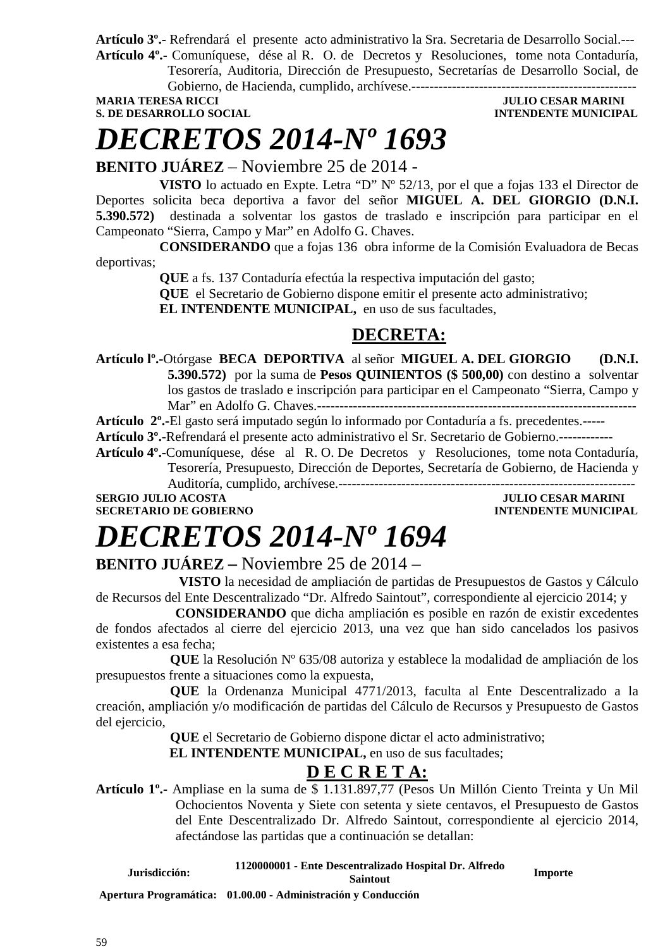**Artículo 3º.-** Refrendará el presente acto administrativo la Sra. Secretaria de Desarrollo Social.--- **Artículo 4º.-** Comuníquese, dése al R. O. de Decretos y Resoluciones, tome nota Contaduría,

Tesorería, Auditoria, Dirección de Presupuesto, Secretarías de Desarrollo Social, de Gobierno, de Hacienda, cumplido, archívese.--------------------------------------------------

**MARIA TERESA RICCI DE LOS ENFORMADOS DE LOS ENFORMADOS DE LOS ENFORMADOS DE LOS ENFORMADOS DE LOS ENFORMADOS DE LOS ENFORMADOS DE LOS ENFORMADOS DE LOS ENFORMADOS DE LOS ENFORMADOS DE LOS ENFORMADOS DE LOS ENFORMADOS DE L** 

### **S. DE DESARROLLO SOCIAL DESARROLLO SOCIAL DESARROLLO SOCIAL DESARROLLO SOCIAL DESARROLLO SOCIAL DE LA PERSONAL DE LA PERSONAL DE LA PERSONAL DE LA PERSONAL DE LA PERSONAL DE LA PERSONAL DE LA PERSONAL DE LA PERSONAL DE LA**

### *DECRETOS 2014-Nº 1693*

**BENITO JUÁREZ** – Noviembre 25 de 2014 -

**VISTO** lo actuado en Expte. Letra "D" Nº 52/13, por el que a fojas 133 el Director de Deportes solicita beca deportiva a favor del señor **MIGUEL A. DEL GIORGIO (D.N.I. 5.390.572)** destinada a solventar los gastos de traslado e inscripción para participar en el Campeonato "Sierra, Campo y Mar" en Adolfo G. Chaves.

**CONSIDERANDO** que a fojas 136 obra informe de la Comisión Evaluadora de Becas deportivas;

**QUE** a fs. 137 Contaduría efectúa la respectiva imputación del gasto;

**QUE** el Secretario de Gobierno dispone emitir el presente acto administrativo;

**EL INTENDENTE MUNICIPAL,** en uso de sus facultades,

### **DECRETA:**

**Artículo lº.-**Otórgase **BECA DEPORTIVA** al señor **MIGUEL A. DEL GIORGIO (D.N.I. 5.390.572)** por la suma de **Pesos QUINIENTOS (\$ 500,00)** con destino a solventar los gastos de traslado e inscripción para participar en el Campeonato "Sierra, Campo y Mar" en Adolfo G. Chaves.------------

**Artículo 2º.-**El gasto será imputado según lo informado por Contaduría a fs. precedentes.-----

**Artículo 3º.**-Refrendará el presente acto administrativo el Sr. Secretario de Gobierno.------------

**Artículo 4º.-**Comuníquese, dése al R. O. De Decretos y Resoluciones, tome nota Contaduría, Tesorería, Presupuesto, Dirección de Deportes, Secretaría de Gobierno, de Hacienda y Auditoría, cumplido, archívese.------------------------------------------------------------------

**SERGIO JULIO ACOSTA JULIO CESAR MARINI SECRETARIO DE GOBIERNO INTENDENTE MUNICIPAL** 

### *DECRETOS 2014-Nº 1694*

### **BENITO JUÁREZ –** Noviembre 25 de 2014 –

 **VISTO** la necesidad de ampliación de partidas de Presupuestos de Gastos y Cálculo de Recursos del Ente Descentralizado "Dr. Alfredo Saintout", correspondiente al ejercicio 2014; y

 **CONSIDERANDO** que dicha ampliación es posible en razón de existir excedentes de fondos afectados al cierre del ejercicio 2013, una vez que han sido cancelados los pasivos existentes a esa fecha;

 **QUE** la Resolución Nº 635/08 autoriza y establece la modalidad de ampliación de los presupuestos frente a situaciones como la expuesta,

 **QUE** la Ordenanza Municipal 4771/2013, faculta al Ente Descentralizado a la creación, ampliación y/o modificación de partidas del Cálculo de Recursos y Presupuesto de Gastos del ejercicio,

 **QUE** el Secretario de Gobierno dispone dictar el acto administrativo;

**EL INTENDENTE MUNICIPAL, en uso de sus facultades;** 

### **D E C R E T A:**

**Artículo 1º.-** Ampliase en la suma de \$ 1.131.897,77 (Pesos Un Millón Ciento Treinta y Un Mil Ochocientos Noventa y Siete con setenta y siete centavos, el Presupuesto de Gastos del Ente Descentralizado Dr. Alfredo Saintout, correspondiente al ejercicio 2014, afectándose las partidas que a continuación se detallan:

**Jurisdicción: 1120000001 - Ente Descentralizado Hospital Dr. Alfredo Saintout Importe** 

**Apertura Programática: 01.00.00 - Administración y Conducción**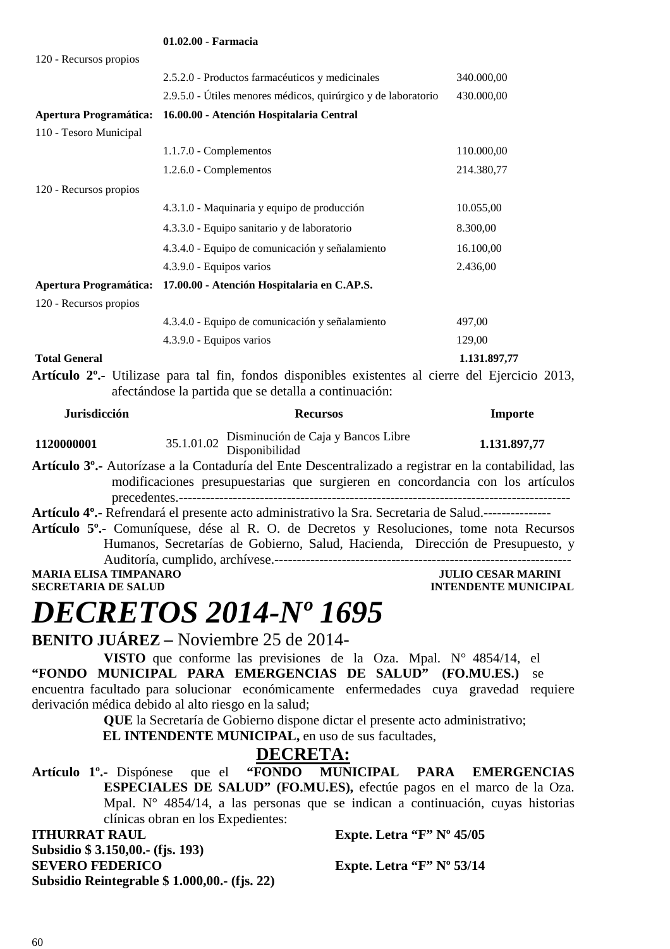|                        | VI.V4.VV - Fafiliacia                                                                                                                                                   |              |
|------------------------|-------------------------------------------------------------------------------------------------------------------------------------------------------------------------|--------------|
| 120 - Recursos propios |                                                                                                                                                                         |              |
|                        | 2.5.2.0 - Productos farmacéuticos y medicinales                                                                                                                         | 340.000,00   |
|                        | 2.9.5.0 - Útiles menores médicos, quirúrgico y de laboratorio                                                                                                           | 430.000,00   |
|                        | Apertura Programática: 16.00.00 - Atención Hospitalaria Central                                                                                                         |              |
| 110 - Tesoro Municipal |                                                                                                                                                                         |              |
|                        | $1.1.7.0$ - Complementos                                                                                                                                                | 110.000,00   |
|                        | 1.2.6.0 - Complementos                                                                                                                                                  | 214.380,77   |
| 120 - Recursos propios |                                                                                                                                                                         |              |
|                        | 4.3.1.0 - Maquinaria y equipo de producción                                                                                                                             | 10.055,00    |
|                        | 4.3.3.0 - Equipo sanitario y de laboratorio                                                                                                                             | 8.300,00     |
|                        | 4.3.4.0 - Equipo de comunicación y señalamiento                                                                                                                         | 16.100,00    |
|                        | 4.3.9.0 - Equipos varios                                                                                                                                                | 2.436,00     |
|                        | Apertura Programática: 17.00.00 - Atención Hospitalaria en C.AP.S.                                                                                                      |              |
| 120 - Recursos propios |                                                                                                                                                                         |              |
|                        | 4.3.4.0 - Equipo de comunicación y señalamiento                                                                                                                         | 497,00       |
|                        | 4.3.9.0 - Equipos varios                                                                                                                                                | 129,00       |
| <b>Total General</b>   |                                                                                                                                                                         | 1.131.897,77 |
|                        | Artículo 2 <sup>o</sup> .- Utilizase para tal fin, fondos disponibles existentes al cierre del Ejercicio 2013,<br>afectándose la partida que se detalla a continuación: |              |
| <b>Jurisdicción</b>    | <b>Recursos</b>                                                                                                                                                         | Importe      |
| 1120000001             | Disminución de Caja y Bancos Libre<br>35.1.01.02<br>Disponibilidad                                                                                                      | 1.131.897,77 |

#### **Artículo 3º.-** Autorízase a la Contaduría del Ente Descentralizado a registrar en la contabilidad, las modificaciones presupuestarias que surgieren en concordancia con los artículos precedentes.---------------------------------------------------------------------------------------

**Artículo 4º.-** Refrendará el presente acto administrativo la Sra. Secretaria de Salud.--------------- **Artículo 5º.-** Comuníquese, dése al R. O. de Decretos y Resoluciones, tome nota Recursos Humanos, Secretarías de Gobierno, Salud, Hacienda, Dirección de Presupuesto, y Auditoría, cumplido, archívese.------------------------------------------------------------------ **MARIA ELISA TIMPANARO JULIO CESAR MARINI** 

### **SECRETARIA DE SALUD INTENDENTE MUNICIPAL**

### *DECRETOS 2014-Nº 1695*

**01.02.00 - Farmacia** 

**BENITO JUÁREZ –** Noviembre 25 de 2014-

**VISTO** que conforme las previsiones de la Oza. Mpal. N° 4854/14, el **"FONDO MUNICIPAL PARA EMERGENCIAS DE SALUD" (FO.MU.ES.)** se encuentra facultado para solucionar económicamente enfermedades cuya gravedad requiere derivación médica debido al alto riesgo en la salud;

**QUE** la Secretaría de Gobierno dispone dictar el presente acto administrativo;  **EL INTENDENTE MUNICIPAL,** en uso de sus facultades,

**DECRETA:**<br>"FONDO MUNICIPAL **Artículo 1º.-** Dispónese que el **"FONDO MUNICIPAL PARA EMERGENCIAS ESPECIALES DE SALUD" (FO.MU.ES),** efectúe pagos en el marco de la Oza. Mpal. N° 4854/14, a las personas que se indican a continuación, cuyas historias clínicas obran en los Expedientes:

**ITHURRAT RAUL Expte. Letra "F" Nº 45/05 Subsidio \$ 3.150,00.- (fjs. 193) SEVERO FEDERICO** Expte. Letra "F" Nº 53/14 **Subsidio Reintegrable \$ 1.000,00.- (fjs. 22)**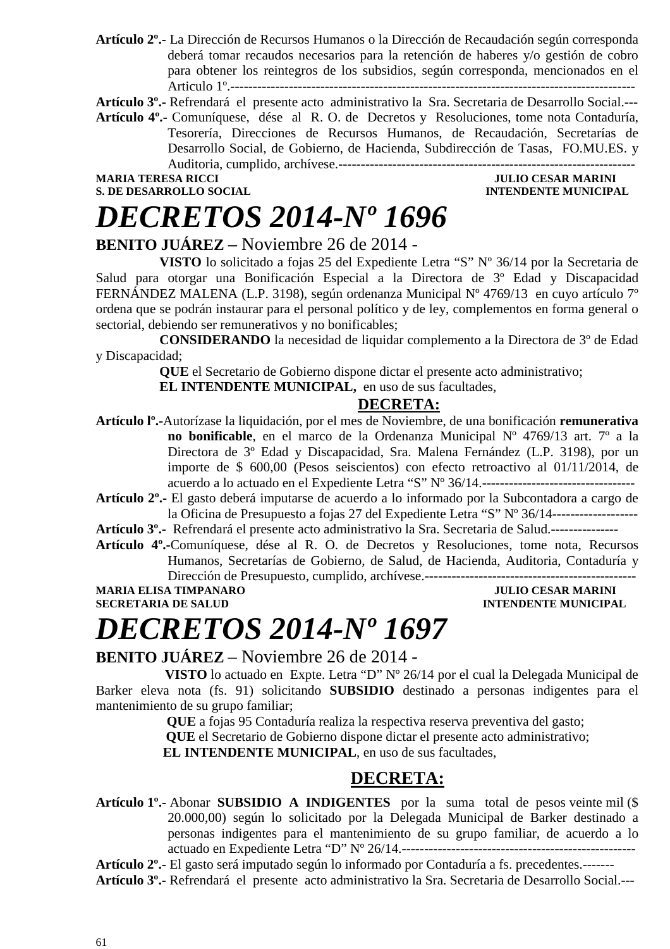**Artículo 2º.-** La Dirección de Recursos Humanos o la Dirección de Recaudación según corresponda deberá tomar recaudos necesarios para la retención de haberes y/o gestión de cobro para obtener los reintegros de los subsidios, según corresponda, mencionados en el Articulo 1º.------------------------------------------------------------------------------------------

**Artículo 3º.-** Refrendará el presente acto administrativo la Sra. Secretaria de Desarrollo Social.---

**Artículo 4º.-** Comuníquese, dése al R. O. de Decretos y Resoluciones, tome nota Contaduría, Tesorería, Direcciones de Recursos Humanos, de Recaudación, Secretarías de Desarrollo Social, de Gobierno, de Hacienda, Subdirección de Tasas, FO.MU.ES. y Auditoria, cumplido, archívese.------------------------------------------------------------------

### **S. DE DESARROLLO SOCIAL**

### **MARIA TERESA RICCI JULIO CESAR MARINI**

### *DECRETOS 2014-Nº 1696*

#### **BENITO JUÁREZ –** Noviembre 26 de 2014 -

**VISTO** lo solicitado a fojas 25 del Expediente Letra "S" Nº 36/14 por la Secretaria de Salud para otorgar una Bonificación Especial a la Directora de 3º Edad y Discapacidad FERNÁNDEZ MALENA (L.P. 3198), según ordenanza Municipal Nº 4769/13 en cuyo artículo 7º ordena que se podrán instaurar para el personal político y de ley, complementos en forma general o sectorial, debiendo ser remunerativos y no bonificables;

**CONSIDERANDO** la necesidad de liquidar complemento a la Directora de 3º de Edad y Discapacidad;

**QUE** el Secretario de Gobierno dispone dictar el presente acto administrativo;

**EL INTENDENTE MUNICIPAL,** en uso de sus facultades,

#### **DECRETA:**

**Artículo lº.-**Autorízase la liquidación, por el mes de Noviembre, de una bonificación **remunerativa no bonificable**, en el marco de la Ordenanza Municipal Nº 4769/13 art. 7º a la Directora de 3º Edad y Discapacidad, Sra. Malena Fernández (L.P. 3198), por un importe de \$ 600,00 (Pesos seiscientos) con efecto retroactivo al 01/11/2014, de acuerdo a lo actuado en el Expediente Letra "S" Nº 36/14.----------------------------------

**Artículo 2º.-** El gasto deberá imputarse de acuerdo a lo informado por la Subcontadora a cargo de la Oficina de Presupuesto a fojas 27 del Expediente Letra "S" Nº 36/14-------------------

**Artículo 3º.-** Refrendará el presente acto administrativo la Sra. Secretaria de Salud.---------------

**Artículo 4º.-**Comuníquese, dése al R. O. de Decretos y Resoluciones, tome nota, Recursos Humanos, Secretarías de Gobierno, de Salud, de Hacienda, Auditoria, Contaduría y

Dirección de Presupuesto, cumplido, archívese.----------------------------------------------- MARIA ELISA TIMPANARO JULIO CESAR MARINI SECRETARIA DE SALUD

**INTENDENTE MUNICIPAL** 

### *DECRETOS 2014-Nº 1697*

#### **BENITO JUÁREZ** – Noviembre 26 de 2014 -

 **VISTO** lo actuado en Expte. Letra "D" Nº 26/14 por el cual la Delegada Municipal de Barker eleva nota (fs. 91) solicitando **SUBSIDIO** destinado a personas indigentes para el mantenimiento de su grupo familiar;

 **QUE** a fojas 95 Contaduría realiza la respectiva reserva preventiva del gasto;

 **QUE** el Secretario de Gobierno dispone dictar el presente acto administrativo;

 **EL INTENDENTE MUNICIPAL**, en uso de sus facultades,

### **DECRETA:**

**Artículo 1º.-** Abonar **SUBSIDIO A INDIGENTES** por la suma total de pesos veinte mil (\$ 20.000,00) según lo solicitado por la Delegada Municipal de Barker destinado a personas indigentes para el mantenimiento de su grupo familiar, de acuerdo a lo actuado en Expediente Letra "D" Nº 26/14.----------------------------------------------------

**Artículo 2º.-** El gasto será imputado según lo informado por Contaduría a fs. precedentes.------- **Artículo 3º.-** Refrendará el presente acto administrativo la Sra. Secretaria de Desarrollo Social.---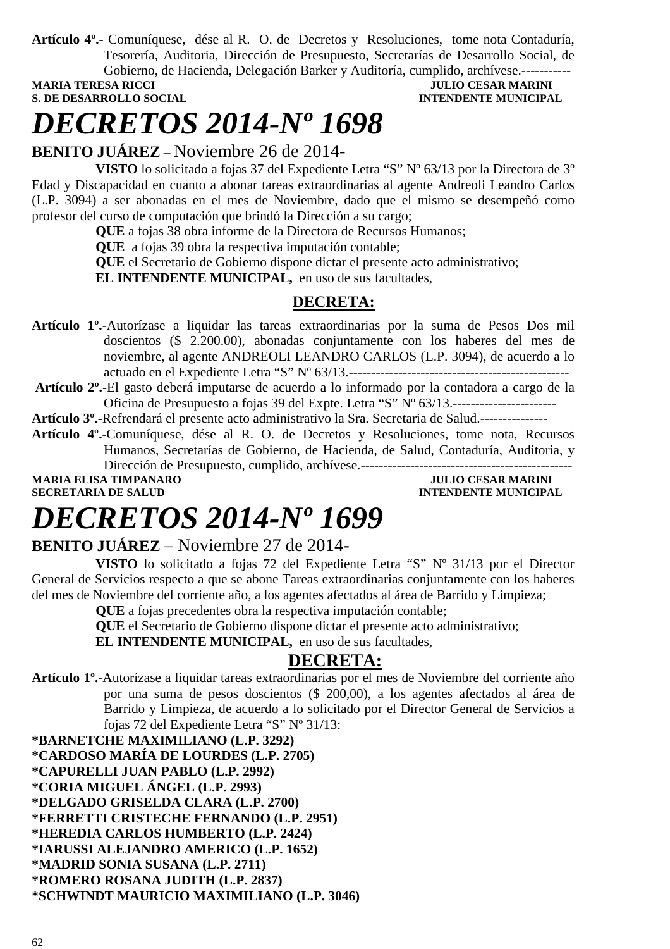**Artículo 4º.-** Comuníquese, dése al R. O. de Decretos y Resoluciones, tome nota Contaduría, Tesorería, Auditoria, Dirección de Presupuesto, Secretarías de Desarrollo Social, de Gobierno, de Hacienda, Delegación Barker y Auditoría, cumplido, archívese.------------<br>MARIA TERESA RICCI

**S. DE DESARROLLO SOCIAL CONSUMING A LOCAL CONSUMING A LOCAL CONSUMING A LOCAL CONSUMING A LOCAL CONSUMING A LOCAL CONSUMING A LOCAL CONSUMING A LOCAL CONSUMING A LOCAL CONSUMING A LOCAL CONSUMING A LOCAL CONSUMING A LOCAL** 

### **JULIO CESAR MARINI**

## *DECRETOS 2014-Nº 1698*

**BENITO JUÁREZ –** Noviembre 26 de 2014-

**VISTO** lo solicitado a fojas 37 del Expediente Letra "S" Nº 63/13 por la Directora de 3º Edad y Discapacidad en cuanto a abonar tareas extraordinarias al agente Andreoli Leandro Carlos (L.P. 3094) a ser abonadas en el mes de Noviembre, dado que el mismo se desempeñó como profesor del curso de computación que brindó la Dirección a su cargo;

**QUE** a fojas 38 obra informe de la Directora de Recursos Humanos;

**QUE** a fojas 39 obra la respectiva imputación contable;

**QUE** el Secretario de Gobierno dispone dictar el presente acto administrativo;

**EL INTENDENTE MUNICIPAL,** en uso de sus facultades,

### **DECRETA:**

**Artículo 1º.**-Autorízase a liquidar las tareas extraordinarias por la suma de Pesos Dos mil doscientos (\$ 2.200.00), abonadas conjuntamente con los haberes del mes de noviembre, al agente ANDREOLI LEANDRO CARLOS (L.P. 3094), de acuerdo a lo actuado en el Expediente Letra "S" Nº 63/13.-------------------------------------------------

**Artículo 2º.-**El gasto deberá imputarse de acuerdo a lo informado por la contadora a cargo de la Oficina de Presupuesto a fojas 39 del Expte. Letra "S" Nº 63/13.-----------------------

**Artículo 3º.-**Refrendará el presente acto administrativo la Sra. Secretaria de Salud.---------------

**Artículo 4º.-**Comuníquese, dése al R. O. de Decretos y Resoluciones, tome nota, Recursos Humanos, Secretarías de Gobierno, de Hacienda, de Salud, Contaduría, Auditoria, y Dirección de Presupuesto, cumplido, archívese.----------------------------------------------- **MARIA ELISA TIMPANARO JULIO CESAR MARINI** 

**SECRETARIA DE SALUD INTENDENTE MUNICIPAL** 

## *DECRETOS 2014-Nº 1699*

### **BENITO JUÁREZ** – Noviembre 27 de 2014-

**VISTO** lo solicitado a fojas 72 del Expediente Letra "S" Nº 31/13 por el Director General de Servicios respecto a que se abone Tareas extraordinarias conjuntamente con los haberes del mes de Noviembre del corriente año, a los agentes afectados al área de Barrido y Limpieza;

**QUE** a fojas precedentes obra la respectiva imputación contable;

**QUE** el Secretario de Gobierno dispone dictar el presente acto administrativo;

**EL INTENDENTE MUNICIPAL,** en uso de sus facultades,

### **DECRETA:**

**Artículo 1º.**-Autorízase a liquidar tareas extraordinarias por el mes de Noviembre del corriente año por una suma de pesos doscientos (\$ 200,00), a los agentes afectados al área de Barrido y Limpieza, de acuerdo a lo solicitado por el Director General de Servicios a fojas 72 del Expediente Letra "S" Nº 31/13:

**\*BARNETCHE MAXIMILIANO (L.P. 3292) \*CARDOSO MARÍA DE LOURDES (L.P. 2705) \*CAPURELLI JUAN PABLO (L.P. 2992) \*CORIA MIGUEL ÁNGEL (L.P. 2993) \*DELGADO GRISELDA CLARA (L.P. 2700) \*FERRETTI CRISTECHE FERNANDO (L.P. 2951) \*HEREDIA CARLOS HUMBERTO (L.P. 2424) \*IARUSSI ALEJANDRO AMERICO (L.P. 1652) \*MADRID SONIA SUSANA (L.P. 2711) \*ROMERO ROSANA JUDITH (L.P. 2837) \*SCHWINDT MAURICIO MAXIMILIANO (L.P. 3046)**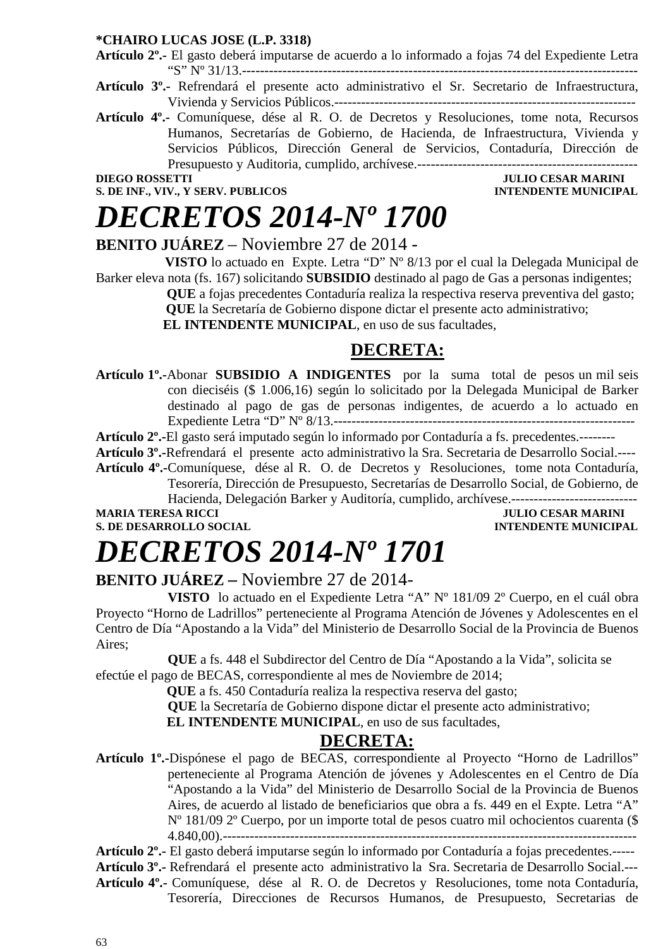#### **\*CHAIRO LUCAS JOSE (L.P. 3318)**

**Artículo 2º.-** El gasto deberá imputarse de acuerdo a lo informado a fojas 74 del Expediente Letra "S" Nº 31/13.----------------------------------------------------------------------------------------

- **Artículo 3º.-** Refrendará el presente acto administrativo el Sr. Secretario de Infraestructura, Vivienda y Servicios Públicos.-------------------------------------------------------------------
- **Artículo 4º.-** Comuníquese, dése al R. O. de Decretos y Resoluciones, tome nota, Recursos Humanos, Secretarías de Gobierno, de Hacienda, de Infraestructura, Vivienda y Servicios Públicos, Dirección General de Servicios, Contaduría, Dirección de Presupuesto y Auditoria, cumplido, archívese.-------------------------------------------------

**S. DE INF., VIV., Y SERV. PUBLICOS** 

### **DIEGO ROSSETTI JULIO CESAR MARINI**

### *DECRETOS 2014-Nº 1700*

**BENITO JUÁREZ** – Noviembre 27 de 2014 -

 **VISTO** lo actuado en Expte. Letra "D" Nº 8/13 por el cual la Delegada Municipal de Barker eleva nota (fs. 167) solicitando **SUBSIDIO** destinado al pago de Gas a personas indigentes;  **QUE** a fojas precedentes Contaduría realiza la respectiva reserva preventiva del gasto;

 **QUE** la Secretaría de Gobierno dispone dictar el presente acto administrativo;

 **EL INTENDENTE MUNICIPAL**, en uso de sus facultades,

### **DECRETA:**

**Artículo 1º.-**Abonar **SUBSIDIO A INDIGENTES** por la suma total de pesos un mil seis con dieciséis (\$ 1.006,16) según lo solicitado por la Delegada Municipal de Barker destinado al pago de gas de personas indigentes, de acuerdo a lo actuado en Expediente Letra "D" Nº 8/13.-------------------------------------------------------------------

**Artículo 2º.-**El gasto será imputado según lo informado por Contaduría a fs. precedentes.--------

**Artículo 3º.-**Refrendará el presente acto administrativo la Sra. Secretaria de Desarrollo Social.---- **Artículo 4º.-**Comuníquese, dése al R. O. de Decretos y Resoluciones, tome nota Contaduría,

Tesorería, Dirección de Presupuesto, Secretarías de Desarrollo Social, de Gobierno, de Hacienda, Delegación Barker y Auditoría, cumplido, archívese.----------------------------

### **S. DE DESARROLLO SOCIAL**

**MULIO CESAR MARINI<br>INTENDENTE MUNICIPAL** 

# *DECRETOS 2014-Nº 1701*

### **BENITO JUÁREZ –** Noviembre 27 de 2014-

**VISTO** lo actuado en el Expediente Letra "A" Nº 181/09 2º Cuerpo, en el cuál obra Proyecto "Horno de Ladrillos" perteneciente al Programa Atención de Jóvenes y Adolescentes en el Centro de Día "Apostando a la Vida" del Ministerio de Desarrollo Social de la Provincia de Buenos Aires;

**QUE** a fs. 448 el Subdirector del Centro de Día "Apostando a la Vida", solicita se efectúe el pago de BECAS, correspondiente al mes de Noviembre de 2014;

 **QUE** a fs. 450 Contaduría realiza la respectiva reserva del gasto;

**QUE** la Secretaría de Gobierno dispone dictar el presente acto administrativo;

**EL INTENDENTE MUNICIPAL**, en uso de sus facultades,

### **DECRETA:**

**Artículo 1º.-**Dispónese el pago de BECAS, correspondiente al Proyecto "Horno de Ladrillos" perteneciente al Programa Atención de jóvenes y Adolescentes en el Centro de Día "Apostando a la Vida" del Ministerio de Desarrollo Social de la Provincia de Buenos Aires, de acuerdo al listado de beneficiarios que obra a fs. 449 en el Expte. Letra "A" Nº 181/09 2º Cuerpo, por un importe total de pesos cuatro mil ochocientos cuarenta (\$ 4.840,00).--------------------------------------------------------------------------------------------

**Artículo 2º.-** El gasto deberá imputarse según lo informado por Contaduría a fojas precedentes.-----

**Artículo 3º.-** Refrendará el presente acto administrativo la Sra. Secretaria de Desarrollo Social.--- **Artículo 4º.-** Comuníquese, dése al R. O. de Decretos y Resoluciones, tome nota Contaduría,

Tesorería, Direcciones de Recursos Humanos, de Presupuesto, Secretarias de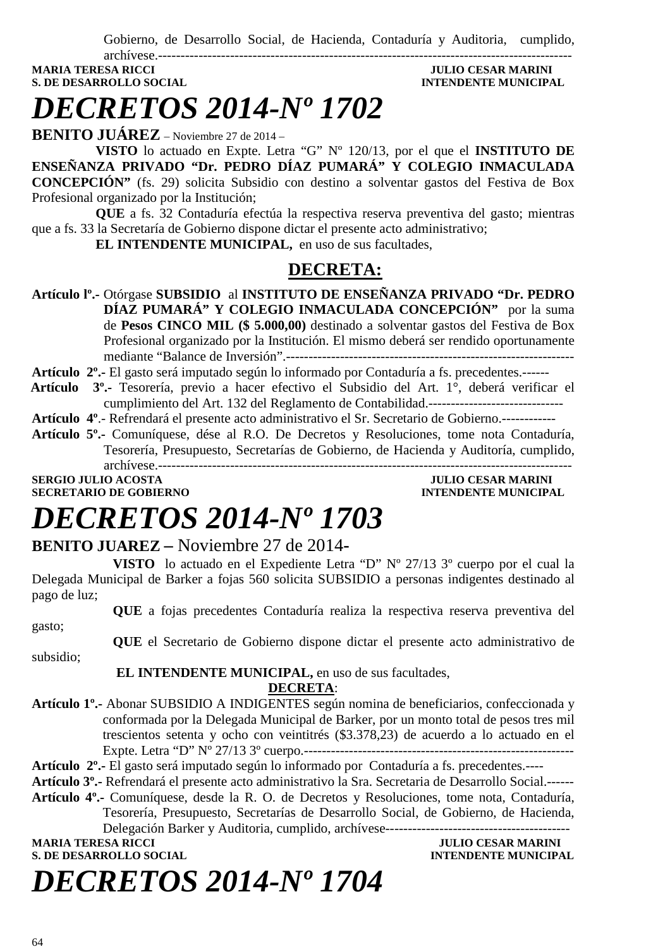Gobierno, de Desarrollo Social, de Hacienda, Contaduría y Auditoria, cumplido,

archívese.-------------------------------------------------------------------------------------------- **MARIA TERESA RICCI JULIO CESAR MARINI S. DE DESARROLLO SOCIAL COMPUTE DE LA CONFIDENTE MUNICIPAL AND SOCIAL COMPUTE DE LA CONFIDENCIAL COMPUTE DE LA CONFIDENCIAL COMPUTE DE LA CONFIDENCIAL COMPUTE DE LA CONFIDENCIAL COMPUTE DE LA CONFIDENCIAL COMPUTE DE LA CO** 

# *DECRETOS 2014-Nº 1702*

**BENITO JUÁREZ** – Noviembre 27 de 2014 –

**VISTO** lo actuado en Expte. Letra "G" Nº 120/13, por el que el **INSTITUTO DE ENSEÑANZA PRIVADO "Dr. PEDRO DÍAZ PUMARÁ" Y COLEGIO INMACULADA CONCEPCIÓN"** (fs. 29) solicita Subsidio con destino a solventar gastos del Festiva de Box Profesional organizado por la Institución;

**QUE** a fs. 32 Contaduría efectúa la respectiva reserva preventiva del gasto; mientras que a fs. 33 la Secretaría de Gobierno dispone dictar el presente acto administrativo;

**EL INTENDENTE MUNICIPAL,** en uso de sus facultades,

### **DECRETA:**

**Artículo lº.-** Otórgase **SUBSIDIO** al **INSTITUTO DE ENSEÑANZA PRIVADO "Dr. PEDRO DÍAZ PUMARÁ" Y COLEGIO INMACULADA CONCEPCIÓN"** por la suma de **Pesos CINCO MIL (\$ 5.000,00)** destinado a solventar gastos del Festiva de Box Profesional organizado por la Institución. El mismo deberá ser rendido oportunamente mediante "Balance de Inversión".----------------------------------------------------------------

**Artículo 2º.-** El gasto será imputado según lo informado por Contaduría a fs. precedentes.------

- **Artículo 3º.-** Tesorería, previo a hacer efectivo el Subsidio del Art. 1°, deberá verificar el cumplimiento del Art. 132 del Reglamento de Contabilidad.------------------------------
- **Artículo 4º**.- Refrendará el presente acto administrativo el Sr. Secretario de Gobierno.------------

**Artículo 5º.-** Comuníquese, dése al R.O. De Decretos y Resoluciones, tome nota Contaduría, Tesorería, Presupuesto, Secretarías de Gobierno, de Hacienda y Auditoría, cumplido, archívese.-------------------------------------------------------------------------------------------- **SERGIO JULIO ACOSTA JULIO CESAR MARINI** 

### **SECRETARIO DE GOBIERNO INTENDENTE MUNICIPAL**

## *DECRETOS 2014-Nº 1703*

### **BENITO JUAREZ –** Noviembre 27 de 2014**-**

**VISTO** lo actuado en el Expediente Letra "D" Nº 27/13 3º cuerpo por el cual la Delegada Municipal de Barker a fojas 560 solicita SUBSIDIO a personas indigentes destinado al pago de luz;

**QUE** a fojas precedentes Contaduría realiza la respectiva reserva preventiva del

gasto;

**QUE** el Secretario de Gobierno dispone dictar el presente acto administrativo de

subsidio;

#### **EL INTENDENTE MUNICIPAL,** en uso de sus facultades,

#### **DECRETA**:

- **Artículo 1º.-** Abonar SUBSIDIO A INDIGENTES según nomina de beneficiarios, confeccionada y conformada por la Delegada Municipal de Barker, por un monto total de pesos tres mil trescientos setenta y ocho con veintitrés (\$3.378,23) de acuerdo a lo actuado en el Expte. Letra "D" Nº 27/13 3º cuerpo.------------------------------------------------------------
- **Artículo 2º.-** El gasto será imputado según lo informado por Contaduría a fs. precedentes.----
- **Artículo 3º.-** Refrendará el presente acto administrativo la Sra. Secretaria de Desarrollo Social.------
- **Artículo 4º.-** Comuníquese, desde la R. O. de Decretos y Resoluciones, tome nota, Contaduría, Tesorería, Presupuesto, Secretarías de Desarrollo Social, de Gobierno, de Hacienda, Delegación Barker y Auditoria, cumplido, archívese-----------------------------------------

**MARIA TERESA RICCI DE DE LOS DE LOS DE LOS DE JULIO CESAR MARINI** 

**S. DE DESARROLLO SOCIAL DESARROLLO SOCIAL DESARROLLO SOCIAL DESARROLLO SOCIAL DESARROLLO SOCIAL DE SOCIAL DE SOCIAL DE SOCIAL DE SOCIAL DE SOCIAL DE SOCIAL DE SOCIAL DE SOCIAL DE SOCIAL DE SOCIAL DE SOCIAL DE SOCIAL DE SO** 

# *DECRETOS 2014-Nº 1704*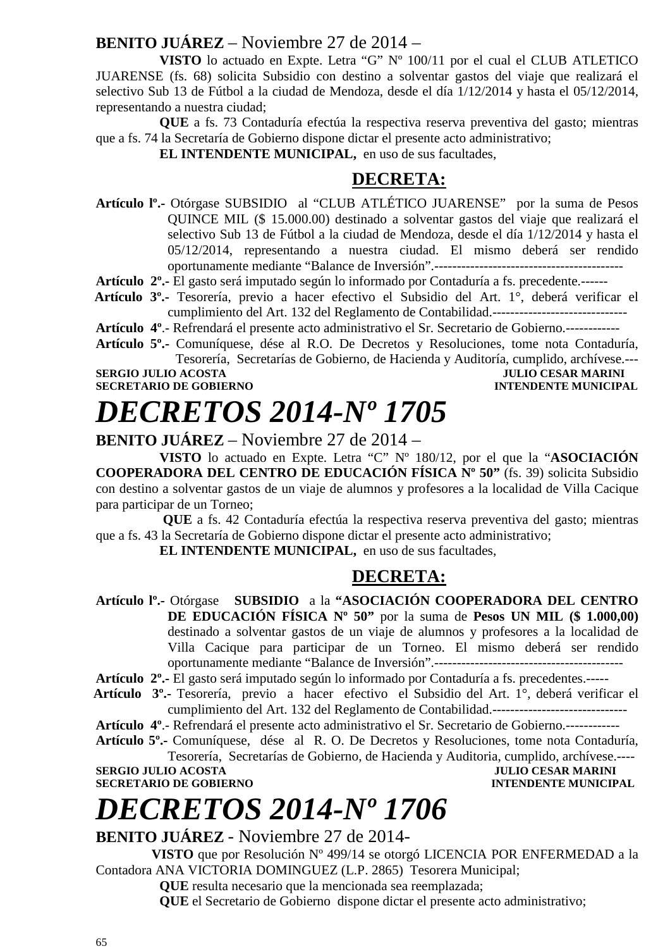### **BENITO JUÁREZ** – Noviembre 27 de 2014 –

**VISTO** lo actuado en Expte. Letra "G" Nº 100/11 por el cual el CLUB ATLETICO JUARENSE (fs. 68) solicita Subsidio con destino a solventar gastos del viaje que realizará el selectivo Sub 13 de Fútbol a la ciudad de Mendoza, desde el día 1/12/2014 y hasta el 05/12/2014, representando a nuestra ciudad;

**QUE** a fs. 73 Contaduría efectúa la respectiva reserva preventiva del gasto; mientras que a fs. 74 la Secretaría de Gobierno dispone dictar el presente acto administrativo;

**EL INTENDENTE MUNICIPAL,** en uso de sus facultades,

### **DECRETA:**

**Artículo lº.-** Otórgase SUBSIDIO al "CLUB ATLÉTICO JUARENSE" por la suma de Pesos QUINCE MIL (\$ 15.000.00) destinado a solventar gastos del viaje que realizará el selectivo Sub 13 de Fútbol a la ciudad de Mendoza, desde el día 1/12/2014 y hasta el 05/12/2014, representando a nuestra ciudad. El mismo deberá ser rendido oportunamente mediante "Balance de Inversión".------------------------------------------

**Artículo 2º.-** El gasto será imputado según lo informado por Contaduría a fs. precedente.------

 **Artículo 3º.-** Tesorería, previo a hacer efectivo el Subsidio del Art. 1°, deberá verificar el cumplimiento del Art. 132 del Reglamento de Contabilidad.------------------------------

**Artículo 4º**.- Refrendará el presente acto administrativo el Sr. Secretario de Gobierno.------------

**Artículo 5º.-** Comuníquese, dése al R.O. De Decretos y Resoluciones, tome nota Contaduría, Tesorería, Secretarías de Gobierno, de Hacienda y Auditoría, cumplido, archívese.---

**SERGIO JULIO ACOSTA JULIO CESAR MARINI SECRETARIO DE GOBIERNO INTENDENTE MUNICIPAL** 

## *DECRETOS 2014-Nº 1705*

**BENITO JUÁREZ** – Noviembre 27 de 2014 –

**VISTO** lo actuado en Expte. Letra "C" Nº 180/12, por el que la "**ASOCIACIÓN COOPERADORA DEL CENTRO DE EDUCACIÓN FÍSICA Nº 50"** (fs. 39) solicita Subsidio con destino a solventar gastos de un viaje de alumnos y profesores a la localidad de Villa Cacique para participar de un Torneo;

 **QUE** a fs. 42 Contaduría efectúa la respectiva reserva preventiva del gasto; mientras que a fs. 43 la Secretaría de Gobierno dispone dictar el presente acto administrativo;

**EL INTENDENTE MUNICIPAL,** en uso de sus facultades,

### **DECRETA:**

**Artículo lº.-** Otórgase **SUBSIDIO** a la **"ASOCIACIÓN COOPERADORA DEL CENTRO DE EDUCACIÓN FÍSICA Nº 50"** por la suma de **Pesos UN MIL (\$ 1.000,00)**  destinado a solventar gastos de un viaje de alumnos y profesores a la localidad de Villa Cacique para participar de un Torneo. El mismo deberá ser rendido oportunamente mediante "Balance de Inversión".------------------------------------------

**Artículo 2º.-** El gasto será imputado según lo informado por Contaduría a fs. precedentes.-----

 **Artículo 3º.-** Tesorería, previo a hacer efectivo el Subsidio del Art. 1°, deberá verificar el cumplimiento del Art. 132 del Reglamento de Contabilidad.------------------------------

**Artículo 4º**.- Refrendará el presente acto administrativo el Sr. Secretario de Gobierno.------------

**Artículo 5º.-** Comuníquese, dése al R. O. De Decretos y Resoluciones, tome nota Contaduría, Tesorería, Secretarías de Gobierno, de Hacienda y Auditoria, cumplido, archívese.----

**SERGIO JULIO ACOSTA** 

**SECRETARIO DE GOBIERNO INTENDENTE MUNICIPAL** 

## *DECRETOS 2014-Nº 1706*

### **BENITO JUÁREZ** - Noviembre 27 de 2014-

**VISTO** que por Resolución Nº 499/14 se otorgó LICENCIA POR ENFERMEDAD a la Contadora ANA VICTORIA DOMINGUEZ (L.P. 2865) Tesorera Municipal;

**QUE** resulta necesario que la mencionada sea reemplazada;

**QUE** el Secretario de Gobierno dispone dictar el presente acto administrativo;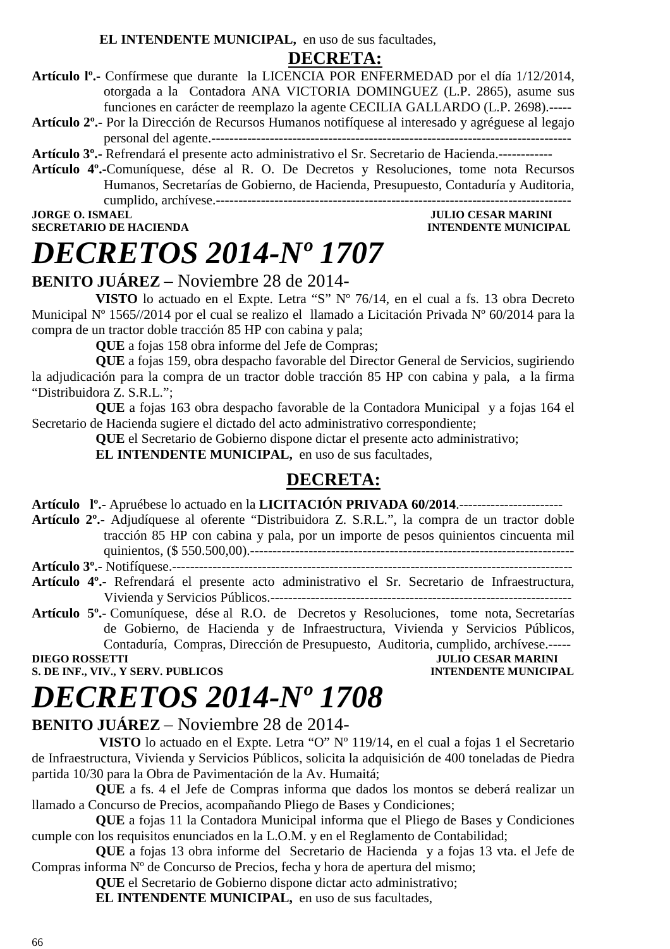**EL INTENDENTE MUNICIPAL,** en uso de sus facultades,

### **DECRETA:**

- **Artículo lº.-** Confírmese que durante la LICENCIA POR ENFERMEDAD por el día 1/12/2014, otorgada a la Contadora ANA VICTORIA DOMINGUEZ (L.P. 2865), asume sus funciones en carácter de reemplazo la agente CECILIA GALLARDO (L.P. 2698).-----
- **Artículo 2º.-** Por la Dirección de Recursos Humanos notifíquese al interesado y agréguese al legajo personal del agente.--------------------------------------------------------------------------------

**Artículo 3º.-** Refrendará el presente acto administrativo el Sr. Secretario de Hacienda.------------

**Artículo 4º.-**Comuníquese, dése al R. O. De Decretos y Resoluciones, tome nota Recursos Humanos, Secretarías de Gobierno, de Hacienda, Presupuesto, Contaduría y Auditoria, cumplido, archívese.-------------------------------------------------------------------------------

**SECRETARIO DE HACIENDA** 

### **JORGE O. ISMAEL SECRETARIO DE HACIENDA SECRETARIO DE HACIENDA DE SOLUTION DE SOLUTION DE HACIEN DE SOLUTION DE SOLUTION DE SOLUTION DE SOLUTION DE SOLUTION DE SOLUTION DE SOLUTION DE SOLUTION DE SOLUTION DE SOLUTION DE SO**

### *DECRETOS 2014-Nº 1707*

### **BENITO JUÁREZ** – Noviembre 28 de 2014-

**VISTO** lo actuado en el Expte. Letra "S" Nº 76/14, en el cual a fs. 13 obra Decreto Municipal Nº 1565//2014 por el cual se realizo el llamado a Licitación Privada Nº 60/2014 para la compra de un tractor doble tracción 85 HP con cabina y pala;

**QUE** a fojas 158 obra informe del Jefe de Compras;

**QUE** a fojas 159, obra despacho favorable del Director General de Servicios, sugiriendo la adjudicación para la compra de un tractor doble tracción 85 HP con cabina y pala, a la firma "Distribuidora Z. S.R.L.";

**QUE** a fojas 163 obra despacho favorable de la Contadora Municipal y a fojas 164 el Secretario de Hacienda sugiere el dictado del acto administrativo correspondiente;

**QUE** el Secretario de Gobierno dispone dictar el presente acto administrativo;

**EL INTENDENTE MUNICIPAL,** en uso de sus facultades,

### **DECRETA:**

**Artículo lº.-** Apruébese lo actuado en la **LICITACIÓN PRIVADA 60/2014**.-----------------------

**Artículo 2º.-** Adjudíquese al oferente "Distribuidora Z. S.R.L.", la compra de un tractor doble tracción 85 HP con cabina y pala, por un importe de pesos quinientos cincuenta mil quinientos, (\$ 550.500,00).------------------------------------------------------------------------

**Artículo 3º.-** Notifíquese.-----------------------------------------------------------------------------------------

**Artículo 4º.-** Refrendará el presente acto administrativo el Sr. Secretario de Infraestructura, Vivienda y Servicios Públicos.-------------------------------------------------------------------

**Artículo 5º.**- Comuníquese, dése al R.O. de Decretos y Resoluciones, tome nota, Secretarías de Gobierno, de Hacienda y de Infraestructura, Vivienda y Servicios Públicos, Contaduría, Compras, Dirección de Presupuesto, Auditoria, cumplido, archívese.-----

**S. DE INF., VIV., Y SERV. PUBLICOS** 

**DIEGO CESAR MARINI<br>INTENDENTE MUNICIPAL** 

### *DECRETOS 2014-Nº 1708*

### **BENITO JUÁREZ** – Noviembre 28 de 2014-

 **VISTO** lo actuado en el Expte. Letra "O" Nº 119/14, en el cual a fojas 1 el Secretario de Infraestructura, Vivienda y Servicios Públicos, solicita la adquisición de 400 toneladas de Piedra partida 10/30 para la Obra de Pavimentación de la Av. Humaitá;

**QUE** a fs. 4 el Jefe de Compras informa que dados los montos se deberá realizar un llamado a Concurso de Precios, acompañando Pliego de Bases y Condiciones;

**QUE** a fojas 11 la Contadora Municipal informa que el Pliego de Bases y Condiciones cumple con los requisitos enunciados en la L.O.M. y en el Reglamento de Contabilidad;

**QUE** a fojas 13 obra informe del Secretario de Hacienda y a fojas 13 vta. el Jefe de Compras informa Nº de Concurso de Precios, fecha y hora de apertura del mismo;

**QUE** el Secretario de Gobierno dispone dictar acto administrativo;

**EL INTENDENTE MUNICIPAL,** en uso de sus facultades,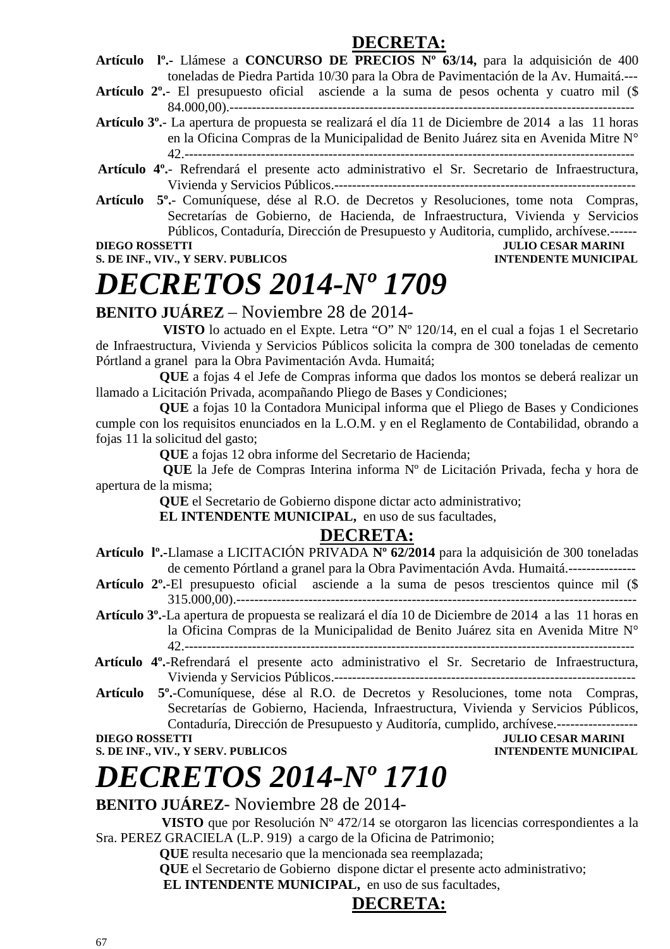### **DECRETA:**

**Artículo lº.-** Llámese a **CONCURSO DE PRECIOS Nº 63/14,** para la adquisición de 400 toneladas de Piedra Partida 10/30 para la Obra de Pavimentación de la Av. Humaitá.---

**Artículo 2º.**- El presupuesto oficial asciende a la suma de pesos ochenta y cuatro mil (\$ 84.000,00).------------------------------------------------------------------------------------------

- **Artículo 3º.** La apertura de propuesta se realizará el día 11 de Diciembre de 2014 a las 11 horas en la Oficina Compras de la Municipalidad de Benito Juárez sita en Avenida Mitre N° 42.----------------------------------------------------------------------------------------------------
- **Artículo 4º.** Refrendará el presente acto administrativo el Sr. Secretario de Infraestructura, Vivienda y Servicios Públicos.-------------------------------------------------------------------
- **Artículo 5º.** Comuníquese, dése al R.O. de Decretos y Resoluciones, tome nota Compras, Secretarías de Gobierno, de Hacienda, de Infraestructura, Vivienda y Servicios Públicos, Contaduría, Dirección de Presupuesto y Auditoria, cumplido, archívese.------<br>IULIO CESAR MARINI

**S. DE INF., VIV., Y SERV. PUBLICOS INTENDENTE MUNICIPAL** 

### **JULIO CESAR MARINI**

# *DECRETOS 2014-Nº 1709*

### **BENITO JUÁREZ** – Noviembre 28 de 2014-

 **VISTO** lo actuado en el Expte. Letra "O" Nº 120/14, en el cual a fojas 1 el Secretario de Infraestructura, Vivienda y Servicios Públicos solicita la compra de 300 toneladas de cemento Pórtland a granel para la Obra Pavimentación Avda. Humaitá;

**QUE** a fojas 4 el Jefe de Compras informa que dados los montos se deberá realizar un llamado a Licitación Privada, acompañando Pliego de Bases y Condiciones;

**QUE** a fojas 10 la Contadora Municipal informa que el Pliego de Bases y Condiciones cumple con los requisitos enunciados en la L.O.M. y en el Reglamento de Contabilidad, obrando a fojas 11 la solicitud del gasto;

**QUE** a fojas 12 obra informe del Secretario de Hacienda;

 **QUE** la Jefe de Compras Interina informa Nº de Licitación Privada, fecha y hora de apertura de la misma;

**QUE** el Secretario de Gobierno dispone dictar acto administrativo;

**EL INTENDENTE MUNICIPAL,** en uso de sus facultades,

### **DECRETA:**

- **Artículo lº.-**Llamase a LICITACIÓN PRIVADA **Nº 62/2014** para la adquisición de 300 toneladas de cemento Pórtland a granel para la Obra Pavimentación Avda. Humaitá.---------------
- **Artículo 2º.**-El presupuesto oficial asciende a la suma de pesos trescientos quince mil (\$ 315.000,00).-----------------------------------------------------------------------------------------

**Artículo 3º.**-La apertura de propuesta se realizará el día 10 de Diciembre de 2014 a las 11 horas en la Oficina Compras de la Municipalidad de Benito Juárez sita en Avenida Mitre N° 42.----------------------------------------------------------------------------------------------------

- **Artículo 4º.**-Refrendará el presente acto administrativo el Sr. Secretario de Infraestructura, Vivienda y Servicios Públicos.-------------------------------------------------------------------
- **Artículo 5º.**-Comuníquese, dése al R.O. de Decretos y Resoluciones, tome nota Compras, Secretarías de Gobierno, Hacienda, Infraestructura, Vivienda y Servicios Públicos, Contaduría, Dirección de Presupuesto y Auditoría, cumplido, archívese.------------------

**S. DE INF., VIV., Y SERV. PUBLICOS INTENDENTE MUNICIPAL** 

### **DIEGO ROSSETTI JULIO CESAR MARINI**

### *DECRETOS 2014-Nº 1710*

### **BENITO JUÁREZ**- Noviembre 28 de 2014-

 **VISTO** que por Resolución Nº 472/14 se otorgaron las licencias correspondientes a la Sra. PEREZ GRACIELA (L.P. 919) a cargo de la Oficina de Patrimonio;

**QUE** resulta necesario que la mencionada sea reemplazada;

**QUE** el Secretario de Gobierno dispone dictar el presente acto administrativo;

**EL INTENDENTE MUNICIPAL,** en uso de sus facultades,

### **DECRETA:**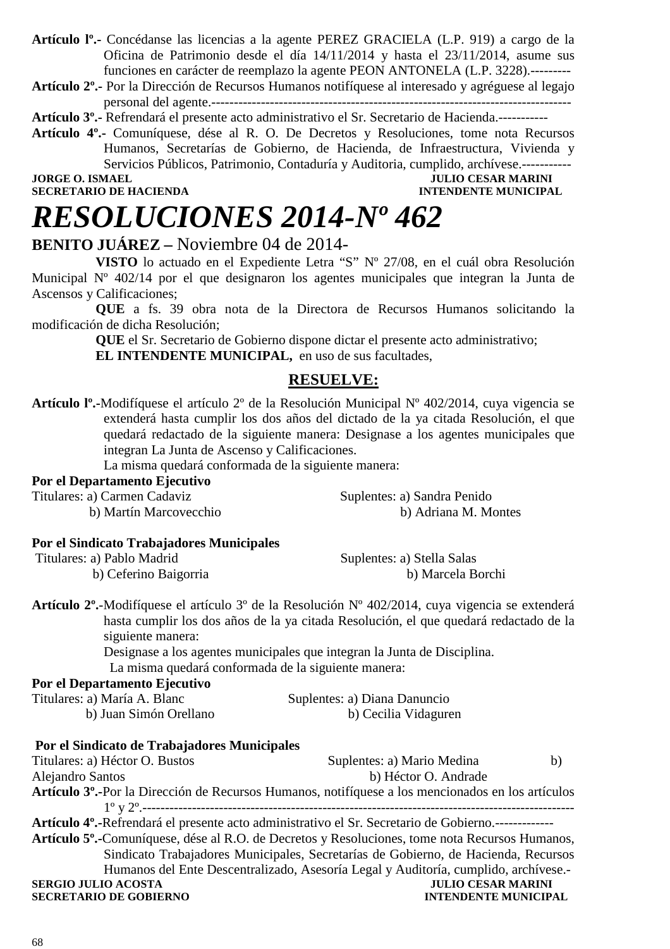**Artículo lº.-** Concédanse las licencias a la agente PEREZ GRACIELA (L.P. 919) a cargo de la Oficina de Patrimonio desde el día 14/11/2014 y hasta el 23/11/2014, asume sus funciones en carácter de reemplazo la agente PEON ANTONELA (L.P. 3228).---------

**Artículo 2º.-** Por la Dirección de Recursos Humanos notifíquese al interesado y agréguese al legajo personal del agente.--------------------------------------------------------------------------------

**Artículo 3º.-** Refrendará el presente acto administrativo el Sr. Secretario de Hacienda.-----------

**Artículo 4º.-** Comuníquese, dése al R. O. De Decretos y Resoluciones, tome nota Recursos Humanos, Secretarías de Gobierno, de Hacienda, de Infraestructura, Vivienda y Servicios Públicos, Patrimonio, Contaduría y Auditoria, cumplido, archívese.-----------

**JORGE O. ISMAEL GEORGE OF THE SECRETARIO DE HACIENDA AND SECRETARIO DE HACIENDA AND SECRETARIO DE HACIENDA INTENDENTE MUNICIPAL** 

### *RESOLUCIONES 2014-Nº 462*

#### **BENITO JUÁREZ –** Noviembre 04 de 2014-

**VISTO** lo actuado en el Expediente Letra "S" Nº 27/08, en el cuál obra Resolución Municipal Nº 402/14 por el que designaron los agentes municipales que integran la Junta de Ascensos y Calificaciones;

**QUE** a fs. 39 obra nota de la Directora de Recursos Humanos solicitando la modificación de dicha Resolución;

> **QUE** el Sr. Secretario de Gobierno dispone dictar el presente acto administrativo; **EL INTENDENTE MUNICIPAL,** en uso de sus facultades,

#### **RESUELVE:**

**Artículo lº.-**Modifíquese el artículo 2º de la Resolución Municipal Nº 402/2014, cuya vigencia se extenderá hasta cumplir los dos años del dictado de la ya citada Resolución, el que quedará redactado de la siguiente manera: Designase a los agentes municipales que integran La Junta de Ascenso y Calificaciones.

La misma quedará conformada de la siguiente manera:

#### **Por el Departamento Ejecutivo**

| Titulares: a) Carmen Cadaviz | Suplentes: a) Sandra Penido |
|------------------------------|-----------------------------|
| b) Martín Marcovecchio       | b) Adriana M. Montes        |

#### **Por el Sindicato Trabajadores Municipales**

| Titulares: a) Pablo Madrid | Suplentes: a) Stella Salas |
|----------------------------|----------------------------|
| b) Ceferino Baigorria      | b) Marcela Borchi          |

**Artículo 2º.**-Modifíquese el artículo 3º de la Resolución Nº 402/2014, cuya vigencia se extenderá hasta cumplir los dos años de la ya citada Resolución, el que quedará redactado de la siguiente manera:

> Designase a los agentes municipales que integran la Junta de Disciplina. La misma quedará conformada de la siguiente manera:

#### **Por el Departamento Ejecutivo**

| Titulares: a) María A. Blanc | Suplentes: a) Diana Danuncio |
|------------------------------|------------------------------|
| b) Juan Simón Orellano       | b) Cecilia Vidaguren         |

#### **Por el Sindicato de Trabajadores Municipales**

Titulares: a) Héctor O. Bustos Suplentes: a) Mario Medina b) Alejandro Santos b) Héctor O. Andrade **Artículo 3º.-**Por la Dirección de Recursos Humanos, notifíquese a los mencionados en los artículos 1º y 2º.------------------------------------------------------------------------------------------------ **Artículo 4º.-**Refrendará el presente acto administrativo el Sr. Secretario de Gobierno.------------- **Artículo 5º.-**Comuníquese, dése al R.O. de Decretos y Resoluciones, tome nota Recursos Humanos, Sindicato Trabajadores Municipales, Secretarías de Gobierno, de Hacienda, Recursos Humanos del Ente Descentralizado, Asesoría Legal y Auditoría, cumplido, archívese.- **SERGIO JULIO ACOSTA JULIO CESAR MARINI SECRETARIO DE GOBIERNO**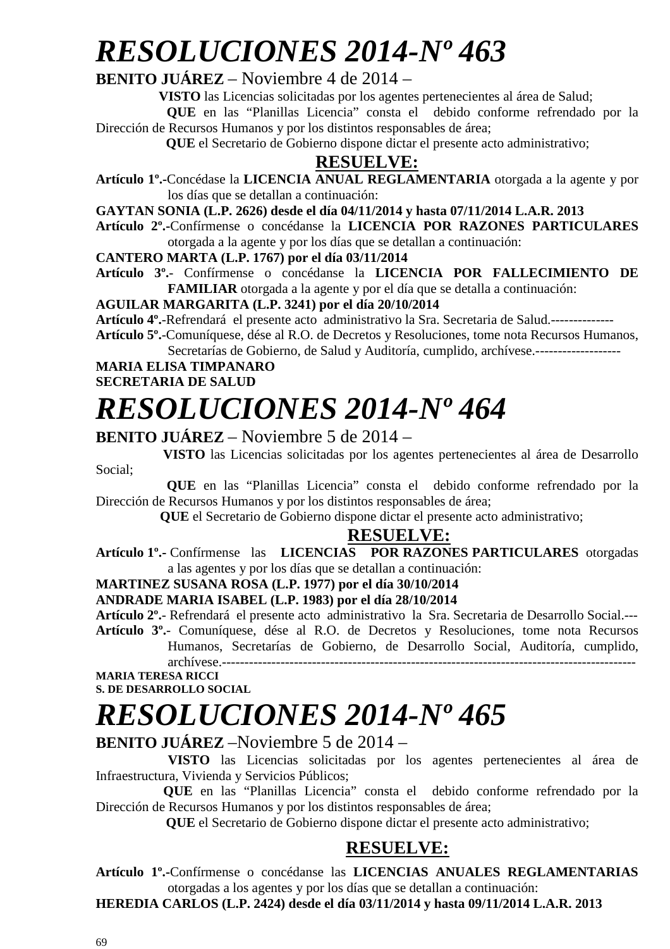## *RESOLUCIONES 2014-Nº 463*

### **BENITO JUÁREZ** – Noviembre 4 de 2014 –

**VISTO** las Licencias solicitadas por los agentes pertenecientes al área de Salud;

 **QUE** en las "Planillas Licencia" consta el debido conforme refrendado por la Dirección de Recursos Humanos y por los distintos responsables de área;

 **QUE** el Secretario de Gobierno dispone dictar el presente acto administrativo;

### **RESUELVE:**

**Artículo 1º.-**Concédase la **LICENCIA ANUAL REGLAMENTARIA** otorgada a la agente y por los días que se detallan a continuación:

**GAYTAN SONIA (L.P. 2626) desde el día 04/11/2014 y hasta 07/11/2014 L.A.R. 2013** 

**Artículo 2º.-**Confírmense o concédanse la **LICENCIA POR RAZONES PARTICULARES**  otorgada a la agente y por los días que se detallan a continuación:

**CANTERO MARTA (L.P. 1767) por el día 03/11/2014** 

**Artículo 3º.**- Confírmense o concédanse la **LICENCIA POR FALLECIMIENTO DE FAMILIAR** otorgada a la agente y por el día que se detalla a continuación:

**AGUILAR MARGARITA (L.P. 3241) por el día 20/10/2014** 

**Artículo 4º.**-Refrendará el presente acto administrativo la Sra. Secretaria de Salud.--------------

**Artículo 5º.**-Comuníquese, dése al R.O. de Decretos y Resoluciones, tome nota Recursos Humanos, Secretarías de Gobierno, de Salud y Auditoría, cumplido, archívese.--------------------

**MARIA ELISA TIMPANARO SECRETARIA DE SALUD**

## *RESOLUCIONES 2014-Nº 464*

### **BENITO JUÁREZ** – Noviembre 5 de 2014 –

 **VISTO** las Licencias solicitadas por los agentes pertenecientes al área de Desarrollo Social;

 **QUE** en las "Planillas Licencia" consta el debido conforme refrendado por la Dirección de Recursos Humanos y por los distintos responsables de área;

 **QUE** el Secretario de Gobierno dispone dictar el presente acto administrativo;

### **RESUELVE:**

**Artículo 1º.-** Confírmense las **LICENCIAS POR RAZONES PARTICULARES** otorgadas a las agentes y por los días que se detallan a continuación:

#### **MARTINEZ SUSANA ROSA (L.P. 1977) por el día 30/10/2014**

**ANDRADE MARIA ISABEL (L.P. 1983) por el día 28/10/2014** 

**Artículo 2º.**- Refrendará el presente acto administrativo la Sra. Secretaria de Desarrollo Social.--- **Artículo 3º.**- Comuníquese, dése al R.O. de Decretos y Resoluciones, tome nota Recursos

Humanos, Secretarías de Gobierno, de Desarrollo Social, Auditoría, cumplido, archívese.--------------------------------------------------------------------------------------------

**MARIA TERESA RICCI S. DE DESARROLLO SOCIAL** 

# *RESOLUCIONES 2014-Nº 465*

### **BENITO JUÁREZ** –Noviembre 5 de 2014 –

 **VISTO** las Licencias solicitadas por los agentes pertenecientes al área de Infraestructura, Vivienda y Servicios Públicos;

 **QUE** en las "Planillas Licencia" consta el debido conforme refrendado por la Dirección de Recursos Humanos y por los distintos responsables de área;

 **QUE** el Secretario de Gobierno dispone dictar el presente acto administrativo;

### **RESUELVE:**

**Artículo 1º.-**Confírmense o concédanse las **LICENCIAS ANUALES REGLAMENTARIAS**  otorgadas a los agentes y por los días que se detallan a continuación:

**HEREDIA CARLOS (L.P. 2424) desde el día 03/11/2014 y hasta 09/11/2014 L.A.R. 2013**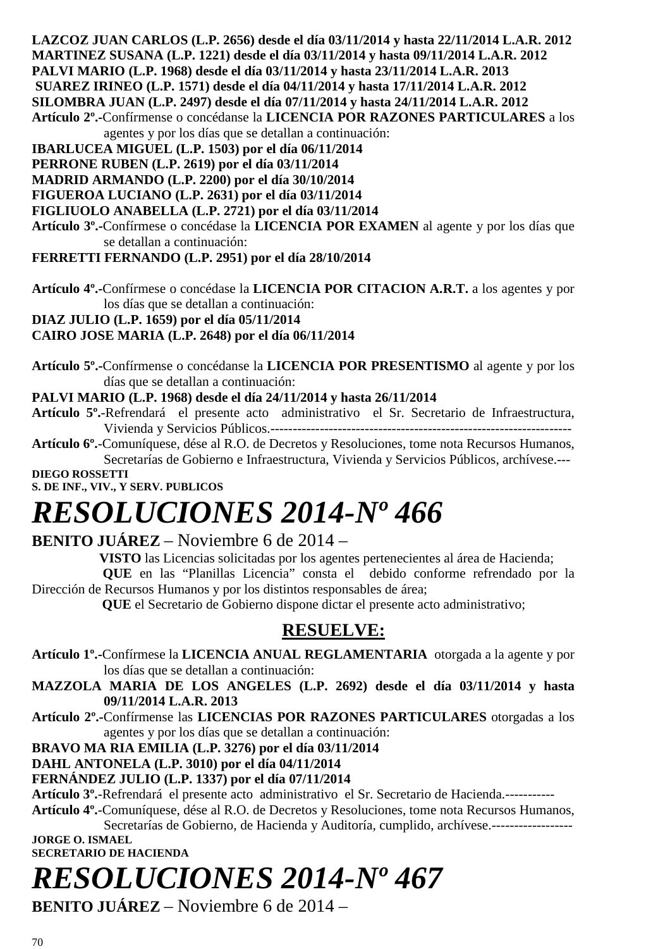**LAZCOZ JUAN CARLOS (L.P. 2656) desde el día 03/11/2014 y hasta 22/11/2014 L.A.R. 2012 MARTINEZ SUSANA (L.P. 1221) desde el día 03/11/2014 y hasta 09/11/2014 L.A.R. 2012** 

**PALVI MARIO (L.P. 1968) desde el día 03/11/2014 y hasta 23/11/2014 L.A.R. 2013** 

 **SUAREZ IRINEO (L.P. 1571) desde el día 04/11/2014 y hasta 17/11/2014 L.A.R. 2012** 

**SILOMBRA JUAN (L.P. 2497) desde el día 07/11/2014 y hasta 24/11/2014 L.A.R. 2012** 

**Artículo 2º.-**Confírmense o concédanse la **LICENCIA POR RAZONES PARTICULARES** a los agentes y por los días que se detallan a continuación:

**IBARLUCEA MIGUEL (L.P. 1503) por el día 06/11/2014** 

**PERRONE RUBEN (L.P. 2619) por el día 03/11/2014** 

**MADRID ARMANDO (L.P. 2200) por el día 30/10/2014** 

**FIGUEROA LUCIANO (L.P. 2631) por el día 03/11/2014** 

**FIGLIUOLO ANABELLA (L.P. 2721) por el día 03/11/2014** 

**Artículo 3º.-**Confírmese o concédase la **LICENCIA POR EXAMEN** al agente y por los días que se detallan a continuación:

### **FERRETTI FERNANDO (L.P. 2951) por el día 28/10/2014**

**Artículo 4º.-**Confírmese o concédase la **LICENCIA POR CITACION A.R.T.** a los agentes y por los días que se detallan a continuación:

**DIAZ JULIO (L.P. 1659) por el día 05/11/2014** 

### **CAIRO JOSE MARIA (L.P. 2648) por el día 06/11/2014**

**Artículo 5º.-**Confírmense o concédanse la **LICENCIA POR PRESENTISMO** al agente y por los días que se detallan a continuación:

### **PALVI MARIO (L.P. 1968) desde el día 24/11/2014 y hasta 26/11/2014**

- **Artículo 5º.**-Refrendará el presente acto administrativo el Sr. Secretario de Infraestructura, Vivienda y Servicios Públicos.-------------------------------------------------------------------
- **Artículo 6º.**-Comuníquese, dése al R.O. de Decretos y Resoluciones, tome nota Recursos Humanos, Secretarías de Gobierno e Infraestructura, Vivienda y Servicios Públicos, archívese.---

**DIEGO ROSSETTI** 

**S. DE INF., VIV., Y SERV. PUBLICOS** 

## *RESOLUCIONES 2014-Nº 466*

### **BENITO JUÁREZ** – Noviembre 6 de 2014 –

**VISTO** las Licencias solicitadas por los agentes pertenecientes al área de Hacienda;

 **QUE** en las "Planillas Licencia" consta el debido conforme refrendado por la Dirección de Recursos Humanos y por los distintos responsables de área;

 **QUE** el Secretario de Gobierno dispone dictar el presente acto administrativo;

### **RESUELVE:**

**Artículo 1º.-**Confírmese la **LICENCIA ANUAL REGLAMENTARIA** otorgada a la agente y por los días que se detallan a continuación:

**MAZZOLA MARIA DE LOS ANGELES (L.P. 2692) desde el día 03/11/2014 y hasta 09/11/2014 L.A.R. 2013** 

**Artículo 2º.-**Confírmense las **LICENCIAS POR RAZONES PARTICULARES** otorgadas a los agentes y por los días que se detallan a continuación:

### **BRAVO MA RIA EMILIA (L.P. 3276) por el día 03/11/2014**

### **DAHL ANTONELA (L.P. 3010) por el día 04/11/2014**

### **FERNÁNDEZ JULIO (L.P. 1337) por el día 07/11/2014**

**Artículo 3º.**-Refrendará el presente acto administrativo el Sr. Secretario de Hacienda.-----------

**Artículo 4º.**-Comuníquese, dése al R.O. de Decretos y Resoluciones, tome nota Recursos Humanos,

Secretarías de Gobierno, de Hacienda y Auditoría, cumplido, archívese.------------------**JORGE O. ISMAEL SECRETARIO DE HACIENDA** 

# *RESOLUCIONES 2014-Nº 467*

**BENITO JUÁREZ** – Noviembre 6 de 2014 –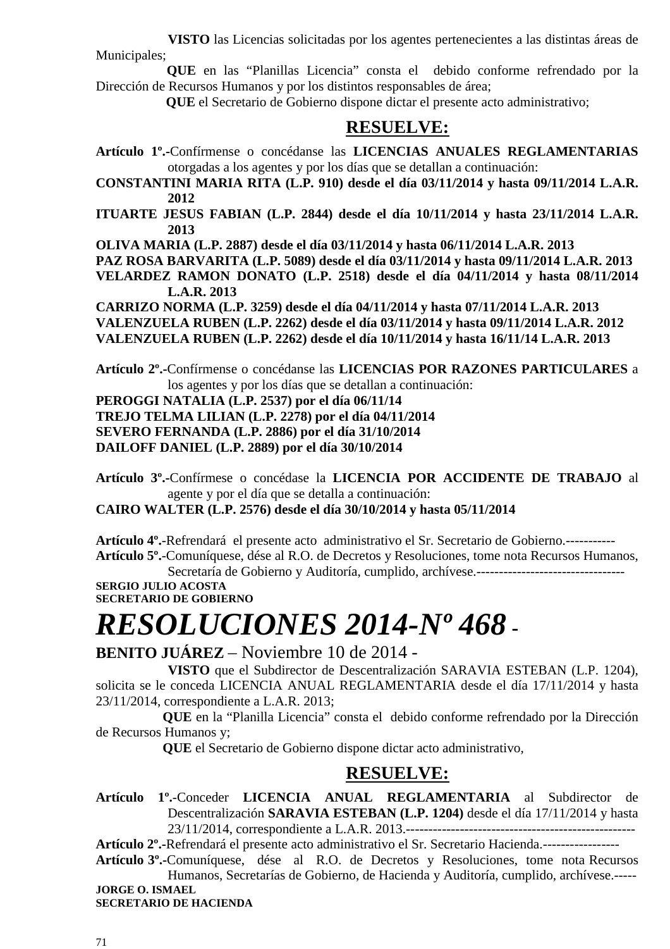**VISTO** las Licencias solicitadas por los agentes pertenecientes a las distintas áreas de Municipales;

 **QUE** en las "Planillas Licencia" consta el debido conforme refrendado por la Dirección de Recursos Humanos y por los distintos responsables de área;

 **QUE** el Secretario de Gobierno dispone dictar el presente acto administrativo;

### **RESUELVE:**

- **Artículo 1º.-**Confírmense o concédanse las **LICENCIAS ANUALES REGLAMENTARIAS**  otorgadas a los agentes y por los días que se detallan a continuación:
- **CONSTANTINI MARIA RITA (L.P. 910) desde el día 03/11/2014 y hasta 09/11/2014 L.A.R. 2012**
- **ITUARTE JESUS FABIAN (L.P. 2844) desde el día 10/11/2014 y hasta 23/11/2014 L.A.R. 2013**

**OLIVA MARIA (L.P. 2887) desde el día 03/11/2014 y hasta 06/11/2014 L.A.R. 2013** 

**PAZ ROSA BARVARITA (L.P. 5089) desde el día 03/11/2014 y hasta 09/11/2014 L.A.R. 2013** 

**VELARDEZ RAMON DONATO (L.P. 2518) desde el día 04/11/2014 y hasta 08/11/2014 L.A.R. 2013** 

**CARRIZO NORMA (L.P. 3259) desde el día 04/11/2014 y hasta 07/11/2014 L.A.R. 2013 VALENZUELA RUBEN (L.P. 2262) desde el día 03/11/2014 y hasta 09/11/2014 L.A.R. 2012 VALENZUELA RUBEN (L.P. 2262) desde el día 10/11/2014 y hasta 16/11/14 L.A.R. 2013** 

**Artículo 2º.-**Confírmense o concédanse las **LICENCIAS POR RAZONES PARTICULARES** a los agentes y por los días que se detallan a continuación:

**PEROGGI NATALIA (L.P. 2537) por el día 06/11/14 TREJO TELMA LILIAN (L.P. 2278) por el día 04/11/2014 SEVERO FERNANDA (L.P. 2886) por el día 31/10/2014 DAILOFF DANIEL (L.P. 2889) por el día 30/10/2014** 

**Artículo 3º.-**Confírmese o concédase la **LICENCIA POR ACCIDENTE DE TRABAJO** al agente y por el día que se detalla a continuación:

**CAIRO WALTER (L.P. 2576) desde el día 30/10/2014 y hasta 05/11/2014** 

**Artículo 4º.**-Refrendará el presente acto administrativo el Sr. Secretario de Gobierno.----------- **Artículo 5º.**-Comuníquese, dése al R.O. de Decretos y Resoluciones, tome nota Recursos Humanos,

Secretaría de Gobierno y Auditoría, cumplido, archívese.--------------------------------- **SERGIO JULIO ACOSTA SECRETARIO DE GOBIERNO** 

## *RESOLUCIONES 2014-Nº 468* **-**

**BENITO JUÁREZ** – Noviembre 10 de 2014 -

 **VISTO** que el Subdirector de Descentralización SARAVIA ESTEBAN (L.P. 1204), solicita se le conceda LICENCIA ANUAL REGLAMENTARIA desde el día 17/11/2014 y hasta 23/11/2014, correspondiente a L.A.R. 2013;

 **QUE** en la "Planilla Licencia" consta el debido conforme refrendado por la Dirección de Recursos Humanos y;

 **QUE** el Secretario de Gobierno dispone dictar acto administrativo,

### **RESUELVE:**

**Artículo 1º.**-Conceder **LICENCIA ANUAL REGLAMENTARIA** al Subdirector de Descentralización **SARAVIA ESTEBAN (L.P. 1204)** desde el día 17/11/2014 y hasta 23/11/2014, correspondiente a L.A.R. 2013.---------------------------------------------------

**Artículo 2º.-**Refrendará el presente acto administrativo el Sr. Secretario Hacienda.-----------------

**Artículo 3º.-**Comuníquese, dése al R.O. de Decretos y Resoluciones, tome nota Recursos Humanos, Secretarías de Gobierno, de Hacienda y Auditoría, cumplido, archívese.----- **JORGE O. ISMAEL** 

**SECRETARIO DE HACIENDA**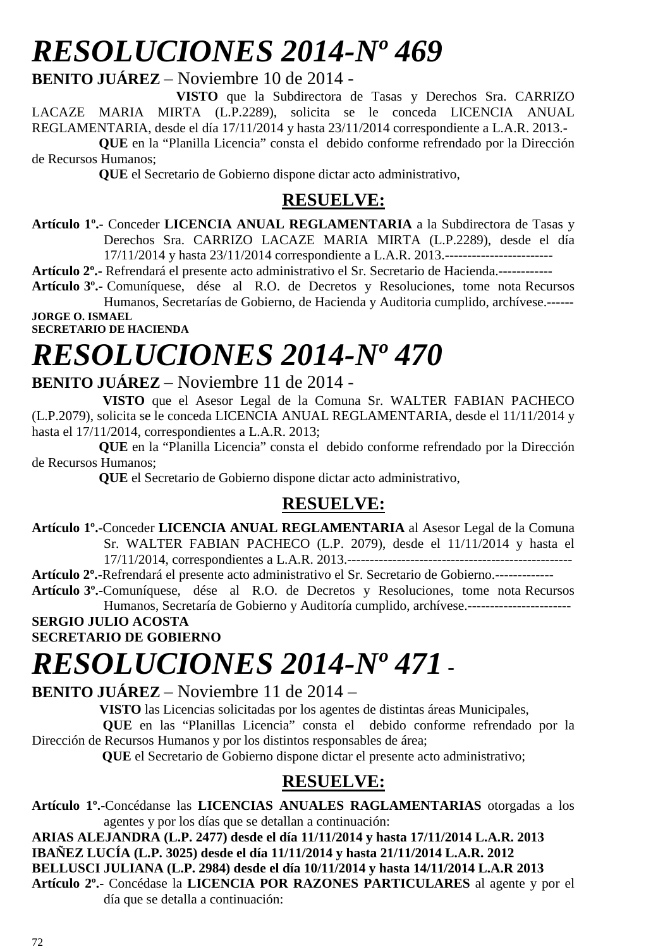## *RESOLUCIONES 2014-Nº 469*

**BENITO JUÁREZ** – Noviembre 10 de 2014 -

 **VISTO** que la Subdirectora de Tasas y Derechos Sra. CARRIZO LACAZE MARIA MIRTA (L.P.2289), solicita se le conceda LICENCIA ANUAL REGLAMENTARIA, desde el día 17/11/2014 y hasta 23/11/2014 correspondiente a L.A.R. 2013.-

 **QUE** en la "Planilla Licencia" consta el debido conforme refrendado por la Dirección de Recursos Humanos;

 **QUE** el Secretario de Gobierno dispone dictar acto administrativo,

### **RESUELVE:**

**Artículo 1º.**- Conceder **LICENCIA ANUAL REGLAMENTARIA** a la Subdirectora de Tasas y Derechos Sra. CARRIZO LACAZE MARIA MIRTA (L.P.2289), desde el día 17/11/2014 y hasta 23/11/2014 correspondiente a L.A.R. 2013.------------------------

**Artículo 2º.-** Refrendará el presente acto administrativo el Sr. Secretario de Hacienda.------------

**Artículo 3º.-** Comuníquese, dése al R.O. de Decretos y Resoluciones, tome nota Recursos Humanos, Secretarías de Gobierno, de Hacienda y Auditoria cumplido, archívese.------

**JORGE O. ISMAEL SECRETARIO DE HACIENDA** 

# *RESOLUCIONES 2014-Nº 470*

### **BENITO JUÁREZ** – Noviembre 11 de 2014 -

 **VISTO** que el Asesor Legal de la Comuna Sr. WALTER FABIAN PACHECO (L.P.2079), solicita se le conceda LICENCIA ANUAL REGLAMENTARIA, desde el 11/11/2014 y hasta el 17/11/2014, correspondientes a L.A.R. 2013;

 **QUE** en la "Planilla Licencia" consta el debido conforme refrendado por la Dirección de Recursos Humanos;

 **QUE** el Secretario de Gobierno dispone dictar acto administrativo,

### **RESUELVE:**

**Artículo 1º.**-Conceder **LICENCIA ANUAL REGLAMENTARIA** al Asesor Legal de la Comuna Sr. WALTER FABIAN PACHECO (L.P. 2079), desde el 11/11/2014 y hasta el 17/11/2014, correspondientes a L.A.R. 2013.--------------------------------------------------

**Artículo 2º.-**Refrendará el presente acto administrativo el Sr. Secretario de Gobierno.-------------

**Artículo 3º.-**Comuníquese, dése al R.O. de Decretos y Resoluciones, tome nota Recursos Humanos, Secretaría de Gobierno y Auditoría cumplido, archívese.-----------------------

#### **SERGIO JULIO ACOSTA SECRETARIO DE GOBIERNO**

## *RESOLUCIONES 2014-Nº 471* **-**

**BENITO JUÁREZ** – Noviembre 11 de 2014 –

**VISTO** las Licencias solicitadas por los agentes de distintas áreas Municipales,

 **QUE** en las "Planillas Licencia" consta el debido conforme refrendado por la Dirección de Recursos Humanos y por los distintos responsables de área;

 **QUE** el Secretario de Gobierno dispone dictar el presente acto administrativo;

### **RESUELVE:**

**Artículo 1º.-**Concédanse las **LICENCIAS ANUALES RAGLAMENTARIAS** otorgadas a los agentes y por los días que se detallan a continuación:

**ARIAS ALEJANDRA (L.P. 2477) desde el día 11/11/2014 y hasta 17/11/2014 L.A.R. 2013 IBAÑEZ LUCÍA (L.P. 3025) desde el día 11/11/2014 y hasta 21/11/2014 L.A.R. 2012 BELLUSCI JULIANA (L.P. 2984) desde el día 10/11/2014 y hasta 14/11/2014 L.A.R 2013 Artículo 2º.-** Concédase la **LICENCIA POR RAZONES PARTICULARES** al agente y por el día que se detalla a continuación: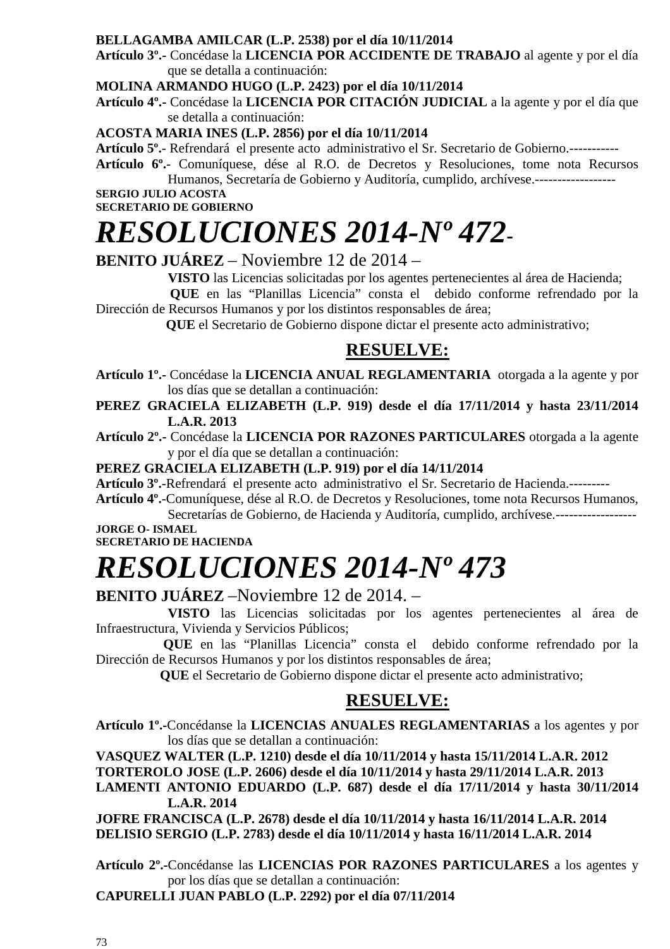### **BELLAGAMBA AMILCAR (L.P. 2538) por el día 10/11/2014**

**Artículo 3º.-** Concédase la **LICENCIA POR ACCIDENTE DE TRABAJO** al agente y por el día que se detalla a continuación:

#### **MOLINA ARMANDO HUGO (L.P. 2423) por el día 10/11/2014**

**Artículo 4º.-** Concédase la **LICENCIA POR CITACIÓN JUDICIAL** a la agente y por el día que se detalla a continuación:

#### **ACOSTA MARIA INES (L.P. 2856) por el día 10/11/2014**

**Artículo 5º.**- Refrendará el presente acto administrativo el Sr. Secretario de Gobierno.-----------

**Artículo 6º.**- Comuníquese, dése al R.O. de Decretos y Resoluciones, tome nota Recursos Humanos, Secretaría de Gobierno y Auditoría, cumplido, archívese.------------------

**SERGIO JULIO ACOSTA SECRETARIO DE GOBIERNO** 

# *RESOLUCIONES 2014-Nº 472***-**

**BENITO JUÁREZ** – Noviembre 12 de 2014 –

**VISTO** las Licencias solicitadas por los agentes pertenecientes al área de Hacienda;

 **QUE** en las "Planillas Licencia" consta el debido conforme refrendado por la Dirección de Recursos Humanos y por los distintos responsables de área;

 **QUE** el Secretario de Gobierno dispone dictar el presente acto administrativo;

### **RESUELVE:**

**Artículo 1º.-** Concédase la **LICENCIA ANUAL REGLAMENTARIA** otorgada a la agente y por los días que se detallan a continuación:

**PEREZ GRACIELA ELIZABETH (L.P. 919) desde el día 17/11/2014 y hasta 23/11/2014 L.A.R. 2013** 

**Artículo 2º.-** Concédase la **LICENCIA POR RAZONES PARTICULARES** otorgada a la agente y por el día que se detallan a continuación:

**PEREZ GRACIELA ELIZABETH (L.P. 919) por el día 14/11/2014**

**Artículo 3º.**-Refrendará el presente acto administrativo el Sr. Secretario de Hacienda.---------

**Artículo 4º.**-Comuníquese, dése al R.O. de Decretos y Resoluciones, tome nota Recursos Humanos, Secretarías de Gobierno, de Hacienda y Auditoría, cumplido, archívese.------------------

**JORGE O- ISMAEL SECRETARIO DE HACIENDA** 

# *RESOLUCIONES 2014-Nº 473*

### **BENITO JUÁREZ** –Noviembre 12 de 2014. –

 **VISTO** las Licencias solicitadas por los agentes pertenecientes al área de Infraestructura, Vivienda y Servicios Públicos;

 **QUE** en las "Planillas Licencia" consta el debido conforme refrendado por la Dirección de Recursos Humanos y por los distintos responsables de área;

 **QUE** el Secretario de Gobierno dispone dictar el presente acto administrativo;

### **RESUELVE:**

**Artículo 1º.-**Concédanse la **LICENCIAS ANUALES REGLAMENTARIAS** a los agentes y por los días que se detallan a continuación:

**VASQUEZ WALTER (L.P. 1210) desde el día 10/11/2014 y hasta 15/11/2014 L.A.R. 2012** 

**TORTEROLO JOSE (L.P. 2606) desde el día 10/11/2014 y hasta 29/11/2014 L.A.R. 2013** 

**LAMENTI ANTONIO EDUARDO (L.P. 687) desde el día 17/11/2014 y hasta 30/11/2014 L.A.R. 2014** 

**JOFRE FRANCISCA (L.P. 2678) desde el día 10/11/2014 y hasta 16/11/2014 L.A.R. 2014 DELISIO SERGIO (L.P. 2783) desde el día 10/11/2014 y hasta 16/11/2014 L.A.R. 2014** 

**Artículo 2º.-**Concédanse las **LICENCIAS POR RAZONES PARTICULARES** a los agentes y por los días que se detallan a continuación:

**CAPURELLI JUAN PABLO (L.P. 2292) por el día 07/11/2014**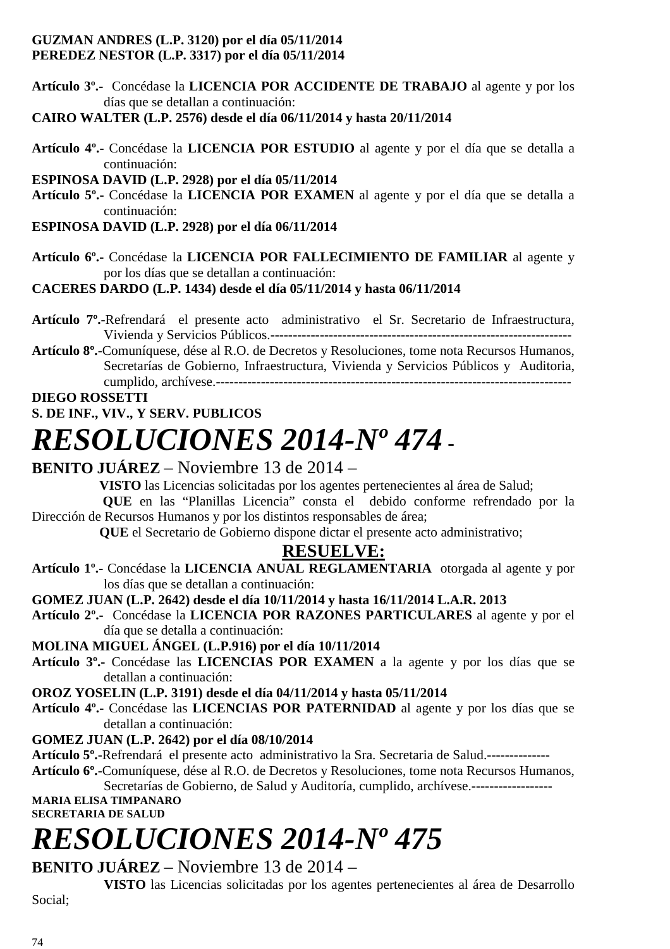### **GUZMAN ANDRES (L.P. 3120) por el día 05/11/2014 PEREDEZ NESTOR (L.P. 3317) por el día 05/11/2014**

**Artículo 3º.-** Concédase la **LICENCIA POR ACCIDENTE DE TRABAJO** al agente y por los días que se detallan a continuación:

**CAIRO WALTER (L.P. 2576) desde el día 06/11/2014 y hasta 20/11/2014** 

**Artículo 4º.-** Concédase la **LICENCIA POR ESTUDIO** al agente y por el día que se detalla a continuación:

**ESPINOSA DAVID (L.P. 2928) por el día 05/11/2014** 

**Artículo 5º.-** Concédase la **LICENCIA POR EXAMEN** al agente y por el día que se detalla a continuación:

**ESPINOSA DAVID (L.P. 2928) por el día 06/11/2014** 

**Artículo 6º.-** Concédase la **LICENCIA POR FALLECIMIENTO DE FAMILIAR** al agente y por los días que se detallan a continuación:

### **CACERES DARDO (L.P. 1434) desde el día 05/11/2014 y hasta 06/11/2014**

- **Artículo 7º.**-Refrendará el presente acto administrativo el Sr. Secretario de Infraestructura, Vivienda y Servicios Públicos.-------------------------------------------------------------------
- **Artículo 8º.**-Comuníquese, dése al R.O. de Decretos y Resoluciones, tome nota Recursos Humanos, Secretarías de Gobierno, Infraestructura, Vivienda y Servicios Públicos y Auditoria, cumplido, archívese.-------------------------------------------------------------------------------

### **DIEGO ROSSETTI**

**S. DE INF., VIV., Y SERV. PUBLICOS**

### *RESOLUCIONES 2014-Nº 474* **-**

### **BENITO JUÁREZ** – Noviembre 13 de 2014 –

**VISTO** las Licencias solicitadas por los agentes pertenecientes al área de Salud;

 **QUE** en las "Planillas Licencia" consta el debido conforme refrendado por la Dirección de Recursos Humanos y por los distintos responsables de área;

 **QUE** el Secretario de Gobierno dispone dictar el presente acto administrativo;

### **RESUELVE:**

**Artículo 1º.-** Concédase la **LICENCIA ANUAL REGLAMENTARIA** otorgada al agente y por los días que se detallan a continuación:

**GOMEZ JUAN (L.P. 2642) desde el día 10/11/2014 y hasta 16/11/2014 L.A.R. 2013** 

**Artículo 2º.-** Concédase la **LICENCIA POR RAZONES PARTICULARES** al agente y por el día que se detalla a continuación:

**MOLINA MIGUEL ÁNGEL (L.P.916) por el día 10/11/2014**

**Artículo 3º.-** Concédase las **LICENCIAS POR EXAMEN** a la agente y por los días que se detallan a continuación:

**OROZ YOSELIN (L.P. 3191) desde el día 04/11/2014 y hasta 05/11/2014** 

**Artículo 4º.-** Concédase las **LICENCIAS POR PATERNIDAD** al agente y por los días que se detallan a continuación:

### **GOMEZ JUAN (L.P. 2642) por el día 08/10/2014**

**Artículo 5º.**-Refrendará el presente acto administrativo la Sra. Secretaria de Salud.--------------

**Artículo 6º.**-Comuníquese, dése al R.O. de Decretos y Resoluciones, tome nota Recursos Humanos, Secretarías de Gobierno, de Salud y Auditoría, cumplido, archívese.-------------------

**MARIA ELISA TIMPANARO SECRETARIA DE SALUD** 

# *RESOLUCIONES 2014-Nº 475*

### **BENITO JUÁREZ** – Noviembre 13 de 2014 –

**VISTO** las Licencias solicitadas por los agentes pertenecientes al área de Desarrollo

Social;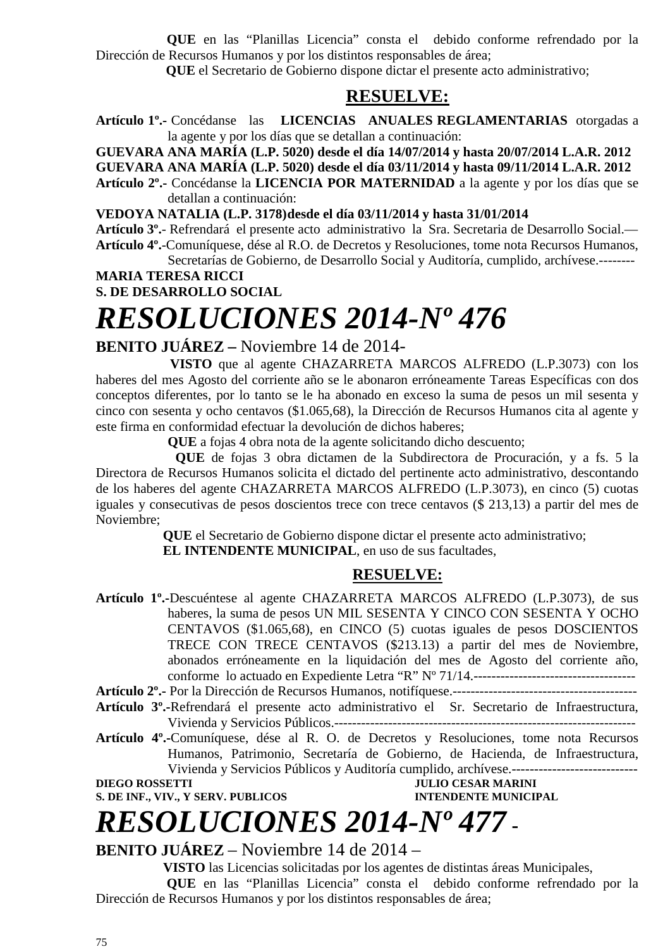**QUE** en las "Planillas Licencia" consta el debido conforme refrendado por la Dirección de Recursos Humanos y por los distintos responsables de área;

 **QUE** el Secretario de Gobierno dispone dictar el presente acto administrativo;

### **RESUELVE:**

**Artículo 1º.-** Concédanse las **LICENCIAS ANUALES REGLAMENTARIAS** otorgadas a la agente y por los días que se detallan a continuación:

**GUEVARA ANA MARÍA (L.P. 5020) desde el día 14/07/2014 y hasta 20/07/2014 L.A.R. 2012**

**GUEVARA ANA MARÍA (L.P. 5020) desde el día 03/11/2014 y hasta 09/11/2014 L.A.R. 2012** 

**Artículo 2º.-** Concédanse la **LICENCIA POR MATERNIDAD** a la agente y por los días que se detallan a continuación:

**VEDOYA NATALIA (L.P. 3178) desde el día 03/11/2014 y hasta 31/01/2014** 

**Artículo 3º.**- Refrendará el presente acto administrativo la Sra. Secretaria de Desarrollo Social.— **Artículo 4º.**-Comuníquese, dése al R.O. de Decretos y Resoluciones, tome nota Recursos Humanos,

Secretarías de Gobierno, de Desarrollo Social y Auditoría, cumplido, archívese.-------- **MARIA TERESA RICCI** 

**S. DE DESARROLLO SOCIAL**

### *RESOLUCIONES 2014-Nº 476*

### **BENITO JUÁREZ –** Noviembre 14 de 2014-

 **VISTO** que al agente CHAZARRETA MARCOS ALFREDO (L.P.3073) con los haberes del mes Agosto del corriente año se le abonaron erróneamente Tareas Específicas con dos conceptos diferentes, por lo tanto se le ha abonado en exceso la suma de pesos un mil sesenta y cinco con sesenta y ocho centavos (\$1.065,68), la Dirección de Recursos Humanos cita al agente y este firma en conformidad efectuar la devolución de dichos haberes;

**QUE** a fojas 4 obra nota de la agente solicitando dicho descuento;

**QUE** de fojas 3 obra dictamen de la Subdirectora de Procuración, y a fs. 5 la Directora de Recursos Humanos solicita el dictado del pertinente acto administrativo, descontando de los haberes del agente CHAZARRETA MARCOS ALFREDO (L.P.3073), en cinco (5) cuotas iguales y consecutivas de pesos doscientos trece con trece centavos (\$ 213,13) a partir del mes de Noviembre;

> **QUE** el Secretario de Gobierno dispone dictar el presente acto administrativo;  **EL INTENDENTE MUNICIPAL**, en uso de sus facultades,

### **RESUELVE:**

**Artículo 1º.-**Descuéntese al agente CHAZARRETA MARCOS ALFREDO (L.P.3073), de sus haberes, la suma de pesos UN MIL SESENTA Y CINCO CON SESENTA Y OCHO CENTAVOS (\$1.065,68), en CINCO (5) cuotas iguales de pesos DOSCIENTOS TRECE CON TRECE CENTAVOS (\$213.13) a partir del mes de Noviembre, abonados erróneamente en la liquidación del mes de Agosto del corriente año, conforme lo actuado en Expediente Letra "R" Nº 71/14.------------------------------------

**Artículo 2º.-** Por la Dirección de Recursos Humanos, notifíquese.-----------------------------------------

**Artículo 3º.-**Refrendará el presente acto administrativo el Sr. Secretario de Infraestructura, Vivienda y Servicios Públicos.-------------------------------------------------------------------

**Artículo 4º.-**Comuníquese, dése al R. O. de Decretos y Resoluciones, tome nota Recursos Humanos, Patrimonio, Secretaría de Gobierno, de Hacienda, de Infraestructura, Vivienda y Servicios Públicos y Auditoría cumplido, archívese.----------------------------

**DIEGO ROSSETTI** JULIO CESAR MARINI **S. DE INF., VIV., Y SERV. PUBLICOS INTENDENTE MUNICIPAL** 

### *RESOLUCIONES 2014-Nº 477* **-**

**BENITO JUÁREZ** – Noviembre 14 de 2014 –

**VISTO** las Licencias solicitadas por los agentes de distintas áreas Municipales,

 **QUE** en las "Planillas Licencia" consta el debido conforme refrendado por la Dirección de Recursos Humanos y por los distintos responsables de área;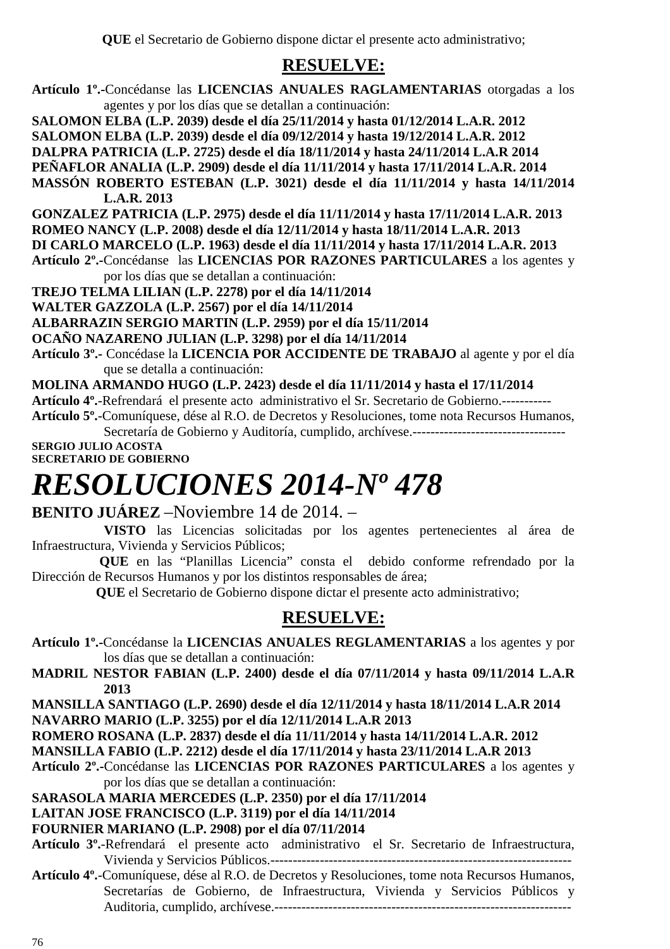### **RESUELVE:**

- **Artículo 1º.-**Concédanse las **LICENCIAS ANUALES RAGLAMENTARIAS** otorgadas a los agentes y por los días que se detallan a continuación:
- **SALOMON ELBA (L.P. 2039) desde el día 25/11/2014 y hasta 01/12/2014 L.A.R. 2012**
- **SALOMON ELBA (L.P. 2039) desde el día 09/12/2014 y hasta 19/12/2014 L.A.R. 2012**
- **DALPRA PATRICIA (L.P. 2725) desde el día 18/11/2014 y hasta 24/11/2014 L.A.R 2014**
- **PEÑAFLOR ANALIA (L.P. 2909) desde el día 11/11/2014 y hasta 17/11/2014 L.A.R. 2014**
- **MASSÓN ROBERTO ESTEBAN (L.P. 3021) desde el día 11/11/2014 y hasta 14/11/2014 L.A.R. 2013**
- **GONZALEZ PATRICIA (L.P. 2975) desde el día 11/11/2014 y hasta 17/11/2014 L.A.R. 2013**
- **ROMEO NANCY (L.P. 2008) desde el día 12/11/2014 y hasta 18/11/2014 L.A.R. 2013**
- **DI CARLO MARCELO (L.P. 1963) desde el día 11/11/2014 y hasta 17/11/2014 L.A.R. 2013**
- **Artículo 2º.-**Concédanse las **LICENCIAS POR RAZONES PARTICULARES** a los agentes y por los días que se detallan a continuación:

**TREJO TELMA LILIAN (L.P. 2278) por el día 14/11/2014** 

**WALTER GAZZOLA (L.P. 2567) por el día 14/11/2014** 

**ALBARRAZIN SERGIO MARTIN (L.P. 2959) por el día 15/11/2014** 

**OCAÑO NAZARENO JULIAN (L.P. 3298) por el día 14/11/2014** 

- **Artículo 3º.-** Concédase la **LICENCIA POR ACCIDENTE DE TRABAJO** al agente y por el día que se detalla a continuación:
- **MOLINA ARMANDO HUGO (L.P. 2423) desde el día 11/11/2014 y hasta el 17/11/2014**
- **Artículo 4º.**-Refrendará el presente acto administrativo el Sr. Secretario de Gobierno.-----------
- **Artículo 5º.**-Comuníquese, dése al R.O. de Decretos y Resoluciones, tome nota Recursos Humanos, Secretaría de Gobierno y Auditoría, cumplido, archívese.----------------------------------

**SERGIO JULIO ACOSTA SECRETARIO DE GOBIERNO** 

### *RESOLUCIONES 2014-Nº 478*

### **BENITO JUÁREZ** –Noviembre 14 de 2014. –

- **VISTO** las Licencias solicitadas por los agentes pertenecientes al área de Infraestructura, Vivienda y Servicios Públicos;
- **QUE** en las "Planillas Licencia" consta el debido conforme refrendado por la Dirección de Recursos Humanos y por los distintos responsables de área;

 **QUE** el Secretario de Gobierno dispone dictar el presente acto administrativo;

### **RESUELVE:**

- **Artículo 1º.-**Concédanse la **LICENCIAS ANUALES REGLAMENTARIAS** a los agentes y por los días que se detallan a continuación:
- **MADRIL NESTOR FABIAN (L.P. 2400) desde el día 07/11/2014 y hasta 09/11/2014 L.A.R 2013**

**MANSILLA SANTIAGO (L.P. 2690) desde el día 12/11/2014 y hasta 18/11/2014 L.A.R 2014 NAVARRO MARIO (L.P. 3255) por el día 12/11/2014 L.A.R 2013** 

**ROMERO ROSANA (L.P. 2837) desde el día 11/11/2014 y hasta 14/11/2014 L.A.R. 2012** 

**MANSILLA FABIO (L.P. 2212) desde el día 17/11/2014 y hasta 23/11/2014 L.A.R 2013** 

**Artículo 2º.-**Concédanse las **LICENCIAS POR RAZONES PARTICULARES** a los agentes y por los días que se detallan a continuación:

**SARASOLA MARIA MERCEDES (L.P. 2350) por el día 17/11/2014** 

### **LAITAN JOSE FRANCISCO (L.P. 3119) por el día 14/11/2014**

### **FOURNIER MARIANO (L.P. 2908) por el día 07/11/2014**

- **Artículo 3º.**-Refrendará el presente acto administrativo el Sr. Secretario de Infraestructura, Vivienda y Servicios Públicos.-------------------------------------------------------------------
- **Artículo 4º.**-Comuníquese, dése al R.O. de Decretos y Resoluciones, tome nota Recursos Humanos, Secretarías de Gobierno, de Infraestructura, Vivienda y Servicios Públicos y Auditoria, cumplido, archívese.------------------------------------------------------------------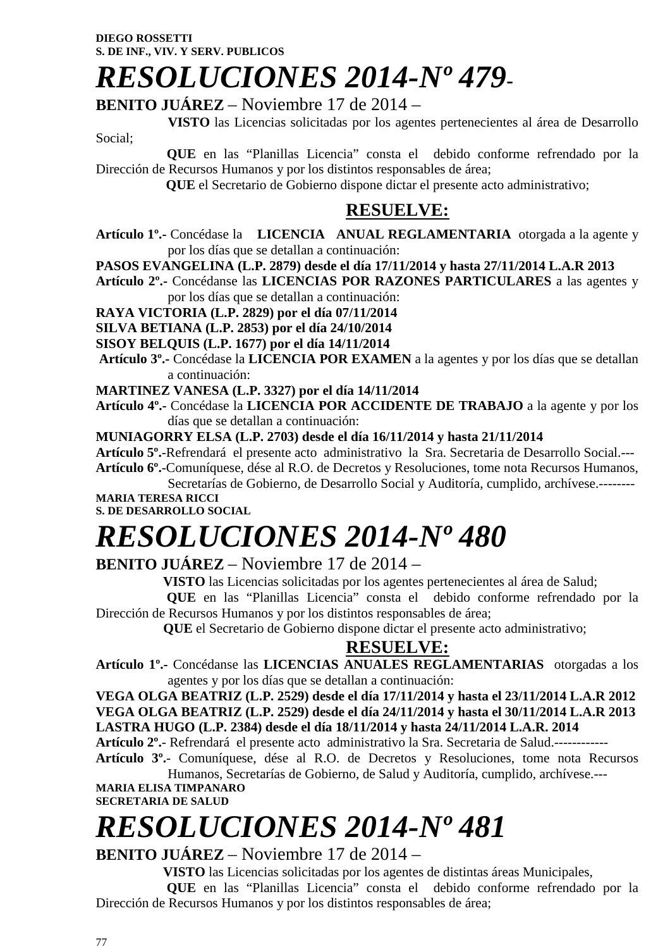# *RESOLUCIONES 2014-Nº 479***-**

**BENITO JUÁREZ** – Noviembre 17 de 2014 –

 **VISTO** las Licencias solicitadas por los agentes pertenecientes al área de Desarrollo Social;

 **QUE** en las "Planillas Licencia" consta el debido conforme refrendado por la Dirección de Recursos Humanos y por los distintos responsables de área;

 **QUE** el Secretario de Gobierno dispone dictar el presente acto administrativo;

### **RESUELVE:**

- **Artículo 1º.-** Concédase la **LICENCIA ANUAL REGLAMENTARIA** otorgada a la agente y por los días que se detallan a continuación:
- **PASOS EVANGELINA (L.P. 2879) desde el día 17/11/2014 y hasta 27/11/2014 L.A.R 2013**
- **Artículo 2º.-** Concédanse las **LICENCIAS POR RAZONES PARTICULARES** a las agentes y por los días que se detallan a continuación:

**RAYA VICTORIA (L.P. 2829) por el día 07/11/2014** 

**SILVA BETIANA (L.P. 2853) por el día 24/10/2014** 

**SISOY BELQUIS (L.P. 1677) por el día 14/11/2014** 

 **Artículo 3º.-** Concédase la **LICENCIA POR EXAMEN** a la agentes y por los días que se detallan a continuación:

**MARTINEZ VANESA (L.P. 3327) por el día 14/11/2014** 

**Artículo 4º.-** Concédase la **LICENCIA POR ACCIDENTE DE TRABAJO** a la agente y por los días que se detallan a continuación:

**MUNIAGORRY ELSA (L.P. 2703) desde el día 16/11/2014 y hasta 21/11/2014** 

**Artículo 5º.**-Refrendará el presente acto administrativo la Sra. Secretaria de Desarrollo Social.--- **Artículo 6º.**-Comuníquese, dése al R.O. de Decretos y Resoluciones, tome nota Recursos Humanos,

Secretarías de Gobierno, de Desarrollo Social y Auditoría, cumplido, archívese.-------- **MARIA TERESA RICCI** 

**S. DE DESARROLLO SOCIAL** 

# *RESOLUCIONES 2014-Nº 480*

### **BENITO JUÁREZ** – Noviembre 17 de 2014 –

**VISTO** las Licencias solicitadas por los agentes pertenecientes al área de Salud;

 **QUE** en las "Planillas Licencia" consta el debido conforme refrendado por la Dirección de Recursos Humanos y por los distintos responsables de área;

 **QUE** el Secretario de Gobierno dispone dictar el presente acto administrativo;

### **RESUELVE:**

**Artículo 1º.-** Concédanse las **LICENCIAS ANUALES REGLAMENTARIAS** otorgadas a los agentes y por los días que se detallan a continuación:

**VEGA OLGA BEATRIZ (L.P. 2529) desde el día 17/11/2014 y hasta el 23/11/2014 L.A.R 2012 VEGA OLGA BEATRIZ (L.P. 2529) desde el día 24/11/2014 y hasta el 30/11/2014 L.A.R 2013 LASTRA HUGO (L.P. 2384) desde el día 18/11/2014 y hasta 24/11/2014 L.A.R. 2014** 

**Artículo 2º.**- Refrendará el presente acto administrativo la Sra. Secretaria de Salud.------------

**Artículo 3º.**- Comuníquese, dése al R.O. de Decretos y Resoluciones, tome nota Recursos Humanos, Secretarías de Gobierno, de Salud y Auditoría, cumplido, archívese.---

**MARIA ELISA TIMPANARO SECRETARIA DE SALUD** 

# *RESOLUCIONES 2014-Nº 481*

**BENITO JUÁREZ** – Noviembre 17 de 2014 –

**VISTO** las Licencias solicitadas por los agentes de distintas áreas Municipales,

 **QUE** en las "Planillas Licencia" consta el debido conforme refrendado por la Dirección de Recursos Humanos y por los distintos responsables de área;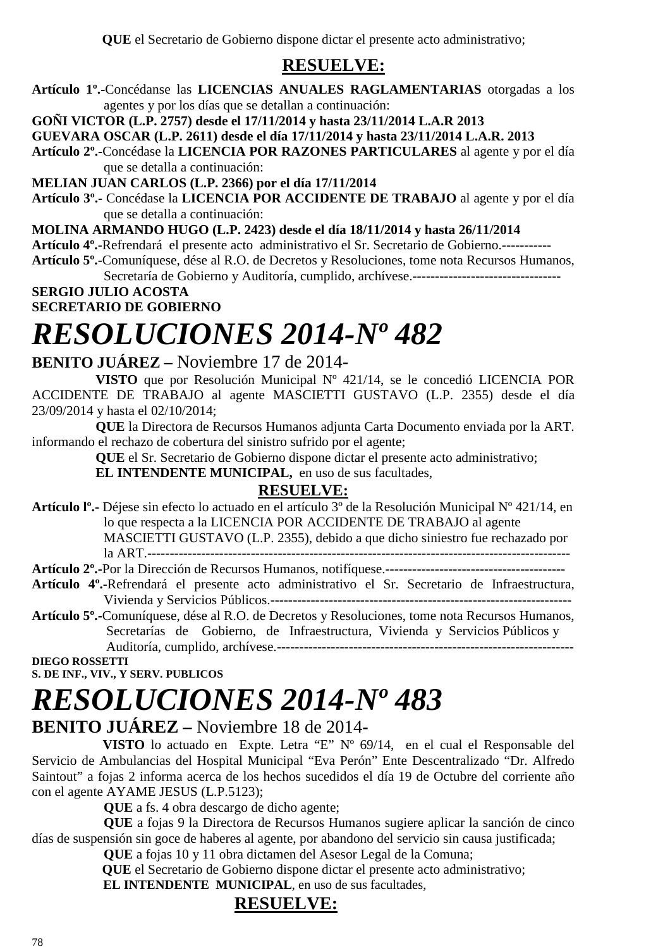**QUE** el Secretario de Gobierno dispone dictar el presente acto administrativo;

### **RESUELVE:**

**Artículo 1º.-**Concédanse las **LICENCIAS ANUALES RAGLAMENTARIAS** otorgadas a los agentes y por los días que se detallan a continuación:

**GOÑI VICTOR (L.P. 2757) desde el 17/11/2014 y hasta 23/11/2014 L.A.R 2013** 

**GUEVARA OSCAR (L.P. 2611) desde el día 17/11/2014 y hasta 23/11/2014 L.A.R. 2013** 

**Artículo 2º.-**Concédase la **LICENCIA POR RAZONES PARTICULARES** al agente y por el día que se detalla a continuación:

**MELIAN JUAN CARLOS (L.P. 2366) por el día 17/11/2014** 

**Artículo 3º.-** Concédase la **LICENCIA POR ACCIDENTE DE TRABAJO** al agente y por el día que se detalla a continuación:

**MOLINA ARMANDO HUGO (L.P. 2423) desde el día 18/11/2014 y hasta 26/11/2014** 

**Artículo 4º.**-Refrendará el presente acto administrativo el Sr. Secretario de Gobierno.-----------

**Artículo 5º.**-Comuníquese, dése al R.O. de Decretos y Resoluciones, tome nota Recursos Humanos, Secretaría de Gobierno y Auditoría, cumplido, archívese.---------------------------------

**SERGIO JULIO ACOSTA** 

**SECRETARIO DE GOBIERNO** 

### *RESOLUCIONES 2014-Nº 482*

### **BENITO JUÁREZ –** Noviembre 17 de 2014-

**VISTO** que por Resolución Municipal Nº 421/14, se le concedió LICENCIA POR ACCIDENTE DE TRABAJO al agente MASCIETTI GUSTAVO (L.P. 2355) desde el día 23/09/2014 y hasta el 02/10/2014;

**QUE** la Directora de Recursos Humanos adjunta Carta Documento enviada por la ART. informando el rechazo de cobertura del sinistro sufrido por el agente;

**QUE** el Sr. Secretario de Gobierno dispone dictar el presente acto administrativo;

**EL INTENDENTE MUNICIPAL,** en uso de sus facultades,

### **RESUELVE:**

**Artículo lº.-** Déjese sin efecto lo actuado en el artículo 3º de la Resolución Municipal Nº 421/14, en lo que respecta a la LICENCIA POR ACCIDENTE DE TRABAJO al agente MASCIETTI GUSTAVO (L.P. 2355), debido a que dicho siniestro fue rechazado por la ART.----------------------------------------------------------------------------------------------

- **Artículo 2º.-**Por la Dirección de Recursos Humanos, notifíquese.---------------------------------------- **Artículo 4º.-**Refrendará el presente acto administrativo el Sr. Secretario de Infraestructura,
- Vivienda y Servicios Públicos.-------------------------------------------------------------------
- **Artículo 5º.-**Comuníquese, dése al R.O. de Decretos y Resoluciones, tome nota Recursos Humanos, Secretarías de Gobierno, de Infraestructura, Vivienda y Servicios Públicos y Auditoría, cumplido, archívese.------------------------------------------------------------------

**DIEGO ROSSETTI S. DE INF., VIV., Y SERV. PUBLICOS** 

# *RESOLUCIONES 2014-Nº 483*

### **BENITO JUÁREZ –** Noviembre 18 de 2014**-**

 **VISTO** lo actuado en Expte. Letra "E" Nº 69/14, en el cual el Responsable del Servicio de Ambulancias del Hospital Municipal "Eva Perón" Ente Descentralizado "Dr. Alfredo Saintout" a fojas 2 informa acerca de los hechos sucedidos el día 19 de Octubre del corriente año con el agente AYAME JESUS (L.P.5123);

**QUE** a fs. 4 obra descargo de dicho agente;

**QUE** a fojas 9 la Directora de Recursos Humanos sugiere aplicar la sanción de cinco días de suspensión sin goce de haberes al agente, por abandono del servicio sin causa justificada;

**QUE** a fojas 10 y 11 obra dictamen del Asesor Legal de la Comuna;

 **QUE** el Secretario de Gobierno dispone dictar el presente acto administrativo;

**EL INTENDENTE MUNICIPAL**, en uso de sus facultades.

### **RESUELVE:**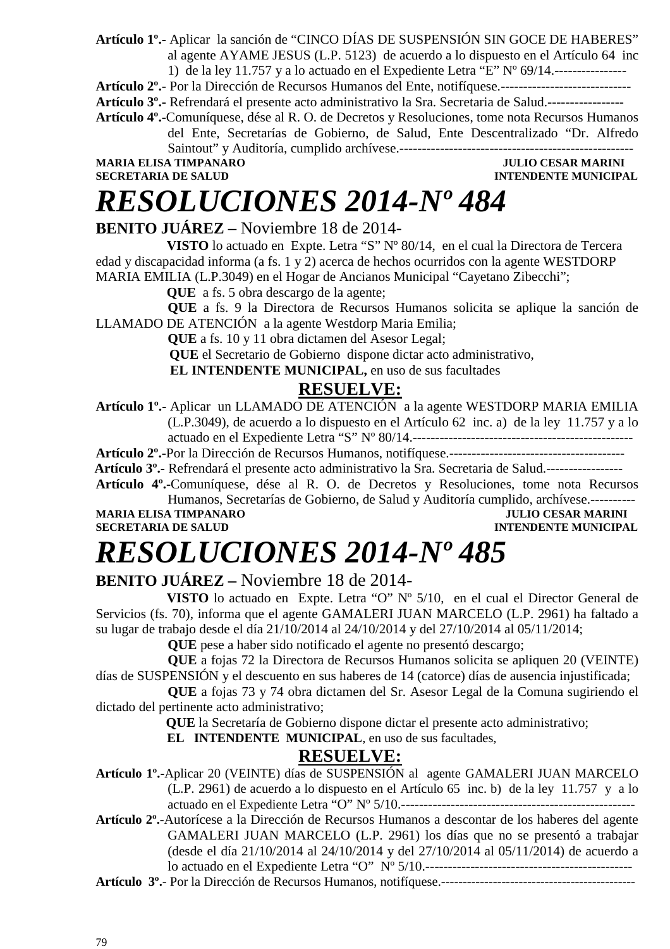**Artículo 1º.-** Aplicar la sanción de "CINCO DÍAS DE SUSPENSIÓN SIN GOCE DE HABERES" al agente AYAME JESUS (L.P. 5123)de acuerdo a lo dispuesto en el Artículo 64 inc

1) de la ley 11.757 y a lo actuado en el Expediente Letra "E"  $N^{\circ}$  69/14.-----------------

**Artículo 2º.**- Por la Dirección de Recursos Humanos del Ente, notifíquese.-----------------------------

**Artículo 3º.-** Refrendará el presente acto administrativo la Sra. Secretaria de Salud.-----------------

**Artículo 4º.-**Comuníquese, dése al R. O. de Decretos y Resoluciones, tome nota Recursos Humanos

del Ente, Secretarías de Gobierno, de Salud, Ente Descentralizado "Dr. Alfredo Saintout" y Auditoría, cumplido archívese.----------------------------------------------------

**MARIA ELISA TIMPANARO JULIO CESAR MARINI SECRETARIA DE SALUD** 

**INTENDENTE MUNICIPAL** 

# *RESOLUCIONES 2014-Nº 484*

**BENITO JUÁREZ –** Noviembre 18 de 2014-

 **VISTO** lo actuado en Expte. Letra "S" Nº 80/14, en el cual la Directora de Tercera edad y discapacidad informa (a fs. 1 y 2) acerca de hechos ocurridos con la agente WESTDORP MARIA EMILIA (L.P.3049) en el Hogar de Ancianos Municipal "Cayetano Zibecchi";

**QUE** a fs. 5 obra descargo de la agente:

**QUE** a fs. 9 la Directora de Recursos Humanos solicita se aplique la sanción de LLAMADO DE ATENCIÓN a la agente Westdorp Maria Emilia;

**QUE** a fs. 10 y 11 obra dictamen del Asesor Legal;

 **QUE** el Secretario de Gobierno dispone dictar acto administrativo,

 **EL INTENDENTE MUNICIPAL,** en uso de sus facultades

### **RESUELVE:**

**Artículo 1º.-** Aplicar un LLAMADO DE ATENCIÓN a la agente WESTDORP MARIA EMILIA (L.P.3049), de acuerdo a lo dispuesto en el Artículo 62 inc. a) de la ley 11.757 y a lo actuado en el Expediente Letra "S" Nº 80/14.-------------------------------------------------

**Artículo 2º.-**Por la Dirección de Recursos Humanos, notifíquese.---------------------------------------

 **Artículo 3º.-** Refrendará el presente acto administrativo la Sra. Secretaria de Salud.-----------------

**Artículo 4º.-**Comuníquese, dése al R. O. de Decretos y Resoluciones, tome nota Recursos Humanos, Secretarías de Gobierno, de Salud y Auditoría cumplido, archívese.-----------<br>A TIMPANARO MARINI

**MARIA ELISA TIMPANARO<br>SECRETARIA DE SALUD** 

### **INTENDENTE MUNICIPAL**

# *RESOLUCIONES 2014-Nº 485*

### **BENITO JUÁREZ –** Noviembre 18 de 2014-

 **VISTO** lo actuado en Expte. Letra "O" Nº 5/10, en el cual el Director General de Servicios (fs. 70), informa que el agente GAMALERI JUAN MARCELO (L.P. 2961) ha faltado a su lugar de trabajo desde el día 21/10/2014 al 24/10/2014 y del 27/10/2014 al 05/11/2014;

**QUE** pese a haber sido notificado el agente no presentó descargo;

**QUE** a fojas 72 la Directora de Recursos Humanos solicita se apliquen 20 (VEINTE) días de SUSPENSIÓN y el descuento en sus haberes de 14 (catorce) días de ausencia injustificada;

**QUE** a fojas 73 y 74 obra dictamen del Sr. Asesor Legal de la Comuna sugiriendo el dictado del pertinente acto administrativo;

 **QUE** la Secretaría de Gobierno dispone dictar el presente acto administrativo;

 **EL INTENDENTE MUNICIPAL**, en uso de sus facultades,

### **RESUELVE:**

**Artículo 1º.-**Aplicar 20 (VEINTE) días de SUSPENSIÓN al agente GAMALERI JUAN MARCELO (L.P. 2961) de acuerdo a lo dispuesto en el Artículo 65 inc. b) de la ley 11.757 y a lo actuado en el Expediente Letra "O" Nº 5/10.----------------------------------------------------

**Artículo 2º.-**Autorícese a la Dirección de Recursos Humanos a descontar de los haberes del agente GAMALERI JUAN MARCELO (L.P. 2961) los días que no se presentó a trabajar (desde el día 21/10/2014 al 24/10/2014 y del 27/10/2014 al 05/11/2014) de acuerdo a lo actuado en el Expediente Letra "O" Nº 5/10.----------------------------------------------

**Artículo 3º.**- Por la Dirección de Recursos Humanos, notifíquese.---------------------------------------------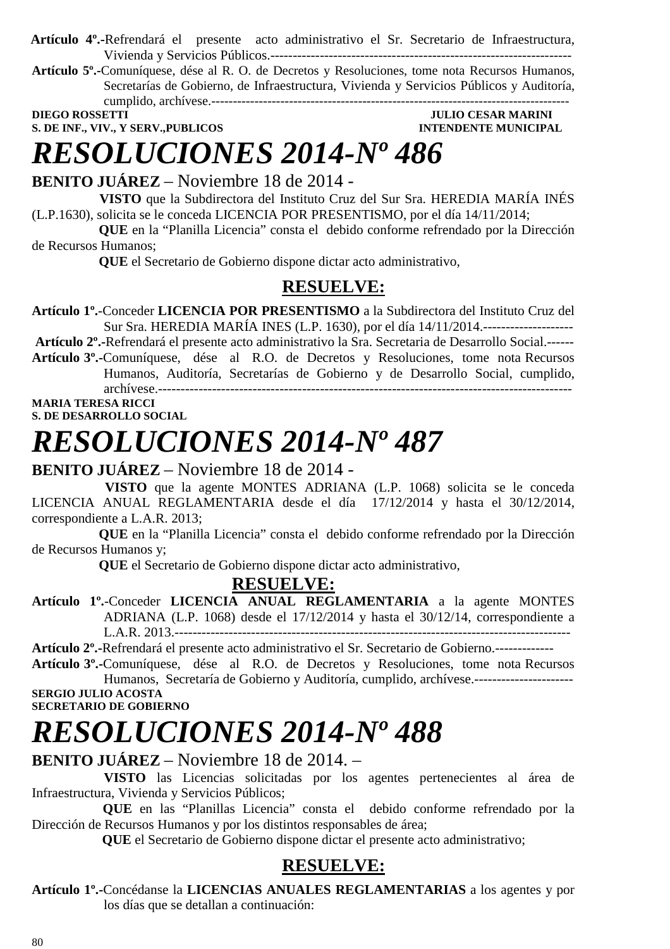- **Artículo 4º.-**Refrendará el presente acto administrativo el Sr. Secretario de Infraestructura, Vivienda y Servicios Públicos.-------------------------------------------------------------------
- **Artículo 5º.-**Comuníquese, dése al R. O. de Decretos y Resoluciones, tome nota Recursos Humanos, Secretarías de Gobierno, de Infraestructura, Vivienda y Servicios Públicos y Auditoría, cumplido, archívese.-----------------------------------------------------------------------------------

**S. DE INF., VIV., Y SERV., PUBLICOS INTENDENTE MUNICIPAL** 

**DIEGO ROSSETTI DIEGO ROSSETTI DIEGO POSSETTI DIEGO ROSSETTI DIEGO POSSETTI DIEGO POSSETTI DIEGO POSSETTI DIEGO POSSETTI DIE POSSETTI DIE POSSETTI DIE POSSETTI DIE POSSETTI DIE POSSETTI DIE POSSETTI DIE POSSETTI DIE POSSET** 

### *RESOLUCIONES 2014-Nº 486*

### **BENITO JUÁREZ** – Noviembre 18 de 2014 -

 **VISTO** que la Subdirectora del Instituto Cruz del Sur Sra. HEREDIA MARÍA INÉS (L.P.1630), solicita se le conceda LICENCIA POR PRESENTISMO, por el día 14/11/2014;

 **QUE** en la "Planilla Licencia" consta el debido conforme refrendado por la Dirección de Recursos Humanos;

 **QUE** el Secretario de Gobierno dispone dictar acto administrativo,

### **RESUELVE:**

**Artículo 1º.**-Conceder **LICENCIA POR PRESENTISMO** a la Subdirectora del Instituto Cruz del Sur Sra. HEREDIA MARÍA INES (L.P. 1630), por el día 14/11/2014.--------------------

**Artículo 2º.-**Refrendará el presente acto administrativo la Sra. Secretaria de Desarrollo Social.------

**Artículo 3º.-**Comuníquese, dése al R.O. de Decretos y Resoluciones, tome nota Recursos Humanos, Auditoría, Secretarías de Gobierno y de Desarrollo Social, cumplido, archívese.--------------------------------------------------------------------------------------------

#### **MARIA TERESA RICCI S. DE DESARROLLO SOCIAL**

### *RESOLUCIONES 2014-Nº 487*

### **BENITO JUÁREZ** – Noviembre 18 de 2014 -

 **VISTO** que la agente MONTES ADRIANA (L.P. 1068) solicita se le conceda LICENCIA ANUAL REGLAMENTARIA desde el día 17/12/2014 y hasta el 30/12/2014, correspondiente a L.A.R. 2013;

 **QUE** en la "Planilla Licencia" consta el debido conforme refrendado por la Dirección de Recursos Humanos y;

 **QUE** el Secretario de Gobierno dispone dictar acto administrativo,

### **RESUELVE:**

**Artículo 1º.**-Conceder **LICENCIA ANUAL REGLAMENTARIA** a la agente MONTES ADRIANA (L.P. 1068) desde el 17/12/2014 y hasta el 30/12/14, correspondiente a L.A.R. 2013.----------------------------------------------------------------------------------------

**Artículo 2º.-**Refrendará el presente acto administrativo el Sr. Secretario de Gobierno.-------------

**Artículo 3º.-**Comuníquese, dése al R.O. de Decretos y Resoluciones, tome nota Recursos Humanos, Secretaría de Gobierno y Auditoría, cumplido, archívese.---------------------- **SERGIO JULIO ACOSTA** 

**SECRETARIO DE GOBIERNO** 

### *RESOLUCIONES 2014-Nº 488*

### **BENITO JUÁREZ** – Noviembre 18 de 2014. –

 **VISTO** las Licencias solicitadas por los agentes pertenecientes al área de Infraestructura, Vivienda y Servicios Públicos;

 **QUE** en las "Planillas Licencia" consta el debido conforme refrendado por la Dirección de Recursos Humanos y por los distintos responsables de área;

 **QUE** el Secretario de Gobierno dispone dictar el presente acto administrativo;

### **RESUELVE:**

**Artículo 1º.-**Concédanse la **LICENCIAS ANUALES REGLAMENTARIAS** a los agentes y por los días que se detallan a continuación: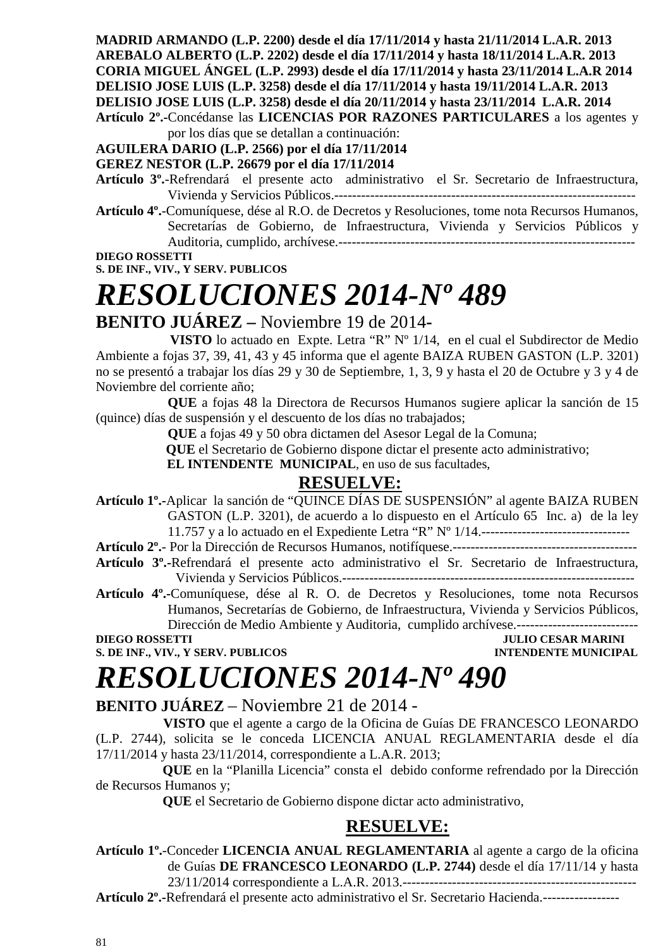**MADRID ARMANDO (L.P. 2200) desde el día 17/11/2014 y hasta 21/11/2014 L.A.R. 2013 AREBALO ALBERTO (L.P. 2202) desde el día 17/11/2014 y hasta 18/11/2014 L.A.R. 2013 CORIA MIGUEL ÁNGEL (L.P. 2993) desde el día 17/11/2014 y hasta 23/11/2014 L.A.R 2014 DELISIO JOSE LUIS (L.P. 3258) desde el día 17/11/2014 y hasta 19/11/2014 L.A.R. 2013 DELISIO JOSE LUIS (L.P. 3258) desde el día 20/11/2014 y hasta 23/11/2014 L.A.R. 2014 Artículo 2º.-**Concédanse las **LICENCIAS POR RAZONES PARTICULARES** a los agentes y

por los días que se detallan a continuación:

#### **AGUILERA DARIO (L.P. 2566) por el día 17/11/2014**

#### **GEREZ NESTOR (L.P. 26679 por el día 17/11/2014**

**Artículo 3º.**-Refrendará el presente acto administrativo el Sr. Secretario de Infraestructura, Vivienda y Servicios Públicos.-------------------------------------------------------------------

**Artículo 4º.**-Comuníquese, dése al R.O. de Decretos y Resoluciones, tome nota Recursos Humanos, Secretarías de Gobierno, de Infraestructura, Vivienda y Servicios Públicos y Auditoria, cumplido, archívese.------------------------------------------------------------------

**DIEGO ROSSETTI** 

**S. DE INF., VIV., Y SERV. PUBLICOS** 

# *RESOLUCIONES 2014-Nº 489*

### **BENITO JUÁREZ –** Noviembre 19 de 2014**-**

 **VISTO** lo actuado en Expte. Letra "R" Nº 1/14, en el cual el Subdirector de Medio Ambiente a fojas 37, 39, 41, 43 y 45 informa que el agente BAIZA RUBEN GASTON (L.P. 3201) no se presentó a trabajar los días 29 y 30 de Septiembre, 1, 3, 9 y hasta el 20 de Octubre y 3 y 4 de Noviembre del corriente año;

**QUE** a fojas 48 la Directora de Recursos Humanos sugiere aplicar la sanción de 15 (quince) días de suspensión y el descuento de los días no trabajados;

**QUE** a fojas 49 y 50 obra dictamen del Asesor Legal de la Comuna;

 **QUE** el Secretario de Gobierno dispone dictar el presente acto administrativo;

 **EL INTENDENTE MUNICIPAL**, en uso de sus facultades,

### **RESUELVE:**

**Artículo 1º.-**Aplicar la sanción de "QUINCE DÍAS DE SUSPENSIÓN" al agente BAIZA RUBEN GASTON (L.P. 3201), de acuerdo a lo dispuesto en el Artículo 65 Inc. a) de la ley 11.757 y a lo actuado en el Expediente Letra "R" Nº 1/14.---------------------------------

**Artículo 2º.**- Por la Dirección de Recursos Humanos, notifíquese.-----------------------------------------

- **Artículo 3º.-**Refrendará el presente acto administrativo el Sr. Secretario de Infraestructura, Vivienda y Servicios Públicos.-----------------------------------------------------------------
- **Artículo 4º.-**Comuníquese, dése al R. O. de Decretos y Resoluciones, tome nota Recursos Humanos, Secretarías de Gobierno, de Infraestructura, Vivienda y Servicios Públicos, Dirección de Medio Ambiente y Auditoria, cumplido archívese.---------------------------

# *RESOLUCIONES 2014-Nº 490*

**BENITO JUÁREZ** – Noviembre 21 de 2014 -

 **VISTO** que el agente a cargo de la Oficina de Guías DE FRANCESCO LEONARDO (L.P. 2744), solicita se le conceda LICENCIA ANUAL REGLAMENTARIA desde el día 17/11/2014 y hasta 23/11/2014, correspondiente a L.A.R. 2013;

 **QUE** en la "Planilla Licencia" consta el debido conforme refrendado por la Dirección de Recursos Humanos y;

 **QUE** el Secretario de Gobierno dispone dictar acto administrativo,

### **RESUELVE:**

#### **Artículo 1º.**-Conceder **LICENCIA ANUAL REGLAMENTARIA** al agente a cargo de la oficina de Guías **DE FRANCESCO LEONARDO (L.P. 2744)** desde el día 17/11/14 y hasta 23/11/2014 correspondiente a L.A.R. 2013.----------------------------------------------------

**Artículo 2º.-**Refrendará el presente acto administrativo el Sr. Secretario Hacienda.-----------------

**JULIO CESAR MARINI S. DE INF., VIV., Y SERV. PUBLICOS INTENDENTE MUNICIPAL**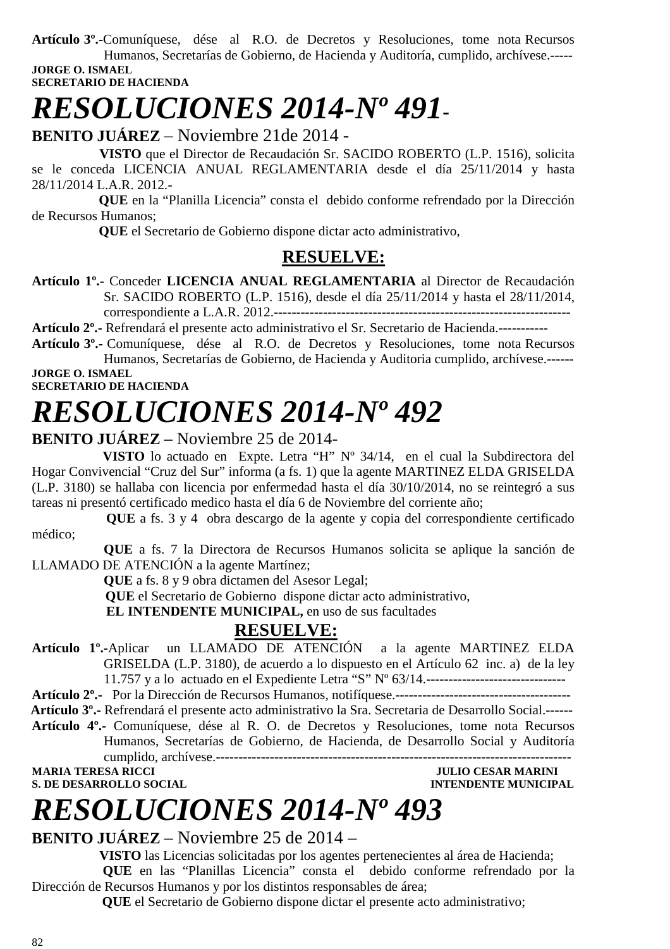**Artículo 3º.-**Comuníquese, dése al R.O. de Decretos y Resoluciones, tome nota Recursos Humanos, Secretarías de Gobierno, de Hacienda y Auditoría, cumplido, archívese.----- **JORGE O. ISMAEL** 

**SECRETARIO DE HACIENDA** 

# *RESOLUCIONES 2014-Nº 491***-**

**BENITO JUÁREZ** – Noviembre 21de 2014 -

 **VISTO** que el Director de Recaudación Sr. SACIDO ROBERTO (L.P. 1516), solicita se le conceda LICENCIA ANUAL REGLAMENTARIA desde el día 25/11/2014 y hasta 28/11/2014 L.A.R. 2012.-

 **QUE** en la "Planilla Licencia" consta el debido conforme refrendado por la Dirección de Recursos Humanos;

 **QUE** el Secretario de Gobierno dispone dictar acto administrativo,

### **RESUELVE:**

**Artículo 1º.**- Conceder **LICENCIA ANUAL REGLAMENTARIA** al Director de Recaudación Sr. SACIDO ROBERTO (L.P. 1516), desde el día 25/11/2014 y hasta el 28/11/2014, correspondiente a L.A.R. 2012.------------------------------------------------------------------

**Artículo 2º.-** Refrendará el presente acto administrativo el Sr. Secretario de Hacienda.-----------

**Artículo 3º.-** Comuníquese, dése al R.O. de Decretos y Resoluciones, tome nota Recursos Humanos, Secretarías de Gobierno, de Hacienda y Auditoria cumplido, archívese.------

**JORGE O. ISMAEL SECRETARIO DE HACIENDA** 

### *RESOLUCIONES 2014-Nº 492*

### **BENITO JUÁREZ –** Noviembre 25 de 2014-

 **VISTO** lo actuado en Expte. Letra "H" Nº 34/14, en el cual la Subdirectora del Hogar Convivencial "Cruz del Sur" informa (a fs. 1) que la agente MARTINEZ ELDA GRISELDA (L.P. 3180) se hallaba con licencia por enfermedad hasta el día 30/10/2014, no se reintegró a sus tareas ni presentó certificado medico hasta el día 6 de Noviembre del corriente año;

 **QUE** a fs. 3 y 4 obra descargo de la agente y copia del correspondiente certificado médico;

**QUE** a fs. 7 la Directora de Recursos Humanos solicita se aplique la sanción de LLAMADO DE ATENCIÓN a la agente Martínez;

**QUE** a fs. 8 y 9 obra dictamen del Asesor Legal;

 **QUE** el Secretario de Gobierno dispone dictar acto administrativo,

 **EL INTENDENTE MUNICIPAL,** en uso de sus facultades

### **RESUELVE:**

**Artículo 1º.-**Aplicar un LLAMADO DE ATENCIÓN a la agente MARTINEZ ELDA GRISELDA (L.P. 3180), de acuerdo a lo dispuesto en el Artículo 62 inc. a) de la ley 11.757 y a lo actuado en el Expediente Letra "S" Nº 63/14.-------------------------------

**Artículo 2º.-** Por la Dirección de Recursos Humanos, notifíquese.---------------------------------------

 **Artículo 3º.-** Refrendará el presente acto administrativo la Sra. Secretaria de Desarrollo Social.------ **Artículo 4º.-** Comuníquese, dése al R. O. de Decretos y Resoluciones, tome nota Recursos

Humanos, Secretarías de Gobierno, de Hacienda, de Desarrollo Social y Auditoría cumplido, archívese.-------------------------------------------------------------------------------

**JULIO CESAR MARINI S. DE DESARROLLO SOCIAL DESARROLLO SOCIAL DESARROLLO SOCIAL DESARROLLO SOCIAL DESARROLLO SOCIAL DE SOCIAL DE SOCIAL DE SOCIAL DE SOCIAL DE SOCIAL DE SOCIAL DE SOCIAL DE SOCIAL DE SOCIAL DE SOCIAL DE SOCIAL DE SOCIAL DE SO** 

# *RESOLUCIONES 2014-Nº 493*

### **BENITO JUÁREZ** – Noviembre 25 de 2014 –

 **VISTO** las Licencias solicitadas por los agentes pertenecientes al área de Hacienda; **QUE** en las "Planillas Licencia" consta el debido conforme refrendado por la Dirección de Recursos Humanos y por los distintos responsables de área;

 **QUE** el Secretario de Gobierno dispone dictar el presente acto administrativo;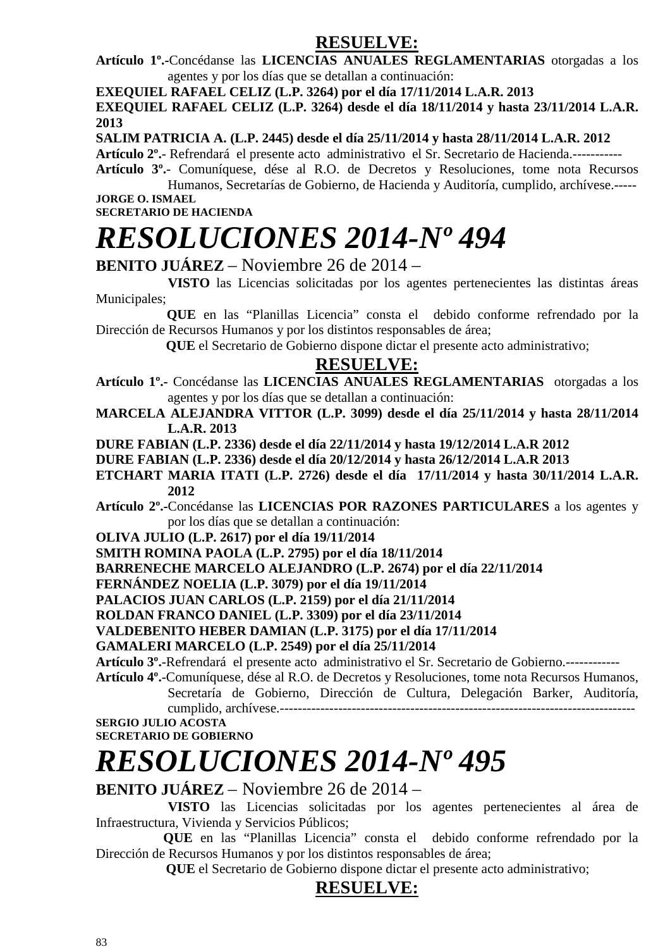### **RESUELVE:**

**Artículo 1º.-**Concédanse las **LICENCIAS ANUALES REGLAMENTARIAS** otorgadas a los agentes y por los días que se detallan a continuación:

**EXEQUIEL RAFAEL CELIZ (L.P. 3264) por el día 17/11/2014 L.A.R. 2013** 

**EXEQUIEL RAFAEL CELIZ (L.P. 3264) desde el día 18/11/2014 y hasta 23/11/2014 L.A.R. 2013** 

**SALIM PATRICIA A. (L.P. 2445) desde el día 25/11/2014 y hasta 28/11/2014 L.A.R. 2012** 

**Artículo 2º.**- Refrendará el presente acto administrativo el Sr. Secretario de Hacienda.-----------

**Artículo 3º.**- Comuníquese, dése al R.O. de Decretos y Resoluciones, tome nota Recursos Humanos, Secretarías de Gobierno, de Hacienda y Auditoría, cumplido, archívese.----- **JORGE O. ISMAEL** 

**SECRETARIO DE HACIENDA** 

# *RESOLUCIONES 2014-Nº 494*

**BENITO JUÁREZ** – Noviembre 26 de 2014 –

 **VISTO** las Licencias solicitadas por los agentes pertenecientes las distintas áreas Municipales;

 **QUE** en las "Planillas Licencia" consta el debido conforme refrendado por la Dirección de Recursos Humanos y por los distintos responsables de área;

 **QUE** el Secretario de Gobierno dispone dictar el presente acto administrativo;

### **RESUELVE:**

**Artículo 1º.-** Concédanse las **LICENCIAS ANUALES REGLAMENTARIAS** otorgadas a los agentes y por los días que se detallan a continuación:

**MARCELA ALEJANDRA VITTOR (L.P. 3099) desde el día 25/11/2014 y hasta 28/11/2014 L.A.R. 2013** 

**DURE FABIAN (L.P. 2336) desde el día 22/11/2014 y hasta 19/12/2014 L.A.R 2012** 

**DURE FABIAN (L.P. 2336) desde el día 20/12/2014 y hasta 26/12/2014 L.A.R 2013** 

**ETCHART MARIA ITATI (L.P. 2726) desde el día 17/11/2014 y hasta 30/11/2014 L.A.R. 2012** 

**Artículo 2º.-**Concédanse las **LICENCIAS POR RAZONES PARTICULARES** a los agentes y por los días que se detallan a continuación:

**OLIVA JULIO (L.P. 2617) por el día 19/11/2014** 

**SMITH ROMINA PAOLA (L.P. 2795) por el día 18/11/2014** 

**BARRENECHE MARCELO ALEJANDRO (L.P. 2674) por el día 22/11/2014** 

**FERNÁNDEZ NOELIA (L.P. 3079) por el día 19/11/2014** 

**PALACIOS JUAN CARLOS (L.P. 2159) por el día 21/11/2014** 

**ROLDAN FRANCO DANIEL (L.P. 3309) por el día 23/11/2014** 

**VALDEBENITO HEBER DAMIAN (L.P. 3175) por el día 17/11/2014** 

**GAMALERI MARCELO (L.P. 2549) por el día 25/11/2014** 

**Artículo 3º.**-Refrendará el presente acto administrativo el Sr. Secretario de Gobierno.------------

**Artículo 4º.**-Comuníquese, dése al R.O. de Decretos y Resoluciones, tome nota Recursos Humanos, Secretaría de Gobierno, Dirección de Cultura, Delegación Barker, Auditoría, cumplido, archívese.-------------------------------------------------------------------------------

**SERGIO JULIO ACOSTA SECRETARIO DE GOBIERNO** 

# *RESOLUCIONES 2014-Nº 495*

### **BENITO JUÁREZ** – Noviembre 26 de 2014 –

 **VISTO** las Licencias solicitadas por los agentes pertenecientes al área de Infraestructura, Vivienda y Servicios Públicos;

 **QUE** en las "Planillas Licencia" consta el debido conforme refrendado por la Dirección de Recursos Humanos y por los distintos responsables de área;

 **QUE** el Secretario de Gobierno dispone dictar el presente acto administrativo;

### **RESUELVE:**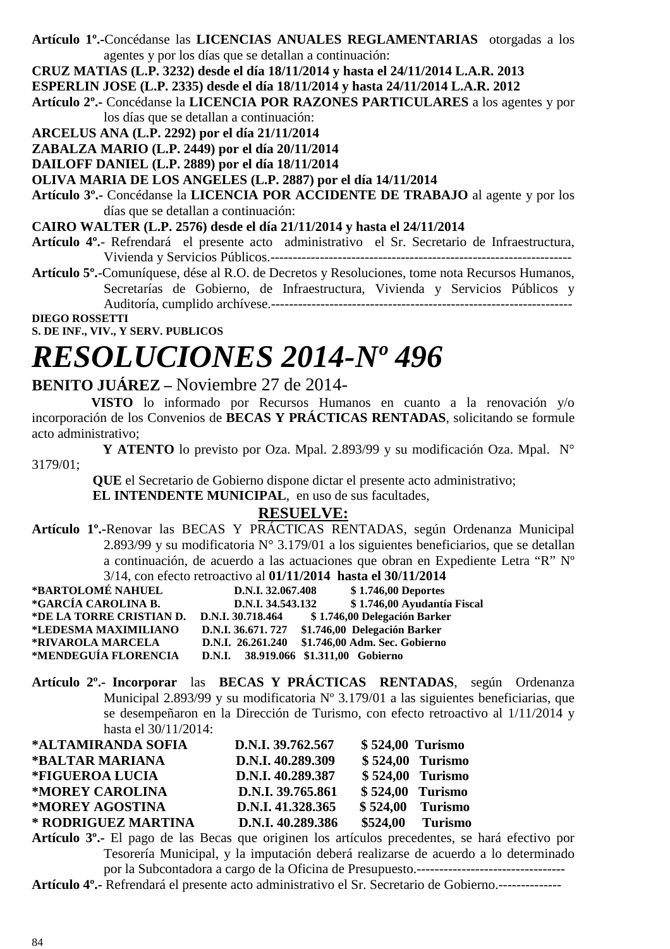**Artículo 1º.-**Concédanse las **LICENCIAS ANUALES REGLAMENTARIAS** otorgadas a los agentes y por los días que se detallan a continuación:

**CRUZ MATIAS (L.P. 3232) desde el día 18/11/2014 y hasta el 24/11/2014 L.A.R. 2013** 

- **ESPERLIN JOSE (L.P. 2335) desde el día 18/11/2014 y hasta 24/11/2014 L.A.R. 2012**
- **Artículo 2º.-** Concédanse la **LICENCIA POR RAZONES PARTICULARES** a los agentes y por los días que se detallan a continuación:
- **ARCELUS ANA (L.P. 2292) por el día 21/11/2014**
- **ZABALZA MARIO (L.P. 2449) por el día 20/11/2014**

**DAILOFF DANIEL (L.P. 2889) por el día 18/11/2014** 

**OLIVA MARIA DE LOS ANGELES (L.P. 2887) por el día 14/11/2014** 

**Artículo 3º.-** Concédanse la **LICENCIA POR ACCIDENTE DE TRABAJO** al agente y por los días que se detallan a continuación:

**CAIRO WALTER (L.P. 2576) desde el día 21/11/2014 y hasta el 24/11/2014** 

- **Artículo 4º.** Refrendará el presente acto administrativo el Sr. Secretario de Infraestructura, Vivienda y Servicios Públicos.-------------------------------------------------------------------
- **Artículo 5º.**-Comuníquese, dése al R.O. de Decretos y Resoluciones, tome nota Recursos Humanos, Secretarías de Gobierno, de Infraestructura, Vivienda y Servicios Públicos y Auditoría, cumplido archívese.-------------------------------------------------------------------

**DIEGO ROSSETTI** 

**S. DE INF., VIV., Y SERV. PUBLICOS** 

### *RESOLUCIONES 2014-Nº 496*

### **BENITO JUÁREZ –** Noviembre 27 de 2014-

 **VISTO** lo informado por Recursos Humanos en cuanto a la renovación y/o incorporación de los Convenios de **BECAS Y PRÁCTICAS RENTADAS**, solicitando se formule acto administrativo;

 **Y ATENTO** lo previsto por Oza. Mpal. 2.893/99 y su modificación Oza. Mpal. N° 3179/01;

 **QUE** el Secretario de Gobierno dispone dictar el presente acto administrativo;

 **EL INTENDENTE MUNICIPAL**, en uso de sus facultades,

### **RESUELVE:**

**Artículo 1º.-**Renovar las BECAS Y PRÁCTICAS RENTADAS, según Ordenanza Municipal 2.893/99 y su modificatoria N° 3.179/01 a los siguientes beneficiarios, que se detallan a continuación, de acuerdo a las actuaciones que obran en Expediente Letra "R" Nº 3/14, con efecto retroactivo al **01/11/2014 hasta el 30/11/2014** 

|                                            |                   | $3/1$ +, COII CICCIO TCHOACH VO at 01/11/2014 Hasia CI 30/11/2014 |
|--------------------------------------------|-------------------|-------------------------------------------------------------------|
| *BARTOLOMÉ NAHUEL                          | D.N.I. 32,067.408 | \$1.746,00 Deportes                                               |
| *GARCÍA CAROLINA B.                        | D.N.I. 34.543.132 | \$1.746,00 Ayudantía Fiscal                                       |
| *DE LA TORRE CRISTIAN D. D.N.I. 30.718.464 |                   | \$1.746,00 Delegación Barker                                      |
| *LEDESMA MAXIMILIANO                       |                   | D.N.I. 36.671.727 \$1.746,00 Delegación Barker                    |
| *RIVAROLA MARCELA                          |                   | D.N.I. 26.261.240 \$1.746,00 Adm. Sec. Gobierno                   |
| *MENDEGUÍA FLORENCIA                       |                   | D.N.I. 38.919.066 \$1.311,00 Gobierno                             |

**Artículo 2º.- Incorporar** las **BECAS Y PRÁCTICAS RENTADAS**, según Ordenanza Municipal 2.893/99 y su modificatoria Nº 3.179/01 a las siguientes beneficiarias, que se desempeñaron en la Dirección de Turismo, con efecto retroactivo al 1/11/2014 y hasta el 30/11/2014:

| *ALTAMIRANDA SOFIA  | D.N.I. 39.762.567 | $$524,00$ Turismo |                   |
|---------------------|-------------------|-------------------|-------------------|
| *BALTAR MARIANA     | D.N.I. 40.289.309 |                   | $$524,00$ Turismo |
| *FIGUEROA LUCIA     | D.N.I. 40.289.387 |                   | $$524,00$ Turismo |
| *MOREY CAROLINA     | D.N.I. 39.765.861 | $$524,00$ Turismo |                   |
| *MOREY AGOSTINA     | D.N.I. 41.328.365 |                   | \$524,00 Turismo  |
| * RODRIGUEZ MARTINA | D.N.I. 40.289.386 |                   | \$524,00 Turismo  |

**Artículo 3º.-** El pago de las Becas que originen los artículos precedentes, se hará efectivo por Tesorería Municipal, y la imputación deberá realizarse de acuerdo a lo determinado por la Subcontadora a cargo de la Oficina de Presupuesto.---------------------------------

**Artículo 4º.-** Refrendará el presente acto administrativo el Sr. Secretario de Gobierno.--------------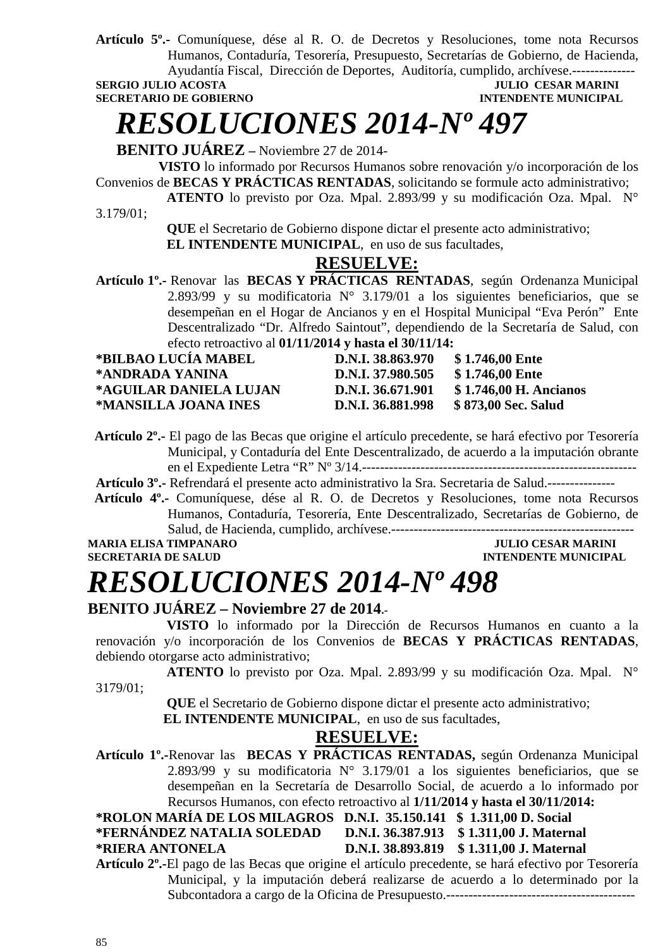**Artículo 5º.-** Comuníquese, dése al R. O. de Decretos y Resoluciones, tome nota Recursos Humanos, Contaduría, Tesorería, Presupuesto, Secretarías de Gobierno, de Hacienda, Ayudantía Fiscal, Dirección de Deportes, Auditoría, cumplido, archívese.--------------

#### **SERGIO JULIO ACOSTA JULIO CESAR MARINI SECRETARIO DE GOBIERNO DE SOBIERO DE SOBIERO DE SOBIERO DE SOBIERO DE SOBIERO DE SOBIERO DE SOBIERO DE SOBIERO DE SOBIERO DE SOBIERO DE SOBIERO DE SOBIERO DE SOBIERO DE SOBIERO DE SO INTENDENTE MUNICIPAL**

*RESOLUCIONES 2014-Nº 497* 

 **BENITO JUÁREZ –** Noviembre 27 de 2014-

 **VISTO** lo informado por Recursos Humanos sobre renovación y/o incorporación de los Convenios de **BECAS Y PRÁCTICAS RENTADAS**, solicitando se formule acto administrativo;

 **ATENTO** lo previsto por Oza. Mpal. 2.893/99 y su modificación Oza. Mpal. N°

3.179/01;

 **QUE** el Secretario de Gobierno dispone dictar el presente acto administrativo;  **EL INTENDENTE MUNICIPAL**, en uso de sus facultades,

### **RESUELVE:**

**Artículo 1º.-** Renovar las **BECAS Y PRÁCTICAS RENTADAS**, según Ordenanza Municipal 2.893/99 y su modificatoria  $N^{\circ}$  3.179/01 a los siguientes beneficiarios, que se desempeñan en el Hogar de Ancianos y en el Hospital Municipal "Eva Perón" Ente Descentralizado "Dr. Alfredo Saintout", dependiendo de la Secretaría de Salud, con efecto retroactivo al **01/11/2014 y hasta el 30/11/14:** 

| *BILBAO LUCÍA MABEL    | D.N.I. 38.863.970 | \$1.746,00 Ente        |
|------------------------|-------------------|------------------------|
| *ANDRADA YANINA        | D.N.I. 37.980.505 | \$1.746,00 Ente        |
| *AGUILAR DANIELA LUJAN | D.N.I. 36.671.901 | \$1.746,00 H. Ancianos |
| *MANSILLA JOANA INES   | D.N.I. 36.881.998 | \$873,00 Sec. Salud    |

 **Artículo 2º.-** El pago de las Becas que origine el artículo precedente, se hará efectivo por Tesorería Municipal, y Contaduría del Ente Descentralizado, de acuerdo a la imputación obrante en el Expediente Letra "R" Nº 3/14.-------------------------------------------------------------

**Artículo 3º.-** Refrendará el presente acto administrativo la Sra. Secretaria de Salud.---------------

 **Artículo 4º.-** Comuníquese, dése al R. O. de Decretos y Resoluciones, tome nota Recursos Humanos, Contaduría, Tesorería, Ente Descentralizado, Secretarías de Gobierno, de Salud, de Hacienda, cumplido, archívese.------------------------------------------------------

**MARIA ELISA TIMPANARO JULIO CESAR MARINI SECRETARIA DE SALUD INTENDENTE MUNICIPAL** 

# *RESOLUCIONES 2014-Nº 498*

### **BENITO JUÁREZ – Noviembre 27 de 2014.-**

 **VISTO** lo informado por la Dirección de Recursos Humanos en cuanto a la renovación y/o incorporación de los Convenios de **BECAS Y PRÁCTICAS RENTADAS**, debiendo otorgarse acto administrativo;

 **ATENTO** lo previsto por Oza. Mpal. 2.893/99 y su modificación Oza. Mpal. N° 3179/01;

> **QUE** el Secretario de Gobierno dispone dictar el presente acto administrativo;  **EL INTENDENTE MUNICIPAL**, en uso de sus facultades,

### **RESUELVE:**

**Artículo 1º.-**Renovar las **BECAS Y PRÁCTICAS RENTADAS,** según Ordenanza Municipal 2.893/99 y su modificatoria  $N^{\circ}$  3.179/01 a los siguientes beneficiarios, que se desempeñan en la Secretaría de Desarrollo Social, de acuerdo a lo informado por Recursos Humanos, con efecto retroactivo al **1/11/2014 y hasta el 30/11/2014:** 

**\*ROLON MARÍA DE LOS MILAGROS D.N.I. 35.150.141 \$ 1.311,00 D. Social \*FERNÁNDEZ NATALIA SOLEDAD D.N.I. 36.387.913 \$ 1.311,00 J. Maternal** 

### **\*RIERA ANTONELA D.N.I. 38.893.819 \$ 1.311,00 J. Maternal**

**Artículo 2º.-**El pago de las Becas que origine el artículo precedente, se hará efectivo por Tesorería Municipal, y la imputación deberá realizarse de acuerdo a lo determinado por la Subcontadora a cargo de la Oficina de Presupuesto.------------------------------------------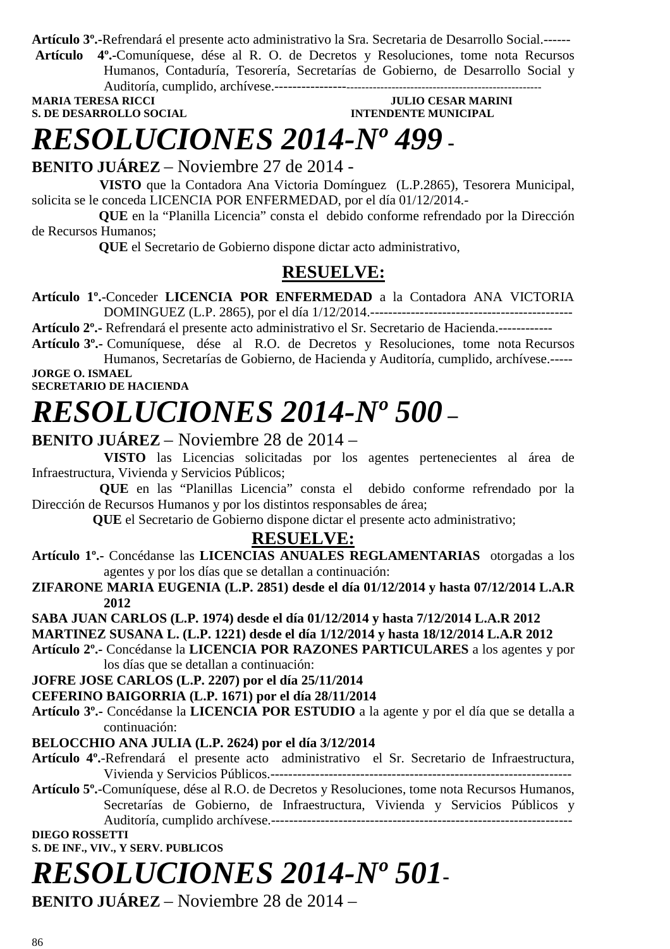**Artículo 3º.-**Refrendará el presente acto administrativo la Sra. Secretaria de Desarrollo Social.------

**Artículo 4º.-**Comuníquese, dése al R. O. de Decretos y Resoluciones, tome nota Recursos Humanos, Contaduría, Tesorería, Secretarías de Gobierno, de Desarrollo Social y Auditoría, cumplido, archívese.--------------------------------------------------------------------

**MARIA TERESA RICCI JULIO CESAR MARINI S. DE DESARROLLO SOCIAL INTENDENTE MUNICIPAL** 

### *RESOLUCIONES 2014-Nº 499* **-**

**BENITO JUÁREZ** – Noviembre 27 de 2014 -

 **VISTO** que la Contadora Ana Victoria Domínguez (L.P.2865), Tesorera Municipal, solicita se le conceda LICENCIA POR ENFERMEDAD, por el día 01/12/2014.-

 **QUE** en la "Planilla Licencia" consta el debido conforme refrendado por la Dirección de Recursos Humanos;

 **QUE** el Secretario de Gobierno dispone dictar acto administrativo,

### **RESUELVE:**

**Artículo 1º.**-Conceder **LICENCIA POR ENFERMEDAD** a la Contadora ANA VICTORIA DOMINGUEZ (L.P. 2865), por el día 1/12/2014.---------------------------------------------

**Artículo 2º.-** Refrendará el presente acto administrativo el Sr. Secretario de Hacienda.------------

**Artículo 3º.-** Comuníquese, dése al R.O. de Decretos y Resoluciones, tome nota Recursos Humanos, Secretarías de Gobierno, de Hacienda y Auditoría, cumplido, archívese.-----

**JORGE O. ISMAEL SECRETARIO DE HACIENDA** 

## *RESOLUCIONES 2014-Nº 500* **–**

### **BENITO JUÁREZ** – Noviembre 28 de 2014 –

 **VISTO** las Licencias solicitadas por los agentes pertenecientes al área de Infraestructura, Vivienda y Servicios Públicos;

 **QUE** en las "Planillas Licencia" consta el debido conforme refrendado por la Dirección de Recursos Humanos y por los distintos responsables de área;

 **QUE** el Secretario de Gobierno dispone dictar el presente acto administrativo;

### **RESUELVE:**

**Artículo 1º.-** Concédanse las **LICENCIAS ANUALES REGLAMENTARIAS** otorgadas a los agentes y por los días que se detallan a continuación:

**ZIFARONE MARIA EUGENIA (L.P. 2851) desde el día 01/12/2014 y hasta 07/12/2014 L.A.R 2012** 

**SABA JUAN CARLOS (L.P. 1974) desde el día 01/12/2014 y hasta 7/12/2014 L.A.R 2012** 

### **MARTINEZ SUSANA L. (L.P. 1221) desde el día 1/12/2014 y hasta 18/12/2014 L.A.R 2012**

**Artículo 2º.-** Concédanse la **LICENCIA POR RAZONES PARTICULARES** a los agentes y por los días que se detallan a continuación:

### **JOFRE JOSE CARLOS (L.P. 2207) por el día 25/11/2014**

**CEFERINO BAIGORRIA (L.P. 1671) por el día 28/11/2014** 

**Artículo 3º.-** Concédanse la **LICENCIA POR ESTUDIO** a la agente y por el día que se detalla a continuación:

### **BELOCCHIO ANA JULIA (L.P. 2624) por el día 3/12/2014**

- **Artículo 4º.**-Refrendará el presente acto administrativo el Sr. Secretario de Infraestructura, Vivienda y Servicios Públicos.-------------------------------------------------------------------
- **Artículo 5º.**-Comuníquese, dése al R.O. de Decretos y Resoluciones, tome nota Recursos Humanos, Secretarías de Gobierno, de Infraestructura, Vivienda y Servicios Públicos y Auditoría, cumplido archívese.-------------------------------------------------------------------

### **DIEGO ROSSETTI**

**S. DE INF., VIV., Y SERV. PUBLICOS** 

# *RESOLUCIONES 2014-Nº 501***-**

**BENITO JUÁREZ** – Noviembre 28 de 2014 –